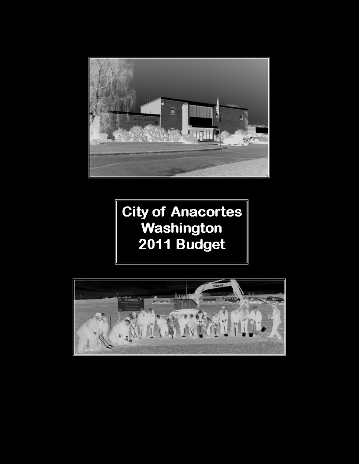

**City of Anacortes** Washington 2011 Budget

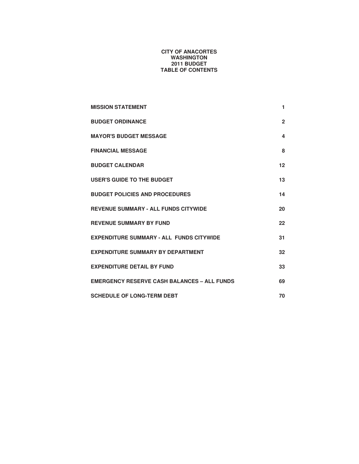#### **CITY OF ANACORTES WASHINGTON 2011 BUDGET TABLE OF CONTENTS**

| <b>MISSION STATEMENT</b>                           | 1.             |
|----------------------------------------------------|----------------|
| <b>BUDGET ORDINANCE</b>                            | $\overline{2}$ |
| <b>MAYOR'S BUDGET MESSAGE</b>                      | 4              |
| <b>FINANCIAL MESSAGE</b>                           | 8              |
| <b>BUDGET CALENDAR</b>                             | 12             |
| USER'S GUIDE TO THE BUDGET                         | 13             |
| <b>BUDGET POLICIES AND PROCEDURES</b>              | 14             |
| <b>REVENUE SUMMARY - ALL FUNDS CITYWIDE</b>        | 20             |
| <b>REVENUE SUMMARY BY FUND</b>                     | 22             |
| <b>EXPENDITURE SUMMARY - ALL FUNDS CITYWIDE</b>    | 31             |
| <b>EXPENDITURE SUMMARY BY DEPARTMENT</b>           | 32             |
| <b>EXPENDITURE DETAIL BY FUND</b>                  | 33             |
| <b>EMERGENCY RESERVE CASH BALANCES - ALL FUNDS</b> | 69             |
| <b>SCHEDULE OF LONG-TERM DEBT</b>                  | 70             |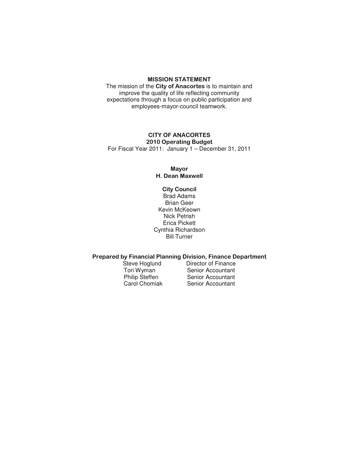#### **MISSION STATEMENT**

The mission of the City of Anacortes is to maintain and improve the quality of life reflecting community expectations through a focus on public participation and employees-mayor-council teamwork.

#### **CITY OF ANACORTES** 2010 Operating Budget

For Fiscal Year 2011: January 1 – December 31, 2011

#### **Mayor** H. Dean Maxwell

**City Council** Brad Adams Brian Geer Kevin McKeown Nick Petrish Erica Pickett Cynthia Richardson Bill Turner

## Prepared by Financial Planning Division, Finance Department<br>Steve Hoglund Director of Finance

Steve Hoglund Director of Finance<br>Tori Wyman Senior Accountant Tori Wyman Senior Accountant<br>
Philip Steffen Senior Accountant Philip Steffen Senior Accountant<br>
Carol Chomiak Senior Accountant Senior Accountant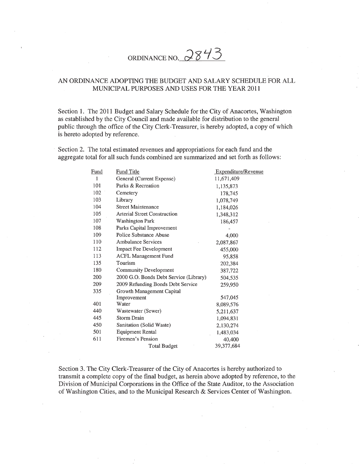# ORDINANCE NO. 2843

## AN ORDINANCE ADOPTING THE BUDGET AND SALARY SCHEDULE FOR ALL MUNICIPAL PURPOSES AND USES FOR THE YEAR 2011

Section 1. The 2011 Budget and Salary Schedule for the City of Anacortes, Washington as established by the City Council and made available for distribution to the general public through the office of the City Clerk-Treasurer, is hereby adopted, a copy of which is hereto adopted by reference.

Section 2. The total estimated revenues and appropriations for each fund and the aggregate total for all such funds combined are summarized and set forth as follows:

| <b>Fund</b> | <b>Fund Title</b>                      | Expenditure/Revenue |
|-------------|----------------------------------------|---------------------|
| 1           | General (Current Expense)              | 11,671,409          |
| 101         | Parks & Recreation                     | 1,135,873           |
| 102         | Cemetery                               | 178,745             |
| 103         | Library                                | 1,078,749           |
| 104         | Street Maintenance                     | 1,184,026           |
| 105         | <b>Arterial Street Construction</b>    | 1,348,312           |
| 107         | <b>Washington Park</b>                 | 186,457             |
| 108         | Parks Capital Improvement              |                     |
| 109         | Police Substance Abuse                 | 4,000               |
| 110         | Ambulance Services                     | 2,087,867           |
| 112         | Impact Fee Development                 | 455,000             |
| 113         | <b>ACFL Management Fund</b>            | 95,858              |
| 135         | Tourism                                | 202,384             |
| 180         | Community Development                  | 387,722             |
| 200         | 2000 G.O. Bonds Debt Service (Library) | 504,535             |
| 209         | 2009 Refunding Bonds Debt Service      | 259,950             |
| 335         | Growth Management Capital              |                     |
|             | Improvement                            | 547,045             |
| 401         | Water                                  | 8,089,576           |
| 440         | Wastewater (Sewer)                     | 5,211,637           |
| 445         | <b>Storm Drain</b>                     | 1,094,831           |
| 450         | Sanitation (Solid Waste)               | 2,130,274           |
| 501         | <b>Equipment Rental</b>                | 1,483,034           |
| 611         | Firemen's Pension                      | 40,400              |
|             | <b>Total Budget</b>                    | 39,377,684          |

Section 3. The City Clerk-Treasurer of the City of Anacortes is hereby authorized to transmit a complete copy of the final budget, as herein above adopted by reference, to the Division of Municipal Corporations in the Office of the State Auditor, to the Association of Washington Cities, and to the Municipal Research & Services Center of Washington.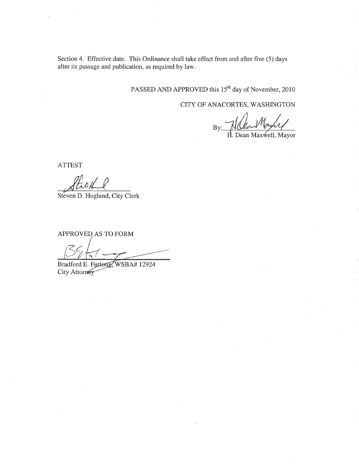Section 4. Effective date. This Ordinance shall take effect from and after five (5) days after its passage and publication, as required by law.

PASSED AND APPROVED this 15<sup>th</sup> day of November, 2010

CITY OF ANACORTES, WASHINGTON

 $H.$  Dean Maxwell, Mayor

**ATTEST** 

Hisil

Steven D. Hoglund, City Clerk

APPROVED AS TO FORM

 $\overline{\mathfrak{m}}$ 

Bradford E. Furlong, WSBA# 12924 City Attorney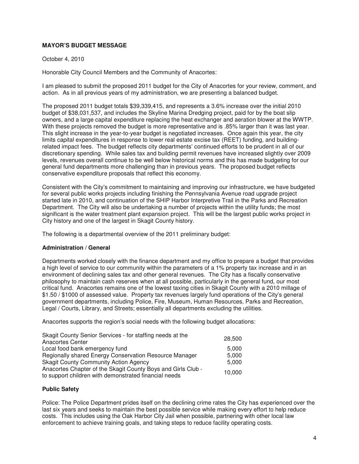## **MAYOR'S BUDGET MESSAGE**

#### October 4, 2010

Honorable City Council Members and the Community of Anacortes:

I am pleased to submit the proposed 2011 budget for the City of Anacortes for your review, comment, and action. As in all previous years of my administration, we are presenting a balanced budget.

The proposed 2011 budget totals \$39,339,415, and represents a 3.6% increase over the initial 2010 budget of \$38,031,537, and includes the Skyline Marina Dredging project, paid for by the boat slip owners, and a large capital expenditure replacing the heat exchanger and aeration blower at the WWTP. With these projects removed the budget is more representative and is .85% larger than it was last year. This slight increase in the year-to-year budget is negotiated increases. Once again this year, the city limits capital expenditures in response to lower real estate excise tax (REET) funding, and buildingrelated impact fees. The budget reflects city departments' continued efforts to be prudent in all of our discretionary spending. While sales tax and building permit revenues have increased slightly over 2009 levels, revenues overall continue to be well below historical norms and this has made budgeting for our general fund departments more challenging than in previous years. The proposed budget reflects conservative expenditure proposals that reflect this economy.

Consistent with the City's commitment to maintaining and improving our infrastructure, we have budgeted for several public works projects including finishing the Pennsylvania Avenue road upgrade project started late in 2010, and continuation of the SHIP Harbor Interpretive Trail in the Parks and Recreation Department. The City will also be undertaking a number of projects within the utility funds; the most significant is the water treatment plant expansion project. This will be the largest public works project in City history and one of the largest in Skagit County history.

The following is a departmental overview of the 2011 preliminary budget:

#### **Administration / General**

Departments worked closely with the finance department and my office to prepare a budget that provides a high level of service to our community within the parameters of a 1% property tax increase and in an environment of declining sales tax and other general revenues. The City has a fiscally conservative philosophy to maintain cash reserves when at all possible, particularly in the general fund, our most critical fund. Anacortes remains one of the lowest taxing cities in Skagit County with a 2010 millage of \$1.50 / \$1000 of assessed value. Property tax revenues largely fund operations of the City's general government departments, including Police, Fire, Museum, Human Resources, Parks and Recreation, Legal / Courts, Library, and Streets; essentially all departments excluding the utilities.

Anacortes supports the region's social needs with the following budget allocations:

| Skagit County Senior Services - for staffing needs at the                                                             | 28,500 |
|-----------------------------------------------------------------------------------------------------------------------|--------|
| <b>Anacortes Center</b>                                                                                               |        |
| Local food bank emergency fund                                                                                        | 5.000  |
| Regionally shared Energy Conservation Resource Manager                                                                | 5,000  |
| <b>Skagit County Community Action Agency</b>                                                                          | 5,000  |
| Anacortes Chapter of the Skagit County Boys and Girls Club -<br>to support children with demonstrated financial needs | 10,000 |

#### **Public Safety**

Police: The Police Department prides itself on the declining crime rates the City has experienced over the last six years and seeks to maintain the best possible service while making every effort to help reduce costs. This includes using the Oak Harbor City Jail when possible, partnering with other local law enforcement to achieve training goals, and taking steps to reduce facility operating costs.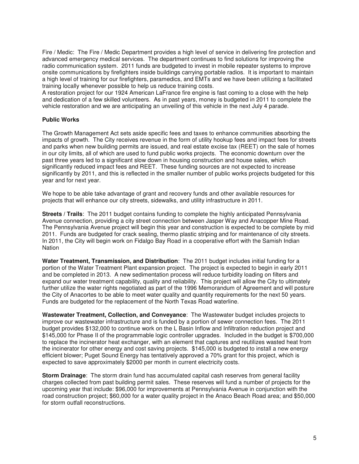Fire / Medic: The Fire / Medic Department provides a high level of service in delivering fire protection and advanced emergency medical services. The department continues to find solutions for improving the radio communication system. 2011 funds are budgeted to invest in mobile repeater systems to improve onsite communications by firefighters inside buildings carrying portable radios. It is important to maintain a high level of training for our firefighters, paramedics, and EMTs and we have been utilizing a facilitated training locally whenever possible to help us reduce training costs.

A restoration project for our 1924 American LaFrance fire engine is fast coming to a close with the help and dedication of a few skilled volunteers. As in past years, money is budgeted in 2011 to complete the vehicle restoration and we are anticipating an unveiling of this vehicle in the next July 4 parade.

## **Public Works**

The Growth Management Act sets aside specific fees and taxes to enhance communities absorbing the impacts of growth. The City receives revenue in the form of utility hookup fees and impact fees for streets and parks when new building permits are issued, and real estate excise tax (REET) on the sale of homes in our city limits, all of which are used to fund public works projects. The economic downturn over the past three years led to a significant slow down in housing construction and house sales, which significantly reduced impact fees and REET. These funding sources are not expected to increase significantly by 2011, and this is reflected in the smaller number of public works projects budgeted for this year and for next year.

We hope to be able take advantage of grant and recovery funds and other available resources for projects that will enhance our city streets, sidewalks, and utility infrastructure in 2011.

**Streets / Trails**: The 2011 budget contains funding to complete the highly anticipated Pennsylvania Avenue connection, providing a city street connection between Jasper Way and Anacopper Mine Road. The Pennsylvania Avenue project will begin this year and construction is expected to be complete by mid 2011. Funds are budgeted for crack sealing, thermo plastic striping and for maintenance of city streets. In 2011, the City will begin work on Fidalgo Bay Road in a cooperative effort with the Samish Indian **Nation** 

**Water Treatment, Transmission, and Distribution**: The 2011 budget includes initial funding for a portion of the Water Treatment Plant expansion project. The project is expected to begin in early 2011 and be completed in 2013. A new sedimentation process will reduce turbidity loading on filters and expand our water treatment capability, quality and reliability. This project will allow the City to ultimately further utilize the water rights negotiated as part of the 1996 Memorandum of Agreement and will posture the City of Anacortes to be able to meet water quality and quantity requirements for the next 50 years. Funds are budgeted for the replacement of the North Texas Road waterline.

**Wastewater Treatment, Collection, and Conveyance**: The Wastewater budget includes projects to improve our wastewater infrastructure and is funded by a portion of sewer connection fees. The 2011 budget provides \$132,000 to continue work on the L Basin Inflow and Infiltration reduction project and \$145,000 for Phase II of the programmable logic controller upgrades. Included in the budget is \$700,000 to replace the incinerator heat exchanger, with an element that captures and reutilizes wasted heat from the incinerator for other energy and cost saving projects. \$145,000 is budgeted to install a new energy efficient blower; Puget Sound Energy has tentatively approved a 70% grant for this project, which is expected to save approximately \$2000 per month in current electricity costs.

**Storm Drainage**: The storm drain fund has accumulated capital cash reserves from general facility charges collected from past building permit sales. These reserves will fund a number of projects for the upcoming year that include: \$96,000 for improvements at Pennsylvania Avenue in conjunction with the road construction project; \$60,000 for a water quality project in the Anaco Beach Road area; and \$50,000 for storm outfall reconstructions.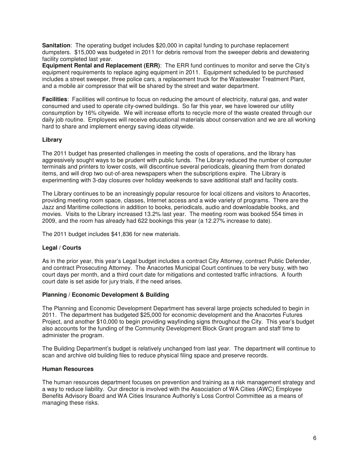**Sanitation**: The operating budget includes \$20,000 in capital funding to purchase replacement dumpsters. \$15,000 was budgeted in 2011 for debris removal from the sweeper debris and dewatering facility completed last year.

**Equipment Rental and Replacement (ERR)**: The ERR fund continues to monitor and serve the City's equipment requirements to replace aging equipment in 2011. Equipment scheduled to be purchased includes a street sweeper, three police cars, a replacement truck for the Wastewater Treatment Plant, and a mobile air compressor that will be shared by the street and water department.

**Facilities**: Facilities will continue to focus on reducing the amount of electricity, natural gas, and water consumed and used to operate city-owned buildings. So far this year, we have lowered our utility consumption by 16% citywide. We will increase efforts to recycle more of the waste created through our daily job routine. Employees will receive educational materials about conservation and we are all working hard to share and implement energy saving ideas citywide.

## **Library**

The 2011 budget has presented challenges in meeting the costs of operations, and the library has aggressively sought ways to be prudent with public funds. The Library reduced the number of computer terminals and printers to lower costs, will discontinue several periodicals, gleaning them from donated items, and will drop two out-of-area newspapers when the subscriptions expire. The Library is experimenting with 3-day closures over holiday weekends to save additional staff and facility costs.

The Library continues to be an increasingly popular resource for local citizens and visitors to Anacortes, providing meeting room space, classes, Internet access and a wide variety of programs. There are the Jazz and Maritime collections in addition to books, periodicals, audio and downloadable books, and movies. Visits to the Library increased 13.2% last year. The meeting room was booked 554 times in 2009, and the room has already had 622 bookings this year (a 12.27% increase to date).

The 2011 budget includes \$41,836 for new materials.

## **Legal / Courts**

As in the prior year, this year's Legal budget includes a contract City Attorney, contract Public Defender, and contract Prosecuting Attorney. The Anacortes Municipal Court continues to be very busy, with two court days per month, and a third court date for mitigations and contested traffic infractions. A fourth court date is set aside for jury trials, if the need arises.

## **Planning / Economic Development & Building**

The Planning and Economic Development Department has several large projects scheduled to begin in 2011. The department has budgeted \$25,000 for economic development and the Anacortes Futures Project, and another \$10,000 to begin providing wayfinding signs throughout the City. This year's budget also accounts for the funding of the Community Development Block Grant program and staff time to administer the program.

The Building Department's budget is relatively unchanged from last year. The department will continue to scan and archive old building files to reduce physical filing space and preserve records.

## **Human Resources**

The human resources department focuses on prevention and training as a risk management strategy and a way to reduce liability. Our director is involved with the Association of WA Cities (AWC) Employee Benefits Advisory Board and WA Cities Insurance Authority's Loss Control Committee as a means of managing these risks.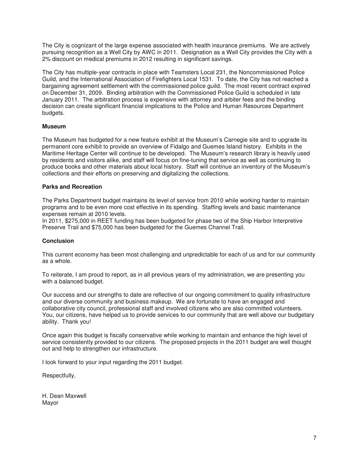The City is cognizant of the large expense associated with health insurance premiums. We are actively pursuing recognition as a Well City by AWC in 2011. Designation as a Well City provides the City with a 2% discount on medical premiums in 2012 resulting in significant savings.

The City has multiple-year contracts in place with Teamsters Local 231, the Noncommissioned Police Guild, and the International Association of Firefighters Local 1531. To date, the City has not reached a bargaining agreement settlement with the commissioned police guild. The most recent contract expired on December 31, 2009. Binding arbitration with the Commissioned Police Guild is scheduled in late January 2011. The arbitration process is expensive with attorney and arbiter fees and the binding decision can create significant financial implications to the Police and Human Resources Department budgets.

## **Museum**

The Museum has budgeted for a new feature exhibit at the Museum's Carnegie site and to upgrade its permanent core exhibit to provide an overview of Fidalgo and Guemes Island history. Exhibits in the Maritime Heritage Center will continue to be developed. The Museum's research library is heavily used by residents and visitors alike, and staff will focus on fine-tuning that service as well as continuing to produce books and other materials about local history. Staff will continue an inventory of the Museum's collections and their efforts on preserving and digitalizing the collections.

## **Parks and Recreation**

The Parks Department budget maintains its level of service from 2010 while working harder to maintain programs and to be even more cost effective in its spending. Staffing levels and basic maintenance expenses remain at 2010 levels.

In 2011, \$275,000 in REET funding has been budgeted for phase two of the Ship Harbor Interpretive Preserve Trail and \$75,000 has been budgeted for the Guemes Channel Trail.

#### **Conclusion**

This current economy has been most challenging and unpredictable for each of us and for our community as a whole.

To reiterate, I am proud to report, as in all previous years of my administration, we are presenting you with a balanced budget.

Our success and our strengths to date are reflective of our ongoing commitment to quality infrastructure and our diverse community and business makeup. We are fortunate to have an engaged and collaborative city council, professional staff and involved citizens who are also committed volunteers. You, our citizens, have helped us to provide services to our community that are well above our budgetary ability. Thank you!

Once again this budget is fiscally conservative while working to maintain and enhance the high level of service consistently provided to our citizens. The proposed projects in the 2011 budget are well thought out and help to strengthen our infrastructure.

I look forward to your input regarding the 2011 budget.

Respectfully,

H. Dean Maxwell Mayor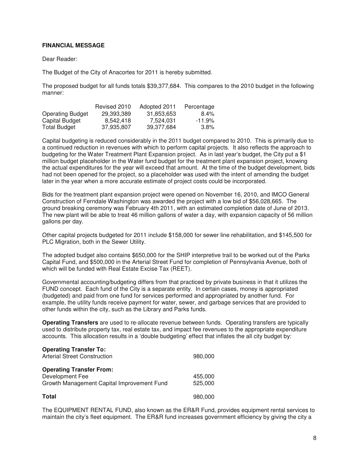## **FINANCIAL MESSAGE**

#### Dear Reader:

The Budget of the City of Anacortes for 2011 is hereby submitted.

The proposed budget for all funds totals \$39,377,684. This compares to the 2010 budget in the following manner:

|                         | Revised 2010 | Adopted 2011 | Percentage |
|-------------------------|--------------|--------------|------------|
| <b>Operating Budget</b> | 29.393.389   | 31,853,653   | $8.4\%$    |
| Capital Budget          | 8.542.418    | 7.524.031    | $-11.9\%$  |
| Total Budget            | 37.935.807   | 39.377.684   | $3.8\%$    |

Capital budgeting is reduced considerably in the 2011 budget compared to 2010. This is primarily due to a continued reduction in revenues with which to perform capital projects. It also reflects the approach to budgeting for the Water Treatment Plant Expansion project. As in last year's budget, the City put a \$1 million budget placeholder in the Water fund budget for the treatment plant expansion project, knowing the actual expenditures for the year will exceed that amount. At the time of the budget development, bids had not been opened for the project, so a placeholder was used with the intent of amending the budget later in the year when a more accurate estimate of project costs could be incorporated.

Bids for the treatment plant expansion project were opened on November 16, 2010, and IMCO General Construction of Ferndale Washington was awarded the project with a low bid of \$56,028,665. The ground breaking ceremony was February 4th 2011, with an estimated completion date of June of 2013. The new plant will be able to treat 46 million gallons of water a day, with expansion capacity of 56 million gallons per day.

Other capital projects budgeted for 2011 include \$158,000 for sewer line rehabilitation, and \$145,500 for PLC Migration, both in the Sewer Utility.

The adopted budget also contains \$650,000 for the SHIP interpretive trail to be worked out of the Parks Capital Fund, and \$500,000 in the Arterial Street Fund for completion of Pennsylvania Avenue, both of which will be funded with Real Estate Excise Tax (REET).

Governmental accounting/budgeting differs from that practiced by private business in that it utilizes the FUND concept. Each fund of the City is a separate entity. In certain cases, money is appropriated (budgeted) and paid from one fund for services performed and appropriated by another fund. For example, the utility funds receive payment for water, sewer, and garbage services that are provided to other funds within the city, such as the Library and Parks funds.

**Operating Transfers** are used to re-allocate revenue between funds. Operating transfers are typically used to distribute property tax, real estate tax, and impact fee revenues to the appropriate expenditure accounts. This allocation results in a 'double budgeting' effect that inflates the all city budget by:

| <b>Operating Transfer To:</b><br><b>Arterial Street Construction</b>                             | 980,000            |
|--------------------------------------------------------------------------------------------------|--------------------|
| <b>Operating Transfer From:</b><br>Development Fee<br>Growth Management Capital Improvement Fund | 455,000<br>525,000 |
| <b>Total</b>                                                                                     | 980,000            |

The EQUIPMENT RENTAL FUND, also known as the ER&R Fund, provides equipment rental services to maintain the city's fleet equipment. The ER&R fund increases government efficiency by giving the city a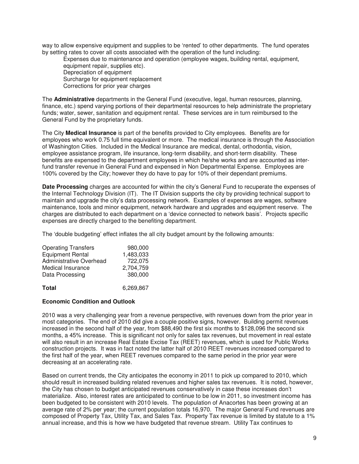way to allow expensive equipment and supplies to be 'rented' to other departments. The fund operates by setting rates to cover all costs associated with the operation of the fund including:

 Expenses due to maintenance and operation (employee wages, building rental, equipment, equipment repair, supplies etc). Depreciation of equipment Surcharge for equipment replacement Corrections for prior year charges

The **Administrative** departments in the General Fund (executive, legal, human resources, planning, finance, etc.) spend varying portions of their departmental resources to help administrate the proprietary funds; water, sewer, sanitation and equipment rental. These services are in turn reimbursed to the General Fund by the proprietary funds.

The City **Medical Insurance** is part of the benefits provided to City employees. Benefits are for employees who work 0.75 full time equivalent or more. The medical insurance is through the Association of Washington Cities. Included in the Medical Insurance are medical, dental, orthodontia, vision, employee assistance program, life insurance, long-term disability, and short-term disability. These benefits are expensed to the department employees in which he/she works and are accounted as interfund transfer revenue in General Fund and expensed in Non Departmental Expense. Employees are 100% covered by the City; however they do have to pay for 10% of their dependant premiums.

**Date Processing** charges are accounted for within the city's General Fund to recuperate the expenses of the Internal Technology Division (IT). The IT Division supports the city by providing technical support to maintain and upgrade the city's data processing network. Examples of expenses are wages, software maintenance, tools and minor equipment, network hardware and upgrades and equipment reserve. The charges are distributed to each department on a 'device connected to network basis'. Projects specific expenses are directly charged to the benefiting department.

The 'double budgeting' effect inflates the all city budget amount by the following amounts:

| <b>Operating Transfers</b>     | 980,000   |
|--------------------------------|-----------|
| <b>Equipment Rental</b>        | 1,483,033 |
| <b>Administrative Overhead</b> | 722,075   |
| Medical Insurance              | 2,704,759 |
| Data Processing                | 380,000   |
| Total                          | 6.269.867 |

## **Economic Condition and Outlook**

2010 was a very challenging year from a revenue perspective, with revenues down from the prior year in most categories. The end of 2010 did give a couple positive signs, however. Building permit revenues increased in the second half of the year, from \$88,490 the first six months to \$128,096 the second six months, a 45% increase. This is significant not only for sales tax revenues, but movement in real estate will also result in an increase Real Estate Excise Tax (REET) revenues, which is used for Public Works construction projects. It was in fact noted the latter half of 2010 REET revenues increased compared to the first half of the year, when REET revenues compared to the same period in the prior year were decreasing at an accelerating rate.

Based on current trends, the City anticipates the economy in 2011 to pick up compared to 2010, which should result in increased building related revenues and higher sales tax revenues. It is noted, however, the City has chosen to budget anticipated revenues conservatively in case these increases don't materialize. Also, interest rates are anticipated to continue to be low in 2011, so investment income has been budgeted to be consistent with 2010 levels. The population of Anacortes has been growing at an average rate of 2% per year; the current population totals 16,970. The major General Fund revenues are composed of Property Tax, Utility Tax, and Sales Tax. Property Tax revenue is limited by statute to a 1% annual increase, and this is how we have budgeted that revenue stream. Utility Tax continues to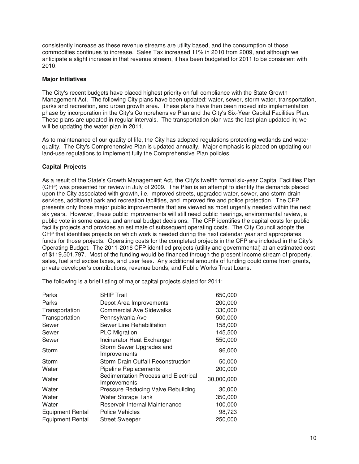consistently increase as these revenue streams are utility based, and the consumption of those commodities continues to increase. Sales Tax increased 11% in 2010 from 2009, and although we anticipate a slight increase in that revenue stream, it has been budgeted for 2011 to be consistent with 2010.

## **Major Initiatives**

The City's recent budgets have placed highest priority on full compliance with the State Growth Management Act. The following City plans have been updated: water, sewer, storm water, transportation, parks and recreation, and urban growth area. These plans have then been moved into implementation phase by incorporation in the City's Comprehensive Plan and the City's Six-Year Capital Facilities Plan. These plans are updated in regular intervals. The transportation plan was the last plan updated in; we will be updating the water plan in 2011.

As to maintenance of our quality of life, the City has adopted regulations protecting wetlands and water quality. The City's Comprehensive Plan is updated annually. Major emphasis is placed on updating our land-use regulations to implement fully the Comprehensive Plan policies.

## **Capital Projects**

As a result of the State's Growth Management Act, the City's twelfth formal six-year Capital Facilities Plan (CFP) was presented for review in July of 2009. The Plan is an attempt to identify the demands placed upon the City associated with growth, i.e. improved streets, upgraded water, sewer, and storm drain services, additional park and recreation facilities, and improved fire and police protection. The CFP presents only those major public improvements that are viewed as most urgently needed within the next six years. However, these public improvements will still need public hearings, environmental review, a public vote in some cases, and annual budget decisions. The CFP identifies the capital costs for public facility projects and provides an estimate of subsequent operating costs. The City Council adopts the CFP that identifies projects on which work is needed during the next calendar year and appropriates funds for those projects. Operating costs for the completed projects in the CFP are included in the City's Operating Budget. The 2011-2016 CFP identified projects (utility and governmental) at an estimated cost of \$119,501,797. Most of the funding would be financed through the present income stream of property, sales, fuel and excise taxes, and user fees. Any additional amounts of funding could come from grants, private developer's contributions, revenue bonds, and Public Works Trust Loans.

The following is a brief listing of major capital projects slated for 2011:

| Parks                   | <b>SHIP Trail</b>                                    | 650,000    |
|-------------------------|------------------------------------------------------|------------|
| Parks                   | Depot Area Improvements                              | 200,000    |
| Transportation          | <b>Commercial Ave Sidewalks</b>                      | 330,000    |
| Transportation          | Pennsylvania Ave                                     | 500,000    |
| Sewer                   | Sewer Line Rehabilitation                            | 158,000    |
| Sewer                   | <b>PLC Migration</b>                                 | 145,500    |
| Sewer                   | Incinerator Heat Exchanger                           | 550,000    |
| Storm                   | Storm Sewer Upgrades and<br>Improvements             | 96,000     |
| Storm                   | Storm Drain Outfall Reconstruction                   | 50,000     |
| Water                   | <b>Pipeline Replacements</b>                         | 200,000    |
| Water                   | Sedimentation Process and Electrical<br>Improvements | 30,000,000 |
| Water                   | Pressure Reducing Valve Rebuilding                   | 30,000     |
| Water                   | Water Storage Tank                                   | 350,000    |
| Water                   | Reservoir Internal Maintenance                       | 100,000    |
| <b>Equipment Rental</b> | Police Vehicles                                      | 98,723     |
| <b>Equipment Rental</b> | <b>Street Sweeper</b>                                | 250,000    |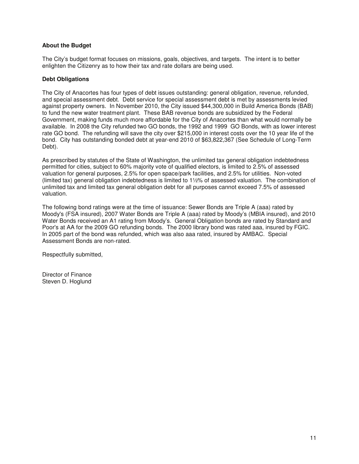## **About the Budget**

The City's budget format focuses on missions, goals, objectives, and targets. The intent is to better enlighten the Citizenry as to how their tax and rate dollars are being used.

## **Debt Obligations**

The City of Anacortes has four types of debt issues outstanding: general obligation, revenue, refunded, and special assessment debt. Debt service for special assessment debt is met by assessments levied against property owners. In November 2010, the City issued \$44,300,000 in Build America Bonds (BAB) to fund the new water treatment plant. These BAB revenue bonds are subsidized by the Federal Government, making funds much more affordable for the City of Anacortes than what would normally be available. In 2008 the City refunded two GO bonds, the 1992 and 1999 GO Bonds, with as lower interest rate GO bond. The refunding will save the city over \$215,000 in interest costs over the 10 year life of the bond. City has outstanding bonded debt at year-end 2010 of \$63,822,367 (See Schedule of Long-Term Debt).

As prescribed by statutes of the State of Washington, the unlimited tax general obligation indebtedness permitted for cities, subject to 60% majority vote of qualified electors, is limited to 2.5% of assessed valuation for general purposes, 2.5% for open space/park facilities, and 2.5% for utilities. Non-voted (limited tax) general obligation indebtedness is limited to 1½% of assessed valuation. The combination of unlimited tax and limited tax general obligation debt for all purposes cannot exceed 7.5% of assessed valuation.

The following bond ratings were at the time of issuance: Sewer Bonds are Triple A (aaa) rated by Moody's (FSA insured), 2007 Water Bonds are Triple A (aaa) rated by Moody's (MBIA insured), and 2010 Water Bonds received an A1 rating from Moody's. General Obligation bonds are rated by Standard and Poor's at AA for the 2009 GO refunding bonds. The 2000 library bond was rated aaa, insured by FGIC. In 2005 part of the bond was refunded, which was also aaa rated, insured by AMBAC. Special Assessment Bonds are non-rated.

Respectfully submitted,

Director of Finance Steven D. Hoglund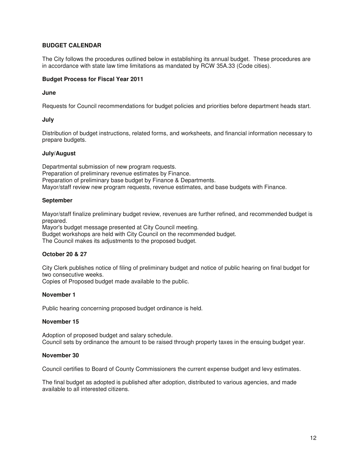## **BUDGET CALENDAR**

The City follows the procedures outlined below in establishing its annual budget. These procedures are in accordance with state law time limitations as mandated by RCW 35A.33 (Code cities).

## **Budget Process for Fiscal Year 2011**

#### **June**

Requests for Council recommendations for budget policies and priorities before department heads start.

## **July**

Distribution of budget instructions, related forms, and worksheets, and financial information necessary to prepare budgets.

## **July/August**

Departmental submission of new program requests. Preparation of preliminary revenue estimates by Finance. Preparation of preliminary base budget by Finance & Departments. Mayor/staff review new program requests, revenue estimates, and base budgets with Finance.

## **September**

Mayor/staff finalize preliminary budget review, revenues are further refined, and recommended budget is prepared.

Mayor's budget message presented at City Council meeting.

Budget workshops are held with City Council on the recommended budget.

The Council makes its adjustments to the proposed budget.

#### **October 20 & 27**

City Clerk publishes notice of filing of preliminary budget and notice of public hearing on final budget for two consecutive weeks.

Copies of Proposed budget made available to the public.

#### **November 1**

Public hearing concerning proposed budget ordinance is held.

#### **November 15**

Adoption of proposed budget and salary schedule. Council sets by ordinance the amount to be raised through property taxes in the ensuing budget year.

#### **November 30**

Council certifies to Board of County Commissioners the current expense budget and levy estimates.

The final budget as adopted is published after adoption, distributed to various agencies, and made available to all interested citizens.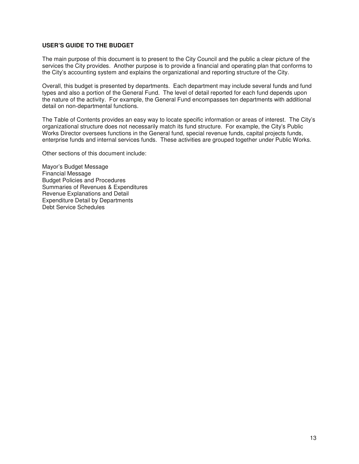## **USER'S GUIDE TO THE BUDGET**

The main purpose of this document is to present to the City Council and the public a clear picture of the services the City provides. Another purpose is to provide a financial and operating plan that conforms to the City's accounting system and explains the organizational and reporting structure of the City.

Overall, this budget is presented by departments. Each department may include several funds and fund types and also a portion of the General Fund. The level of detail reported for each fund depends upon the nature of the activity. For example, the General Fund encompasses ten departments with additional detail on non-departmental functions.

The Table of Contents provides an easy way to locate specific information or areas of interest. The City's organizational structure does not necessarily match its fund structure. For example, the City's Public Works Director oversees functions in the General fund, special revenue funds, capital projects funds, enterprise funds and internal services funds. These activities are grouped together under Public Works.

Other sections of this document include:

Mayor's Budget Message Financial Message Budget Policies and Procedures Summaries of Revenues & Expenditures Revenue Explanations and Detail Expenditure Detail by Departments Debt Service Schedules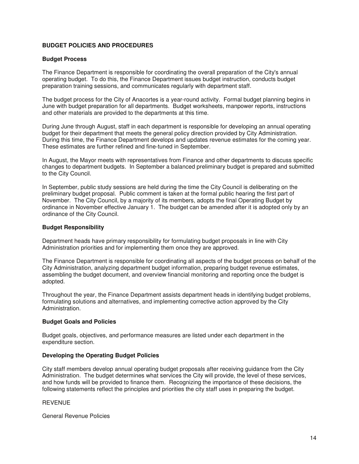## **BUDGET POLICIES AND PROCEDURES**

#### **Budget Process**

The Finance Department is responsible for coordinating the overall preparation of the City's annual operating budget. To do this, the Finance Department issues budget instruction, conducts budget preparation training sessions, and communicates regularly with department staff.

The budget process for the City of Anacortes is a year-round activity. Formal budget planning begins in June with budget preparation for all departments. Budget worksheets, manpower reports, instructions and other materials are provided to the departments at this time.

During June through August, staff in each department is responsible for developing an annual operating budget for their department that meets the general policy direction provided by City Administration. During this time, the Finance Department develops and updates revenue estimates for the coming year. These estimates are further refined and fine-tuned in September.

In August, the Mayor meets with representatives from Finance and other departments to discuss specific changes to department budgets. In September a balanced preliminary budget is prepared and submitted to the City Council.

In September, public study sessions are held during the time the City Council is deliberating on the preliminary budget proposal. Public comment is taken at the formal public hearing the first part of November. The City Council, by a majority of its members, adopts the final Operating Budget by ordinance in November effective January 1. The budget can be amended after it is adopted only by an ordinance of the City Council.

## **Budget Responsibility**

Department heads have primary responsibility for formulating budget proposals in line with City Administration priorities and for implementing them once they are approved.

The Finance Department is responsible for coordinating all aspects of the budget process on behalf of the City Administration, analyzing department budget information, preparing budget revenue estimates, assembling the budget document, and overview financial monitoring and reporting once the budget is adopted.

Throughout the year, the Finance Department assists department heads in identifying budget problems, formulating solutions and alternatives, and implementing corrective action approved by the City Administration.

#### **Budget Goals and Policies**

Budget goals, objectives, and performance measures are listed under each department in the expenditure section.

#### **Developing the Operating Budget Policies**

City staff members develop annual operating budget proposals after receiving guidance from the City Administration. The budget determines what services the City will provide, the level of these services, and how funds will be provided to finance them. Recognizing the importance of these decisions, the following statements reflect the principles and priorities the city staff uses in preparing the budget.

#### REVENUE

General Revenue Policies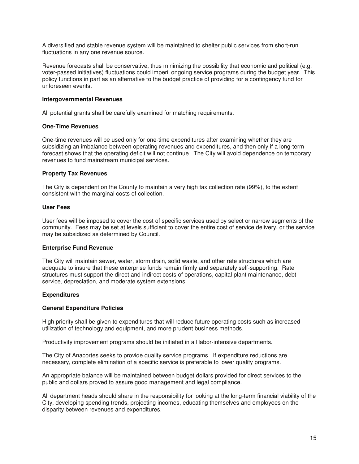A diversified and stable revenue system will be maintained to shelter public services from short-run fluctuations in any one revenue source.

Revenue forecasts shall be conservative, thus minimizing the possibility that economic and political (e.g. voter-passed initiatives) fluctuations could imperil ongoing service programs during the budget year. This policy functions in part as an alternative to the budget practice of providing for a contingency fund for unforeseen events.

#### **Intergovernmental Revenues**

All potential grants shall be carefully examined for matching requirements.

## **One-Time Revenues**

One-time revenues will be used only for one-time expenditures after examining whether they are subsidizing an imbalance between operating revenues and expenditures, and then only if a long-term forecast shows that the operating deficit will not continue. The City will avoid dependence on temporary revenues to fund mainstream municipal services.

## **Property Tax Revenues**

The City is dependent on the County to maintain a very high tax collection rate (99%), to the extent consistent with the marginal costs of collection.

## **User Fees**

User fees will be imposed to cover the cost of specific services used by select or narrow segments of the community. Fees may be set at levels sufficient to cover the entire cost of service delivery, or the service may be subsidized as determined by Council.

#### **Enterprise Fund Revenue**

The City will maintain sewer, water, storm drain, solid waste, and other rate structures which are adequate to insure that these enterprise funds remain firmly and separately self-supporting. Rate structures must support the direct and indirect costs of operations, capital plant maintenance, debt service, depreciation, and moderate system extensions.

#### **Expenditures**

#### **General Expenditure Policies**

High priority shall be given to expenditures that will reduce future operating costs such as increased utilization of technology and equipment, and more prudent business methods.

Productivity improvement programs should be initiated in all labor-intensive departments.

The City of Anacortes seeks to provide quality service programs. If expenditure reductions are necessary, complete elimination of a specific service is preferable to lower quality programs.

An appropriate balance will be maintained between budget dollars provided for direct services to the public and dollars proved to assure good management and legal compliance.

All department heads should share in the responsibility for looking at the long-term financial viability of the City, developing spending trends, projecting incomes, educating themselves and employees on the disparity between revenues and expenditures.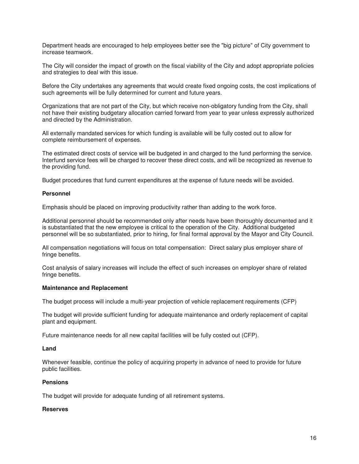Department heads are encouraged to help employees better see the "big picture" of City government to increase teamwork.

The City will consider the impact of growth on the fiscal viability of the City and adopt appropriate policies and strategies to deal with this issue.

Before the City undertakes any agreements that would create fixed ongoing costs, the cost implications of such agreements will be fully determined for current and future years.

Organizations that are not part of the City, but which receive non-obligatory funding from the City, shall not have their existing budgetary allocation carried forward from year to year unless expressly authorized and directed by the Administration.

All externally mandated services for which funding is available will be fully costed out to allow for complete reimbursement of expenses.

The estimated direct costs of service will be budgeted in and charged to the fund performing the service. Interfund service fees will be charged to recover these direct costs, and will be recognized as revenue to the providing fund.

Budget procedures that fund current expenditures at the expense of future needs will be avoided.

#### **Personnel**

Emphasis should be placed on improving productivity rather than adding to the work force.

Additional personnel should be recommended only after needs have been thoroughly documented and it is substantiated that the new employee is critical to the operation of the City. Additional budgeted personnel will be so substantiated, prior to hiring, for final formal approval by the Mayor and City Council.

All compensation negotiations will focus on total compensation: Direct salary plus employer share of fringe benefits.

Cost analysis of salary increases will include the effect of such increases on employer share of related fringe benefits.

#### **Maintenance and Replacement**

The budget process will include a multi-year projection of vehicle replacement requirements (CFP)

The budget will provide sufficient funding for adequate maintenance and orderly replacement of capital plant and equipment.

Future maintenance needs for all new capital facilities will be fully costed out (CFP).

#### **Land**

Whenever feasible, continue the policy of acquiring property in advance of need to provide for future public facilities.

#### **Pensions**

The budget will provide for adequate funding of all retirement systems.

#### **Reserves**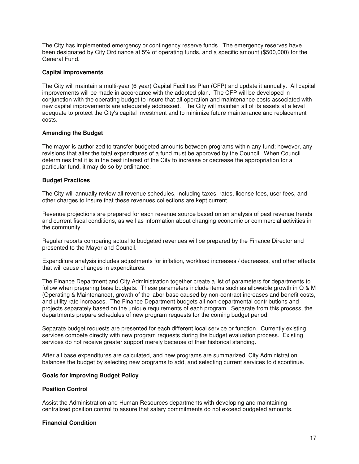The City has implemented emergency or contingency reserve funds. The emergency reserves have been designated by City Ordinance at 5% of operating funds, and a specific amount (\$500,000) for the General Fund.

#### **Capital Improvements**

The City will maintain a multi-year (6 year) Capital Facilities Plan (CFP) and update it annually. All capital improvements will be made in accordance with the adopted plan. The CFP will be developed in conjunction with the operating budget to insure that all operation and maintenance costs associated with new capital improvements are adequately addressed. The City will maintain all of its assets at a level adequate to protect the City's capital investment and to minimize future maintenance and replacement costs.

## **Amending the Budget**

The mayor is authorized to transfer budgeted amounts between programs within any fund; however, any revisions that alter the total expenditures of a fund must be approved by the Council. When Council determines that it is in the best interest of the City to increase or decrease the appropriation for a particular fund, it may do so by ordinance.

## **Budget Practices**

The City will annually review all revenue schedules, including taxes, rates, license fees, user fees, and other charges to insure that these revenues collections are kept current.

Revenue projections are prepared for each revenue source based on an analysis of past revenue trends and current fiscal conditions, as well as information about changing economic or commercial activities in the community.

Regular reports comparing actual to budgeted revenues will be prepared by the Finance Director and presented to the Mayor and Council.

Expenditure analysis includes adjustments for inflation, workload increases / decreases, and other effects that will cause changes in expenditures.

The Finance Department and City Administration together create a list of parameters for departments to follow when preparing base budgets. These parameters include items such as allowable growth in O & M (Operating & Maintenance), growth of the labor base caused by non-contract increases and benefit costs, and utility rate increases. The Finance Department budgets all non-departmental contributions and projects separately based on the unique requirements of each program. Separate from this process, the departments prepare schedules of new program requests for the coming budget period.

Separate budget requests are presented for each different local service or function. Currently existing services compete directly with new program requests during the budget evaluation process. Existing services do not receive greater support merely because of their historical standing.

After all base expenditures are calculated, and new programs are summarized, City Administration balances the budget by selecting new programs to add, and selecting current services to discontinue.

## **Goals for Improving Budget Policy**

#### **Position Control**

Assist the Administration and Human Resources departments with developing and maintaining centralized position control to assure that salary commitments do not exceed budgeted amounts.

#### **Financial Condition**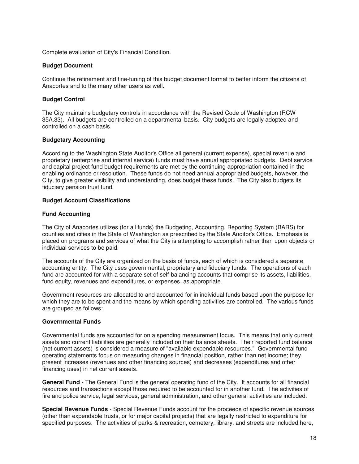Complete evaluation of City's Financial Condition.

#### **Budget Document**

Continue the refinement and fine-tuning of this budget document format to better inform the citizens of Anacortes and to the many other users as well.

#### **Budget Control**

The City maintains budgetary controls in accordance with the Revised Code of Washington (RCW 35A.33). All budgets are controlled on a departmental basis. City budgets are legally adopted and controlled on a cash basis.

#### **Budgetary Accounting**

According to the Washington State Auditor's Office all general (current expense), special revenue and proprietary (enterprise and internal service) funds must have annual appropriated budgets. Debt service and capital project fund budget requirements are met by the continuing appropriation contained in the enabling ordinance or resolution. These funds do not need annual appropriated budgets, however, the City, to give greater visibility and understanding, does budget these funds. The City also budgets its fiduciary pension trust fund.

#### **Budget Account Classifications**

#### **Fund Accounting**

The City of Anacortes utilizes (for all funds) the Budgeting, Accounting, Reporting System (BARS) for counties and cities in the State of Washington as prescribed by the State Auditor's Office. Emphasis is placed on programs and services of what the City is attempting to accomplish rather than upon objects or individual services to be paid.

The accounts of the City are organized on the basis of funds, each of which is considered a separate accounting entity. The City uses governmental, proprietary and fiduciary funds. The operations of each fund are accounted for with a separate set of self-balancing accounts that comprise its assets, liabilities, fund equity, revenues and expenditures, or expenses, as appropriate.

Government resources are allocated to and accounted for in individual funds based upon the purpose for which they are to be spent and the means by which spending activities are controlled. The various funds are grouped as follows:

#### **Governmental Funds**

Governmental funds are accounted for on a spending measurement focus. This means that only current assets and current liabilities are generally included on their balance sheets. Their reported fund balance (net current assets) is considered a measure of "available expendable resources." Governmental fund operating statements focus on measuring changes in financial position, rather than net income; they present increases (revenues and other financing sources) and decreases (expenditures and other financing uses) in net current assets.

**General Fund** - The General Fund is the general operating fund of the City. It accounts for all financial resources and transactions except those required to be accounted for in another fund. The activities of fire and police service, legal services, general administration, and other general activities are included.

**Special Revenue Funds** - Special Revenue Funds account for the proceeds of specific revenue sources (other than expendable trusts, or for major capital projects) that are legally restricted to expenditure for specified purposes. The activities of parks & recreation, cemetery, library, and streets are included here,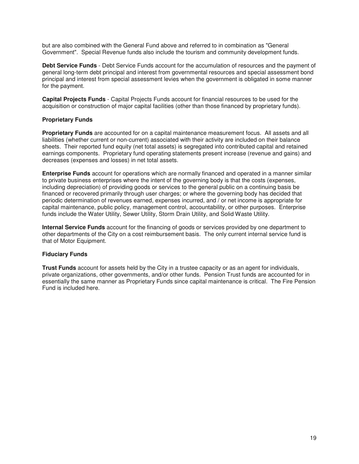but are also combined with the General Fund above and referred to in combination as "General Government". Special Revenue funds also include the tourism and community development funds.

**Debt Service Funds** - Debt Service Funds account for the accumulation of resources and the payment of general long-term debt principal and interest from governmental resources and special assessment bond principal and interest from special assessment levies when the government is obligated in some manner for the payment.

**Capital Projects Funds** - Capital Projects Funds account for financial resources to be used for the acquisition or construction of major capital facilities (other than those financed by proprietary funds).

## **Proprietary Funds**

**Proprietary Funds** are accounted for on a capital maintenance measurement focus. All assets and all liabilities (whether current or non-current) associated with their activity are included on their balance sheets. Their reported fund equity (net total assets) is segregated into contributed capital and retained earnings components. Proprietary fund operating statements present increase (revenue and gains) and decreases (expenses and losses) in net total assets.

**Enterprise Funds** account for operations which are normally financed and operated in a manner similar to private business enterprises where the intent of the governing body is that the costs (expenses, including depreciation) of providing goods or services to the general public on a continuing basis be financed or recovered primarily through user charges; or where the governing body has decided that periodic determination of revenues earned, expenses incurred, and / or net income is appropriate for capital maintenance, public policy, management control, accountability, or other purposes. Enterprise funds include the Water Utility, Sewer Utility, Storm Drain Utility, and Solid Waste Utility.

**Internal Service Funds** account for the financing of goods or services provided by one department to other departments of the City on a cost reimbursement basis. The only current internal service fund is that of Motor Equipment.

#### **Fiduciary Funds**

**Trust Funds** account for assets held by the City in a trustee capacity or as an agent for individuals, private organizations, other governments, and/or other funds. Pension Trust funds are accounted for in essentially the same manner as Proprietary Funds since capital maintenance is critical. The Fire Pension Fund is included here.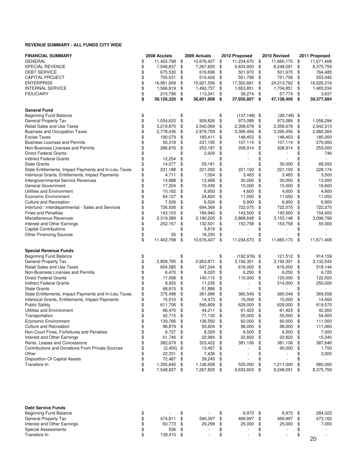#### **REVENUE SUMMARY - ALL FUNDS CITY WIDE**

| <b>FINANCIAL SUMMARY</b>                                | 2008 Acutals     |     | 2009 Actuals | 2010 Proposed         | 2010 Revised     | 2011 Proposed    |
|---------------------------------------------------------|------------------|-----|--------------|-----------------------|------------------|------------------|
| <b>GENERAL</b>                                          | \$<br>11,402,798 | \$  | 10,676,427   | \$<br>11,234,670      | \$<br>11,660,170 | \$<br>11,671,408 |
| SPECIAL REVENUE                                         | \$<br>7,548,837  | \$  | 7,267,825    | \$<br>6,633,603       | \$<br>8,248,091  | \$<br>8,375,759  |
| <b>DEBT SERVICE</b>                                     | \$<br>675,530    | \$  | 619,696      | \$<br>501,970         | \$<br>501,970    | \$<br>764,485    |
| <b>CAPITAL PROJECT</b>                                  | \$<br>755,531    | \$  | 510,426      | \$<br>551,758         | \$<br>751,758    | \$<br>553,045    |
| <b>ENTERPRISE</b>                                       | \$<br>16,961,009 | \$  | 15,921,556   | \$<br>17,320,681      | \$<br>24,213,792 | \$<br>16,526,316 |
| <b>INTERNAL SERVICE</b>                                 | \$<br>1,566,819  | \$  | 1,492,737    | \$<br>1,653,851       | \$<br>1,704,851  | \$<br>1,483,034  |
| <b>FIDUCIARY</b>                                        | \$<br>215,796    | \$  | 113,241      | \$<br>39,274          | \$<br>57,774     | \$<br>3,637      |
|                                                         | \$<br>39,126,320 | \$  | 36,601,908   | \$<br>37,935,807      | \$<br>47,138,406 | \$<br>39,377,684 |
| <b>General Fund</b>                                     |                  |     |              |                       |                  |                  |
| Beginning Fund Balance                                  | \$               | \$  |              | \$<br>$(137, 148)$ \$ | $(26, 148)$ \$   |                  |
| General Property Tax                                    | \$<br>1,054,622  | \$  | 929,826      | \$<br>973,089         | \$<br>973,089    | \$<br>1,058,294  |
| Retail Sales and Use Taxes                              | \$<br>3,219,870  | \$  | 2,540,069    | \$<br>2,358,678       | \$<br>2,358,678  | \$<br>2,542,313  |
| <b>Business and Occupation Taxes</b>                    | \$<br>2,778,436  | \$  | 2,979,709    | \$<br>3,395,456       | \$<br>3,395,456  | \$<br>2,982,264  |
| <b>Excise Taxes</b>                                     | \$<br>190,079    | \$  | 183,411      | \$<br>148,453         | \$<br>148,453    | \$<br>185,000    |
| <b>Business Licenses and Permits</b>                    | \$<br>55,318     | \$  | 237,195      | \$<br>107,114         | \$<br>107,114    | \$<br>270,000    |
| Non-Business Licenses and Permits                       | \$<br>286,876    | \$  | 253,187      | \$<br>208,914         | \$<br>208,914    | \$<br>253,000    |
| <b>Direct Federal Grants</b>                            | \$               | \$  | 2,929        | \$                    | \$               | \$<br>746        |
| <b>Indirect Federal Grants</b>                          | \$<br>12,254     | \$  |              | \$                    | \$               | \$               |
| <b>State Grants</b>                                     | \$<br>14,077     | \$  | 29,181       | \$                    | \$<br>30,000     | \$<br>68,093     |
| State Entitlements, Impact Payments and In-Lieu Taxes   | \$<br>231,188    | \$  | 221,050      | \$<br>221,100         | \$<br>221,100    | \$<br>228,174    |
| Interlocal Grants, Entitlements, Impact Payments        | \$<br>4,711      | \$  | 7,054        | \$<br>3,483           | \$<br>3,483      | \$<br>3,500      |
| Intergovernmental Service Revenues                      | \$<br>14,688     | \$  | 12,999       | \$<br>30,000          | \$<br>30,000     | \$<br>13,000     |
| General Government                                      | \$<br>17,224     | \$  | 15,439       | \$<br>15,000          | \$<br>15,000     | \$<br>16,600     |
| Utilities and Environment                               | \$<br>10,162     | \$  | 6,950        | \$<br>4,600           | \$<br>4,600      | \$<br>4,600      |
| Economic Environment                                    | \$<br>64,127     | \$  | 24,820       | \$<br>11,050          | \$<br>11,050     | \$<br>11,050     |
| <b>Culture and Recreation</b>                           | \$<br>7,526      | \$  | 6,524        | \$<br>6,900           | \$<br>6,900      | \$<br>6,900      |
| Interfund / Interdepartmental - Sales and Services      | \$<br>726,936    | \$  | 694,369      | \$<br>722,075         | \$<br>722,075    | \$<br>722,075    |
| <b>Fines and Penalties</b>                              | \$<br>143,103    | \$  | 184,940      | \$<br>143,500         | \$<br>143,500    | \$<br>154,000    |
| Miscellaneous Revenues                                  | \$<br>2,319,389  | \$  | 2,190,205    | \$<br>2,868,648       | \$<br>3,153,148  | \$<br>3,096,799  |
| Interest and Other Earnings                             | \$<br>252,157    | \$  | 132,501      | \$<br>153,758         | \$<br>153,758    | \$<br>55,000     |
| <b>Capital Contributions</b>                            | \$               | \$  | 5,819        | \$                    | \$               | \$               |
| <b>Other Financing Sources</b>                          | \$<br>55         | \$  | 18,250       | \$                    | \$               | \$               |
|                                                         | \$<br>11,402,798 | \$  | 10,676,427   | \$<br>11,234,670      | \$<br>11,660,170 | \$<br>11,671,408 |
| <b>Special Revenue Funds</b>                            |                  |     |              |                       |                  |                  |
| Beginning Fund Balance                                  | \$               | \$  |              | \$<br>$(192, 976)$ \$ | 121,512          | \$<br>914,159    |
| General Property Tax                                    | \$<br>2,858,795  | \$  | 2,953,871    | \$<br>3,192,301       | \$<br>3,192,301  | \$<br>3,132,543  |
| <b>Retail Sales and Use Taxes</b>                       | \$<br>654,585    | \$  | 547,244      | \$<br>616,000         | \$<br>616,000    | \$<br>518,144    |
| Non-Business Licenses and Permits                       | \$<br>6,470      | \$  | 6,020        | \$<br>6,250           | \$<br>6,250      | \$<br>6,720      |
| <b>Direct Federal Grants</b>                            | \$<br>17,058     | \$  | 140,115      | \$<br>110,000         | \$<br>120,000    | \$<br>122,500    |
| <b>Indirect Federal Grants</b>                          | \$<br>8,933      | \$  | 11,235       | \$                    | \$<br>514,000    | \$<br>250,000    |
| <b>State Grants</b>                                     | \$<br>68,815     | \$  | 51,886       | \$                    | \$               | \$               |
| State Entitlements, Impact Payments and In-Lieu Taxes   | \$<br>375,498    | \$  | 361,996      | \$<br>360,549         | \$<br>360,549    | \$<br>369,558    |
| Interlocal Grants, Entitlements, Impact Payments        | \$<br>15,510     | \$  | 14,473       | \$<br>15,000          | \$<br>15,000     | \$<br>14,500     |
| <b>Public Safety</b>                                    | \$<br>611,706    | \$  | 560,809      | \$<br>629,000         | \$<br>629,000    | \$<br>619,570    |
| Utilities and Environment                               | \$<br>66,470     | \$  | 44,211       | \$<br>61,423          | \$<br>61,423     | \$<br>42,000     |
| Transportation                                          | \$<br>42,715 \$  |     | 71,130 \$    | 55,000 \$             | 55,000           | \$<br>54,000     |
| Economic Environment                                    | \$<br>139,766    | \$  | 136,550      | \$<br>60,000          | \$<br>60,000     | \$<br>111,000    |
| <b>Culture and Recreation</b>                           | \$<br>98,879     | \$  | 93,604       | \$<br>98,000          | \$<br>98,000     | \$<br>111,060    |
| Non-Court Fines, Forfeitures and Penalties              | \$<br>6,727      | \$  | 8,329        | \$<br>6,500           | \$<br>6,500      | \$<br>7,000      |
| Interest and Other Earnings                             | \$<br>51,746     | \$  | 22,984       | \$<br>22,820          | \$<br>22,820     | \$<br>15,340     |
| Rents, Leases and Concessions                           | \$<br>382,679    | \$  | 323,422      | \$<br>381,106         | \$<br>381,106    | \$<br>387,646    |
| <b>Contributions and Donations From Private Sources</b> | \$<br>(2, 450)   | -\$ | 13,467       | \$                    | \$<br>90,000     | \$<br>1,700      |
| Other                                                   | \$<br>22,331     | \$  | 7,436        | \$                    | \$               | \$<br>3,000      |
| Disposition Of Capital Assets                           | \$<br>72,487     | \$  | 39,245       | \$                    | \$               | \$               |
| Transfers-In                                            | \$<br>1,355,640  | \$  | 1,126,658    | \$<br>525,000         | \$<br>1,211,000  | \$<br>980,000    |
|                                                         | \$<br>7,548,837  | \$  | 7,267,825 \$ | 6,633,603             | \$<br>8,248,091  | \$<br>8,375,759  |
|                                                         |                  |     |              |                       |                  |                  |

| <b>Debt Service Funds</b>     |            |                          |                          |                          |                          |
|-------------------------------|------------|--------------------------|--------------------------|--------------------------|--------------------------|
| <b>Beginning Fund Balance</b> | -          | $\overline{\phantom{a}}$ | 6.973                    | $6.973$ \$               | 284,323                  |
| General Property Tax          | 474.811    | 590.397                  | 469.997                  | 469.997                  | 473,162                  |
| Interest and Other Earnings   | 60.773     | 29.299 \$                | 25.000                   | 25,000 \$                | 7,000                    |
| Special Assessments           | 536        | $\overline{\phantom{0}}$ | $\overline{\phantom{0}}$ | $\overline{\phantom{a}}$ | $\overline{\phantom{a}}$ |
| Transfers-In                  | 139.410 \$ | $\overline{\phantom{0}}$ | $\overline{\phantom{0}}$ |                          |                          |
|                               |            |                          |                          |                          | 20                       |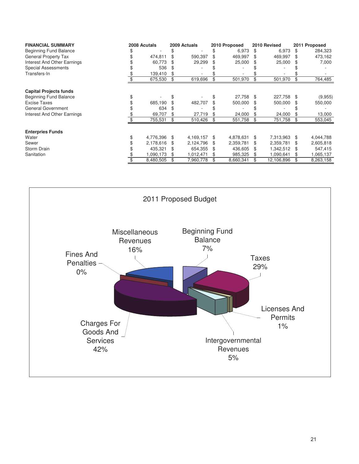| <b>FINANCIAL SUMMARY</b>      | 2008 Acutals |           | 2009 Actuals |           |    | 2010 Proposed | 2010 Revised |            |      | 2011 Proposed |
|-------------------------------|--------------|-----------|--------------|-----------|----|---------------|--------------|------------|------|---------------|
| <b>Beginning Fund Balance</b> |              |           |              |           |    | 6,973         | S.           | 6,973      | - SS | 284,323       |
| <b>General Property Tax</b>   |              | 474,811   |              | 590,397   | \$ | 469,997       | \$           | 469,997    | \$.  | 473,162       |
| Interest And Other Earnings   |              | 60,773    |              | 29,299    | S  | 25,000        | \$           | 25,000     |      | 7,000         |
| <b>Special Assessments</b>    |              | 536       |              |           |    |               |              |            |      |               |
| Transfers-In                  |              | 139,410   |              |           |    |               |              |            |      |               |
|                               |              | 675,530   |              | 619,696   | \$ | 501,970       | \$           | 501,970    | \$   | 764,485       |
| <b>Capital Projects funds</b> |              |           |              |           |    |               |              |            |      |               |
| <b>Beginning Fund Balance</b> |              |           |              |           |    | 27,758        | \$           | 227,758    | \$   | (9,955)       |
| Excise Taxes                  |              | 685,190   |              | 482,707   |    | 500,000       |              | 500,000    |      | 550,000       |
| General Government            |              | 634       |              |           |    |               |              |            |      |               |
| Interest And Other Earnings   |              | 69,707    |              | 27,719    |    | 24,000        |              | 24,000     |      | 13,000        |
|                               |              | 755,531   | \$           | 510,426   | \$ | 551,758       | \$           | 751,758    | \$   | 553,045       |
| <b>Enterpries Funds</b>       |              |           |              |           |    |               |              |            |      |               |
| Water                         |              | 4,776,396 | \$           | 4,169,157 | \$ | 4,878,631     | \$           | 7,313,963  | -8   | 4,044,788     |
| Sewer                         |              | 2,178,616 |              | 2,124,796 | S  | 2,359,781     | \$           | 2,359,781  | \$.  | 2,605,818     |
| Storm Drain                   |              | 435,321   |              | 654,355   |    | 436,605       | \$           | 1,342,512  | -S   | 547,415       |
| Sanitation                    |              | 1,090,173 | \$           | 1,012,471 |    | 985,325       | \$           | 1,090,641  | \$   | 1,065,137     |
|                               |              | 8,480,505 |              | 7,960,778 | \$ | 8,660,341     | \$           | 12,106,896 | \$   | 8,263,158     |

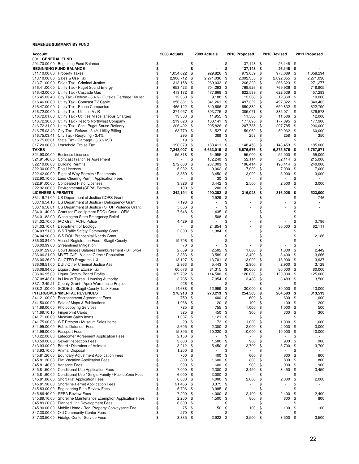| Account                       |                                                                 | 2008 Actuals     | 2009 Actuals                   | 2010 Proposed   | 2010 Revised                   | 2011 Proposed   |
|-------------------------------|-----------------------------------------------------------------|------------------|--------------------------------|-----------------|--------------------------------|-----------------|
| 001 GENERAL FUND              |                                                                 |                  |                                |                 |                                |                 |
|                               | 291.70.00.00 Beginning Fund Balance                             | \$               | \$                             | \$<br>137,148   | \$<br>26,148                   | \$              |
|                               | <b>BEGINNING FUND BALANCE</b>                                   | \$               | \$                             | \$<br>137,148   | \$<br>26,148                   | \$              |
|                               | 311.10.00.00 Property Taxes                                     | \$<br>1,054,622  | \$<br>929,826                  | \$<br>973,089   | \$<br>973,089                  | \$<br>1,058,294 |
|                               | 313.10.00.00 Sales & Use Tax                                    | \$<br>2,906,712  | \$<br>2,271,036                | \$<br>2,092,355 | \$<br>2,092,355                | \$<br>2,271,036 |
|                               | 313.71.00.00 Sales Tax - Criminal Justice                       | \$<br>313,158    | \$<br>269,033                  | \$<br>266,323   | \$<br>266,323                  | \$<br>271,277   |
|                               | 316.41.00.00 Utility Tax - Puget Sound Energy                   | \$<br>653,423    | \$<br>704,293                  | \$<br>769,926   | \$<br>769,926                  | \$<br>718,905   |
|                               | 316.43.00.00 Utility Tax - Cascade Gas                          | \$<br>413,182    | \$<br>477,668                  | \$<br>622,539   | \$<br>622,539                  | \$<br>457,283   |
|                               | 316.45.03.40 City Tax - Refuse - 3.4% - Outside Garbage Hauler  | \$<br>12,360     | \$<br>9,188                    | \$<br>12,360    | \$<br>12,360                   | \$<br>10,000    |
|                               | 316.46.00.00 Utility Tax - Comcast TV Cable                     | \$<br>356,861    | \$<br>341,261                  | \$<br>497,322   | \$<br>497,322                  | \$<br>340,463   |
|                               | 316.47.00.00 Utility Tax - Phone Companies                      | \$<br>465,122    | \$<br>640,686                  | \$<br>650,832   | \$<br>650,832                  | \$<br>622,790   |
|                               | 316.72.00.00 Utility Tax - Utilities A / R                      | \$<br>374,057    | \$<br>393,775                  | \$<br>385,071   | \$<br>385,071                  | \$<br>376,573   |
|                               | 316.72.01.00 Utility Tax - Utilities Miscellaneous Charges      | \$<br>13,363     | \$<br>11,955                   | \$<br>11,506    | \$<br>11,506                   | \$<br>12,000    |
|                               | 316.72.30.00 Utility Tax - Tesoro Northwest Company             | \$<br>219,620    | \$<br>133,141                  | \$<br>177,895   | \$<br>177,895                  | \$<br>177,900   |
|                               | 316.72.31.00 Utility Tax - Shell Puget Sound Refinery           | \$<br>206,402    | \$<br>205,826                  | \$<br>207,785   | \$<br>207,785                  | \$<br>206,000   |
|                               | 316.75.03.40 City Tax - Refuse - 3.4% Utility Billing           | \$<br>63,770     | \$<br>61,527                   | \$<br>59,962    | \$<br>59,962                   | \$<br>60,000    |
|                               | 316.75.03.41 City Tax - Recycling - 3.4%                        | \$<br>295        | \$<br>389                      | \$<br>258       | \$<br>258                      | \$<br>350       |
|                               | 316.75.03.61 State Tax - Garbage - 3.6% M/B                     | \$<br>19         | \$<br>$\overline{\phantom{a}}$ | \$<br>٠         | \$<br>٠                        | \$              |
|                               | 317.20.00.00 Leasehold Excise Tax                               | \$<br>190,079    | \$<br>183,411                  | \$<br>148,453   | \$<br>148,453                  | \$<br>185,000   |
| <b>TAXES</b>                  |                                                                 | \$<br>7,243,007  | \$<br>6,633,015                | \$<br>6,875,676 | \$<br>6,875,676                | \$<br>6,767,871 |
|                               | 321.90.00.00 Business Licenses                                  | \$<br>55,318     | \$<br>54,955                   | \$<br>55,000    | \$<br>55,000                   | \$<br>55,000    |
|                               | 321.91.46.00 Comcast Franchise Agreement                        | \$               | \$<br>182,240                  | \$<br>52,114    | \$<br>52,114                   | \$<br>215,000   |
|                               | 322.10.00.00 Building Permits                                   | \$<br>272,668    | \$<br>237,003                  | \$<br>196,414   | \$<br>196,414                  | \$<br>240,000   |
|                               | 322.30.00.00 Dog Licenses                                       | \$<br>6,932      | \$<br>9,062                    | \$<br>7,000     | \$<br>7,000                    | \$<br>7,000     |
|                               | 322.42.00.00 Right of Way Permits / Easements                   | \$<br>3,850      | \$<br>3,450                    | \$<br>3,000     | \$<br>3,000                    | \$<br>3,000     |
|                               | 322.90.10.00 Land Clearing Permit Application Fees              | \$               | \$<br>30                       | \$              | \$                             | \$              |
|                               | 322.91.00.00 Concealed Pistol Licenses                          | \$<br>3,326      | \$                             | \$              |                                | \$              |
|                               |                                                                 | \$               | 3,442                          | 2,500           | \$<br>2,500                    | 3,000           |
|                               | 322.92.00.00 Environmental (SEPA) Permits                       | 100              | \$<br>200                      | \$              | \$                             | \$              |
| <b>LICENSES &amp; PERMITS</b> |                                                                 | \$<br>342,194    | \$<br>490,382                  | \$<br>316,028   | \$<br>316,028                  | \$<br>523,000   |
|                               | 331.16.71.00 US Department of Justice COPS Grant                | \$               | \$<br>2,929                    | \$              | \$                             | \$<br>746       |
|                               | 333.16.54.10 US Department of Justice / Delinquency Grant       | \$<br>7,198      | \$                             | \$              | \$                             | \$              |
|                               | 333.16.58.81 US Department of Justice / STOP Violence Grant     | \$<br>5,056      | \$<br>٠                        | \$              | \$                             | \$              |
|                               | 334.01.40.00 Grant for IT equipment EOC / Court - OFM           | \$<br>7,648      | \$<br>1,435                    | \$              | \$                             | \$              |
|                               | 334.01.82.00 Washington State Emergency Relief                  | \$               | \$<br>1,508                    | \$<br>÷.        | \$                             | \$              |
|                               | 334.02.70.00 IAC Grant ACFL Police                              | \$<br>4,429      | \$<br>÷,                       | \$              | \$                             | \$<br>3,796     |
|                               | 334.03.10.01 Department of Ecology                              | \$               | \$<br>24,854                   | \$              | \$<br>30,000                   | \$<br>62,111    |
|                               | 334.03.51.00 WS Traffic Safety Community Grant                  | \$<br>2,000      | \$<br>1,384                    | \$              | \$                             | \$              |
|                               | 334.04.90.00 WS DOH Prehospital Needs Grant                     | \$               | \$<br>÷,                       | \$              | \$                             | \$<br>2,186     |
|                               | 336.00.84.00 Vessel Registration Fees - Skagit County           | \$<br>19,796     | \$<br>$\overline{a}$           | \$              | \$                             | \$              |
|                               | 336.00.99.00 Streamlined Mitigation                             | \$<br>70         | \$<br>$\overline{\phantom{a}}$ | \$              | \$                             | \$              |
|                               | 336.01.29.00 Court Judges Salaries Reimbursement - Bill 5454    | \$<br>2,069      | \$<br>2,502                    | \$<br>1,800     | \$<br>1,800                    | \$<br>2,442     |
|                               | 336.06.21.00 MVET-CJF - Violent Crime / Population              | \$<br>3,383      | \$<br>3,589                    | \$<br>3,400     | \$<br>3,400                    | \$<br>3,666     |
|                               | 336.06.26.00 CJ-CTED Programs 1-3                               | \$<br>13,127     | \$<br>13,701                   | \$<br>13,000    | \$<br>13,000                   | \$<br>13,937    |
|                               | 336.06.51.00 DUI / Other Criminal Justice Ass                   | \$<br>2,963      | \$<br>5,443                    | \$<br>2,900     | \$<br>2,900                    | \$<br>3,129     |
|                               | 336.06.94.00 Liquor / Beer Excise Tax                           | \$<br>60,078     | \$<br>81,315                   | \$<br>80,000    | \$<br>80,000                   | \$<br>80,000    |
|                               | 336.06.95.00 Liquor Control Board Profits                       | \$<br>129,702    | \$<br>114,500                  | \$<br>120,000   | \$<br>120,000                  | \$<br>125,000   |
|                               | 337.08.43.01 In Lieu of Taxes - Housing Authority               | \$<br>3,785      | \$<br>7,054                    | \$<br>3,483     | \$<br>3,483                    | \$<br>3,500     |
|                               | 337.12.49.21 County Grant - Apex Warehouse Project              | \$<br>926        | \$                             | \$              | \$                             | \$              |
|                               | 338.21.00.00 SCIDEU - Skagit County Task Force                  | \$<br>14,688     | \$<br>12,999                   | \$<br>30,000    | \$<br>30,000                   | \$<br>13,000    |
|                               |                                                                 |                  |                                |                 |                                |                 |
|                               | <b>INTERGOVERNMENTAL REVENUES</b>                               | \$<br>276,918    | \$<br>273,213                  | \$<br>254,583   | \$<br>284,583                  | \$<br>313,513   |
|                               | 341.21.00.00 Encroachment Agreement Fees                        | \$<br>750        | \$<br>400                      | \$<br>600       | \$<br>600                      | \$<br>1,600     |
|                               | 341.50.00.00 Sale of Maps & Publications                        | \$<br>1,068      | \$<br>120                      | \$<br>100       | \$<br>100                      | \$<br>200       |
|                               | 341.69.00.00 Photocopying Services                              | \$<br>725        | \$<br>755                      | \$<br>1,000     | \$<br>1,000                    | \$<br>500       |
|                               | 341.69.10.10 Fingerprint Cards                                  | \$<br>325        | \$<br>450                      | \$<br>300       | \$<br>300                      | \$<br>300       |
|                               | 341.71.00.00 Museum Sales Items                                 | \$<br>1,037      | \$<br>1,121                    | \$              | \$                             | \$              |
|                               | 341.75.00.00 WT Preston / Museum Sales Items                    | \$<br>29         | \$<br>73                       | \$<br>1,000     | \$<br>1,000                    | \$<br>1,000     |
|                               | 341.95.00.00 Public Defender Fees                               | \$<br>2,605      | \$<br>2,300                    | \$<br>2,000     | \$<br>2,000                    | \$<br>3,000     |
|                               | 341.99.00.00 Passport Fees                                      | \$<br>15,895     | \$<br>10,220                   | \$<br>10,000    | \$<br>10,000                   | \$<br>10,000    |
|                               | 343.22.00.00 Latecomer Agreement Application Fees               | \$<br>2,150      | \$<br>$\overline{\phantom{a}}$ | \$              | \$                             | \$              |
|                               | 343.59.00.00 Sewer Inspection Fees                              | \$<br>3,600      | \$<br>1,500                    | \$<br>900       | \$<br>900                      | \$<br>900       |
|                               | 343.93.00.00 Board / Distrainer of Animals                      | \$<br>3,212      | \$<br>5,450                    | \$<br>3,700     | \$<br>3,700                    | \$<br>3,700     |
|                               | 343.93.10.00 Animal Disposal                                    | \$<br>1,200      | \$<br>$\overline{\phantom{m}}$ | \$              | \$                             | \$              |
|                               | 345.81.20.00 Boundary Adjustment Application Fees               | \$<br>700        | \$<br>400                      | \$<br>600       | \$<br>600                      | \$<br>600       |
|                               | 345.81.30.00 Plat Vacation Application Fees                     | \$<br>800        | \$<br>1,600                    | \$<br>800       | \$<br>800                      | \$<br>800       |
|                               | 345.81.40.00 Variance Fees                                      | \$<br>900        | \$<br>600                      | \$<br>900       | \$<br>900                      | \$<br>900       |
|                               | 345.81.50.00 Conditional Use Application Fees                   | \$<br>7,000      | \$<br>2,300                    | \$<br>3,450     | \$<br>3,450                    | \$<br>3,450     |
|                               | 345.81.60.00 Conditional Use / Single Family / Public Zone Fees | \$<br>6,000      | \$<br>3,000                    | \$              | \$                             | \$              |
|                               | 345.81.80.00 Short Plat Application Fees                        | \$<br>6,000      | \$<br>4,000                    | \$<br>2,000     | \$<br>2,000                    | \$<br>2,000     |
|                               | 345.81.90.00 Shoreline Permit Application Fees                  | \$               | \$                             | \$              | \$                             | \$              |
|                               | 345.83.00.00 Engineering Plan Review Fees                       | \$<br>21,456     | 3,375                          | \$<br>÷,        | \$<br>٠                        | \$<br>٠         |
|                               |                                                                 | 5,796            | \$<br>3,995                    |                 |                                |                 |
|                               | 345.86.40.00 SEPA Review Fees                                   | \$<br>7,200      | \$<br>4,000                    | \$<br>2,400     | \$<br>2,400                    | \$<br>2,400     |
|                               | 345.89.10.00 Shoreline Maintenance Exemption Application Fees   | \$<br>2,200      | \$<br>1,500                    | \$<br>800       | \$<br>800                      | \$<br>800       |
|                               | 345.89.20.00 Planned Unit Development Fees                      | \$<br>6,000      | \$<br>$\overline{a}$           | \$              | \$<br>$\overline{\phantom{a}}$ | \$              |
|                               | 345.90.00.00 Mobile Home / Real Property Conveyance Fee         | \$<br>75         | \$<br>50                       | \$<br>100       | \$<br>100                      | \$<br>100       |
|                               | 347.30.00.00 Old Community Center Fees                          | \$<br>270        | \$                             | \$              | \$                             | \$              |
|                               | 347.30.50.00 Fidalgo Center Service Fees                        | \$<br>$3,835$ \$ | 2,922                          | \$<br>3,500     | \$<br>3,500                    | \$<br>3,500     |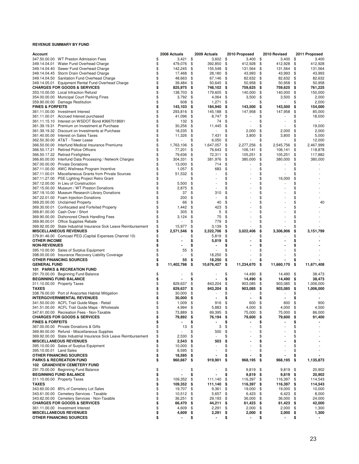| Account                     |                                                                  |          | 2008 Actuals | 2009 Actuals                   |     | 2010 Proposed |      | 2010 Revised   |    | 2011 Proposed |
|-----------------------------|------------------------------------------------------------------|----------|--------------|--------------------------------|-----|---------------|------|----------------|----|---------------|
|                             | 347.50.00.00 WT Preston Admission Fees                           | \$       | 3,421        | \$<br>3,602                    | \$  | 3,400         | \$   | 3,400          | \$ | 3,400         |
|                             | 349.14.04.01 Water Fund Overhead Charge                          | \$       | 479,076      | \$<br>392,850                  | \$  | 412,928       | \$   | 412,928        | \$ | 412,928       |
|                             | 349.14.04.40 Sewer Fund Overhead Charge                          | \$       | 142,245      | \$<br>155,548                  | \$  | 131,564       | \$   | 131,564        | \$ | 131,564       |
|                             | 349.14.04.45 Storm Drain Overhead Charge                         | \$       | 17,468       | \$<br>28,180                   | -\$ | 43,993        | \$   | 43,993         | \$ | 43,993        |
|                             | 349.14.04.50 Sanitation Fund Overhead Charge                     | \$       | 48,663       | \$<br>67,146 \$                |     | 82,632 \$     |      | 82,632         | \$ | 82,632        |
|                             | 349.14.05.01 Equipment Rental Fund Overhead Charge               | \$       | 39,484       | \$<br>50,645                   | \$  | 50,958        | \$   | 50,958         | \$ | 50,958        |
|                             | <b>CHARGES FOR GOODS &amp; SERVICES</b>                          | \$       | 825,975      | \$<br>748,102                  | -\$ | 759,625       | \$   | 759,625        | \$ | 761,225       |
|                             | 353.10.00.00 Local Infraction Refund                             | \$       | 138,703      | \$<br>179,605                  | \$  | 140,000       | \$   | 140,000        | \$ | 150,000       |
|                             | 354.00.00.00 Municipal Court Parking Fines                       | \$       | 3,792        | \$<br>4,064                    | \$  | 3,500         | \$   | 3,500          | \$ | 2,000         |
|                             | 359.90.00.00 Damage Restitution                                  | \$       | 608          | \$<br>1,271                    | \$  |               | \$   | ٠              | \$ | 2,000         |
| <b>FINES &amp; FORFEITS</b> |                                                                  | \$       | 143,103      | \$<br>184,940                  | \$  | 143,500       | \$   | 143,500        | \$ | 154,000       |
|                             | 361.11.00.00 Investment Interest                                 | \$       | 293,816      | \$<br>145,188                  | \$  | 147,958       | \$   | 147,958        | \$ | 85,000        |
|                             | 361.11.00.01 Accrued Interest purchased                          | \$       | 41,096       | \$<br>8,747                    | \$  |               | \$   |                | \$ | 18,000        |
|                             | 361.11.15.10 Interest on WSDOT Bond #3667018691                  | \$       | 132 \$       | 74                             | \$  |               | \$   |                | \$ |               |
|                             | 361.39.19.31 Premium on Investment at Purchase                   | \$       | 30,256       | \$<br>11,445                   | \$  |               | \$   |                | \$ | 19,000        |
|                             | 361.39.19.32 Discount on Investments at Purchase                 | \$       | 18,235       | \$<br>$\overline{\phantom{a}}$ | \$  | 2,000         | \$   | 2,000          | \$ | 2,000         |
|                             | 361.40.00.00 Interest on Sales Taxes                             | \$       | 11,326       | \$<br>7,431                    | \$  | 3,800         | \$   | 3,800          | \$ | 5,000         |
|                             | 362.50.30.00 AT&T - Tower Lease                                  | \$       |              | \$<br>6,050                    | \$  |               | \$   | $\overline{a}$ | \$ | 12,000        |
|                             | 366.50.00.00 Interfund Medical Insurance Premiums                | \$       | 1,763,106    | \$<br>1,647,057                | \$  | 2,277,256     | \$   | 2,545,756      | \$ | 2,467,999     |
|                             | 366.50.17.21 Retired Police Officers                             | \$       | 77,201       | \$<br>76,643                   | \$  | 106,141       | \$   | 106,141        | \$ | 118,878       |
|                             | 366.50.17.22 Retired Firefighters                                | \$       | 79,636       | \$<br>72,311                   | \$  | 105,251       | \$   | 105,251        | \$ | 117,882       |
|                             | 366.60.00.00 Interfund Data Processing / Network Charges         | \$       | 304,331      | \$<br>381,976                  | \$  | 380,000       | \$   | 380,000        | \$ | 380,000       |
|                             | 367.00.00.00 Private Donations                                   | \$       | 13,000       | \$<br>714                      | \$  |               | \$   |                | \$ |               |
|                             | 367.11.00.00 AWC Wellness Program Incentive                      | \$       | 1,057        | \$<br>683                      | \$  |               | \$   |                | \$ |               |
|                             | 367.11.00.01 Miscellaneous Grants from Private Sources           | \$       | 51,532       | \$                             | \$  |               | \$   |                | \$ |               |
|                             | 367.11.27.00 PSE Lighting Project Retro Grant                    | \$       |              | \$                             | \$  |               | \$   | 16,000         | \$ |               |
|                             | 367.12.00.00 In Lieu of Construction                             | \$       | 5,500        | \$<br>$\overline{\phantom{a}}$ | \$  |               | \$   | $\overline{a}$ | \$ |               |
|                             | 367.15.00.00 Museum / WT Preston Donations                       | \$       | 2,875        | \$                             | \$  |               | \$   |                | \$ |               |
|                             | 367.19.10.00 Museum Research Library Donations                   | \$       | 37           | \$<br>310                      | \$  |               | \$   |                | \$ |               |
|                             | 367.22.01.00 Foam Injection Donations                            | \$       | 200          | \$<br>$\overline{a}$           | \$  |               | \$   |                | \$ |               |
|                             | 369.20.00.00 Unclaimed Property                                  | \$       | 66           | \$<br>40                       | \$  |               | \$   |                | \$ | 40            |
|                             | 369.30.00.01 Confiscated and Forfeited Property                  | \$       | 1,442        | \$<br>423                      | \$  |               | \$   |                | \$ |               |
|                             | 369.81.00.00 Cash Over / Short                                   | \$       | 305          | \$<br>5                        | \$  |               | \$   |                | \$ |               |
|                             | 369.90.00.00 Dishonored Check Handling Fees                      | \$       | 3,124        | \$<br>75                       | \$  |               | \$   |                | \$ |               |
|                             | 369.90.00.01 Office Supplies Rebate                              | \$       |              | \$<br>779                      | \$  |               | \$   |                | \$ |               |
|                             | 369.92.00.00 State Industrial Insurance Sick Leave Reimbursement | \$       | 15,977       | \$<br>3,139                    | \$  |               | \$   |                | \$ |               |
|                             | <b>MISCELLANEOUS REVENUES</b>                                    | \$       | 2,571,546    | \$<br>2,322,706                | \$  | 3,022,406     | \$   | 3,306,906      | \$ | 3,151,799     |
|                             | 379.91.46.00 Comcast PEG (Capital Expenses Channel 10)           | \$       |              | \$<br>5,819                    | \$  |               | \$   |                | S  |               |
| <b>OTHER INCOME</b>         |                                                                  | \$       |              | \$<br>5,819                    | \$  |               | \$   |                | \$ |               |
| <b>NON-REVENUES</b>         |                                                                  | \$       |              | \$                             | \$  |               | \$   |                | \$ |               |
|                             | 395.10.00.00 Sales of Surplus Equipment                          | \$       | 55           | \$                             | \$  |               | \$   |                | \$ |               |
|                             | 398.00.00.00 Insurance Recovery Liability Coverage               | \$       |              | \$<br>18,250                   | \$  |               | \$   |                | \$ |               |
|                             | OTHER FINANCING SOURCES                                          | \$       | 55           | \$<br>18,250                   | \$  |               | \$   |                | \$ |               |
| <b>GENERAL FUND</b>         |                                                                  | \$       | 11,402,798   | \$<br>10,676,427               | \$  | 11,234,670    | \$   | 11,660,170     | \$ | 11,671,408    |
|                             | 101 PARKS & RECREATION FUND                                      |          |              |                                |     |               |      |                |    |               |
|                             | 291.70.00.00 Beginning Fund Balance                              | \$       |              | \$                             | \$  | 14,490        | \$   | 14,490         | \$ | 38,473        |
|                             | <b>BEGINNING FUND BALANCE</b>                                    | \$       |              | \$                             | \$  | 14,490        | \$   | 14,490         | \$ | 38,473        |
|                             | 311.10.00.00 Property Taxes                                      | \$       | 829,637      | \$<br>843,204                  | \$  | 903,085       | \$   | 903,085        | \$ | 1,006,000     |
| <b>TAXES</b>                |                                                                  | \$       | 829,637      | \$<br>843,204                  | \$  | 903,085       | \$   |                | \$ |               |
|                             |                                                                  | \$       |              |                                | \$  |               |      | 903,085        |    | 1,006,000     |
|                             | 338.76.00.00 Port of Anacortes Habitat Mitigation                |          | 30,000       | \$                             |     |               | \$   |                | \$ |               |
|                             | <b>INTERGOVERNMENTAL REVENUES</b>                                | \$       | 30,000       | \$                             | \$  |               | \$   |                | \$ |               |
|                             | 341.50.00.00 ACFL Trail Guide Maps - Retail                      | \$<br>\$ | 1,009        | \$<br>916                      | \$  | 600           | \$   | 600            | \$ | 900           |
|                             | 341.51.00.00 ACFL Trail Guide Maps - Wholesale                   |          | 4,994        | \$<br>5,883                    | \$  | 4,000         | \$   | 4,000          | \$ | 4,500         |
|                             | 347.61.00.00 Recreation Fees - Non-Taxable                       | \$       | 73,889       | \$<br>69,395                   | \$  | 75,000        | \$   | 75,000         | \$ | 86,000        |
|                             | <b>CHARGES FOR GOODS &amp; SERVICES</b>                          | \$       | 79,892 \$    | 76,194                         | \$  | 79,600        | \$   | 79,600         | \$ | 91,400        |
| <b>FINES &amp; FORFEITS</b> |                                                                  | \$       |              | \$                             | \$  |               | \$   |                | \$ |               |
|                             | 367.00.00.00 Private Donations & Gifts                           | \$       | 13           | \$<br>3                        | \$  |               | \$   |                | \$ |               |
|                             | 369.90.00.00 Refund - Miscellaneous Supplies                     | \$       |              | \$<br>500                      | \$  |               | \$   |                | \$ |               |
|                             | 369.92.00.00 State Industrial Insurance Sick Leave Reimbursement | \$       | 2,530        | \$<br>$\overline{\phantom{a}}$ | \$  |               | \$   |                | \$ |               |
|                             | <b>MISCELLANEOUS REVENUES</b>                                    | \$       | 2,543        | \$<br>503                      | \$  |               | \$   |                | \$ |               |
|                             | 395.10.00.00 Sales of Surplus Equipment                          | \$       | 10,000       | \$<br>$\overline{\phantom{a}}$ | \$  |               | \$   |                | \$ |               |
| 395.10.00.01 Land Sales     |                                                                  | \$       | 8,595        | \$                             | \$  |               | \$   |                | \$ |               |
|                             | OTHER FINANCING SOURCES                                          | \$       | 18,595       | \$                             | \$  |               | \$   |                | \$ |               |
|                             | <b>PARKS &amp; RECREATION FUND</b>                               | \$       | 960,667      | \$<br>919,901                  | \$  | 968,195       | - \$ | 968,195        | \$ | 1,135,873     |
|                             | <b>102 GRANDVIEW CEMETERY FUND</b>                               |          |              |                                |     |               |      |                |    |               |
|                             | 291.70.00.00 Beginning Fund Balance                              | \$       |              | \$                             | \$  | 9,819         | \$   | 9,819          | \$ | 20,902        |
|                             | <b>BEGINNING FUND BALANCE</b>                                    | \$       |              | \$                             | \$  | 9,819         | \$   | 9,819          | \$ | 20,902        |
|                             | 311.10.00.00 Property Taxes                                      | \$       | 109,352      | \$<br>111,140                  | \$  | 116,397 \$    |      | 116,397        | \$ | 114,543       |
| <b>TAXES</b>                |                                                                  | \$       | 109,352      | \$<br>111,140                  | \$  | 116,397       | \$   | 116,397        | \$ | 114,543       |
|                             | 343.60.00.00 85% of Cemetery Lot Sales                           | \$       | 19,707       | \$<br>9,361                    | \$  | 19,000        | \$   | 19,000         | \$ | 10,000        |
|                             | 343.61.00.00 Cemetery Services - Taxable                         | \$       | $10,512$ \$  | 5,657 \$                       |     | 6,423         | \$   | 6,423          | \$ | 8,000         |
|                             | 343.62.00.00 Cemetery Services - Non-Taxable                     | \$       | 36,251       | \$<br>29,193                   | \$  | 36,000        | \$   | 36,000         | \$ | 24,000        |
|                             | <b>CHARGES FOR GOODS &amp; SERVICES</b>                          | \$       | 66,470       | \$<br>44,211                   | \$  | 61,423        | \$   | 61,423         | \$ | 42,000        |
|                             | 361.11.00.00 Investment Interest                                 | \$       | 4,609 \$     | 2,291                          | \$  | 2,000         | \$   | 2,000          | \$ | 1,300         |
|                             | <b>MISCELLANEOUS REVENUES</b>                                    | \$       | 4,609        | \$<br>2,291                    | \$  | 2,000         | \$   | 2,000          | \$ | 1,300         |
|                             | <b>OTHER FINANCING SOURCES</b>                                   | \$       |              | \$                             | \$  |               | \$   | $\blacksquare$ | \$ |               |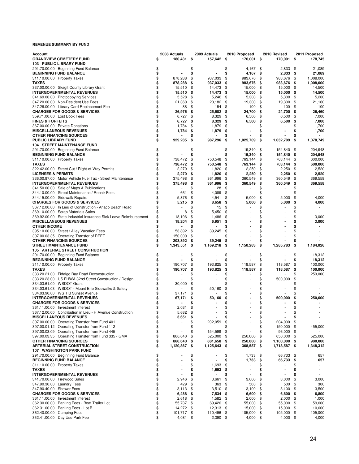| Account                                                          | 2008 Actuals       | 2009 Actuals         | 2010 Proposed    |                | 2010 Revised         |      | 2011 Proposed            |
|------------------------------------------------------------------|--------------------|----------------------|------------------|----------------|----------------------|------|--------------------------|
| <b>GRANDVIEW CEMETERY FUND</b>                                   | \$<br>180,431 \$   | 157,642 \$           |                  | 170,001 \$     | 170,001 \$           |      | 178,745                  |
| 103 PUBLIC LIBRARY FUND                                          |                    |                      |                  |                |                      |      |                          |
| 291.70.00.00 Beginning Fund Balance                              | \$                 | \$                   | \$               | 4,167          | \$<br>2,833          | \$   | 21,089                   |
| <b>BEGINNING FUND BALANCE</b>                                    | \$                 | \$                   | \$               | $4,167$ \$     | 2,833                | \$   | 21,089                   |
| 311.10.00.00 Property Taxes                                      | \$<br>878,288      | \$<br>937,033        | \$<br>983,676    |                | \$<br>983,676        | \$   | 1,008,000                |
| <b>TAXES</b>                                                     | \$<br>878,288      | \$<br>937,033        | \$<br>983,676    |                | \$<br>983,676        | \$   | 1,008,000                |
| 337.00.00.00 Skagit County Library Grant                         | \$<br>15,510       | \$<br>14,473         | \$               | 15,000         | \$<br>15,000         | \$   | 14,500                   |
| <b>INTERGOVERNMENTAL REVENUES</b>                                | \$<br>15,510       | \$<br>14,473         | -\$              | 15,000         | \$<br>15,000         | \$   | 14,500                   |
| 341.69.00.00 Photocopying Services                               | \$<br>5,528        | \$<br>5,246          | \$               | 5,300          | \$<br>5,300          | \$   | 5,200                    |
| 347.20.00.00 Non-Resident Use Fees                               | \$<br>21,360       | \$<br>20,182         | \$<br>19,300     |                | \$                   | \$   | 21,160                   |
|                                                                  | \$                 | \$<br>154            | \$               |                | 19,300               |      | 100                      |
| 347.26.00.00 Library Card Replacement Fee                        | 88                 |                      |                  | 100            | \$<br>100            | \$   |                          |
| <b>CHARGES FOR GOODS &amp; SERVICES</b>                          | \$<br>26,976       | \$<br>25,582         | -\$<br>24,700    |                | \$<br>24,700         | \$   | 26,460                   |
| 359.71.00.00 Lost Book Fees                                      | \$<br>6,727        | \$<br>8,329          | \$               | 6,500          | \$<br>6,500          | \$   | 7,000                    |
| <b>FINES &amp; FORFEITS</b>                                      | \$<br>6,727        | \$<br>8,329          | \$               | 6,500          | \$<br>6,500          | \$   | 7,000                    |
| 367.00.00.00 Private Donations                                   | \$<br>1,784        | \$<br>1,879          | \$               |                | \$                   | \$   | 1,700                    |
| <b>MISCELLANEOUS REVENUES</b>                                    | \$<br>1,784        | \$<br>1,879          | \$               |                | \$                   | \$   | 1,700                    |
| <b>OTHER FINANCING SOURCES</b>                                   | \$                 |                      | \$               |                | \$                   | \$   |                          |
| <b>PUBLIC LIBRARY FUND</b>                                       | \$<br>929,285      | \$<br>987,296        | \$<br>1,025,709  |                | \$<br>1,032,709      | \$   | 1,078,749                |
| <b>104 STREET MAINTENANCE FUND</b>                               |                    |                      |                  |                |                      |      |                          |
| 291.70.00.00 Beginning Fund Balance                              | \$                 | \$                   | \$<br>19,340     |                | \$<br>154,840        | \$   | 204,948                  |
| <b>BEGINNING FUND BALANCE</b>                                    | \$                 | \$                   | \$               | 19,340         | \$<br>154,840        | \$   | 204,948                  |
| 311.10.00.00 Property Taxes                                      | \$<br>738,472      | \$<br>750,548        | \$<br>763,144    |                | \$<br>763,144        | \$   | 600,000                  |
| <b>TAXES</b>                                                     | \$<br>738,472      | \$<br>750,548        | \$<br>763,144    |                | \$<br>763,144        | \$   | 600,000                  |
| 322.42.00.00 Street Cut / Right-of-Way Permits                   | \$<br>2,270        | \$<br>1,820          | \$               | 2,250          | \$<br>2,250          | \$   | 2,520                    |
| <b>LICENSES &amp; PERMITS</b>                                    | \$<br>2,270        | 1,820                | - \$             | 2,250          | 2,250                |      | 2,520                    |
|                                                                  |                    | \$                   |                  |                | \$                   | \$   |                          |
| 336.00.87.00 Motor Vehicle Fuel Tax - Street Maintenance         | \$<br>375,498      | \$<br>361,996        | \$<br>360,549    |                | \$<br>360,549        | \$   | 369,558                  |
| <b>INTERGOVERNMENTAL REVENUES</b>                                | \$<br>375,498      | \$<br>361,996        | \$<br>360,549    |                | \$<br>360,549        | \$   | 369,558                  |
| 341.50.00.00 Sale of Maps & Publications                         | \$                 | \$<br>28             | \$               |                | \$                   | \$   |                          |
| 344.10.00.00 Street Maintenance / Repair Fees                    | \$<br>661          | \$<br>4,089          | \$               |                | \$                   | \$   |                          |
| 344.15.00.00 Sidewalk Repairs                                    | \$<br>5,876        | \$<br>4,541          | \$               | 5,000          | \$<br>5,000          | \$   | 4,000                    |
| <b>CHARGES FOR GOODS &amp; SERVICES</b>                          | \$<br>5,215        | \$<br>8,658          | \$               | 5,000          | \$<br>5,000          | \$   | 4,000                    |
| 367.12.00.00 In Lieu of Construction - Anaco Beach Road          | \$                 | \$<br>15             | \$               |                | \$                   | \$   |                          |
| 369.10.00.00 Scrap Materials Sales                               | \$<br>8            | \$<br>5,450          | \$               |                | \$                   | \$   |                          |
| 369.92.00.00 State Industrial Insurance Sick Leave Reimbursement | \$<br>18,196       | \$<br>1,486          | \$               |                | \$                   | \$   | 3,000                    |
| <b>MISCELLANEOUS REVENUES</b>                                    | \$<br>18,204       | \$<br>6,951          | \$               |                | \$                   | \$   | 3,000                    |
| <b>OTHER INCOME</b>                                              | \$                 | \$                   | \$               |                | \$                   | \$   |                          |
| 395.10.00.00 Street / Alley Vacation Fees                        | \$<br>53,892       | \$<br>39,245         | \$               |                | \$                   | \$   |                          |
|                                                                  | \$                 |                      | \$               |                | \$                   | \$   |                          |
| 397.00.03.35 Operating Transfer of REET                          | 150,000            | \$                   |                  |                |                      |      |                          |
| <b>OTHER FINANCING SOURCES</b>                                   | \$<br>203,892      | \$<br>39,245         | \$               |                | \$                   | \$   |                          |
| <b>STREET MAINTENANCE FUND</b>                                   | \$<br>1,343,551 \$ | 1,169,218            | -\$<br>1,150,283 |                | \$<br>1,285,783      | \$   | 1,184,026                |
| 105 ARTERIAL STREET CONSTRUCTION                                 |                    |                      |                  |                |                      |      |                          |
| 291.70.00.00 Beginning Fund Balance                              | \$                 | \$                   | \$               |                | \$                   | \$   | 18,312                   |
| <b>BEGINNING FUND BALANCE</b>                                    | \$                 | \$                   | \$               |                | \$                   | \$   | 18,312                   |
| 311.10.00.00 Property Taxes                                      | \$<br>190,707      | \$<br>193,825        | \$<br>118,587    |                | \$<br>118,587        | \$   | 100,000                  |
| TAXES                                                            | \$<br>190,707      | \$<br>193,825        | \$<br>118,587    |                | \$<br>118,587        | \$   | 100,000                  |
| 333.20.21.00 Fidalgo Bay Road Reconstruction                     | \$                 | \$                   | \$               |                | \$                   | \$   | 250,000                  |
| 333.20.23.00 US FHWA 32nd Street Construction / Design           | \$                 | \$                   | \$               |                | \$<br>500,000        | \$   |                          |
| 334.03.61.00 WSDOT Grant                                         | \$<br>30,000       | \$                   | \$               |                | \$                   | \$   |                          |
| 334.03.61.03 WSDOT - Mount Erie Sidewalks & Safety               | \$                 | \$<br>50,160         | \$               |                | \$                   | \$   |                          |
| 334.03.90.00 WS TIB Sunset Avenue                                | \$<br>37,171       | \$                   | \$               |                | \$                   | \$   |                          |
| <b>INTERGOVERNMENTAL REVENUES</b>                                | \$                 | \$<br>50,160         | \$               |                | \$<br>500,000        | \$   | 250,000                  |
|                                                                  | 67,171             |                      |                  |                |                      |      |                          |
| <b>CHARGES FOR GOODS &amp; SERVICES</b>                          | \$                 |                      | \$               |                | \$                   | \$   |                          |
| 361.11.00.00 Investment Interest                                 | \$<br>2,031        | \$                   | \$               |                | \$                   | \$   |                          |
| 367.12.00.00 Contribution in Lieu - H Avenue Construction        | \$<br>5,682        | \$                   | \$               |                | \$                   | \$   |                          |
| <b>MISCELLANEOUS REVENUES</b>                                    | \$<br>3,651        | \$                   | \$               |                | \$                   | \$   |                          |
| 397.00.00.00 Operating Transfer from Fund 401                    | \$                 | \$<br>202,059        | \$               |                | \$<br>204,000        | \$   |                          |
| 397.00.01.12 Operating Transfer from Fund 112                    | \$                 | \$                   | \$               |                | \$<br>150,000        | \$   | 455,000                  |
| 397.00.03.09 Operating Transfer from Fund 445                    | \$                 | \$<br>154,599        | \$               |                | \$<br>96,000         | \$   |                          |
| 397.00.03.35 Operating Transfer from Fund 335 - GMA              | \$<br>866,640      | \$<br>525,000        | \$<br>250,000    |                | \$<br>650,000        | \$   | 525,000                  |
| <b>OTHER FINANCING SOURCES</b>                                   | \$<br>866,640      | \$<br>881,658        | 250,000<br>\$    |                | \$<br>1,100,000      | \$   | 980,000                  |
| <b>ARTERIAL STREET CONSTRUCTION</b>                              | \$<br>1,120,867    | \$<br>1,125,643      | -\$<br>368,587   |                | \$<br>1,718,587      | - \$ | 1,348,312                |
| <b>107 WASHINGTON PARK FUND</b>                                  |                    |                      |                  |                |                      |      |                          |
| 291.70.00.00 Beginning Fund Balance                              | \$                 | \$                   | \$               | 1,733          | \$<br>66,733         | \$   | 657                      |
| <b>BEGINNING FUND BALANCE</b>                                    | \$                 | \$                   | \$               | 1,733          | \$<br>66,733         | \$   | 657                      |
|                                                                  | \$                 |                      | \$               |                |                      |      |                          |
| 311.10.00.00 Property Taxes                                      |                    | \$<br>1,693          |                  |                | \$                   | \$   | $\overline{\phantom{0}}$ |
| <b>TAXES</b>                                                     | \$                 | \$<br>1,693          | \$               | $\blacksquare$ | \$<br>$\blacksquare$ | \$   | ٠                        |
| <b>INTERGOVERNMENTAL REVENUES</b>                                | \$                 | \$<br>$\blacksquare$ | \$               |                | \$<br>$\blacksquare$ | \$   | $\blacksquare$           |
| 341.70.00.00 Firewood Sales                                      | \$<br>2,946        | \$<br>3,661          | \$               | 3,000          | \$<br>3,000          | \$   | 3,000                    |
| 347.90.30.00 Laundry Fees                                        | \$<br>429          | \$<br>363            | \$               | 500            | \$<br>500            | \$   | 300                      |
| 347.90.40.00 Shower Fees                                         | \$<br>3,113        | \$<br>3,510          | \$               | 3,100          | \$<br>3,100          | \$   | 3,500                    |
| <b>CHARGES FOR GOODS &amp; SERVICES</b>                          | \$<br>6,488        | \$<br>7,534          | \$               | 6,600          | \$<br>6,600          | \$   | 6,800                    |
| 361.11.00.00 Investment Interest                                 | \$<br>2,618        | \$<br>1,582          | \$               | 2,000          | \$<br>2,000          | \$   | 1,000                    |
| 362.30.00.00 Parking Fees - Boat Trailer Lot                     | \$<br>55,737       | \$<br>69,426         | \$               | 55,000         | \$<br>55,000         | \$   | 59,000                   |
| 362.31.00.00 Parking Fees - Lot B                                | \$<br>14,272       | \$<br>12,313         | \$               | 15,000         | \$<br>15,000         | \$   | 10,000                   |
| 362.40.00.00 Camping Fees                                        | \$<br>101,717      | \$<br>110,496        | \$<br>105,000    |                | \$<br>105,000        | \$   | 105,000                  |
| 362.41.00.00 Day Use Park Fee                                    | \$                 | \$                   |                  |                |                      |      | 4,000                    |
|                                                                  | 4,081              | $2,390$ \$           |                  | 4,000          | \$<br>4,000          | \$   |                          |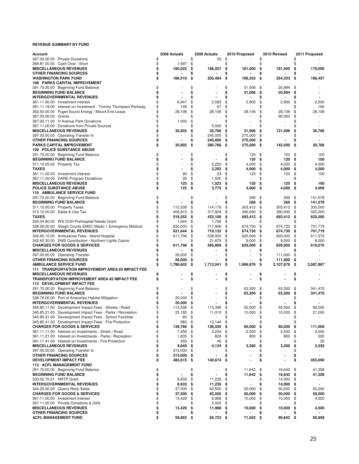| Account                                                                                                            |          | 2008 Actuals    |          | 2009 Actuals     |           | 2010 Proposed |          | 2010 Revised            |          | 2011 Proposed      |
|--------------------------------------------------------------------------------------------------------------------|----------|-----------------|----------|------------------|-----------|---------------|----------|-------------------------|----------|--------------------|
| 367.00.00.00 Private Donations                                                                                     | \$       |                 | \$       | 50               | \$        |               | \$       |                         | \$       |                    |
| 369.81.00.00 Cash Over / Short<br><b>MISCELLANEOUS REVENUES</b>                                                    | \$       | 1,597           | \$       |                  | \$        |               | \$       |                         | \$       |                    |
| <b>OTHER FINANCING SOURCES</b>                                                                                     | \$<br>\$ | 180,022         | \$<br>\$ | 196,257          | \$<br>\$  | 181,000       | \$<br>\$ | 181,000                 | \$<br>\$ | 179,000            |
| <b>WASHINGTON PARK FUND</b>                                                                                        | \$       | 186,510         | \$       | 205,484          | \$        | 189,333       | \$       | 254,333                 | \$       | 186,457            |
| 108 PARKS CAPITAL IMPROVEMENT                                                                                      |          |                 |          |                  |           |               |          |                         |          |                    |
| 291.70.00.00 Beginning Fund Balance                                                                                | \$       |                 | \$       |                  | \$        | 31,006        | \$       | 20,994                  | \$       |                    |
| <b>BEGINNING FUND BALANCE</b>                                                                                      | \$       |                 | \$       |                  | \$        | 31,006        | \$       | 20,994                  | \$       |                    |
| <b>INTERGOVERNMENTAL REVENUES</b>                                                                                  | \$       |                 | \$       |                  | \$        |               |          |                         | \$       |                    |
| 361.11.00.00 Investment Interest                                                                                   | \$<br>\$ | 6,647<br>149    | \$<br>\$ | 2,593<br>67      | \$<br>\$  | 2,900         | \$<br>S. | 2,900<br>$\overline{a}$ | \$<br>\$ | 2,500<br>160       |
| 361.11.19.00 Interest on Investment - Tommy Thompson Parkway<br>362.50.00.00 Puget Sound Energy / Mount Erie Lease | \$       | 28,106          | \$       | 28,106           | \$        | 28,106        | \$       | 28,106                  | \$       | 28,106             |
| 367.00.00.00 Grants                                                                                                | \$       |                 |          |                  | \$        |               | \$       | 90,000                  | \$       |                    |
| 367.00.11.00 H Avenue Park Donations                                                                               | \$       | 1,000           | \$       |                  | \$        |               | \$       |                         | \$       |                    |
| 367.11.00.00 Donations from Private Sources                                                                        | \$       |                 |          | 5,000            | \$        |               | \$       |                         | \$       |                    |
| <b>MISCELLANEOUS REVENUES</b>                                                                                      | \$       | 35,902          | \$       | 35,766           | \$        | 31,006        | \$       | 121,006                 | \$       | 30,766             |
| 397.00.00.00 Operating Transfer In                                                                                 | \$       |                 | \$       | 245,000          | \$        | 275,000       | \$       |                         | \$       |                    |
| OTHER FINANCING SOURCES                                                                                            | \$       |                 | \$       | 245,000          | \$        | 275,000       | \$       |                         | \$       |                    |
| <b>PARKS CAPITAL IMPROVEMENT</b><br><b>109 POLICE SUBSTANCE ABUSE</b>                                              | \$       | 35,902          | \$       | 280,766          | -\$       | 275,000       | - \$     | 142,000                 | \$       | 30,766             |
| 291.70.00.00 Beginning Fund Balance                                                                                | \$       |                 | \$       |                  | \$        | 120           | \$       | 120                     | \$       | 100                |
| <b>BEGINNING FUND BALANCE</b>                                                                                      | \$       |                 | \$       |                  | \$        | 120           | \$       | 120                     | \$       | 100                |
| 311.10.00.00 Property Tax                                                                                          | \$       |                 | \$       | 2,252            | \$        | 4,000         | \$       | 4,000                   | \$       | 4,000              |
| <b>TAXES</b>                                                                                                       | \$       |                 | \$       | 2,252            | \$        | 4,000         | \$       | 4,000                   | \$       | 4,000              |
| 361.11.00.00 Investment Interest                                                                                   | \$       | 90              | \$       | 23               | \$        | 120           | \$       | 120                     | \$       | 100                |
| 367.11.00.00 DARE Program Donations                                                                                | \$       | 35              | \$       | 1,500            | \$        |               | \$       |                         | \$       | $\sim$             |
| <b>MISCELLANEOUS REVENUES</b>                                                                                      | \$       | 125             | \$       | 1,523            | \$        | 120           | \$       | 120                     | \$       | 100                |
| POLICE SUBSTANCE ABUSE                                                                                             | \$       | 125             | \$       | 3,775            | - \$      | 4,000         | \$       | 4,000                   | \$       | 4,000              |
| <b>110 AMBULANCE SERVICE FUND</b>                                                                                  | \$       |                 |          |                  |           |               |          |                         |          |                    |
| 291.70.00.00 Beginning Fund Balance<br><b>BEGINNING FUND BALANCE</b>                                               | \$       |                 | \$<br>\$ |                  | \$<br>\$  | 266<br>266    | \$<br>\$ | 266<br>266              | \$<br>\$ | 141,578<br>141,578 |
| 311.10.00.00 Property Taxes                                                                                        | \$       | 112,339         | \$       | 114,176          | \$        | 303.412       | \$       | 303,412                 | \$       | 300,000            |
| 313.10.00.00 Sales & Use Tax                                                                                       | \$       | 406,913         | \$       | 317,924          | \$        | 390,000       | \$       | 390,000                 | \$       | 325,000            |
| <b>TAXES</b>                                                                                                       | \$       | 519,252         | \$       | 432,100          | \$        | 693,412       | \$       | 693,412                 | \$       | 625,000            |
| 334.04.90.00 WS DOH Prehospital Needs Grant                                                                        | \$       | 1,644           | \$       | 1,726            | \$        |               | \$       |                         | \$       |                    |
| 338.26.00.00 Skagit County EMSC Medic 1 Emergency Medical                                                          | \$       | 630,000         | \$       | 717,406          | \$        | 674,730       | \$       | 674,730                 | \$       | 701,719            |
| <b>INTERGOVERNMENTAL REVENUES</b>                                                                                  | \$       | 631,644         | \$       | 719,132          | - \$      | 674,730       | \$       | 674,730                 | \$       | 701,719            |
| 342.60.10.00 Ambulance Fees - Island Hospital                                                                      | \$       | 611,706         | \$       | 538,930          | \$        | 620,000       | \$       | 620,000                 | \$       | 611,570            |
| 342.60.30.00 EMS Contribution - Northern Lights Casino                                                             | \$       |                 | S.       | 21,879           | \$        | 9,000         | \$       | 9,000                   | \$       | 8,000              |
| <b>CHARGES FOR GOODS &amp; SERVICES</b>                                                                            | \$<br>\$ | 611,706         | \$       | 560,809          | \$        | 629,000       | \$<br>\$ | 629,000                 | \$<br>\$ | 619,570            |
| <b>MISCELLANEOUS REVENUES</b><br>397.00.00.00 Operating Transfer                                                   | \$       | 26,000          | \$       |                  | \$<br>\$  |               | \$       | 111,000                 | \$       |                    |
| <b>OTHER FINANCING SOURCES</b>                                                                                     | \$       | 26,000          | \$       |                  | \$        |               | \$       | 111,000                 | \$       |                    |
| <b>AMBULANCE SERVICE FUND</b>                                                                                      | \$       | 1,788,602       | \$       | 1,712,041        | \$        | 1,996,876     | \$       | 2,107,876               | \$       | 2,087,867          |
| 111 TRANSPORTATION IMPROVEMENT AREA #2 IMPACT FEE                                                                  |          |                 |          |                  |           |               |          |                         |          |                    |
| <b>MISCELLANEOUS REVENUES</b>                                                                                      | \$       |                 | \$       |                  | \$        |               | \$       |                         | \$       |                    |
| <b>TRANSPORTATION IMPROVEMENT AREA #2 IMPACT FEE</b>                                                               | \$       |                 | \$       |                  | \$        |               | \$       |                         | \$       |                    |
| 112 DEVELOPMENT IMPACT FEE                                                                                         |          |                 |          |                  |           |               |          |                         |          |                    |
| 291.70.00.00 Beginning Fund Balance                                                                                | \$<br>\$ |                 | \$       |                  | \$        | 63,300        | \$       | 63,300                  | \$       | 341,470            |
| <b>BEGINNING FUND BALANCE</b><br>338.76.00.00 Port of Anacortes Habitat Mitigation                                 | \$       | 20,000          | \$       |                  | \$<br>\$  | 63,300        | \$<br>\$ | 63,300                  | \$<br>\$ | 341,470            |
| <b>INTERGOVERNMENTAL REVENUES</b>                                                                                  | \$       | 20,000          | \$       |                  | \$        |               |          |                         |          |                    |
| 345.85.11.00 Development Impact Fees - Streets / Road                                                              | \$       | 113,538         | \$       | 113,396          | \$        | 50,000        | \$       | 50,000                  | \$       | 90,000             |
| 345.85.21.00 Development Impact Fees - Parks / Recreation                                                          | ፍ        | 25,185 \$       |          | 11,010           | \$        | 10,000        | \$       | 10,000                  | \$       | 21,000             |
| 345.85.31.00 Development Impact Fees - School Facilities                                                           | \$       | 60 \$           |          |                  | \$        |               | \$       | $\overline{a}$          | \$       |                    |
| 345.85.41.00 Development Impact Fees - Fire Protection                                                             | \$       | 983             | -\$      | 12,144           | \$        |               | \$       |                         | \$       |                    |
| <b>CHARGES FOR GOODS &amp; SERVICES</b>                                                                            | \$       | 139,766 \$      |          | 136,550          | - \$      | 60,000        | \$       | 60,000                  | \$       | 111,000            |
| 361.11.11.00 Interest on Investments - Street / Road                                                               | \$       | 7,459           | \$       | 3,254            | \$        | 2,500         | \$       | 2,500                   | \$       | 2,000              |
| 361.11.21.00 Interest on Investments - Parks / Recreation                                                          | \$<br>\$ | 1,835           | \$       | 824              | \$        | 800           | \$       | 800                     | \$       | 500                |
| 361.11.41.00 Interest on Investments - Fire Protection<br><b>MISCELLANEOUS REVENUES</b>                            | \$       | 555<br>9,849    | \$<br>\$ | 46<br>4,124      | \$<br>\$  | 3,300         | \$<br>\$ | 3,300                   | \$<br>\$ | 30<br>2,530        |
| 397.00.00.00 Operating Transfer In                                                                                 | \$       | 313,000         | \$       |                  | \$        |               | \$       |                         | \$       |                    |
| OTHER FINANCING SOURCES                                                                                            | \$       | 313,000         | \$       |                  | \$        |               | \$       |                         | \$       |                    |
| <b>DEVELOPMENT IMPACT FEE</b>                                                                                      | \$       | 482,615\$       |          | 140,674          | \$        |               | \$       |                         | \$       | 455,000            |
| <b>113 ACFL MANAGEMENT FUND</b>                                                                                    |          |                 |          |                  |           |               |          |                         |          |                    |
| 291.70.00.00 Beginning Fund Balance                                                                                | \$       |                 | \$       |                  | \$        | 11,642        | - \$     | 16,642                  | \$       | 41,358             |
| <b>BEGINNING FUND BALANCE</b>                                                                                      | \$       |                 | \$       |                  | \$        | 11,642        | -\$      | 16,642                  | \$       | 41,358             |
| 333.02.70.01 NRTP Grant                                                                                            | \$       | 8,933           | \$       | 11,235           | \$        |               | \$       | 14,000                  | \$       |                    |
| <b>INTERGOVERNMENTAL REVENUES</b><br>344.20.00.00 Quarry Rock Sales                                                | \$<br>\$ | 8,933<br>37,500 | \$<br>\$ | 11,235<br>62,500 | \$<br>-\$ | 50,000        | \$<br>\$ | 14,000<br>50,000        | \$<br>\$ | 50,000             |
| <b>CHARGES FOR GOODS &amp; SERVICES</b>                                                                            | \$       | 37,500          | \$       | 62,500           | \$        | 50,000        | \$       | 50,000                  | \$       | 50,000             |
| 361.11.00.00 Investment Interest                                                                                   | \$       | 13,429          | \$       | 6,968            | \$        | 10,000        | \$       | 10,000                  | \$       | 4,500              |
| 367.11.00.00 Private Donations & Gifts                                                                             | \$       |                 |          | 5,020            | \$        |               |          |                         |          |                    |
| <b>MISCELLANEOUS REVENUES</b>                                                                                      | \$       | 13,429          | \$       | 11,988           | \$        | 10,000        | \$       | 10,000                  | \$       | 4,500              |
| <b>OTHER FINANCING SOURCES</b>                                                                                     | \$       |                 |          |                  |           |               |          |                         |          |                    |
| <b>ACFL MANAGEMENT FUND</b>                                                                                        | \$       | 59,862          | \$       | 85,723           | \$        | 71,642 \$     |          | 90,642                  | \$       | 95,858             |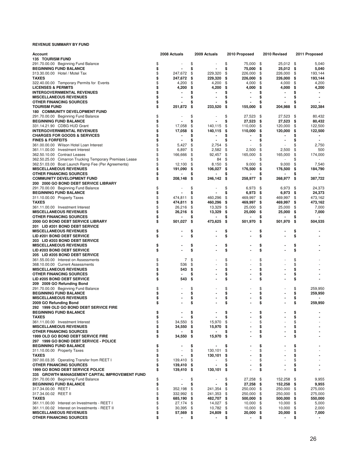| Account                                                 | 2008 Actuals     |      | 2009 Actuals   | 2010 Proposed |    | 2010 Revised | 2011 Proposed        |
|---------------------------------------------------------|------------------|------|----------------|---------------|----|--------------|----------------------|
| <b>135 TOURISM FUND</b>                                 |                  |      |                |               |    |              |                      |
| 291.70.00.00 Beginning Fund Balance                     | \$               | \$   |                | \$<br>75,000  | \$ | 25,012       | \$<br>5,040          |
| <b>BEGINNING FUND BALANCE</b>                           | \$               | \$   |                | \$<br>75,000  | \$ | 25,012       | \$<br>5,040          |
| 313.30.00.00 Hotel / Motel Tax                          | \$<br>247,672    | \$   | 229.320        | \$<br>226,000 | \$ | 226,000      | \$<br>193,144        |
| <b>TAXES</b>                                            | \$<br>247,672    | \$   | 229,320        | \$<br>226,000 | \$ | 226,000      | \$<br>193,144        |
| 322.40.00.00 Temporary Permits for Events               | \$<br>4,200      | \$   | 4,200          | \$<br>4,000   | \$ | 4,000        | \$<br>4,200          |
| <b>LICENSES &amp; PERMITS</b>                           | \$<br>4,200      | \$   | 4,200          | \$<br>4,000   | \$ | 4,000        | \$<br>4,200          |
| <b>INTERGOVERNMENTAL REVENUES</b>                       | \$               | \$   |                | \$            |    |              | \$                   |
| <b>MISCELLANEOUS REVENUES</b>                           | \$               | \$   | ۰              | \$            | \$ |              | \$                   |
| <b>OTHER FINANCING SOURCES</b>                          | \$               |      |                | \$            |    |              | \$                   |
| <b>TOURISM FUND</b>                                     | \$<br>251,872    | \$   | 233,520        | 155,000<br>\$ | \$ | 204,988      | \$<br>202,384        |
| <b>180 COMMUNITY DEVELOPMENT FUND</b>                   |                  |      |                |               |    |              |                      |
| 291.70.00.00 Beginning Fund Balance                     | \$               | \$   |                | \$<br>27,523  | \$ | 27,523       | \$<br>80,432         |
| <b>BEGINNING FUND BALANCE</b>                           | \$               | \$   |                | \$<br>27,523  | \$ | 27,523       | \$<br>80,432         |
| 331.14.21.90 CDBG HUD Grant                             | \$<br>17,058     | \$   | 140,115        | 110,000<br>\$ | \$ | 120,000      | \$<br>122,500        |
| <b>INTERGOVERNMENTAL REVENUES</b>                       | \$<br>17,058     | \$   | 140,115        | \$<br>110,000 | \$ | 120,000      | \$<br>122,500        |
| <b>CHARGES FOR GOODS &amp; SERVICES</b>                 | \$               | S    |                | \$            |    |              | \$                   |
| <b>FINES &amp; FORFEITS</b>                             | \$               | \$   | $\blacksquare$ | \$            |    |              | \$<br>$\blacksquare$ |
| 361.00.00.00 Wilson Hotel Loan Interest                 | \$<br>5,427      | \$   | 2,754          | \$            |    |              | \$<br>2,750          |
| 361.11.00.00 Investment Interest                        | \$<br>6,897      | \$   | 2,582          | \$<br>2,500   | \$ | 2,500        | \$<br>500            |
| 362.50.10.00 Contract Leases                            | \$<br>166,666    | \$   | 92,457         | \$<br>165,000 | \$ | 165,000      | \$<br>174,000        |
|                                                         | \$               | \$   |                | \$            | \$ |              | \$                   |
| 362.50.25.00 Cimarron Trucking Temporary Premises Lease |                  |      | 84             |               |    |              |                      |
| 362.51.03.00 Boat Launch Ramp Fee (Per Agreements)      | \$<br>12,100     | \$   | 8,150          | \$<br>9,000   | \$ | 9,000        | \$<br>7,540          |
| <b>MISCELLANEOUS REVENUES</b>                           | \$<br>191,090    | \$   | 106,027        | \$<br>176,500 | \$ | 176,500      | \$<br>184,790        |
| <b>OTHER FINANCING SOURCES</b>                          | \$               | \$   |                | \$            | s  |              | \$                   |
| <b>COMMUNITY DEVELOPMENT FUND</b>                       | \$<br>208,148    | \$   | 246,142        | \$<br>258,977 | \$ | 268,977      | \$<br>387,722        |
| 200 2000 GO BOND DEBT SERVICE LIBRARY                   |                  |      |                |               |    |              |                      |
| 291.70.00.00 Beginning Fund Balance                     | \$               | \$   |                | \$<br>6,973   | \$ | 6,973        | \$<br>24,373         |
| <b>BEGINNING FUND BALANCE</b>                           | \$               | \$   |                | \$<br>6,973   | \$ | 6,973        | \$<br>24,373         |
| 311.10.00.00 Property Taxes                             | \$<br>474,811    | \$   | 460,296        | \$<br>469,997 | \$ | 469,997      | \$<br>473,162        |
| <b>TAXES</b>                                            | \$<br>474,811    | \$   | 460,296        | \$<br>469,997 | \$ | 469,997      | \$<br>473,162        |
| 361.11.00.00 Investment Interest                        | \$<br>26,216     | \$   | 13,329         | \$<br>25,000  | \$ | 25,000       | \$<br>7,000          |
| <b>MISCELLANEOUS REVENUES</b>                           | \$<br>26,216     | - \$ | 13,329         | \$<br>25,000  | \$ | 25,000       | \$<br>7,000          |
| <b>OTHER FINANCING SOURCES</b>                          | \$               | \$   |                | \$            | \$ |              | \$                   |
| <b>2000 GO BOND DEBT SERVICE LIBRARY</b>                | \$<br>501,027    | \$   | 473,625        | \$<br>501,970 | \$ | 501,970      | \$<br>504,535        |
| 201 LID #201 BOND DEBT SERVICE                          |                  |      |                |               |    |              |                      |
| <b>MISCELLANEOUS REVENUES</b>                           | \$               | \$   |                | \$            | \$ |              | \$                   |
| LID #201 BOND DEBT SERVICE                              | \$               | \$   |                | \$            | \$ |              | \$                   |
|                                                         |                  |      |                |               |    |              |                      |
| 203 LID #203 BOND DEBT SERVICE                          |                  |      |                |               |    |              |                      |
| <b>MISCELLANEOUS REVENUES</b>                           | \$               | \$   |                | \$            | \$ |              | \$                   |
| LID #203 BOND DEBT SERVICE                              | \$               | \$   |                | \$            | \$ |              | \$                   |
| 205 LID #205 BOND DEBT SERVICE                          |                  |      |                |               |    |              |                      |
| 361.55.00.00 Interest on Assessments                    | \$<br>7          | \$   |                | \$            | \$ |              | \$                   |
| 368.10.00.00 Current Assessments                        | \$<br>536        | \$   |                | \$            | \$ |              | \$                   |
| <b>MISCELLANEOUS REVENUES</b>                           | \$<br>543        | \$   |                | \$            | \$ |              | \$                   |
| <b>OTHER FINANCING SOURCES</b>                          | \$               | \$   |                | \$            | \$ |              | \$                   |
| <b>LID #205 BOND DEBT SERVICE</b>                       | \$<br>543        | \$   |                | \$            | \$ |              | \$                   |
| 209 2009 GO Refunding Bond                              |                  |      |                |               |    |              |                      |
| 291.70.00.00 Beginning Fund Balance                     | \$               | \$   |                | \$            | \$ |              | \$<br>259,950        |
| <b>BEGINNING FUND BALANCE</b>                           | \$               | \$   |                | \$            | \$ |              | \$<br>259,950        |
| <b>MISCELLANEOUS REVENUES</b>                           | \$               | \$   |                | \$            | \$ |              | \$                   |
| 2009 GO Refunding Bond                                  | \$               | \$   |                | \$            | \$ |              | \$<br>259,950        |
| 292 1999 OLD GO BOND DEBT SERVICE FIRE                  |                  |      |                |               |    |              |                      |
| <b>BEGINNING FUND BALANCE</b>                           | \$               | \$   |                | \$            | \$ |              | \$                   |
| TAXES                                                   | \$<br>۰          | \$   |                | \$            | \$ |              | \$                   |
| 361.11.00.00 Investment Interest                        | \$<br>34,550     | \$   | 15,970         | \$            | \$ |              | \$                   |
| <b>MISCELLANEOUS REVENUES</b>                           | \$               |      |                |               |    |              | \$                   |
|                                                         | 34,550           | \$   | 15,970         | \$            |    |              |                      |
| OTHER FINANCING SOURCES                                 | \$<br>٠          | S    |                | \$            | \$ |              | \$                   |
| 1999 OLD GO BOND DEBT SERVICE FIRE                      | \$<br>34,550 \$  |      | 15,970 \$      |               | \$ |              | \$                   |
| 297 1999 GO BOND DEBT SERVICE - POLICE                  |                  |      |                |               |    |              |                      |
| <b>BEGINNING FUND BALANCE</b>                           | \$               | \$   |                | \$            | \$ |              | \$                   |
| 311.10.00.00 Property Taxes                             | \$               | \$   | 130,101        | \$            | \$ |              | \$                   |
| TAXES                                                   | \$               | \$   | 130,101        | \$            | \$ |              | \$                   |
| 397.00.03.35 Operating Transfer from REET I             | \$<br>139,410    | \$   |                | \$            | \$ |              | \$                   |
| OTHER FINANCING SOURCES                                 | \$<br>139,410 \$ |      |                | \$            | \$ |              | \$                   |
| <b>1999 GO BOND DEBT SERVICE POLICE</b>                 | \$<br>139,410 \$ |      | 130,101        | \$            | \$ |              | \$                   |
| 335 GROWTH MANAGEMENT CAPITAL IMPROVEMENT FUND          |                  |      |                |               |    |              |                      |
| 291.70.00.00 Beginning Fund Balance                     | \$               | \$   |                | \$<br>27,258  | \$ | 152,258      | \$<br>9,955          |
| <b>BEGINNING FUND BALANCE</b>                           | \$               | \$   |                | \$<br>27,258  | \$ | 152,258      | \$<br>9,955          |
| 317.34.00.00 REET I                                     | \$<br>352,198    | \$   | 241,354        | 250,000<br>\$ | \$ | 250,000      | \$<br>275,000        |
| 317.34.00.02 REET II                                    | \$<br>332,992 \$ |      | 241,353 \$     | 250,000       | \$ | 250,000 \$   | 275,000              |
| <b>TAXES</b>                                            | \$               |      | 482,707 \$     | 500,000       |    |              | 550,000              |
|                                                         | 685,190 \$       |      |                |               | \$ | 500,000 \$   |                      |
| 361.11.00.00 Interest on Investments - REET I           | \$<br>27,174 \$  |      | 14,027 \$      | 10,000        | \$ | 10,000       | \$<br>5,000          |
| 361.11.00.02 Interest on Investments - REET II          | \$<br>30,395 \$  |      | 10,782 \$      | 10,000        | \$ | $10,000$ \$  | 2,000                |
| <b>MISCELLANEOUS REVENUES</b>                           | \$<br>57,569\$   |      | 24,809 \$      | 20,000        | \$ | 20,000 \$    | 7,000                |
| OTHER FINANCING SOURCES                                 | \$               | \$   |                | \$            |    |              | \$<br>$\sim$         |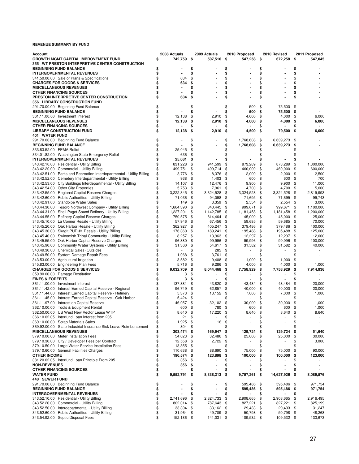| Account                     |                                                                       | 2008 Actuals    | 2009 Actuals    | 2010 Proposed    |    | 2010 Revised | 2011 Proposed   |
|-----------------------------|-----------------------------------------------------------------------|-----------------|-----------------|------------------|----|--------------|-----------------|
|                             | <b>GROWTH MGMT CAPITAL IMPROVEMENT FUND</b>                           | \$<br>742,759   | \$<br>507,516   | \$<br>547,258    | \$ | 672,258      | \$<br>547,045   |
|                             | 355 WT PRESTON INTERPRETIVE CENTER CONSTRUCTION                       |                 |                 |                  |    |              |                 |
|                             |                                                                       |                 |                 |                  |    |              |                 |
|                             | <b>BEGINNING FUND BALANCE</b>                                         | \$              | \$              | \$               | \$ |              | \$              |
|                             | <b>INTERGOVERNMENTAL REVENUES</b>                                     | \$              | \$              | \$               | \$ |              | \$              |
|                             | 341.50.00.00 Sale of Plans & Specifications                           | \$<br>634       | \$              | \$               | \$ |              | \$              |
|                             | <b>CHARGES FOR GOODS &amp; SERVICES</b>                               | \$<br>634       | \$              | \$               | \$ |              | \$              |
|                             | <b>MISCELLANEOUS REVENUES</b>                                         | \$              | \$              | \$               | \$ |              | \$              |
|                             |                                                                       |                 |                 |                  |    |              |                 |
|                             | <b>OTHER FINANCING SOURCES</b>                                        | \$              | \$              | \$               | \$ |              | \$              |
|                             | PRESTON INTERPRETIVE CENTER CONSTRUCTION                              | \$<br>634       | \$              | \$               | \$ |              | \$              |
|                             | <b>356 LIBRARY CONSTRUCTION FUND</b>                                  |                 |                 |                  |    |              |                 |
|                             | 291.70.00.00 Beginning Fund Balance                                   | \$              | \$              | \$<br>500        | \$ | 75,500       | \$              |
|                             | <b>BEGINNING FUND BALANCE</b>                                         | \$              | \$<br>ä,        | \$<br>500        | \$ | 75,500       | \$              |
|                             |                                                                       |                 |                 |                  |    |              |                 |
|                             | 361.11.00.00 Investment Interest                                      | \$<br>12,138    | \$<br>2,910     | \$<br>4,000      | \$ | 4,000        | \$<br>6,000     |
|                             | <b>MISCELLANEOUS REVENUES</b>                                         | \$<br>12,138    | \$<br>2,910     | \$<br>4,000      | \$ | 4,000        | \$<br>6,000     |
|                             | <b>OTHER FINANCING SOURCES</b>                                        | \$              | \$              | \$               |    |              | \$              |
|                             | <b>LIBRARY CONSTRUCTION FUND</b>                                      | \$<br>12,138    | \$<br>2,910     | \$<br>4,500      | \$ | 79,500       | \$<br>6,000     |
| <b>401 WATER FUND</b>       |                                                                       |                 |                 |                  |    |              |                 |
|                             |                                                                       |                 |                 |                  |    |              |                 |
|                             | 291.70.00.00 Beginning Fund Balance                                   | \$              | \$              | \$<br>1,768,608  | \$ | 6,639,273    | \$              |
|                             | <b>BEGINNING FUND BALANCE</b>                                         | \$              | \$              | \$<br>1,768,608  | \$ | 6,639,273    | \$              |
| 333.83.52.00 FEMA Relief    |                                                                       | \$<br>25,045    | \$              | \$               | \$ |              | \$              |
|                             | 334.01.82.00 Washington State Emergency Relief                        | \$<br>636       | \$              | \$               | \$ |              | \$              |
|                             |                                                                       |                 |                 |                  |    |              |                 |
|                             | <b>INTERGOVERNMENTAL REVENUES</b>                                     | \$<br>25,681    | \$              | \$               | S  |              | \$              |
|                             | 343.42.10.00 Residential - Utility Billing                            | \$<br>831,228   | \$<br>941,599   | \$<br>873,289    | \$ | 873,289      | \$<br>1,300,000 |
|                             | 343.42.20.00 Commercial - Utility Billing                             | \$<br>499,751   | \$<br>499,714   | \$<br>460,000    | \$ | 460,000      | \$<br>600,000   |
|                             | 343.42.51.00 Parks and Recreation Interdepartmental - Utility Billing | \$<br>3,776     | \$<br>8,376     | \$<br>2,000      | \$ | 2,000        | \$<br>2,500     |
|                             |                                                                       |                 |                 |                  |    |              |                 |
|                             | 343.42.52.00 Cemetery Interdepartmental - Utility Billing             | \$<br>938       | \$<br>1,403     | \$<br>600        | \$ | 600          | \$<br>700       |
|                             | 343.42.53.00 City Buildings Interdepartmental - Utility Billing       | \$<br>14,107    | \$<br>12,476    | \$<br>9,900      | \$ | 9,900        | \$<br>11,000    |
|                             | 343.42.54.00 Other City Properties                                    | \$<br>5,753     | \$<br>7,961     | \$<br>4,700      | \$ | 4,700        | \$<br>5,000     |
|                             | 343.42.55.00 Regional Capital Reserve Charges                         | \$<br>3,222,345 | \$<br>3,324,528 | \$<br>3,324,528  | \$ | 3,324,528    | \$<br>2,819,993 |
|                             |                                                                       |                 |                 |                  |    |              |                 |
|                             | 343.42.60.00 Public Authorities - Utility Billing                     | \$<br>71,036    | \$<br>94,098    | \$<br>71,695     | \$ | 71,695       | \$<br>99,743    |
|                             | 343.42.91.00 Standpipe Water Sales                                    | \$<br>149       | \$<br>3,359     | \$<br>2,554      | \$ | 2,554        | \$<br>3,000     |
|                             | 343.44.30.00 Tesoro Northwest Company - Utility Billing               | \$<br>1,664,390 | \$<br>340,445   | \$<br>999,671    | \$ | 999,671      | \$<br>1,100,000 |
|                             | 343.44.31.00 Shell Puget Sound Refinery - Utility Billing             | \$              | \$              | \$               |    |              | \$              |
|                             |                                                                       | 1,227,201       | 1,142,785       | 1,181,458        | \$ | 1,181,458    | 1,200,000       |
|                             | 343.44.55.00 Refinery Capital Reserve Charges                         | \$<br>750,575   | \$<br>814,464   | \$<br>45,000     | \$ | 45,000       | \$<br>25,000    |
|                             | 343.45.10.00 La Conner Resale - Utility Billing                       | \$<br>57,946    | \$<br>67,456    | \$<br>59,685     | \$ | 59,685       | \$<br>70,000    |
|                             | 343.45.20.00 Oak Harbor Resale - Utility Billing                      | \$<br>362,927   | \$<br>405,247   | \$<br>379,486    | \$ | 379,486      | \$<br>400,000   |
|                             |                                                                       | \$              |                 |                  |    |              |                 |
|                             | 343.45.30.00 Skagit PUD #1 Resale - Utility Billing                   | 176,360         | \$<br>189,241   | \$<br>195,488    | \$ | 195,488      | \$<br>125,000   |
|                             | 343.45.40.00 Swinomish Tribal Community - Utility Billing             | \$<br>8,257     | \$<br>13,963    | \$<br>12,297     | \$ | 12,297       | \$<br>12,000    |
|                             | 343.45.55.00 Oak Harbor Capital Reserve Charges                       | \$<br>96,380    | \$<br>99,996    | \$<br>99,996     | \$ | 99,996       | \$<br>100,000   |
|                             | 343.45.90.00 Community Water Systems - Utility Billing                | \$<br>31,360    | \$<br>54,617    | \$<br>31,582     | \$ | 31,582       | \$<br>40,000    |
|                             |                                                                       |                 |                 |                  |    |              |                 |
|                             | 343.49.30.00 Chemical Sales (Outside)                                 | \$              | \$<br>285       | \$               | \$ |              | \$              |
|                             | 343.49.50.00 System Damage Repair Fees                                | \$<br>1,068     | \$<br>3,761     | \$               | \$ |              | \$              |
|                             | 343.53.00.00 Agricultural Irrigation                                  | \$<br>3,582     | \$<br>9,408     | \$<br>1,000      | \$ | 1,000        | \$              |
|                             | 345.83.00.00 Engineering Plan Fees                                    | \$<br>5,716     | \$<br>9,286     | \$<br>4,000      | \$ | 4,000        | \$<br>1,000     |
|                             |                                                                       |                 |                 |                  |    |              |                 |
|                             | <b>CHARGES FOR GOODS &amp; SERVICES</b>                               | \$<br>9,032,709 | \$<br>8,044,468 | \$<br>7,758,929  | \$ | 7,758,929    | \$<br>7,914,936 |
|                             | 359.90.00.00 Damage Restitution                                       | \$<br>3         | \$              | \$               | \$ |              | \$              |
| <b>FINES &amp; FORFEITS</b> |                                                                       | \$<br>3         | \$              | \$               | \$ |              | \$              |
|                             | 361.11.00.00 Investment Interest                                      | \$<br>137,881   | \$<br>43,820    | \$<br>43,484     | \$ | 43.484       | \$<br>20,000    |
|                             |                                                                       |                 |                 |                  |    |              |                 |
|                             | 361.11.42.00 Interest Earned Capital Reserve - Regional               | \$<br>96,749    | \$<br>62,857    | \$<br>40,000     | \$ | 40,000       | \$<br>20,000    |
|                             | 361.11.44.00 Interest Earned Capital Reserve - Refinery               | \$<br>5,373     | \$<br>13,152    | \$<br>7,000      | \$ | 7,000        | \$<br>1,000     |
|                             | 361.11.45.00 Interest Earned Capital Reserve - Oak Harbor             | \$<br>5,424     | \$              | \$               | \$ |              | \$              |
|                             | 361.11.97.00 Interest on Capital Reserve                              | \$<br>46,057    | \$<br>32,102    | \$<br>30,000     | \$ | 30,000       | \$<br>1,000     |
|                             |                                                                       |                 |                 |                  |    |              |                 |
|                             | 362.10.00.00 Tools & Equipment Rental                                 | \$<br>600       | \$<br>780       | \$<br>600        | \$ | 600          | \$<br>1,000     |
|                             | 362.50.00.00 US West New Vector Lease WTP                             | \$<br>8,640     | \$<br>17,220    | \$<br>8,640      | \$ | 8,640        | \$<br>8,640     |
|                             | 366.10.02.05 Interfund Loan Interest from 205                         | \$<br>21        | \$              | \$               | \$ |              | \$              |
|                             | 369.10.00.00 Scrap Materials Sales                                    | \$<br>1,925     | \$<br>16        | \$               | \$ |              | \$              |
|                             |                                                                       |                 |                 |                  |    |              |                 |
|                             | 369.92.00.00 State Industrial Insurance Sick Leave Reimbursement      | \$<br>804       | \$              | \$               | \$ |              | \$              |
|                             | <b>MISCELLANEOUS REVENUES</b>                                         | \$<br>303,474   | \$<br>169,947   | \$<br>129,724    | \$ | 129,724      | \$<br>51,640    |
|                             | 379.10.00.00 Meter Installation Fees                                  | \$<br>54,023    | \$<br>32,486    | \$<br>25,000     | \$ | 25,000       | \$<br>30,000    |
|                             | 379.10.30.00 City / Developer Fees per Contract                       | \$<br>12,558    | \$<br>2,722     | \$               | \$ |              | \$<br>3,000     |
|                             |                                                                       |                 |                 |                  |    |              |                 |
|                             | 379.10.50.00 Large Water Service Installation Fees                    | \$<br>13,355    | \$              | \$               | \$ |              | \$              |
|                             | 379.10.60.00 General Facilities Charges                               | \$<br>110,638   | \$<br>88,690    | \$<br>75,000     | \$ | 75,000       | \$<br>90,000    |
| <b>OTHER INCOME</b>         |                                                                       | \$<br>190,574   | \$<br>123,898   | \$<br>100,000    | \$ | 100,000      | \$<br>123,000   |
|                             | 381.20.02.05 Interfund Loan Principle From 205                        | \$<br>356       | \$              | \$               | \$ |              | \$              |
|                             |                                                                       |                 |                 |                  |    |              |                 |
| <b>NON-REVENUES</b>         |                                                                       | \$<br>356       | \$              | \$               | \$ |              | \$              |
|                             | <b>OTHER FINANCING SOURCES</b>                                        | \$              | \$              | \$               | \$ |              | \$              |
| <b>WATER FUND</b>           |                                                                       | \$<br>9,552,791 | \$<br>8,338,313 | \$<br>9,757,261  | \$ | 14,627,926   | \$<br>8,089,576 |
| 440 SEWER FUND              |                                                                       |                 |                 |                  |    |              |                 |
|                             |                                                                       |                 |                 |                  |    |              |                 |
|                             | 291.70.00.00 Beginning Fund Balance                                   | \$              | \$              | \$<br>595,486    | \$ | 595,486      | \$<br>971,754   |
|                             | <b>BEGINNING FUND BALANCE</b>                                         | \$              | \$              | \$<br>595,486    | \$ | 595,486      | \$<br>971,754   |
|                             | <b>INTERGOVERNMENTAL REVENUES</b>                                     | \$              | \$              | \$               | \$ |              | \$              |
|                             | 343.52.10.00 Residential - Utility Billing                            | \$<br>2,741,696 | \$<br>2,824,733 | \$<br>2,908,665  | \$ | 2,908,665    | \$<br>2,916,495 |
|                             |                                                                       |                 |                 |                  |    |              |                 |
|                             | 343.52.20.00 Commercial - Utility Billing                             | \$<br>802,014   | \$<br>787,643   | \$<br>827,221    | \$ | 827,221      | \$<br>825,199   |
|                             | 343.52.50.00 Interdepartmental - Utility Billing                      | \$<br>33,304 \$ | 33,162          | \$<br>29,433     | \$ | 29,433       | \$<br>31,247    |
|                             | 343.52.60.00 Public Authorities - Utility Billing                     | \$<br>31,964    | \$<br>49,709    | \$<br>50,798     | \$ | 50,798       | \$<br>48,268    |
|                             | 343.54.92.00 Septic Disposal Fees                                     | \$              |                 |                  |    |              |                 |
|                             |                                                                       | 152,186 \$      | 141,031         | \$<br>109,532 \$ |    | 109,532 \$   | 133,673         |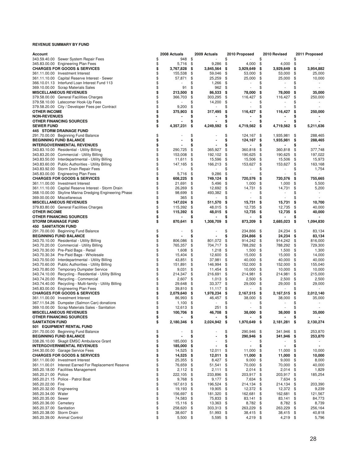| Account                                                                                         | 2008 Actuals    |                  |          | 2009 Actuals      |          | 2010 Proposed     |          | 2010 Revised    |          | 2011 Proposed     |
|-------------------------------------------------------------------------------------------------|-----------------|------------------|----------|-------------------|----------|-------------------|----------|-----------------|----------|-------------------|
| 343.59.40.00 Sewer System Repair Fees                                                           | \$              | 948 \$           |          |                   | \$       |                   | \$       |                 | \$       |                   |
| 345.83.00.00 Engineering Plan Fees                                                              | \$              | 5,716            | \$       | 9,286             | \$       | 4,000             | \$       | 4,000           | \$       |                   |
| <b>CHARGES FOR GOODS &amp; SERVICES</b>                                                         | \$<br>3,767,828 |                  | \$       | 3,845,564         | \$       | 3,929,649         | \$       | 3,929,649       | \$       | 3,954,882         |
| 361.11.00.00 Investment Interest                                                                | \$              | 155,538          | \$       | 59,046            | \$       | 53,000            | \$       | 53,000          | \$       | 25,000            |
| 361.11.10.00 Capital Reserve Interest - Sewer                                                   | \$              | 57,871           | \$       | 25,259            | \$       | 25,000            | \$       | 25,000          | \$       | 10,000            |
| 366.10.01.13 Interfund Loan Interest Fund 113                                                   | \$              |                  | \$       | 1,266             | \$       |                   | \$       |                 | S        |                   |
| 369.10.00.00 Scrap Materials Sales                                                              | \$              | 91               | \$       | 962               | \$       |                   | \$       |                 | \$       |                   |
| <b>MISCELLANEOUS REVENUES</b>                                                                   | \$              | 213,500          | \$       | 86,533            | \$       | 78,000            | \$       | 78,000          | \$       | 35,000            |
| 379.58.00.00 General Facilities Charges                                                         | \$              | 366,703          | \$       | 303,295           | \$       | 116,427           | \$       | 116,427         | \$       | 250,000           |
| 379.58.10.00 Latecomer Hook-Up Fees                                                             | \$              |                  | \$       | 14,200            | \$       |                   | \$       |                 | \$       |                   |
| 379.58.20.00 City / Developer Fees per Contract                                                 | \$              | 9,200            | \$       |                   | \$       |                   | \$       |                 |          |                   |
| <b>OTHER INCOME</b>                                                                             | \$              | 375,903          | \$       | 317,495           | \$       | 116,427           | \$       | 116,427         | \$       | 250,000           |
| <b>NON-REVENUES</b>                                                                             | \$              |                  | \$       |                   | \$       |                   | \$       |                 | S        |                   |
| <b>OTHER FINANCING SOURCES</b>                                                                  | \$              |                  | \$       |                   | \$       |                   | \$       |                 |          |                   |
| <b>SEWER FUND</b>                                                                               | \$<br>4,357,231 |                  | \$       | 4,249,592         | \$       | 4,719,562         | \$       | 4,719,562       | \$       | 5,211,636         |
| <b>445 STORM DRAINAGE FUND</b>                                                                  |                 |                  |          |                   |          |                   |          |                 |          |                   |
| 291.70.00.00 Beginning Fund Balance                                                             | \$              |                  | \$       |                   | \$       | 124,167           | \$       | 1,935,981       | \$       | 288,465           |
| <b>BEGINNING FUND BALANCE</b>                                                                   | \$              |                  | \$       |                   | \$       | 124,167           | \$       | 1,935,981       | \$       | 288,465           |
| <b>INTERGOVERNMENTAL REVENUES</b>                                                               | \$              |                  | \$       |                   | \$       |                   | \$       |                 | \$       |                   |
| 343.83.10.00 Residential - Utility Billing                                                      | \$              | 290,725          | \$       | 365,927           | \$       | 360,818           | \$       | 360,818         | \$       | 377,748           |
| 343.83.20.00 Commercial - Utility Billing                                                       | \$              | 153,008          | \$       | 192,102           | \$       | 190,625           | \$       | 190,625         | \$       | 197,022           |
| 343.83.50.00 Interdepartmental - Utility Billing                                                | \$              | 11,611           | \$       | 15,596            | \$       | 15,506            | \$       | 15,506          | \$       | 15,973            |
| 343.83.60.00 Public Authorities - Utility Billing                                               | \$              | 147,165          | \$       | 166,213           | \$       | 153,627           | \$       | 153,627         | \$       | 163,168           |
| 343.83.92.00 Storm Drain Repair Fees                                                            | \$              |                  | \$       |                   | \$       | ٠                 | \$       | $\overline{a}$  | \$       | 1,754             |
| 345.83.00.00 Engineering Plan Fees                                                              | \$              | 5,716            | \$       | 9,286             | \$       |                   | \$       |                 | \$       |                   |
| <b>CHARGES FOR GOODS &amp; SERVICES</b>                                                         | \$              | 608,225          | \$       | 749,124           | \$       | 720,576           | \$       | 720,576         | \$       | 755,665           |
| 361.11.00.00 Investment Interest                                                                | \$              | 21,691           | \$       | 5,496             | \$       | 1,000             | \$       | 1,000           | \$       | 5,500             |
| 361.11.10.00 Capital Reserve Interest - Storm Drain                                             | \$              | 26,269           | \$       | 12,692            | \$       | 14,731            | \$       | 14,731          | \$       | 5,200             |
| 368.10.00.00 Skyline Marina Dredging Engineering Phase                                          | \$              | 98,699           | \$       | 493,382           | \$       |                   | \$       |                 | \$       |                   |
| 369.00.00.00 Miscellaneous                                                                      | \$              | 365              | \$       |                   | \$       |                   | \$       |                 | \$       |                   |
| <b>MISCELLANEOUS REVENUES</b>                                                                   | \$              | 147,024          | \$       | 511,570           | \$       | 15,731            | \$       | 15,731          | \$       | 10,700            |
| 379.83.80.00 General Facilities Charges                                                         | \$              | 115,392          | \$       | 48,015            | \$       | 12,735            | \$       | 12,735          | \$       | 40,000            |
| <b>OTHER INCOME</b>                                                                             | \$              | 115,392          | \$       | 48,015            | \$       | 12,735            | \$       | 12,735          | \$       | 40,000            |
| <b>OTHER FINANCING SOURCES</b>                                                                  | \$              |                  | \$       |                   | \$       |                   | \$       |                 |          |                   |
| <b>STORM DRAINAGE FUND</b>                                                                      | \$              | 870,641          | \$       | 1,308,709         | \$       | 873,209           | \$       | 2,685,023       | \$       | 1,094,830         |
| <b>450 SANITATION FUND</b>                                                                      |                 |                  |          |                   |          |                   |          |                 |          |                   |
| 291.70.00.00 Beginning Fund Balance                                                             | \$              |                  | \$       |                   | \$       | 234,866           | \$       | 24,234          | \$       | 83,134            |
| <b>BEGINNING FUND BALANCE</b>                                                                   | \$              |                  | \$       |                   | \$       | 234,866           | \$       | 24,234          | \$       | 83,134            |
| 343.70.10.00 Residential - Utility Billing                                                      | \$              | 806,086          | \$       | 801,072           | \$       | 914,242           | \$       | 914,242         | \$       | 816,000           |
| 343.70.20.00 Commercial - Utility Billing                                                       | \$<br>\$        | 765,357          | \$       | 704,717           | \$       | 788,292           | \$       | 788,292         | \$       | 729,300           |
| 343.70.30.00 Pre-Paid Bags - Retail                                                             | \$              | 1,608            | \$       | 1,218             | \$<br>\$ | 1,500             | \$       | 1,500           | \$       | 1,300             |
| 343.70.30.34 Pre-Paid Bags - Wholesale                                                          | \$              | 15,404           | \$       | 12,600            |          | 15,000            | \$       | 15,000          | \$       | 14,000            |
| 343.70.50.00 Interdepartmental - Utility Billing                                                | \$              | 43,851           | \$       | 37,981            | \$       | 40,000            | \$       | 40,000          | \$       | 40,000            |
| 343.70.60.00 Public Authorities - Utility Billing                                               | \$              | 151,891          | \$<br>\$ | 146,994           | \$<br>\$ | 152,000           | \$       | 152,000         | \$       | 155,040           |
| 343.70.80.00 Temporary Dumpster Service                                                         | \$              | 9,031<br>214,347 | \$       | 11,454<br>216,691 | \$       | 10,000<br>214,981 | \$<br>\$ | 10,000          | \$<br>\$ | 10,000<br>215,000 |
| 343.74.10.00 Recycling - Residential - Utility Billing                                          | \$              |                  | \$       |                   | \$       |                   |          | 214,981         |          | 2,500             |
| 343.74.20.00 Recycling - Commercial                                                             | \$              | 2,607            | \$       | 1,013<br>33,377   | \$       | 2,500<br>29,000   | \$<br>\$ | 2,500<br>29,000 | \$       | 29,000            |
| 343.74.40.00 Recycling - Multi-family - Utility Billing<br>345.83.00.00 Engineering Plan Fees   | \$              | 29,648<br>39,810 | \$       | 11,117            | \$       |                   | \$       |                 | \$<br>\$ |                   |
| <b>CHARGES FOR GOODS &amp; SERVICES</b>                                                         | \$<br>2,079,640 |                  | \$       | 1,978,234         | \$       | 2,167,515         | \$       | 2,167,515       | \$       | 2,012,140         |
| 361.11.00.00 Investment Interest                                                                | \$              | 86,993           | \$       | 46,457            | \$       | 38,000            | \$       | 38,000          | \$       | 35,000            |
|                                                                                                 | \$              | 1,100            | \$       |                   | \$       |                   | \$       |                 | \$       |                   |
| 367.11.54.26 Dumpster (Salmon Can) donations<br>369.10.00.00 Scrap Materials Sales - Sanitation | \$              | 12,613           | \$       | 251               | \$       |                   | \$       |                 | \$       |                   |
| <b>MISCELLANEOUS REVENUES</b>                                                                   | \$              | 100,706          | \$       | 46,708            | \$       | 38,000            | \$       | 38,000          | \$       | 35,000            |
| OTHER FINANCING SOURCES                                                                         | \$              |                  | \$       |                   | \$       |                   | \$       |                 | \$       |                   |
| <b>SANITATION FUND</b>                                                                          | \$<br>2,180,346 |                  | \$       | 2,024,942         | -\$      | 1,970,649         | \$       | 2,181,281       | \$       | 2,130,274         |
| 501 EQUIPMENT RENTAL FUND                                                                       |                 |                  |          |                   |          |                   |          |                 |          |                   |
| 291.70.00.00 Beginning Fund Balance                                                             | \$              |                  | \$       |                   | \$       | 290,946           | \$       | 341,946         | \$       | 253,870           |
| <b>BEGINNING FUND BALANCE</b>                                                                   | \$              |                  | \$       |                   | \$       | 290,946           | \$       | 341,946         | \$       | 253,870           |
| 338.26.10.00 Skagit EMSC Ambulance Grant                                                        | \$              | 185,000          | \$       | $\overline{a}$    | \$       |                   | \$       |                 | \$       |                   |
| <b>INTERGOVERNMENTAL REVENUES</b>                                                               | \$              | 185,000          | \$       | $\blacksquare$    | \$       |                   | \$       | ۰               | \$       | $\blacksquare$    |
| 344.30.00.00 Garage Service Fees                                                                | \$              | 14,525 \$        |          | 12,011            | \$       | 11,000            | \$       | 11,000          | \$       | 10,000            |
| <b>CHARGES FOR GOODS &amp; SERVICES</b>                                                         | \$              | 14,525           | \$       | 12,011            | \$       | 11,000            | \$       | 11,000          | \$       | 10,000            |
| 361.11.00.00 Investment Interest                                                                | \$              | 25,355           | \$       | 8,427             | \$       | 9,000             | \$       | 9,000           | \$       | 8,000             |
| 361.11.00.01 Interest Earned For Replacement Reserve                                            | \$              | 76,659 \$        |          | 51,541            | \$       | 70,000            | \$       | 70,000          | \$       | 40,000            |
| 365.20.18.00 Facilities Management                                                              | \$              | 2,112            | \$       | 2,111             | \$       | 2,014             | \$       | 2,014           | \$       | 1,829             |
| 365.20.21.00 Police                                                                             | \$              | 222,105          | \$       | 233,896           | \$       | 203,917           | \$       | 203,917         | \$       | 185,254           |
| 365.20.21.15 Police - Patrol Boat                                                               | \$              | 9,768            | \$       | $9,177$ \$        |          | 7,634             | \$       | 7,634 \$        |          | $\sim$            |
| 365.20.22.00 Fire                                                                               | \$              | 167,613          | \$       | 196,524           | \$       | 214,134           | \$       | 214,134         | \$       | 203,390           |
| 365.20.32.00 Engineering                                                                        | \$              | 19,193           | \$       | 19,905            | \$       | 12,372            | \$       | 12,372          | \$       | 9,239             |
| 365.20.34.00 Water                                                                              | \$              | 156,697 \$       |          | 181,320           | \$       | 162,681           | \$       | 162,681         | \$       | 121,567           |
| 365.20.35.00 Sewer                                                                              | \$              | 74,583 \$        |          | 75,833 \$         |          | 83,141            | \$       | 83,141          | \$       | 84,773            |
| 365.20.36.00 Cemetery                                                                           | \$              | 15,116 \$        |          | 13,363 \$         |          | 8,782             | \$       | 8,782           | \$       | 8,739             |
| 365.20.37.00 Sanitation                                                                         | \$              | 258,620 \$       |          | 303,313 \$        |          | 263,229           | \$       | 263,229         | \$       | 256,164           |
| 365.20.38.00 Storm Drain                                                                        | \$              | 38,607           | \$       | 51,993 \$         |          | 38,415            | \$       | 38,415 \$       |          | 40,818            |
| 365.20.39.00 Animal Control                                                                     | \$              | $5,500$ \$       |          | 5,595 \$          |          | 4,219 \$          |          | 4,219 \$        |          | 5,796             |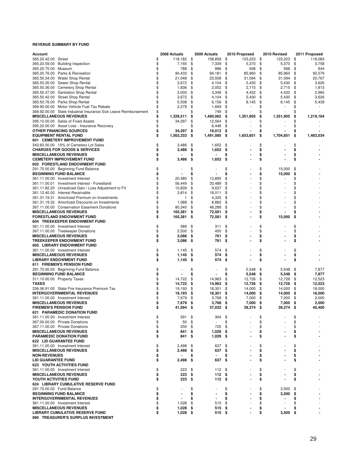| <b>Account</b>                                                   | 2008 Actuals     |      | 2009 Actuals             |      | 2010 Proposed | 2010 Revised         |      | 2011 Proposed |
|------------------------------------------------------------------|------------------|------|--------------------------|------|---------------|----------------------|------|---------------|
| 365.20.42.00 Street                                              | \$<br>118,182 \$ |      | 158,858                  | \$   | 123,223       | \$<br>123,223        | \$   | 118,083       |
| 365.20.59.00 Building Inspection                                 | \$<br>7,165      | \$   | 7,339                    | \$   | 5,370         | \$<br>5,370          | \$   | 3,758         |
| 365.20.75.00 Museum                                              | \$<br>788        | \$   | 996                      | \$   | 568           | \$<br>568            | \$   | 944           |
| 365.20.76.00 Parks & Recreation                                  | \$<br>90,433     | \$   | 94,181                   | \$   | 85,960        | \$<br>85,960         | \$   | 92,579        |
| 365.50.34.00 Water Shop Rental                                   | \$<br>21,048     | \$   | 23,508                   | \$   | 31,094        | \$<br>31,094         | \$   | 20,767        |
| 365.50.35.00 Sewer Shop Rental                                   | \$<br>3,672      | \$   | 4,104                    | \$   | 5,430         | \$<br>5,430          | \$   | 3,626         |
| 365.50.36.00 Cemetery Shop Rental                                | \$<br>1,836      | \$   | 2,052                    | \$   | 2,715         | \$<br>2,715          | \$   | 1,813         |
| 365.50.37.00 Sanitation Shop Rental                              | \$<br>3,000      | \$   | 3,348                    | \$   | 4,432         | \$<br>4,432          | \$   | 2,960         |
| 365.50.42.00 Street Shop Rental                                  | \$<br>3,672      | \$   | 4,104                    | \$   | 5,430         | \$<br>5,430          | \$   | 3,626         |
| 365.50.76.00 Parks Shop Rental                                   | \$<br>5,508      | \$   | 6,156                    | \$   | 8,145         | \$<br>8,145          | \$   | 5,439         |
| 369.90.00.00 Motor Vehicle Fuel Tax Rebate                       | \$<br>2,279      | \$   | 1,669                    | \$   |               | \$                   | \$   |               |
| 369.92.00.00 State Industrial Insurance Sick Leave Reimbursement | \$               | \$   | 749                      | \$   |               | \$<br>٠              | \$   |               |
| <b>MISCELLANEOUS REVENUES</b>                                    | \$<br>1,329,511  | \$   | 1,460,062                | \$   | 1,351,905     | \$<br>1,351,905      | \$   | 1,219,164     |
| 395.10.00.00 Sales of Fixed Assets                               | \$<br>34,297     | \$   | 12,564                   | \$   |               | \$                   | \$   |               |
| 395.20.00.00 Asset Loss - Insurance Recovery                     | \$               | \$   | 6,448                    | \$   |               | \$                   | \$   |               |
| OTHER FINANCING SOURCES                                          | \$<br>34,297     | \$   | 19,012                   | - \$ |               | \$                   | \$   |               |
| <b>EQUIPMENT RENTAL FUND</b>                                     | \$<br>1,563,333  | \$   | 1,491,085                | - \$ | 1,653,851     | \$<br>1,704,851      | \$   | 1,483,034     |
| 601 CEMETERY IMPROVEMENT FUND                                    |                  |      |                          |      |               |                      |      |               |
| 343.60.00.00 15% of Cemetery Lot Sales                           | \$<br>3,486      | \$   | 1,652                    | \$   |               | \$                   | \$   |               |
| <b>CHARGES FOR GOODS &amp; SERVICES</b>                          | \$<br>3,486      | \$   | 1,652                    | -\$  |               | \$                   | \$   |               |
| <b>MISCELLANEOUS REVENUES</b>                                    | \$               | \$   |                          | \$   |               | \$                   | \$   |               |
| <b>CEMETERY IMPROVEMENT FUND</b>                                 | \$<br>3,486      | \$   | 1,652                    | \$   |               | \$                   | \$   |               |
| 602 FORESTLAND ENDOWMENT FUND                                    |                  |      |                          |      |               |                      |      |               |
|                                                                  | \$               | \$   |                          | \$   |               | \$<br>15,000         | \$   |               |
| 291.70.00.00 Beginning Fund Balance                              |                  |      | ÷,                       |      |               |                      |      |               |
| <b>BEGINNING FUND BALANCE</b>                                    | \$               | \$   |                          | \$   |               | \$<br>15,000         | \$   |               |
| 361.11.00.00 Investment Interest                                 | \$<br>20,480     | \$   | 13,895                   | \$   |               | \$<br>$\overline{a}$ | \$   |               |
| 361.11.00.01 Investment Interest - Forestland                    | \$<br>56,449     | \$   | 33,489                   | \$   |               | \$                   | \$   |               |
| 361.11.82.20 Unrealized Gain / Loss Adjustment to FV             | \$<br>10,839     | \$   | 9,637                    | \$   |               | \$                   | \$   |               |
| 361.12.40.00 Interest Receivable                                 | \$<br>3,814      | \$   | 18,011                   | \$   |               | \$                   | \$   |               |
| 361.31.19.31 Amortized Premium on Investments                    | \$<br>1          | \$   | 4,325                    | \$   |               | \$                   | \$   |               |
| 361.31.19.32 Amortized Discounts on Investments                  | \$<br>1,088      | \$   | 8,882                    | \$   |               | \$                   | \$   |               |
| 367.11.00.00 Conservation Easement Donations                     | \$<br>80,340     | \$   | 48,288                   | \$   |               | \$                   | \$   |               |
| <b>MISCELLANEOUS REVENUES</b>                                    | \$<br>165,381    | \$   | 72,581                   | \$   |               | \$                   | \$   |               |
| <b>FORESTLAND ENDOWMENT FUND</b>                                 | \$<br>165,381    | \$   | 72,581                   | \$   |               | \$<br>15,000         | \$   |               |
| 604 TREEKEEPER ENDOWMENT FUND                                    |                  |      |                          |      |               |                      |      |               |
| 361.11.00.00 Investment Interest                                 | \$<br>586        | \$   | 311                      | \$   |               | \$                   | \$   |               |
| 367.11.00.00 Treekeeper Donations                                | \$<br>2,500      | \$   | 450                      | \$   |               | \$                   | \$   |               |
| <b>MISCELLANEOUS REVENUES</b>                                    | \$<br>3,086      | \$   | 761                      | \$   |               | \$                   | \$   |               |
| <b>TREEKEEPER ENDOWMENT FUND</b>                                 | \$<br>3,086      | \$   | 761                      | \$   |               | \$                   | \$   |               |
| 605 LIBRARY ENDOWMENT FUND                                       |                  |      |                          |      |               |                      |      |               |
|                                                                  | \$               |      | 574                      | \$   |               | \$                   | \$   |               |
| 361.11.00.00 Investment Interest                                 | \$<br>1,145      | \$   |                          |      |               |                      |      |               |
| <b>MISCELLANEOUS REVENUES</b>                                    | 1,145            | \$   | 574                      | \$   |               | \$                   | \$   |               |
| <b>LIBRARY ENDOWMENT FUND</b>                                    | \$<br>1,145      | \$   | 574                      | \$   |               | \$                   | \$   |               |
| 611 FIREMEN'S PENSION FUND                                       |                  |      |                          |      |               |                      |      |               |
| 291.70.00.00 Beginning Fund Balance                              | \$               | \$   | $\overline{\phantom{a}}$ | \$   | 5,548         | \$<br>5,548          | \$   | 7,877         |
| <b>BEGINNING FUND BALANCE</b>                                    | \$               | \$   |                          | \$   | 5,548         | \$<br>5,548          | \$   | 7,877         |
| 311.10.00.00 Property Taxes                                      | \$<br>14,722     | \$   | 14,963                   | \$   | 12,726        | \$<br>12,726         | \$   | 12,523        |
| <b>TAXES</b>                                                     | \$<br>14,722     | \$   | 14,963                   | \$   | 12,726        | \$<br>12,726         | \$   | 12,523        |
| 336.06.91.00 State Fire Insurance Premium Tax                    | \$<br>19,193     | \$   | 18,301                   | \$   | 14,000        | \$<br>14,000         | \$   | 18,000        |
| <b>INTERGOVERNMENTAL REVENUES</b>                                | \$<br>19,193     | \$   | 18,301                   | \$   | 14,000        | \$<br>14,000         | \$   | 18,000        |
| 361.11.00.00 Investment Interest                                 | \$<br>7,679      | \$   | 3,768                    | \$   | 7,000         | \$<br>7,000          | \$   | 2,000         |
| <b>MISCELLANEOUS REVENUES</b>                                    | \$<br>7,679      | \$   | 3,768                    | \$   | 7,000         | \$<br>7,000          | \$   | 2,000         |
| <b>FIREMEN'S PENSION FUND</b>                                    | \$<br>41,594     | - \$ | 37,032 \$                |      | 39,274        | \$<br>39,274         | - \$ | 40,400        |
| <b>621 PARAMEDIC DONATION FUND</b>                               |                  |      |                          |      |               |                      |      |               |
| 361.11.00.00 Investment Interest                                 | \$<br>591        | \$   | 304                      | \$   |               | \$                   | \$   |               |
| 367.00.00.00 Private Donations                                   | \$<br>50         | \$   | $\overline{\phantom{a}}$ | \$   |               | \$                   | \$   |               |
| 367.11.00.00 Private Donations                                   | \$<br>200        | \$   | 725                      | \$   |               | \$                   | \$   |               |
| <b>MISCELLANEOUS REVENUES</b>                                    | \$<br>841        | \$   | 1,029                    | \$   |               | \$                   | \$   |               |
| <b>PARAMEDIC DONATION FUND</b>                                   | \$<br>841        | \$   | 1,029                    | \$   |               | \$                   | \$   |               |
| <b>622 LID GUARANTEE FUND</b>                                    |                  |      |                          |      |               |                      |      |               |
|                                                                  | \$               |      | 637                      | \$   |               | \$                   | \$   |               |
| 361.11.00.00 Investment Interest                                 | 2,498            | \$   |                          |      |               |                      |      |               |
| <b>MISCELLANEOUS REVENUES</b>                                    | \$<br>2,498      | \$   | 637                      | \$   |               | \$                   | \$   |               |
| <b>NON-REVENUES</b>                                              | \$               | \$   | $\blacksquare$           | \$   |               | \$                   | \$   |               |
| <b>LID GUARANTEE FUND</b>                                        | \$<br>2,498      | \$   | 637                      | \$   |               | \$                   | \$   |               |
| <b>623 YOUTH ACTIVITIES FUND</b>                                 |                  |      |                          |      |               |                      |      |               |
| 361.11.00.00 Investment Interest                                 | \$<br>223        | \$   | 112                      | - \$ |               | \$                   | \$   |               |
| <b>MISCELLANEOUS REVENUES</b>                                    | \$<br>223        | \$   | 112                      | - \$ |               | \$                   | \$   |               |
| YOUTH ACTIVITIES FUND                                            | \$<br>223        | \$   | 112S                     |      |               | \$                   | \$   |               |
| 624 LIBRARY CUMULATIVE RESERVE FUND                              |                  |      |                          |      |               |                      |      |               |
| 291.70.00.00 Fund Balance                                        | \$               | \$   |                          | \$   |               | \$<br>3,500          | \$   |               |
| <b>BEGINNING FUND BALANCE</b>                                    | \$               | \$   |                          | \$   |               | \$<br>3,500          | \$   |               |
| <b>INTERGOVERNMENTAL REVENUES</b>                                | \$               | \$   | $\blacksquare$           | \$   |               | \$                   | \$   |               |
| 361.11.00.00 Investment Interest                                 | \$<br>1,028      | \$   | 515                      | \$   |               | \$<br>٠              | \$   |               |
| <b>MISCELLANEOUS REVENUES</b>                                    | \$<br>1,028      | \$   | 515                      | \$   |               | \$                   |      |               |
| <b>LIBRARY CUMULATIVE RESERVE FUND</b>                           | \$<br>$1,028$ \$ |      | 515 \$                   |      |               | \$<br>3,500          | \$   |               |
| 890 TREASURER'S SURPLUS INVESTMENT                               |                  |      |                          |      |               |                      |      |               |
|                                                                  |                  |      |                          |      |               |                      |      |               |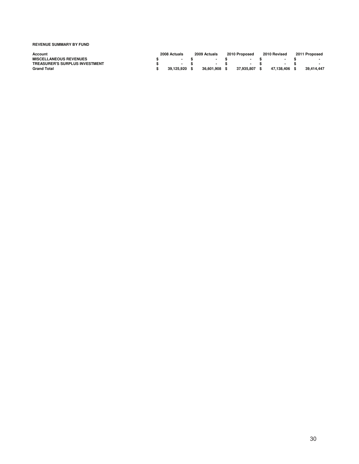| Account                               | 2008 Actuals | 2009 Actuals | 2010 Proposed | 2010 Revised | 2011 Proposed |
|---------------------------------------|--------------|--------------|---------------|--------------|---------------|
| <b>MISCELLANEOUS REVENUES</b>         |              |              |               |              |               |
| <b>TREASURER'S SURPLUS INVESTMENT</b> | $\sim$       |              |               |              |               |
| <b>Grand Total</b>                    | 39.125.920   | 36.601.908   | 37.935.807    | 47.138.406   | 39.414.447    |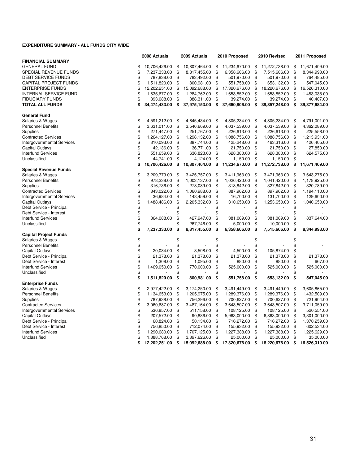#### **EXPENDITURE SUMMARY - ALL FUNDS CITY WIDE**

|                                   |          | 2008 Actuals                  |          | 2009 Actuals                  |          | 2010 Proposed              |          | 2010 Revised               |          | 2011 Proposed              |
|-----------------------------------|----------|-------------------------------|----------|-------------------------------|----------|----------------------------|----------|----------------------------|----------|----------------------------|
| <b>FINANCIAL SUMMARY</b>          |          |                               |          |                               |          |                            |          |                            |          |                            |
| <b>GENERAL FUND</b>               | \$       | 10,706,426.00                 | \$       | 10,807,464.00                 | \$       | 11,234,670.00              | \$       | 11,272,738.00              | \$       | 11,671,409.00              |
| SPECIAL REVENUE FUNDS             | \$       | 7,237,333.00                  | \$       | 8,817,455.00                  | \$       | 6,358,606.00               | \$       | 7,515,606.00               | \$       | 8,344,993.00               |
| DEBT SERVICE FUNDS                | \$       | 787,838.00                    | \$       | 783,492.00                    | \$       | 501,970.00                 | \$       | 501,970.00                 | \$       | 764,485.00                 |
| CAPITAL PROJECT FUNDS             | \$       | 1,511,820.00                  | \$       | 800,981.00                    | \$       | 551,758.00                 | \$       | 653,132.00                 | \$       | 547,045.00                 |
| <b>ENTERPRISE FUNDS</b>           | \$       | 12,202,251.00                 | \$       | 15,092,688.00                 | \$       | 17,320,676.00              | \$       | 18,220,676.00              | \$       | 16,526,310.00              |
| <b>INTERNAL SERVICE FUND</b>      | \$       | 1,635,677.00                  | \$       | 1,284,762.00                  | \$       | 1,653,852.00               | \$       | 1,653,852.00               | \$       | 1,483,035.00               |
| <b>FIDUCIARY FUNDS</b>            | \$       | 393,088.00                    | \$       | 388,311.00                    | \$       | 39,274.00                  | \$       | 39,274.00                  | \$       | 40,407.00                  |
| <b>TOTAL ALL FUNDS</b>            | \$       | 34,474,433.00                 | \$       | 37,975,153.00                 | \$       | 37,660,806.00              | \$       | 39,857,248.00              | \$       | 39,377,684.00              |
| <b>General Fund</b>               |          |                               |          |                               |          |                            |          |                            |          |                            |
| Salaries & Wages                  | \$       | 4,591,212.00                  | \$       | 4,645,434.00                  | \$       | 4,805,234.00               | \$       | 4,805,234.00               | \$       | 4,791,001.00               |
| <b>Personnel Benefits</b>         | \$       | 3,631,011.00                  | \$       | 3,546,669.00                  | \$       | 4,037,539.00               | \$       | 4,037,539.00               | \$       | 4,362,089.00               |
| Supplies                          | \$       | 271,447.00                    | \$       | 251,767.00                    | \$       | 226,613.00                 | \$       | 226,613.00                 | \$       | 225,558.00                 |
| <b>Contracted Services</b>        | \$       | 1,264,127.00                  | \$       | 1,298,132.00                  | \$       | 1,088,756.00               | \$       | 1,088,756.00               | \$       | 1,213,931.00               |
| <b>Intergovernmental Services</b> | \$       | 310,093.00                    | \$       | 387,744.00                    | \$       | 425,248.00                 | \$       | 463,316.00                 | \$       | 426,405.00                 |
| Capital Outlays                   | \$       | 42,136.00                     | \$       | 36,771.00                     | \$       | 21,750.00                  | \$       | 21,750.00                  | \$       | 27,850.00                  |
| <b>Interfund Services</b>         | \$       | 551,659.00                    | \$       | 636,823.00                    | \$       | 628,380.00                 | \$       | 628,380.00                 | \$       | 624,575.00                 |
| Unclassified                      | \$       | 44,741.00                     | \$       | 4,124.00                      | \$       | 1,150.00                   | \$       | 1,150.00                   | \$       |                            |
|                                   | \$       | 10,706,426.00                 | \$       | 10,807,464.00                 | \$       | 11,234,670.00              | \$       | 11,272,738.00              | \$       | 11,671,409.00              |
| <b>Special Revenue Funds</b>      |          |                               |          |                               |          |                            |          |                            |          |                            |
| Salaries & Wages                  | \$       | 3,209,779.00                  | \$       | 3,425,757.00                  | \$       | 3,411,963.00               | \$       | 3,471,963.00               | \$       | 3,643,275.00               |
| <b>Personnel Benefits</b>         | \$       | 978,238.00                    | \$       | 1,003,137.00                  | \$       | 1,026,420.00               | \$       | 1,041,420.00               | \$       | 1,178,925.00               |
| Supplies                          | \$       | 316,736.00                    | \$       | 278,089.00                    | \$       | 318,842.00                 | \$       | 327,842.00                 | \$       | 320,789.00                 |
| <b>Contracted Services</b>        | \$       | 843,022.00                    | \$       | 1,060,988.00                  | \$       | 887,962.00                 | \$       | 897,962.00                 | \$       | 1,194,110.00               |
| <b>Intergovernmental Services</b> | \$       | 36,984.00                     | \$       | 148,459.00                    | \$       | 16,700.00                  | \$       | 131,700.00                 | \$       | 129,600.00                 |
| <b>Capital Outlays</b>            | \$       | 1,488,486.00                  | \$       | 2,205,332.00                  | \$       | 310,650.00                 | \$       | 1,253,650.00               | \$       | 1,040,650.00               |
| Debt Service - Principal          | \$       |                               | \$       |                               | \$       |                            | \$       |                            | \$       |                            |
| Debt Service - Interest           | \$       |                               | \$       |                               | \$       |                            | \$       |                            | \$       |                            |
| <b>Interfund Services</b>         | \$       | 364,088.00                    | \$       | 427,947.00                    | \$       | 381,069.00                 | \$       | 381,069.00                 | \$       | 837,644.00                 |
| Unclassified                      | \$       |                               | \$       | 267,746.00                    | \$       | 5,000.00                   | \$       | 10,000.00                  | \$       |                            |
|                                   | \$       | 7,237,333.00                  | \$       | 8,817,455.00                  | \$       | 6,358,606.00               | \$       | 7,515,606.00               | \$       | 8,344,993.00               |
| <b>Capital Project Funds</b>      |          |                               |          |                               |          |                            |          |                            |          |                            |
| Salaries & Wages                  | \$       |                               | \$       |                               | \$       |                            | \$       |                            | \$       |                            |
| <b>Personnel Benefits</b>         | \$       |                               | \$       |                               | \$       |                            | \$       |                            | \$       |                            |
| <b>Capital Outlays</b>            | \$       | 20,084.00                     | \$       | 8,508.00                      | \$       | 4,500.00                   | \$       | 105,874.00                 | \$       |                            |
| Debt Service - Principal          | \$       | 21,378.00                     | \$       | 21,378.00                     | \$       | 21,378.00                  | \$       | 21,378.00                  | \$       | 21,378.00                  |
| Debt Service - Interest           | \$       | 1,308.00                      | \$       | 1,095.00                      | \$       | 880.00                     | \$       | 880.00                     | \$       | 667.00                     |
| <b>Interfund Services</b>         | \$       | 1,469,050.00                  | \$       | 770,000.00                    | \$       | 525,000.00                 | \$       | 525,000.00                 | \$       | 525,000.00                 |
| Unclassified                      | \$       |                               | \$       |                               | \$       |                            | \$       |                            | \$       |                            |
| <b>Enterprise Funds</b>           | \$       | 1,511,820.00                  | \$       | 800,981.00                    | \$       | 551,758.00                 | \$       | 653,132.00                 | S.       | 547,045.00                 |
| Salaries & Wages                  | \$       | 2,977,422.00                  | \$       | 3,174,250.00                  | \$       | 3,491,449.00               | \$       | 3,491,449.00               | \$       | 3,605,865.00               |
| <b>Personnel Benefits</b>         | \$       | 1,134,653.00                  | \$       | 1,205,975.00                  | \$       | 1,289,376.00               | \$       | 1,289,376.00               | \$       | 1,432,509.00               |
| Supplies                          | \$       | 787,938.00                    | \$       | 756,296.00                    | \$       | 700,627.00                 | \$       |                            | \$       | 721,904.00                 |
| <b>Contracted Services</b>        | \$       |                               | \$       |                               | \$       |                            | \$       | 700,627.00                 | \$       |                            |
|                                   |          | 3,060,687.00                  |          | 3,487,164.00                  |          | 3,643,507.00               |          | 3,643,507.00               |          | 3,711,059.00               |
| <b>Intergovernmental Services</b> | \$<br>\$ | 536,857.00                    | \$       | 511,158.00                    | \$       | 108,125.00                 | \$       | 108,125.00                 | \$       | 520,551.00                 |
| <b>Capital Outlays</b>            |          | 207,572.00                    | \$       | 90,886.00                     | \$<br>\$ | 5,963,000.00               | \$       | 6,863,000.00               | \$       | 3,301,000.00               |
| Debt Service - Principal          | \$       | 60,824.00                     | \$       | 50,134.00                     |          | 716,272.00                 | \$       | 716,272.00                 | \$       | 1,370,259.00               |
| Debt Service - Interest           | \$<br>\$ | 756,850.00                    | \$       | 712,074.00                    | \$       | 155,932.00                 | \$       | 155,932.00                 | \$       | 602,534.00                 |
| <b>Interfund Services</b>         | \$       | 1,290,680.00                  | \$       | 1,707,125.00                  | \$       | 1,227,388.00               | \$       | 1,227,388.00               | \$       | 1,225,629.00               |
| Unclassified                      | \$       | 1,388,768.00<br>12,202,251.00 | \$<br>\$ | 3,397,626.00<br>15,092,688.00 | \$<br>\$ | 25,000.00<br>17,320,676.00 | \$<br>\$ | 25,000.00<br>18,220,676.00 | \$<br>\$ | 35,000.00<br>16,526,310.00 |
|                                   |          |                               |          |                               |          |                            |          |                            |          |                            |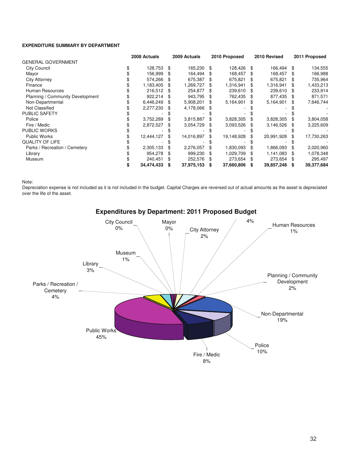#### **EXPENDITURE SUMMARY BY DEPARTMENT**

|                                  | 2008 Actuals |            |    | 2009 Actuals |     | 2010 Proposed |     | 2010 Revised |     | 2011 Proposed |
|----------------------------------|--------------|------------|----|--------------|-----|---------------|-----|--------------|-----|---------------|
| <b>GENERAL GOVERNMENT</b>        |              |            |    |              |     |               |     |              |     |               |
| <b>City Council</b>              |              | 128,753    | \$ | 165.230      | \$  | 128.426       | \$  | 166.494      | \$  | 134,555       |
| Mayor                            |              | 156,999    | \$ | 164,494      | \$. | 168,457       | \$. | 168,457      | \$. | 166,988       |
| City Attorney                    |              | 574,266    |    | 675,387      |     | 675,821       |     | 675,821      | \$. | 735,964       |
| Finance                          |              | 1,183,405  | \$ | 1,269,727    | \$. | 1,316,941     | \$. | 1,316,941    | \$. | 1,433,213     |
| Human Resources                  |              | 216,512    |    | 254,877      | S   | 239,610       | \$  | 239,610      | S   | 233,914       |
| Planning / Community Development |              | 922,214    | \$ | 943,795      | \$  | 762,435       | \$. | 877,435      | \$  | 871,571       |
| Non-Departmental                 |              | 6,446,249  | \$ | 5,908,201    | \$  | 5,164,901     | \$  | 5,164,901    | S   | 7,646,744     |
| Not Classified                   |              | 2,277,230  |    | 4,178,066    | \$  |               |     |              |     |               |
| PUBLIC SAFETY                    |              |            |    |              |     |               |     |              |     |               |
| Police                           |              | 3,752,289  |    | 3,815,887    |     | 3,828,305     |     | 3,828,305    | S   | 3,804,058     |
| Fire / Medic                     |              | 2,872,527  | \$ | 3,054,729    | \$. | 3,093,526     | \$. | 3,146,526    | S   | 3,225,609     |
| <b>PUBLIC WORKS</b>              |              |            |    |              |     |               |     |              |     |               |
| <b>Public Works</b>              |              | 12,444,127 | \$ | 14,016,897   | \$  | 19,148,928    | \$  | 20,991,928   | \$  | 17,730,263    |
| <b>QUALITY OF LIFE</b>           |              |            |    |              |     |               |     |              |     |               |
| Parks / Recreation / Cemetery    |              | 2,305,133  |    | 2,276,057    | \$  | 1,830,093     | \$  | 1,866,093    | \$  | 2,020,960     |
| Library                          |              | 954,278    | \$ | 999,230      | \$  | 1,029,709     | \$. | 1,141,083    | S   | 1,078,348     |
| Museum                           |              | 240,451    | \$ | 252,576      | \$  | 273,654       | \$  | 273,654      | \$  | 295,497       |
|                                  |              | 34,474,433 | S  | 37,975,153   | S   | 37,660,806    | S   | 39,857,248   | S   | 39,377,684    |

Note:

Depreciation expense is not included as it is not included in the budget. Capital Charges are reversed out of actual amounts as the asset is depreciated over the life of the asset.



Expenditures by Department: 2011 Proposed Budget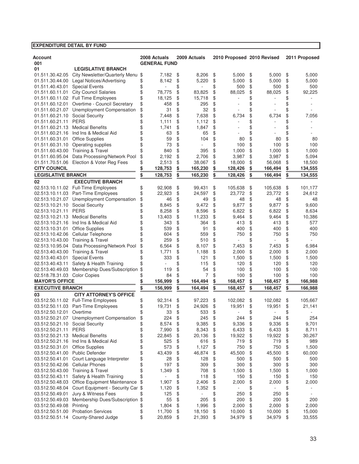## **EXPENDITURE DETAIL BY FUND**

| Account                                                                      | 2008 Actuals                 |          |          | 2009 Actuals     |          | 2010 Proposed 2010 Revised |          |                   |          | 2011 Proposed     |
|------------------------------------------------------------------------------|------------------------------|----------|----------|------------------|----------|----------------------------|----------|-------------------|----------|-------------------|
| 001                                                                          | <b>GENERAL FUND</b>          |          |          |                  |          |                            |          |                   |          |                   |
| <b>LEGISLATIVE BRANCH</b><br>01                                              |                              |          |          |                  |          |                            |          |                   |          |                   |
| 01.511.30.42.05 City Newsletter/Quarterly Menu                               | \$                           | 7,182    | \$       | 8,206            | \$       | 5,000                      | \$       | 5,000             | \$       | 5,000             |
| Legal Notices/Advertising<br>01.511.30.44.00                                 | \$                           | 8,142    | \$       | 5,220            | \$       | 5,000                      | \$       | 5,000             | \$       | 5,000             |
| <b>Special Events</b><br>01.511.40.43.01                                     | \$                           |          | \$       |                  | \$       | 500                        | \$       | 500               | \$       | 500               |
| <b>City Council Salaries</b><br>01.511.60.11.01                              | \$<br>78,775                 |          | \$       | 83,825           | \$       | 88,025                     | \$       | 88,025            | \$       | 92,225            |
| 01.511.60.11.02 Full Time Employees                                          | \$<br>18,125                 |          | \$       | 15,718           | \$       |                            | \$       |                   | \$       |                   |
| Overtime - Council Secretary<br>01.511.60.12.01                              | \$                           | 458      | \$       | 295              | \$       |                            | \$       |                   | \$       |                   |
| 01.511.60.21.07 Unemployment Compensation                                    | \$                           | 31       | \$       | 32               | \$       |                            | \$       |                   | \$       |                   |
| 01.511.60.21.10 Social Security                                              | \$                           | 7.448    | \$       | 7,638            | \$       | 6,734                      | \$       | 6,734             | \$       | 7,056             |
| <b>PERS</b><br>01.511.60.21.11                                               | \$                           | 1,111    | \$       | 1,112            | \$       |                            | \$       |                   | \$       |                   |
| <b>Medical Benefits</b><br>01.511.60.21.13                                   | \$                           | 1,741    | \$       | 1,847            | \$       |                            | \$       |                   | \$       |                   |
| 01.511.60.21.16 Ind Ins & Medical Aid                                        | \$                           | 63<br>59 | \$       | 65               | \$       |                            | \$       |                   | \$       |                   |
| 01.511.60.31.01 Office Supplies<br>01.511.60.31.10 Operating supplies        | \$                           | 73       | \$<br>\$ | 104              | \$<br>\$ | 80                         | \$<br>\$ | 80                | \$<br>\$ | 80                |
| 01.511.60.43.00 Training & Travel                                            |                              | 840      | \$       | 395              | \$       | 100<br>1,000               | \$       | 100<br>1,000      | \$       | 100<br>1,000      |
| 01.511.60.95.04 Data Processing/Network Pool                                 | \$                           | 2,192    | \$       | 2,706            | \$       | 3,987                      | \$       | 3,987             | \$       | 5,094             |
| 01.511.70.51.06 Election & Voter Reg Fees                                    | \$                           | 2,513    | \$       | 38,067           | \$       | 18,000                     | \$       | 56,068            | \$       | 18,500            |
| <b>CITY COUNCIL</b>                                                          | 128,753                      |          | \$       | 165,230          | \$       | 128,426                    | \$       | 166,494           | \$       | 134,555           |
| <b>LEGISLATIVE BRANCH</b>                                                    | \$<br>128,753                |          |          |                  |          |                            |          |                   |          |                   |
|                                                                              | \$                           |          | \$       | 165,230          | \$       | 128,426                    | \$       | 166,494           | \$       | 134,555           |
| <b>EXECUTIVE BRANCH</b><br>02                                                |                              |          |          |                  |          |                            |          |                   |          |                   |
| 02.513.10.11.02 Full-Time Employees<br>02.513.10.11.03 Part-Time Employees   | \$<br>92,908<br>\$<br>22,923 |          | \$<br>\$ | 99,431<br>24,597 | \$<br>\$ | 105,638<br>23,772          | \$<br>\$ | 105,638<br>23,772 | \$<br>\$ | 101,177<br>24,612 |
| 02.513.10.21.07 Unemployment Compensation                                    | \$                           | 46       | \$       | 49               | \$       | 48                         | \$       | 48                | \$       | 48                |
| 02.513.10.21.10 Social Security                                              | \$                           | 8,845    | \$       | 9,472            | \$       | 9,877                      | \$       | 9,877             | \$       | 9,600             |
| 02.513.10.21.11 PERS                                                         | \$                           | 8,258    | \$       | 8,596            | \$       | 6,822                      | \$       | 6,822             | \$       | 8,634             |
| <b>Medical Benefits</b><br>02.513.10.21.13                                   | \$<br>13,403                 |          | \$       | 11,233           | \$       | 9,464                      | \$       | 9,464             | \$       | 10,386            |
| 02.513.10.21.16 Ind Ins & Medical Aid                                        | \$                           | 343      | \$       | 364              | \$       | 413                        | \$       | 413               | \$       | 577               |
| 02.513.10.31.01<br><b>Office Supplies</b>                                    |                              | 539      | \$       | 91               | \$       | 400                        | \$       | 400               | \$       | 400               |
| 02.513.10.42.06 Cellular Telephone                                           | \$                           | 604      | \$       | 559              | \$       | 750                        | \$       | 750               | \$       | 750               |
| 02.513.10.43.00 Training & Travel                                            |                              | 259      | \$       | 510              | \$       |                            | \$       |                   | \$       |                   |
| 02.513.10.95.04 Data Processing/Network Pool                                 | \$                           | 6,564    | \$       | 8,107            | \$       | 7,453                      | \$       | 7,453             | \$       | 6,984             |
| 02.513.40.43.00 Training & Travel                                            | \$                           | 1,771    | \$       | 1,188            | \$       | 2,000                      | \$       | 2,000             | \$       | 2,000             |
| <b>Special Events</b><br>02.513.40.43.01                                     | \$                           | 333      | \$       | 121              | \$       | 1,500                      | \$       | 1,500             | \$       | 1,500             |
| Safety & Health Training<br>02.513.40.43.11                                  |                              |          | \$       | 115              | \$       | 120                        | \$       | 120               | \$       | 120               |
| Membership Dues/Subscription<br>02.513.40.49.03                              | \$                           | 119      | \$       | 54               | \$       | 100                        | \$       | 100               | \$       | 100               |
| 02.518.78.31.03 Color Copies                                                 |                              | 84       | \$       | 7                | \$       | 100                        | \$       | 100               | \$       | 100               |
| <b>MAYOR'S OFFICE</b>                                                        | 156,999                      |          | \$       | 164,494          | \$       | 168,457                    | \$       | 168,457           | \$       | 166,988           |
| <b>EXECUTIVE BRANCH</b>                                                      | 156,999<br>\$                |          | \$       | 164,494          | \$       | 168,457                    | \$       | 168,457           | \$       | 166,988           |
| <b>CITY ATTORNEY'S OFFICE</b><br>03                                          |                              |          |          |                  |          |                            |          |                   |          |                   |
| 03.512.50.11.02 Full-Time Employees                                          | \$<br>92,314                 |          | \$       | 97,223           | \$       | 102,082                    | \$       | 102,082           | \$       | 105,667           |
| 03.512.50.11.03 Part-Time Employees                                          | \$<br>19,731                 |          | \$       | 24,926           | \$       | 19,951                     | \$       | 19,951            | \$       | 21,141            |
| 03.512.50.12.01 Overtime                                                     | \$.                          | 33       | \$       | 533              | \$       |                            | \$       |                   | \$       |                   |
| 03.512.50.21.07 Unemployment Compensation                                    | \$                           | 224      | \$       | 245              | \$       | 244                        | \$       | 244               | \$       | 254               |
| <b>Social Security</b><br>03.512.50.21.10                                    | \$                           | 8,574    | \$       | 9,385            | \$       | 9,336                      | \$       | 9,336             | \$       | 9,701             |
| 03.512.50.21.11 PERS                                                         | \$                           | 7,990    | \$       | 8,343            | \$       | 6,433                      | \$       | 6,433             | \$       | 8,711             |
| <b>Medical Benefits</b><br>03.512.50.21.13                                   | \$<br>22,845                 |          | \$       | 20,136           | \$       | 19,922                     | \$       | 19,922            | \$       | 30,267            |
| 03.512.50.21.16 Ind Ins & Medical Aid                                        | \$                           | 525      | \$       | 616              | \$       | 719                        | \$       | 719               | \$       | 989               |
| <b>Office Supplies</b><br>03.512.50.31.01<br>03.512.50.41.00 Public Defender | \$                           | 573      | \$       | 1,127            | \$       | 750                        | \$       | 750               | \$       | 1,500             |
| 03.512.50.41.01<br>Court Language Interpreter                                | \$<br>43,439<br>\$           | 28       | \$<br>\$ | 46,874<br>128    | \$<br>\$ | 45,500<br>500              | \$<br>\$ | 45,500<br>500     | \$<br>\$ | 60,000<br>500     |
| <b>Cellular Phones</b><br>03.512.50.42.06                                    | \$                           | 197      | \$       | 309              | \$       | 300                        | \$       | 300               | \$       | 300               |
| 03.512.50.43.00 Training & Travel                                            | \$                           | 1,349    | \$       | 708              | \$       | 1,500                      | \$       | 1,500             | \$       | 1,000             |
| Safety & Health Training<br>03.512.50.43.11                                  | \$                           |          | \$       | 118              | \$       | 150                        | \$       | 150               | \$       | 150               |
| Office Equipment Maintenance<br>03.512.50.48.03                              | \$                           | 1,907    | \$       | 2,406            | \$       | 2,000                      | \$       | 2,000             | \$       | 2,000             |
| Court Equipment - Security Car \$<br>03.512.50.48.04                         |                              | 1,120    | \$       | 1,352            | \$       |                            | \$       |                   | \$       |                   |
| Jury & Witness Fees<br>03.512.50.49.01                                       | \$                           | 125      | \$       | $\overline{a}$   | \$       | 250                        | \$       | 250               | \$       | ٠                 |
| Membership Dues/Subscription \$<br>03.512.50.49.03                           |                              | 55       | \$       | 205              | \$       | 200                        | \$       | 200               | \$       | 200               |
| 03.512.50.49.08<br>Printing                                                  | \$                           | 1,804    | \$       | 1,996            | \$       | 2,000                      | \$       | 2,000             | \$       | 2,000             |
| <b>Probation Services</b><br>03.512.50.51.00                                 | \$<br>11,700                 |          | \$       | 18,150           | \$       | 10,000                     | \$       | 10,000            | \$       | 15,000            |
| 03.512.50.51.14 County-Shared Judge                                          | \$<br>20,859                 |          | \$       | 21,393           | \$       | 34,979                     | \$       | 34,979            | \$       | 33,555            |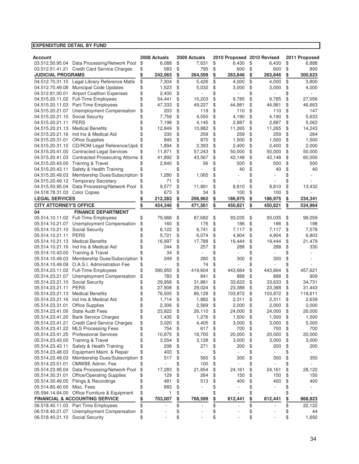| <b>Account</b>                     |                                                                                         |                       | 2008 Actuals   |          | 2009 Actuals |          | 2010 Proposed 2010 Revised |          |                          |          | 2011 Proposed  |
|------------------------------------|-----------------------------------------------------------------------------------------|-----------------------|----------------|----------|--------------|----------|----------------------------|----------|--------------------------|----------|----------------|
|                                    | 03.512.50.95.04 Data Processing/Network Pool                                            | \$                    | 6,088          | \$       | 7,631        | \$       | 6,430                      | \$       | 6,430                    | \$       | 6,888          |
|                                    | 03.512.51.41.21 Credit Card Service Charges                                             | \$                    | 583            | \$       | 795          | \$       | 600                        | \$       | 600                      | \$       | 800            |
| <b>JUDICIAL PROGRAMS</b>           |                                                                                         | \$<br>$\overline{\$}$ | 242,063        | \$       | 264,599      | \$       | 263,846                    | \$       | 263,846                  | \$       | 300,623        |
|                                    | 04.512.70.31.10 Legal Library Reference Matls<br>04.512.70.49.08 Municipal Code Updates |                       | 7,304<br>1,523 | \$<br>\$ | 5,426        | \$<br>\$ | 4,000                      | \$<br>\$ | 4,000                    | \$       | 3.800          |
|                                    | 04.512.81.00.01 Airport Coalition Expenses                                              | \$<br>\$              | 2,400          | \$       | 5,032        | \$       | 3,000                      | \$       | 3,000                    | \$<br>\$ | 4,000          |
|                                    | 04.515.20.11.02 Full-Time Employees                                                     | \$                    | 54,441         | \$       | 10,203       | \$       | 9,785                      | \$       | 9,785                    | \$       | 27,056         |
|                                    | 04.515.20.11.03 Part-Time Employees                                                     | \$                    | 47,333         | \$       | 49,227       | \$       | 44,981                     | \$       | 44,981                   | \$       | 46,663         |
| 04.515.20.21.07                    | <b>Unemployment Compensation</b>                                                        | \$                    | 203            | \$       | 119          | \$       | 110                        | \$       | 110                      | \$       | 147            |
| 04.515.20.21.10                    | Social Security                                                                         | \$                    | 7.759          | \$       | 4,550        | \$       | 4,190                      | \$       | 4,190                    | \$       | 5,633          |
| 04.515.20.21.11                    | <b>PERS</b>                                                                             | \$                    | 7,198          | \$       | 4,145        | \$       | 2,887                      | \$       | 2,887                    | \$       | 5,063          |
| 04.515.20.21.13                    | <b>Medical Benefits</b>                                                                 | \$                    | 12,849         | \$       | 10,882       | \$       | 11,265                     | \$       | 11,265                   | \$       | 14,243         |
| 04.515.20.21.16                    | Ind Ins & Medical Aid                                                                   | \$                    | 330            | \$       | 259          | \$       | 259                        | \$       | 259                      | \$       | 264            |
| 04.515.20.31.01                    | <b>Office Supplies</b>                                                                  | \$                    | 845            | \$       | 870          | \$       | 1,500                      | \$       | 1,500                    | \$       | 1,500          |
|                                    | 04.515.20.31.10 CD/ROM Legal Reference/Updi                                             | \$                    | 1,894          | \$       | 2,393        | \$       | 2,400                      | \$       | 2,400                    | \$       | 2,000          |
|                                    | 04.515.20.41.00 Contracted Legal Services                                               | \$                    | 11,871         | \$       | 57,243       | \$       | 50,000                     | \$       | 50,000                   | \$       | 50,000         |
|                                    | 04.515.20.41.03 Contracted Prosecuting Attorne \$                                       |                       | 41,892         | \$       | 43,567       | \$       | 43,148                     | \$       | 43,148                   | \$       | 60,000         |
|                                    | 04.515.20.43.00 Training & Travel                                                       | \$                    | 2,840          | \$       | 56           | \$       | 500                        | \$       | 500                      | \$       | 500            |
| 04.515.20.43.11                    | Safety & Health Training                                                                | \$                    |                | \$       |              | \$       | 40                         | \$       | 40                       | \$       | 40             |
|                                    | 04.515.20.49.03 Membership Dues/Subscription                                            | \$                    | 1,280          | \$       | 1,065        | \$       |                            | \$       |                          | \$       |                |
|                                    | 04.515.20.49.12 Temporary Secretary                                                     | \$                    | 71             | \$       |              | \$       |                            | \$       |                          | \$       |                |
| 04.515.50.95.04                    | Data Processing/Network Pool                                                            | \$                    | 9,577          | \$       | 11,891       | \$       | 8,810                      | \$       | 8.810                    | \$       | 13,432         |
| 04.518.78.31.03 Color Copies       |                                                                                         | \$                    | 673            | \$       | 34           | \$       | 100                        | \$       | 100                      | \$       |                |
| <b>LEGAL SERVICES</b>              |                                                                                         | \$                    | 212,283        | \$       | 206,962      | \$       | 186,975                    | \$       | 186,975                  | \$       | 234,341        |
| <b>CITY ATTORNEY'S OFFICE</b>      |                                                                                         | \$                    | 454,346        | \$       | 471,561      | \$       | 450,821                    | \$       | 450,821                  | \$       | 534,964        |
| 04                                 | <b>FINANCE DEPARTMENT</b>                                                               |                       |                |          |              |          |                            |          |                          |          |                |
|                                    | 05.514.10.11.02 Full-Time Employees                                                     | \$                    | 79,988         | \$       | 87,682       | \$       | 93,035                     | \$       | 93,035                   | \$       | 99,059         |
|                                    | 05.514.10.21.07 Unemployment Compensation                                               | \$                    | 160            | \$       | 176          | \$       | 186                        | \$       | 186                      | \$       | 198            |
| 05.514.10.21.10                    | <b>Social Security</b>                                                                  | \$                    | 6,122          | \$       | 6,741        | \$       | 7,117                      | \$       | 7,117                    | \$       | 7,578          |
| 05.514.10.21.11                    | <b>PERS</b>                                                                             | \$                    | 5,721          | \$       | 6,074        | \$       | 4,904                      | \$       | 4,904                    | \$       | 6,803          |
| 05.514.10.21.13                    | <b>Medical Benefits</b>                                                                 | \$                    | 16,997         | \$       | 17,788       | \$       | 19,444                     | \$       | 19,444                   | \$       | 21,479         |
|                                    | 05.514.10.21.16 Ind Ins & Medical Aid                                                   | \$                    | 244            | \$       | 257          | \$       | 288                        | \$       | 288                      | \$       | 330            |
| 05.514.10.43.00                    | <b>Training &amp; Travel</b>                                                            | \$                    | 34             | \$       |              | \$       |                            | \$       |                          | \$       |                |
| 05.514.10.49.03                    | Membership Dues/Subscription                                                            | \$                    | 249            | \$       | 280          | \$       | 300                        | \$       | 300                      | \$       |                |
| 05.514.10.49.09                    | O.A.S.I. Administration Fee                                                             | \$                    |                | \$       | 74           | \$       |                            | \$       |                          | \$       |                |
|                                    | 05.514.23.11.02 Full-Time Employees                                                     | \$                    | 390,955        | \$       | 419,604      | \$       | 443,664                    | \$       | 443,664                  | \$       | 457,621        |
| 05.514.23.21.07                    | Unemployment Compensation                                                               | \$                    | 783            | \$       | 841          | \$       | 888                        | \$       | 888                      | \$       | 909            |
| 05.514.23.21.10                    | Social Security                                                                         | \$                    | 29,958         | \$       | 31,881       | \$       | 33,633                     | \$       | 33,633                   | \$       | 34,731         |
| 05.514.23.21.11                    | <b>PERS</b>                                                                             | \$                    | 27,908         | \$       | 29,024       | \$       | 23,388                     | \$       | 23,388                   | \$       | 31,443         |
| 05.514.23.21.13                    | <b>Medical Benefits</b>                                                                 | \$                    | 76,505         | \$       | 86,128       | \$       | 103,872                    | \$       | 103,872                  | \$       | 118,611        |
| 05.514.23.21.16                    | Ind Ins & Medical Aid                                                                   | \$                    | 1,714          | \$       | 1,882        | \$       | 2,311                      | \$       | 2,311                    | \$       | 2,639          |
| 05.514.23.31.01                    | <b>Office Supplies</b>                                                                  | \$                    | 2,306          | \$       | 2,569        | \$       | 2,000                      | \$       | 2,000                    | \$       | 2,000          |
|                                    | 05.514.23.41.00 State Audit Fees                                                        | \$                    | 23,822         | \$       | 26,110       | \$       | 24,000                     | \$       | 24,000                   | \$       | 26,000         |
| 05.514.23.41.20                    | <b>Bank Service Charges</b>                                                             | \$                    | 1,435          | \$       | 1,276        | \$       | 1,500                      | \$       | 1,500                    | \$       | 1,500          |
| 05.514.23.41.21                    | <b>Credit Card Service Charges</b>                                                      | \$                    | 3,020          | \$       | 4,405        | \$       | 3,000                      | \$       | 3,000                    | \$       | 5,000          |
|                                    | 05.514.23.41.22 MLS Processing Fees                                                     | \$                    | 754            | \$       | 617          | \$       | 700                        | \$       | 700                      | \$       | 700            |
|                                    | 05.514.23.41.25 Professional Services                                                   | \$                    | 10,875         | \$       | 18,700       | \$       | 20,000                     | \$       | 20,000                   | \$       | 20,000         |
|                                    | 05.514.23.43.00 Training & Travel                                                       | \$                    | 3,554          | \$       | 3,128        | \$       | 3,000                      | \$       | 3,000                    | \$       | 3,000          |
| 05.514.23.43.11                    | Safety & Health Training                                                                | \$                    | 206            | \$       | 271          | \$       | 200                        | \$       | 200                      | \$       | 200            |
| 05.514.23.48.03                    | Equipment Maint. & Repair                                                               | \$                    | 403            | \$       | ÷,           | \$       |                            | \$       | $\overline{\phantom{a}}$ | \$       | $\blacksquare$ |
|                                    | 05.514.23.49.03 Membership Dues/Subscription                                            | \$                    | 517            | \$       | 560          | \$       | 300                        | \$       | 300                      | \$       | 350            |
| 05.514.23.51.01                    | OMWBE Admin. Fee                                                                        | \$                    |                | \$       | 100          | \$       |                            | \$       |                          | \$       |                |
| 05.514.23.95.04                    | Data Processing/Network Pool                                                            | \$                    | 17,283<br>129  | \$<br>\$ | 21,654       | \$       | 24,161                     | \$       | 24,161                   | \$       | 28,122<br>150  |
| 05.514.30.31.01                    | <b>Office/Operating Supplies</b>                                                        | \$                    |                |          | 264          | \$       | 150                        | \$       | 150                      | \$       |                |
| 05.514.30.49.05<br>05.514.80.40.00 | Filings & Recordings<br>Misc. Fees                                                      | \$<br>\$              | 481<br>883     | \$<br>\$ | 513<br>÷,    | \$<br>\$ | 400                        | \$<br>\$ | 400<br>÷,                | \$<br>\$ | 400            |
| 05.594.14.64.00                    | Office Furniture & Equipment                                                            | \$                    | 1              | \$       | ÷            | \$       |                            | \$       |                          | \$       |                |
|                                    | <b>FINANCIAL &amp; ACCOUNTING SERVICE</b>                                               | \$                    | 703,007        | \$       | 768,599      | \$       | 812,441                    | \$       | 812,441                  | \$       | 868,823        |
|                                    | 06.518.40.11.03 Part Time Employees                                                     |                       |                |          | ÷            |          |                            |          |                          |          | 22,122         |
|                                    | 06.518.40.21.07 Unemployment Compensation                                               | \$<br>\$              | Ĭ.             | \$<br>\$ |              | \$       |                            | \$<br>\$ |                          | \$       | 44             |
| 06.518.40.21.10 Social Security    |                                                                                         | \$                    | ÷,             | \$       |              | \$<br>\$ |                            | \$       |                          | \$<br>\$ | 1,692          |
|                                    |                                                                                         |                       |                |          |              |          |                            |          |                          |          |                |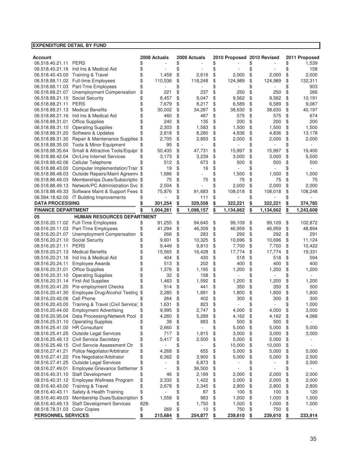| <b>EXPENDITURE DETAIL BY FUND</b> |                                                   |      |              |                 |                            |                 |                 |
|-----------------------------------|---------------------------------------------------|------|--------------|-----------------|----------------------------|-----------------|-----------------|
|                                   |                                                   |      |              |                 |                            |                 |                 |
| Account                           |                                                   |      | 2008 Actuals | 2009 Actuals    | 2010 Proposed 2010 Revised |                 | 2011 Proposed   |
| 06.518.40.21.11                   | <b>PERS</b>                                       | \$   |              | \$              | \$                         | \$              | \$<br>1,539     |
| 06.518.40.21.16                   | Ind Ins & Medical Aid                             | \$   |              | \$              | \$                         | \$              | \$<br>158       |
| 06.518.40.43.00                   | <b>Training &amp; Travel</b>                      | \$   | 1,458        | \$<br>2.616     | \$<br>2,000                | \$<br>2,000     | \$<br>2,000     |
| 06.518.88.11.02                   | <b>Full-time Employees</b>                        | \$   | 110,536      | \$<br>118,248   | \$<br>124,989              | \$<br>124,989   | \$<br>132,311   |
| 06.518.88.11.03                   | Part-Tme Employees                                | \$   |              | \$              | \$                         | \$              | \$<br>903       |
| 06.518.88.21.07                   | Unemployment Compensation                         | \$   | 221          | \$<br>237       | \$<br>250                  | \$<br>250       | \$<br>266       |
| 06.518.88.21.10                   | Social Security                                   | \$   | 8,457        | \$<br>9,047     | \$<br>9,562                | \$<br>9,562     | \$<br>10,191    |
| 06.518.88.21.11                   | <b>PERS</b>                                       | \$   | 7,679        | \$<br>8,217     | \$<br>6,589                | \$<br>6,589     | \$<br>9,087     |
| 06.518.88.21.13                   | <b>Medical Benefits</b>                           | \$   | 30,002       | \$<br>34,287    | \$<br>38,630               | \$<br>38,630    | \$<br>40,197    |
| 06.518.88.21.16                   | Ind Ins & Medical Aid                             | \$   | 460          | \$<br>487       | \$<br>575                  | \$<br>575       | \$<br>674       |
| 06.518.88.31.01                   | <b>Office Supplies</b>                            | \$   | 240          | \$<br>135       | \$<br>200                  | \$<br>200       | \$<br>200       |
| 06.518.88.31.10                   | <b>Operating Supplies</b>                         | \$   | 2,303        | \$<br>1,583     | \$<br>1,500                | \$<br>1,500     | \$<br>1,500     |
| 06.518.88.31.20                   | Software & Updates                                | \$   | 2,818        | \$<br>8,280     | \$<br>4,836                | \$<br>4,836     | \$<br>13,178    |
| 06.518.88.31.30                   | Repair & Maintenance Supplies \$                  |      | 2,705        | \$<br>2,893     | \$<br>2,000                | \$<br>2,000     | \$<br>2,000     |
| 06.518.88.35.00                   | Tools & Minor Equipment                           |      | 95           | \$              | \$                         | \$              | \$              |
| 06.518.88.35.64                   | Small & Attractive Tools/Equipr                   | \$   | 50,435       | \$<br>47,731    | \$<br>15,997               | \$<br>15,997    | \$<br>19,400    |
| 06.518.88.42.04                   | On/Line Internet Services                         | \$   | 3,173        | \$<br>3,239     | \$<br>3,000                | \$<br>3,000     | \$<br>5,500     |
| 06.518.88.42.06                   | Cellular Telephone                                |      | 512          | \$<br>673       | \$<br>500                  | \$<br>500       | \$<br>500       |
| 06.518.88.43.00                   | Computer Implementation/Trair \$                  |      | 19           | \$<br>16        | \$                         | \$              | \$              |
| 06.518.88.48.03                   | Outside Repairs/Maint Agreem \$                   |      | 1,686        | \$              | \$<br>1,500                | \$<br>1,500     | \$<br>1,000     |
| 06.518.88.49.03                   | Memberships Dues/Subscriptio \$                   |      | 75           | \$<br>75        | \$<br>75                   | \$<br>75        | \$<br>75        |
| 06.518.88.49.13                   | Network/PC Administration Svc \$                  |      | 2,504        | \$              | \$<br>2,000                | \$<br>2,000     | \$<br>2,000     |
| 06.518.88.49.33                   | Software Maint & Support Fees \$                  |      | 75,876       | \$<br>91,683    | \$<br>108,018              | \$<br>108,018   | \$<br>108,248   |
|                                   | 06.594.18.62.00 IT Building Improvements          |      |              | \$<br>111       | \$                         | \$              | \$              |
| <b>DATA PROCESSING</b>            |                                                   |      | 301,254      | \$<br>329,558   | \$<br>322,221              | \$<br>322,221   | \$<br>374,785   |
| <b>FINANCE DEPARTMENT</b>         |                                                   |      | 1,004,261    | \$<br>1,098,157 | \$<br>1,134,662            | \$<br>1,134,662 | \$<br>1,243,608 |
| 05                                | <b>HUMAN RESOURCES DEPARTMENT</b>                 |      |              |                 |                            |                 |                 |
|                                   | 08.516.20.11.02 Full-Time Employees               | \$   | 91,255       | \$<br>94,640    | \$<br>99,109               | \$<br>99,109    | \$<br>102,872   |
| 08.516.20.11.03                   | Part-Time Employees                               | \$   | 41,294       | \$<br>46,309    | \$<br>46,959               | \$<br>46,959    | \$<br>48,894    |
| 08.516.20.21.07                   | Unemployment Compensation                         | \$   | 266          | \$<br>283       | \$<br>292                  | \$<br>292       | \$<br>291       |
| 08.516.20.21.10                   | Social Security                                   |      | 9,601        | \$<br>10,325    | \$<br>10,696               | \$<br>10,696    | \$<br>11,124    |
| 08.516.20.21.11                   | <b>PERS</b>                                       | \$   | 9,449        | \$<br>9,810     | \$<br>7,700                | \$<br>7,700     | \$<br>10,422    |
| 08.516.20.21.13                   | <b>Medical Benefits</b>                           | \$   | 15,565       | \$<br>16,428    | \$<br>17,774               | \$<br>17,774    | \$<br>19,331    |
| 08.516.20.21.16                   | Ind Ins & Medical Aid                             | \$   | 404          | \$<br>430       | \$<br>518                  | \$<br>518       | \$<br>594       |
| 08.516.20.24.11                   | <b>Employee Awards</b>                            | \$   | 513          | \$<br>202       | \$<br>400                  | \$<br>400       | \$<br>400       |
| 08.516.20.31.01                   | <b>Office Supplies</b>                            | \$   | 1,376        | \$<br>1,195     | \$<br>1,200                | \$<br>1,200     | \$<br>1,200     |
| 08.516.20.31.10                   | <b>Operating Supplies</b>                         | \$   | 32           | \$<br>158       | \$                         | \$              | \$              |
| 08.516.20.31.14                   | <b>First Aid Supplies</b>                         | \$   | 1,463        | \$<br>1,592     | \$<br>1,200                | \$<br>1,200     | \$<br>1,200     |
| 08.516.20.41.20                   | Pre-employment Checks                             |      | 514          | \$<br>441       | \$<br>350                  | \$<br>350       | \$<br>500       |
| 08.516.20.41.30                   | Employee Drug/Alcohol Testing                     | \$   | 2,285        | \$<br>1,891     | \$<br>1,800                | \$<br>1,800     | \$<br>1,800     |
| 08.516.20.42.06                   | Cell Phone                                        |      | 264          | \$<br>402       | \$<br>300                  | \$<br>300       | \$<br>300       |
|                                   | 08.516.20.43.00 Training & Travel (Civil Service) | \$   | 1,631        | \$<br>823       | \$                         | \$              | \$<br>1,000     |
| 08.516.20.44.00                   | <b>Employment Advertising</b>                     | \$   | 9,995        | \$<br>2,747     | \$<br>4,000                | \$<br>4,000     | \$<br>3,000     |
| 08.516.20.95.04                   | Data Processing/Network Pool                      | \$   | 4,260        | \$<br>5,289     | \$<br>4,162                | \$<br>4,162     | \$<br>4,066     |
| 08.516.25.31.10                   | <b>Operating Supplies</b>                         | \$   | 38           | \$<br>883       | \$<br>500                  | \$<br>500       | \$              |
| 08.516.25.41.00                   | <b>HR Consultant</b>                              | \$   | 2,660        | \$              | \$<br>5,000                | \$<br>5,000     | \$<br>5,000     |
| 08.516.25.41.25                   | <b>Outside Legal Services</b>                     | \$   | 717          | \$<br>1,815     | \$<br>3,000                | \$<br>3,000     | \$<br>3,000     |
| 08.516.25.49.13                   | <b>Civil Service Secretary</b>                    | \$   | 5,417        | \$<br>2,500     | \$<br>5,000                | \$<br>5,000     | \$              |
| 08.516.25.49.15                   | Civil Servcie Assessment Ctr                      | \$   |              | \$              | \$<br>10,000               | \$<br>10,000    | \$              |
| 08.516.27.41.21                   | Police Negotiator/Arbitrator                      | \$   | 4,268        | \$<br>655       | \$<br>5,000                | \$<br>5,000     | \$<br>5,000     |
| 08.516.27.41.22                   | Fire Negotiator/Arbitrator                        | \$   | 6,362        | \$<br>3,900     | \$<br>5,000                | \$<br>5,000     | \$<br>2,500     |
| 08.516.27.41.25                   | <b>Outside Legal Services</b>                     | \$   |              | \$<br>6,873     | \$                         | \$              | \$<br>2,500     |
| 08.516.27.49.01                   | Employee Grievance Settlemer                      | \$   |              | \$<br>36,500    | \$                         | \$              | \$              |
| 08.516.40.31.10                   | <b>Staff Development</b>                          | \$   | 46           | \$<br>2,189     | \$<br>2,000                | \$<br>2,000     | \$<br>2,000     |
| 08.516.40.31.12                   | Employee Wellness Program                         | \$   | 2,332        | \$<br>1,422     | \$<br>2,000                | \$<br>2,000     | \$<br>2,000     |
| 08.516.40.43.00                   | <b>Training &amp; Travel</b>                      | \$   | 2,678        | \$<br>2,345     | \$<br>2,800                | \$<br>2,800     | \$<br>2,800     |
| 08.516.40.43.11                   | Safety & Health Training                          | \$   |              | \$<br>87        | \$<br>100                  | \$<br>100       | \$<br>120       |
| 08.516.40.49.03                   | Membership Dues/Subscription                      | \$   | 1,558        | \$<br>983       | \$<br>1,000                | \$<br>1,000     | \$<br>1,000     |
| 08.516.40.49.13                   | <b>Staff Development Services</b>                 | 828- |              | \$<br>1,750     | \$<br>1,000                | \$<br>1,000     | \$<br>1,000     |
| 08.518.78.31.03                   | <b>Color Copies</b>                               | \$   | 269          | \$<br>10        | \$<br>750                  | \$<br>750       | \$              |
| <b>PERSONNEL SERVICES</b>         |                                                   | \$   | 215,684      | \$<br>254,877   | \$<br>239,610              | \$<br>239,610   | \$<br>233,914   |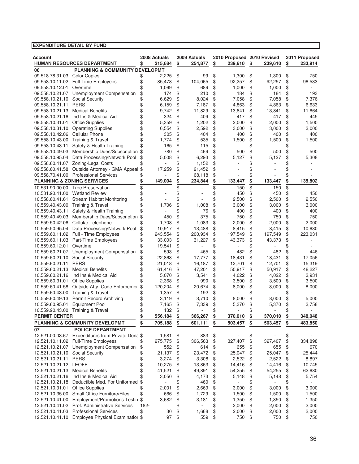| Account                               |                                                                                           |          | 2008 Actuals |          | 2009 Actuals |          | 2010 Proposed 2010 Revised |          |         |          | 2011 Proposed |
|---------------------------------------|-------------------------------------------------------------------------------------------|----------|--------------|----------|--------------|----------|----------------------------|----------|---------|----------|---------------|
|                                       | <b>HUMAN RESOURCES DEPARTMENT</b>                                                         | \$       | 215,684      | \$       | 254,877      | \$       | 239,610                    | \$       | 239,610 | \$       | 233,914       |
| 06                                    | <b>PLANNING &amp; COMMUNITY DEVELOPMT</b>                                                 |          |              |          |              |          |                            |          |         |          |               |
| 09.518.78.31.03                       | <b>Color Copies</b>                                                                       | \$       | 2,225        | \$       | 99           | \$       | 1,300                      | \$       | 1,300   | \$       | 750           |
|                                       | 09.558.10.11.02 Full-Time Employees                                                       | \$       | 85,478       | \$       | 104,065      | \$       | 92,257                     | \$       | 92,257  | \$       | 96,533        |
| 09.558.10.12.01                       | Overtime                                                                                  |          | 1,069        | \$       | 689          | \$       | 1,000                      | \$       | 1,000   | \$       |               |
| 09.558.10.21.07                       | Unemployment Compensation                                                                 | \$       | 174          | \$       | 210          | \$       | 184                        | \$       | 184     | \$       | 193           |
| 09.558.10.21.10                       | Social Security                                                                           | \$       | 6,629        | \$       | 8,024        | \$       | 7,058                      | \$       | 7,058   | \$       | 7,376         |
| 09.558.10.21.11                       | <b>PERS</b>                                                                               | \$       | 6,159        | \$       | 7,187        | \$       | 4,863                      | \$       | 4,863   | \$       | 6,633         |
| 09.558.10.21.13                       | <b>Medical Benefits</b>                                                                   | \$       | 9,742        | \$       | 11,829       | \$       | 13,841                     | \$       | 13,841  | \$       | 11,664        |
| 09.558.10.21.16                       | Ind Ins & Medical Aid                                                                     | \$       | 324          | \$       | 409          | \$       | 417                        | \$       | 417     | \$       | 445           |
| 09.558.10.31.01                       | <b>Office Supplies</b><br><b>Operating Supplies</b>                                       | \$       | 5,359        | \$       | 1,202        | \$       | 2,000                      | \$       | 2,000   | \$       | 1,500         |
| 09.558.10.31.10                       | Cellular Phone                                                                            | \$<br>\$ | 6,554<br>305 | \$<br>\$ | 2,592        | \$<br>\$ | 3,000<br>400               | \$       | 3,000   | \$       | 3,000         |
| 09.558.10.42.06<br>09.558.10.43.00    | Training & Travel                                                                         |          | 1,774        | \$       | 404<br>535   | \$       | 1,500                      | \$<br>\$ | 400     | \$<br>\$ | 400           |
| 09.558.10.43.11                       | Safety & Health Training                                                                  | \$       | 165          | \$       | 115          | \$       |                            | \$       | 1,500   | \$       | 1,500         |
| 09.558.10.49.03                       | Membership Dues/Subscription                                                              | \$       | 780          | \$       | 469          | \$       | 500                        | \$       | 500     | \$       | 500           |
| 09.558.10.95.04                       | Data Processing/Network Pool                                                              | \$       | 5,008        | \$       | 6,293        | \$       | 5,127                      | \$       | 5,127   | \$       | 5,308         |
| 09.558.60.41.07                       | Zoning-Legal Costs                                                                        |          |              | \$       | 1,152        | \$       |                            | \$       |         | \$       |               |
| 09.558.60.41.58                       | Outside Attorney - GMA Appeal                                                             | \$       | 17,259       | \$       | 21,452       | \$       |                            | \$       |         | \$       |               |
|                                       | 09.558.70.41.00 Professional Services                                                     |          |              | \$       | 68,118       | \$       |                            | \$       |         | \$       |               |
| <b>PLANNING &amp; ZONING SERVICES</b> |                                                                                           |          | 149,004      | \$       | 234,844      | \$       | 133,447                    | \$       | 133,447 | \$       | 135,802       |
| 10.531.90.00.00                       | <b>Tree Preservation</b>                                                                  | \$       |              | \$       |              | \$       | 150                        | \$       | 150     | \$       |               |
| 10.531.90.41.00 Wetland Review        |                                                                                           | \$       |              | \$       |              | \$       | 450                        | \$       | 450     | \$       | 450           |
| 10.558.60.41.61                       | <b>Stream Habitat Monitoring</b>                                                          | \$       |              | \$       |              | \$       | 2,500                      | \$       | 2,500   | \$       | 2,550         |
| 10.559.40.43.00 Training & Travel     |                                                                                           | \$       | 1,706        | \$       | 1,008        | \$       | 3,000                      | \$       | 3,000   | \$       | 3,000         |
| 10.559.40.43.11                       | Safety & Health Training                                                                  |          |              | \$       | 76           | \$       | 400                        | \$       | 400     | \$       | 400           |
| 10.559.40.49.03                       | Membership Dues/Subscription \$                                                           |          | 450          | \$       | 375          | \$       | 750                        | \$       | 750     | \$       | 750           |
| 10.559.50.42.06                       | Cellular Telephone                                                                        |          | 1,708        | \$       | 1,083        | \$       | 2,000                      | \$       | 2,000   | \$       | 2,000         |
| 10.559.50.95.04                       | Data Processing/Network Pool                                                              | \$       | 10,917       | \$       | 13,488       | \$       | 8,415                      | \$       | 8,415   | \$       | 10,630        |
|                                       | 10.559.60.11.02 Full - Time Employees                                                     | \$       | 243,554      | \$       | 200,934      | \$       | 197,549                    | \$       | 197,549 | \$       | 223,031       |
| 10.559.60.11.03                       | Part-Time Employees                                                                       | \$       | 33,003       | \$       | 31,227       | \$       | 43,373                     | \$       | 43,373  | \$       |               |
| 10.559.60.12.01                       | Overtime                                                                                  |          | 19,541       | \$       |              | \$       |                            | \$       |         | \$       |               |
| 10.559.60.21.07                       | Unemployment Compensation                                                                 | \$       | 593          | \$       | 465          | \$       | 482                        | \$       | 482     | \$       | 446           |
| 10.559.60.21.10                       | Social Security                                                                           |          | 22,863       | \$       | 17,777       | \$       | 18,431                     | \$       | 18,431  | \$       | 17,056        |
| 10.559.60.21.11                       | <b>PERS</b>                                                                               |          | 21,018       | \$       | 16,187       | \$       | 12,701                     | \$       | 12,701  | \$       | 15,319        |
| 10.559.60.21.13                       | <b>Medical Benefits</b>                                                                   |          | 61,416       | \$       | 47,201       | \$       | 50,917                     | \$       | 50,917  | \$       | 48,227        |
| 10.559.60.21.16                       | Ind Ins & Medical Aid                                                                     | \$       | 5,070        | \$       | 3,541        | \$       | 4,022                      | \$       | 4,022   | \$       | 3,931         |
| 10.559.60.31.01                       | <b>Office Supplies</b>                                                                    |          | 2,368        | \$       | 990          | \$       | 3,500                      | \$       | 3,500   | \$       | 3,500         |
| 10.559.60.41.58                       | Outside Atty- Code Enforcemer                                                             | \$       | 120,204      | \$       | 20,674       | \$       | 8,000                      | \$       | 8,000   | \$       | 8,000         |
| 10.559.60.43.00                       | <b>Training &amp; Travel</b>                                                              |          | 1,357        | \$       | 192          | \$       |                            | \$       |         | \$       |               |
| 10.559.60.49.13                       | <b>Permit Record Archiving</b>                                                            | \$       | 3,119        | \$       | 3,710        | \$       | 8,000                      | \$       | 8,000   | \$       | 5,000         |
| 10.559.60.95.01                       | <b>Equipment Pool</b>                                                                     | \$       | 7,165        | \$       | 7,339        | \$       | 5,370                      | \$       | 5,370   | \$       | 3,758         |
| 10.559.90.43.00                       | <b>Training &amp; Travel</b>                                                              | \$       | 132          | \$       |              | \$       |                            | \$       |         | \$       |               |
| <b>PERMIT CENTER</b>                  |                                                                                           | \$       | 556,184      | \$       | 366,267      | \$       | 370,010                    | \$       | 370,010 | \$       | 348,048       |
|                                       | <b>PLANNING &amp; COMMUNITY DEVELOPMT</b>                                                 | \$       | 705,188      | \$       | 601,111      | \$       | 503,457                    | \$       | 503,457 | \$       | 483,850       |
| 07                                    | <b>POLICE DEPARTMENT</b>                                                                  |          |              |          |              |          |                            |          |         |          |               |
|                                       | 12.521.00.03.67 Expenditures from Private Dona \$                                         |          | 1,581        | \$       | 883          | \$       |                            | \$       |         | \$       |               |
|                                       | 12.521.10.11.02 Full-Time Employees                                                       | \$       | 275,775      | \$       | 306,563      | \$       | 327,407                    | \$       | 327,407 | \$       | 334,898       |
|                                       | 12.521.10.21.07 Unemployment Compensation                                                 | \$       | 552          | \$       | 614          | \$       | 655                        | \$       | 655     | \$       | 670           |
| 12.521.10.21.10 Social Security       |                                                                                           | \$       | 21,137       | \$       | 23,472       | \$       | 25,047                     | \$       | 25,047  | \$       | 25,444        |
| 12.521.10.21.11                       | <b>PERS</b>                                                                               | \$       | 3,274        | \$       | 3,308        | \$       | 2,522                      | \$       | 2,522   | \$       | 8,897         |
| 12.521.10.21.12 LEOFF                 |                                                                                           | \$       | 10,275       | \$       | 13,863       | \$       | 14,416                     | \$       | 14,416  | \$       | 10,745        |
| 12.521.10.21.13                       | <b>Medical Benefits</b>                                                                   | \$<br>\$ | 41,521       | \$       | 49,891       | \$       | 54,255                     | \$       | 54,255  | \$       | 62,680        |
|                                       | 12.521.10.21.16 Ind Ins & Medical Aid<br>12.521.10.21.18 Deductible Med. For Uniformed \$ |          | 3,050        | \$       | 4,173        | \$       | 5,148                      | \$       | 5,148   | \$       | 5,754         |
| 12.521.10.31.01 Office Supplies       |                                                                                           |          | 2,001        | \$<br>\$ | 460<br>2,669 | \$<br>\$ | 3,000                      | \$<br>\$ | 3,000   | \$<br>\$ | 3,000         |
|                                       | 12.521.10.35.00 Small Office Furniture/Files                                              | \$       | 666          | \$       | 1,729        | \$       | 1,500                      | \$       | 1,500   | \$       | 1,500         |
|                                       | 12.521.10.41.00 Employment/Promotions Testin \$                                           |          | 3,682        | \$       | 3,181        | \$       | 1,350                      | \$       | 1,350   | \$       | 1,350         |
|                                       | 12.521.10.41.02 Prof. Administrative Services                                             | 182-     |              | \$       |              | \$       | 2,000                      | \$       | 2,000   | \$       | 2,000         |
|                                       | 12.521.10.41.03 Professional Services                                                     | \$       | 30           | \$       | 1,668        | \$       | 2,000                      | \$       | 2,000   | \$       | 2,000         |
|                                       | 12.521.10.41.10 Employee Physical Examination \$                                          |          | 97           | \$       | 559          | \$       | 750                        | \$       | 750     | \$       | 750           |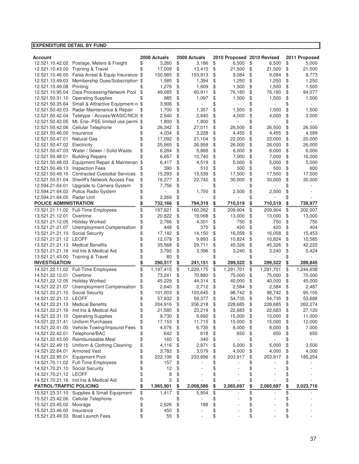#### **EXPENDITURE DETAIL BY FUND Account 2008 Actuals 2009 Actuals 2010 Proposed 2010 Revised 2011 Proposed** 12.521.10.42.02 Postage, Meters & Freight  $$3,260$   $$3,186$   $$6,500$   $$6,500$   $$6,500$   $$6,500$ 12.521.10.43.00 Training & Travel  $\frac{1}{2}$ ,  $\frac{1}{2}$  17,009 \$ 13,410 \$ 21,500 \$ 21,500 \$ 21,500<br>12.521.10.46.00 False Arrest & Equip Insurance \$ 150.985 \$ 153.913 \$ 9.084 \$ 9.084 \$ 8.773 12.12.52 False Arrest & Equip Insurance \$ 150,985 \$ 153,913 \$ 9,084 \$ 9,084 \$ 8,773<br>
Membership Dues/Subscription \$ 1,585 \$ 1,394 \$ 1,250 \$ 1,250 \$ 1,250 12.521.10.49.03 Membership Dues/Subscription \$ 1,585 \$ 1,394 \$ 1,250 \$ 1,250 \$ 12.521.10.49.08 Printing \$ 1,276 \$ 1,609 \$ 1,500 \$ 1,500 \$ 1,500 12.521.10.95.04 Data Processing/Network Pool \$49,085 \$60,911 \$76,180 \$76,180 \$84,077 12.521.50.31.10 Operating Supplies  $\frac{1}{3}$   $\frac{1}{3}$  985 \$ 1,097 \$ 1,500 \$ 1,500 \$ 1,500 12.521.50.35.64 Small & Attractive Equipment-re \$ 3.906 \$ - \$ - \$ - \$ 12.521.50.42.03 Radar Maintenance & Repair \$ 1,700 \$ 1,357 \$ 1,500 \$ 1,500 \$ 1,500 12.521.50.42.04 Teletype - Access/WASIC/NCI(\$2,640 \$2,640 \$4,000 \$4,000 \$3,000 \$3,000 \$3,000 \$5,000 \$ 12.521.50.42.05 Mt. Erie- PSE limited use permi \$ 1,800 \$ 1,800 \$ - \$ - \$ 12.521.50.42.06 Cellular Telephone 26,342 \$ 27,011 \$ 26,500 \$ 26,500 \$ 26,500 \$ 12.521.50.46.00 Insurance  $\begin{array}{ccccccccccccc}\n & & & & & \& & & 4,034 & \text{\$} & & & 3,228 & \text{\$} & & & 4,455 & \text{\$} & & & 4,455 & \text{\$} & & & & 4,589\n\end{array}$ 12.521.50.47.01 Natural Gas 17,092 \$ 21,104 \$ 22,000 \$ 22,000 \$ 20,000 \$ 12.521.50.47.02 Electricity  $$ 25,665 \$ 26,958 \$ 26,000 \$ 26,000 \$ 26,000$ 12.521.50.47.03 Water / Sewer / Solid Waste  $$6,284$   $$5,868$   $$6,000$   $$6,000$   $$6,000$   $$6,000$ 12.521.50.48.01 Building Repairs 6,657 \$ 10,740 \$ 7,000 \$ 7,000 \$ 16,000 \$ 12.521.50.48.03 Equipment Repair & Maintenan \$ 6.417 \$ 4.519 \$ 5,000 \$ 5,000 \$ 5,000 12.521.50.49.13 Inspection Fees  $$390 \text{ $}10 \text{ $}10 \text{ $}5 \text{ }10 \text{ $}5 \text{ }500 \text{ $}5 \text{ }500 \text{ $}5 \text{ }500 \text{ }5 \text{ }500 \text{ }5 \text{ }500 \text{ }5 \text{ }500 \text{ }500 \text{ }500 \text{ }500 \text{ }500 \text{ }500 \text{ }500 \text{ }500 \text{ }500 \text{ }500 \text{ }500 \text{ }500 \text{ }500$ 12.521.50.49.16 Contracted Custodial Services  $\frac{15,293 \cdot 15,539 \cdot 17,500 \cdot 17,500 \cdot 17,500 \cdot 17,500 \cdot 17,500 \cdot 17,500 \cdot 17,500 \cdot 17,500 \cdot 17,500 \cdot 17,500 \cdot 17,500 \cdot 17,500 \cdot 17,500 \cdot 17,500 \cdot 17,500 \cdot 17,500 \cdot 17,500 \cdot 1$ Sheriff's Network Access Fee 12.594.21.64.01 Upgrade to Camera System \$ 7.756 \$ - \$ - \$ - \$ 12.594.21.64.02 Police Radio System \$ - \$ 1,750 \$ 2,500 \$ 5 -<br>12.594.21.64.05 Radar Unit \$ 2,269 \$ - \$ - \$ - \$ -12.594.21.64.05 Radar Unit  $\frac{1}{3}$   $\frac{2}{5}$   $\frac{2}{5}$   $\frac{2}{5}$   $\frac{2}{5}$   $\frac{2}{5}$   $\frac{3}{5}$   $\frac{3}{5}$   $\frac{4}{5}$   $\frac{4}{5}$   $\frac{5}{5}$   $\frac{5}{5}$   $\frac{4}{5}$   $\frac{5}{5}$   $\frac{6}{5}$   $\frac{1}{5}$   $\frac{5}{5}$   $\frac{1}{5}$   $\frac{5}{5}$   $\frac{1$ **POLICE ADMINISTRATION \$ 732,166 794,319 \$ 710,519 \$ 710,519 \$ 739,977 \$**  13.521.21.11.02 Full-Time Employees \$ 197,821 \$ 160,262 \$ 209,904 \$ 209,904 \$ 202,007<br>13.521.21.12.01 Overtime 20.822 \$ 19.068 \$ 13.000 \$ 13.000 \$ 13.000 13.521.21.12.01 Overtime \$ 20,822 \$ 19,068 \$ 13,000 \$ 13,000 \$ 13,000 \$<br>13.521.21.12.05 Holiday Worked \$ 2.766 \$ 4.301 \$ 750 \$ 750 Holiday Worked 13.521.21.21.07 Unemployment Compensation \$48 \$370 \$420 \$420 \$420 \$404 13.521.21.21.10 Social Security  $$ 17,142 \$ 14,150 \$ 16,058 \$ 16,058 \$ 16,058 \$ 13.521.21.12 LEOFF \$ 12,078 \$ 9,893 \$ 10,824 \$ 10,585<br>13.521.21.21.13 Medical Benefits \$ 35.568 \$ 29.711 \$ 45.326 \$ 42.222 13.521.21.21.13 Medical Benefits 35,568 \$ 29,711 \$ 45,326 \$ 45,326 \$ 42,222 \$ 13.521.21.21.16 Ind Ins & Medical Aid  $$3,792$  \$  $3,396$  \$  $3,240$  \$  $3,240$  \$  $5,424$ 13.521.21.43.00 Training & Travel  $\begin{array}{cccc} \text{$6} & \text{$8} & \text{$8} & \text{$6} & \text{$6} & \text{$7} & \text{$8} & \text{$7} & \text{$8} & \text{$7} & \text{$7} & \text{$8} & \text{$7} & \text{$7} & \text{$7} \\ \end{array}$ **INVESTIGATION \$ 290,517 241,151 \$ 299,522 \$ 299,522 \$ 289,845 \$**  14.521.22.11.02 Full-Time Employees  $\overline{\hspace{1mm}}$  \$ 1,197.415 \$ 1,229.175 \$ 1,291.701 \$ 1,291.701 \$ 1,244.638 14.521.22.12.01 Overtime 73,241 \$ 70,880 \$ 75,000 \$ 75,000 \$ 70,000 \$ 14.521.22.12.05 Holiday Worked  $$ 45,229 \text{ } $ 44,314 \text{ } $ 40,000 \text{ } $ 40,000 \text{ } $ 40,000 \text{ } $ 45,000$ 14.521.22.21.07 Unemployment Compensation  $\frac{1}{2}$ ,640 \$ 2,712 \$ 2,584 \$ 2,584 \$ 2,487<br>14.521.22.21.10 Social Security \$ 101,003 \$ 103,645 \$ 98,742 \$ 98,742 \$ 95,105 14.521.22.21.10 Social Security \$ 101,003 \$ 103,645 \$ 98,742 \$ 98,742 \$ 95,105 14.521.22.21.12 LEOFF  $$57,932 \text{ $5}$   $$59,377 \text{ $5}$   $$54,735 \text{ $5}$   $$54,735 \text{ $5}$   $$53,688$ 14.521.22.21.13 Medical Benefits  $$204,916 $20,218 $228,685 $228,685 $262,274$ 14.521.22.21.16 Ind Ins & Medical Aid  $\begin{array}{cccc} \text{ $>$}\text{ $+$} \end{array}\quad \begin{array}{cccc} 21,580 \end{array}\quad \begin{array}{cccc} \text{ $>$}\text{ $+$} \end{array}\quad \begin{array}{cccc} 23,219 \end{array}\quad \begin{array}{cccc} \text{ $>$}\text{ $+$} \end{array}\quad \begin{array}{cccc} 22,683 \end{array}\quad \begin{array}{cccc} \text{ $>$}\text{ $+$} \end{array}\quad \begin{array}{cccc} 27,120 \end{array}\quad \begin{array}{cccc}$ 14.521.22.31.10 Operating Supplies  $\frac{1}{3}$   $\frac{1}{3}$  9,730 \$ 9,692 \$ 15,000 \$ 15,000 \$ 11,000<br>14.521.22.31.41 Uniform Purchases \$ 17,153 \$ 11,715 \$ 15,000 \$ 15,000 \$ 12,000 14.521.22.31.41 Uniform Purchases  $\begin{array}{ccc} 17,153 & 17,153 & 17,175 & 15,000 & 15,000 \end{array}$ 14.521.22.41.00 Vehicle Towing/Impound Fees \$4,076 \$6,735 \$8,000 \$8,000 \$7,000 14.521.22.42.01 Telephone/BAC \$ 642 \$ 618 \$ 650 \$ 650 \$ 650<br>14.521.22.43.00 Reimburseable Meal \$ 160 \$ 340 \$ - \$ - \$ -14.521.22.43.00 Reimburseable Meal \$ 160 \$ 340 \$ - \$ - \$ -<br>14.521.22.49.15 Uniform & Clothing Cleaning \$ 4.116 \$ 2.971 \$ 5.000 \$ 5.000 \$ 3.500 14.521.22.49.15 Uniform & Clothing Cleaning \$ 4.116 \$ 2.971 \$ 5.000 \$ 5.000 \$ 14.521.22.64.01 Armored Vest  $$3,782 \text{ $3$}$  3,782 \$3,079 \$4,000 \$4,000 \$4,000 14.521.22.95.01 Equipment Pool  $$222,106 $23,896 $203,917 $203,917 $185,254$ 14.521.70.11.02 Full-Time Employees 157 \$ - \$ - \$ - \$ - \$ 14.521.70.21.10 Social Security  $\qquad \qquad$  \$  $\qquad \qquad$  12 \$ - \$ - \$ - \$ 14.521.70.21.12 LEOFF 5 \$ 8 \$ - \$ - \$ 14.521.70.21.16 Ind Ins & Medical Aid  $\begin{array}{cccc} 16.521.70.21.16 & \text{Ind} \text{ Ins } 8 \text{ Medical Aid} & 3 \text{ } $ & -3 \text{ } $ & -12 \text{ } \end{array}$ **PATROL/TRAFFIC POLICING \$ 1,965,901 2,008,586 \$ 2,065,697 \$ 2,065,697 \$ 2,023,716 \$**  15.521.23.31.10 Supplies & Small Equipment  $\frac{1}{3}$   $\frac{1}{417}$   $\frac{1}{3}$   $\frac{5}{3}$   $\frac{5}{4}$   $\frac{1}{3}$   $\frac{1}{5}$   $\frac{1}{5}$   $\frac{1}{5}$   $\frac{1}{5}$   $\frac{1}{5}$   $\frac{1}{5}$   $\frac{1}{5}$   $\frac{1}{5}$   $\frac{1}{5}$   $\frac{1}{5}$   $\frac{1}{5}$   $\frac{1}{$ 15.521.23.42.06 Cellular Telephone 6- \$ - \$ - \$ 5 15.521.23.45.02 Moorage 2,626 \$ 188 \$ - \$ - \$ - \$ 15.521.23.46.00 Insurance  $\begin{array}{ccccccccccccc}\n & & & & & & \& & & 450 & \$ & & - & \$ & & & - & \& & & & \n\end{array}$ 15.521.23.49.33 Boat Launch Fees  $\begin{array}{cccccccccc} \text{$s$} & \text{$s$} & \text{$s$} & \text{$s$} & \text{$s$} & \text{$s$} & \text{$s$} & \text{$s$} & \text{$s$} & \text{$s$} & \text{$s$} & \text{$s$} & \text{$s$} & \text{$s$} & \text{$s$} & \text{$s$} & \text{$s$} & \text{$s$} & \text{$s$} & \text{$s$} & \text{$s$} & \text{$s$} & \text{$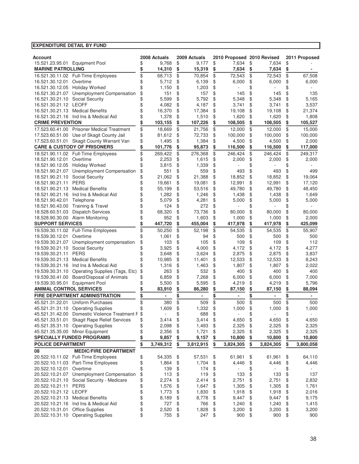| Account                          |                                               | 2008 Actuals    |    | 2009 Actuals             | 2010 Proposed 2010 Revised |                 |                | 2011 Proposed        |
|----------------------------------|-----------------------------------------------|-----------------|----|--------------------------|----------------------------|-----------------|----------------|----------------------|
| 15.521.23.95.01 Equipment Pool   |                                               | 9,768           | \$ | 9,177                    | \$<br>7,634                | \$              | 7,634          | \$                   |
| <b>MARINE PATROLLING</b>         |                                               | \$<br>14,310    | \$ | 15,319                   | \$<br>7,634                | \$              | 7,634          | \$                   |
|                                  | 16.521.30.11.02 Full-Time Employees           | \$<br>68,713    | \$ | 70,854                   | \$<br>72,543               | $\overline{\$}$ | 72,543         | \$<br>67,508         |
| 16.521.30.12.01                  | Overtime                                      | \$<br>5,712     | \$ | 6,139                    | \$<br>6,000                | \$              | 6,000          | \$<br>6,000          |
| 16.521.30.12.05 Holiday Worked   |                                               | \$<br>1,150     | \$ | 1,203                    | \$                         | \$              |                | \$                   |
|                                  | 16.521.30.21.07 Unemployment Compensation     | \$<br>151       | \$ | 157                      | \$<br>145                  | \$              | 145            | \$<br>135            |
| 16.521.30.21.10 Social Security  |                                               | \$<br>5,599     | \$ | 5,792                    | \$<br>5,348                | \$              | 5,348          | \$<br>5,165          |
| 16.521.30.21.12 LEOFF            |                                               | \$<br>4,082     | \$ | 4,187                    | \$<br>3,741                | \$              | 3,741          | \$<br>3,537          |
| 16.521.30.21.13 Medical Benefits |                                               | \$<br>16,370    | \$ | 17,384                   | \$<br>19,108               | \$              | 19,108         | \$<br>21,374         |
|                                  | 16.521.30.21.16 Ind Ins & Medical Aid         | \$<br>1,378     | \$ | 1,510                    | \$<br>1,620                | \$              | 1,620          | \$<br>1,808          |
| <b>CRIME PREVENTION</b>          |                                               | \$<br>103,155   | \$ | 107,226                  | \$<br>108,505              | \$              | 108,505        | \$<br>105,527        |
|                                  | 17.523.60.41.00 Prisoner Medical Treatment    | \$<br>18,669    | \$ | 21,756                   | \$<br>12,000               | \$              | 12,000         | \$<br>15,000         |
|                                  | 17.523.60.51.00 Use of Skagit County Jail     | \$<br>81,612    | \$ | 72,733                   | \$<br>100,000              | \$              | 100.000        | \$<br>100,000        |
|                                  | 17.523.60.51.01 Skagit County Warrant Van     | \$<br>1,495     | \$ | 1,384                    | \$<br>4,500                | \$              | 4,500          | \$<br>2,000          |
|                                  | <b>CARE &amp; CUSTODY OF PRISONERS</b>        | \$<br>101,776   | \$ | 95,873                   | \$<br>116,500              | \$              | 116,500        | \$<br>117,000        |
|                                  | 18.521.90.11.02 Full-Time Employees           | \$<br>269,422   | \$ | 276,368                  | \$<br>246,424              | \$              | 246,424        | \$<br>249,317        |
| 18.521.90.12.01                  | Overtime                                      | \$<br>2,253     | \$ | 1,615                    | \$<br>2,000                | \$              | 2,000          | \$<br>2,000          |
| 18.521.90.12.05 Holiday Worked   |                                               | \$<br>3,815     | \$ | 1,339                    | \$                         | \$              |                | \$                   |
|                                  | 18.521.90.21.07 Unemployment Compensation     | \$<br>551       | \$ | 559                      | \$<br>493                  | \$              | 493            | \$<br>499            |
| 18.521.90.21.10 Social Security  |                                               | \$<br>21,062    | \$ | 21,388                   | \$<br>18,852               | \$              | 18,852         | \$<br>19,064         |
| 18.521.90.21.11 PERS             |                                               | \$<br>19,661    | \$ | 19,081                   | \$<br>12,991               | \$              | 12,991         | \$<br>17,120         |
| 18.521.90.21.13 Medical Benefits |                                               | \$<br>55,199    | \$ | 53,516                   | \$<br>49,780               | \$              | 49,780         | \$<br>48,450         |
|                                  | 18.521.90.21.16 Ind Ins & Medical Aid         | \$<br>1,282     | \$ | 1,246                    | \$<br>1,438                | \$              | 1,438          | \$<br>1,649          |
| 18.521.90.42.01                  | Telephone                                     | \$<br>5,079     | \$ | 4,281                    | \$<br>5,000                | \$              | 5,000          | \$<br>5,000          |
| 18.521.90.43.00                  | <b>Training &amp; Travel</b>                  | \$<br>124       | \$ | 272                      | \$                         | \$              |                | \$                   |
| 18.528.60.51.03                  | <b>Dispatch Services</b>                      | \$<br>68,320    | \$ | 73,736                   | \$<br>80,000               | \$              | 80,000         | \$<br>80,000         |
| 18.528.90.30.00 Alarm Monitoring |                                               | \$<br>952       | \$ | 1,603                    | \$<br>1,000                | \$              | 1,000          | \$<br>2,000          |
| <b>SUPPORT SERVICES</b>          |                                               | \$<br>447,720   | \$ | 455,004                  | \$<br>417,978              | \$              | 417,978        | \$<br>425,099        |
|                                  | 19.539.30.11.02 Full-Time Employees           | \$<br>50,250    | \$ | 52.198                   | \$<br>54,535               | \$              | 54,535         | \$<br>55,907         |
| 19.539.30.12.01                  | Overtime                                      | \$<br>1,061     | \$ | 94                       | \$<br>500                  | \$              | 500            | \$<br>500            |
|                                  | 19.539.30.21.07 Unemployment compensation     | \$<br>103       | \$ | 105                      | \$<br>109                  | \$              | 109            | \$<br>112            |
| 19.539.30.21.10 Social Security  |                                               | \$<br>3,925     | \$ | 4,000                    | \$<br>4,172                | \$              | 4,172          | \$<br>4,277          |
| 19.539.30.21.11                  | <b>PERS</b>                                   | \$<br>3,648     | \$ | 3,624                    | \$<br>2,875                | \$              | 2,875          | \$<br>3,837          |
| 19.539.30.21.13                  | <b>Medical Benefits</b>                       | \$<br>10,985    | \$ | 11,401                   | \$<br>12,533               | \$              | 12,533         | \$<br>8,243          |
|                                  | 19.539.30.21.16 Ind Ins & Medical Aid         | \$<br>1,316     | \$ | 1,463                    | \$<br>1,807                | \$              | 1,807          | \$<br>2,022          |
| 19.539.30.31.10                  | Operating Supplies (Tags, Etc)                | \$<br>263       | \$ | 532                      | \$<br>400                  | \$              | 400            | \$<br>400            |
| 19.539.30.41.00                  | Board/Disposal of Animals                     | \$<br>6,859     | \$ | 7,268                    | \$<br>6,000                | \$              | 6,000          | \$<br>7,000          |
| 19.539.30.95.01                  | <b>Equipment Pool</b>                         | \$<br>5,500     | \$ | 5,595                    | \$<br>4,219                | \$              | 4,219          | \$<br>5,796          |
| <b>ANIMAL CONTROL SERVICES</b>   |                                               | \$<br>83,910    | \$ | 86,280                   | \$<br>87,150               | \$              | 87,150         | \$<br>88,094         |
|                                  | FIRE DEPARTMENT ADMINISTRATION                | \$<br>۰         | \$ | $\overline{\phantom{a}}$ | \$<br>$\blacksquare$       | \$              | $\blacksquare$ | \$<br>$\blacksquare$ |
|                                  | 45.521.31.22.01 Uniform Purchases             | \$<br>380       | \$ | 509                      | \$<br>500                  | \$              | 500            | \$<br>500            |
|                                  | 45.521.31.31.10 Operating Supplies            | \$<br>1,609     | \$ | 1,332                    | \$<br>1,000                | \$              | 1,000          | \$<br>1,000          |
|                                  | 45.521.31.42.00 Domestic Violence Treatment F | \$              | ¢  | 688                      | \$                         | \$              |                | \$                   |
|                                  | 45.521.33.51.01 Skagit Rape Relief Services   | \$<br>3,414     | \$ | 3,414                    | \$<br>4,650                | \$              | 4,650          | \$<br>4,650          |
|                                  | 45.521.35.31.10 Operating Supplies            | \$<br>2,098     | \$ | 1,493                    | \$<br>2,325                | \$              | 2,325          | \$<br>2,325          |
| 45.521.35.35.00 Minor Equipment  |                                               | \$<br>2,356     | \$ | 1,721                    | \$<br>2,325                | \$              | 2,325          | \$<br>2,325          |
|                                  | <b>SPECIALLY FUNDED PROGRAMS</b>              | \$<br>9,857     | \$ | 9,157                    | \$<br>10,800               | \$              | 10,800         | \$<br>10,800         |
| <b>POLICE DEPARTMENT</b>         |                                               | \$<br>3,749,312 | \$ | 3,812,915                | \$<br>3,824,305            | \$              | 3,824,305      | \$<br>3,800,058      |
| 08                               | <b>MEDIC/FIRE DEPARTMENT</b>                  |                 |    |                          |                            |                 |                |                      |
|                                  | 20.522.10.11.02 Full-Time Employees           | \$<br>54,335    | \$ | 57,531                   | \$<br>61,961               | \$              | 61,961         | \$<br>64,110         |
|                                  | 20.522.10.11.03 Part-Time Employees           | \$<br>1,864     | \$ | 1,704                    | \$<br>4,446                | \$              | 4,446          | \$<br>4,446          |
| 20.522.10.12.01 Overtime         |                                               | \$<br>139       | \$ | 174                      | \$                         | \$              |                | \$                   |
|                                  | 20.522.10.21.07 Unemployment Compensation     | \$<br>113       | \$ | 119                      | \$<br>133                  | \$              | 133            | \$<br>137            |
|                                  | 20.522.10.21.10 Social Security - Medicare    | \$<br>2,274     | \$ | 2,414                    | \$<br>2,751                | \$              | 2,751          | \$<br>2,832          |
| 20.522.10.21.11 PERS             |                                               | \$<br>1,576     | \$ | 1,647                    | \$<br>1,305                | \$              | 1,305          | \$<br>1,761          |
| 20.522.10.21.12 LEOFF            |                                               | \$<br>1,773     | \$ | 1,830                    | \$<br>1,918                | \$              | 1,918          | \$<br>2,016          |
| 20.522.10.21.13 Medical Benefits |                                               | \$<br>8,189     | \$ | 8,778                    | \$<br>9,447                | \$              | 9,447          | \$<br>9,175          |
| 20.522.10.21.16                  | Ind Ins & Medical Aid                         | \$<br>727       | \$ | 766                      | \$<br>1,240                | \$              | 1,240          | \$<br>1,415          |
| 20.522.10.31.01                  | <b>Office Supplies</b>                        | \$<br>2,520     | \$ | 1,828                    | \$<br>3,200                | \$              | 3,200          | \$<br>3,200          |
| 20.522.10.31.10                  | <b>Operating Supplies</b>                     | \$<br>755       | \$ | 247                      | \$<br>900                  | \$              | 900            | \$<br>900            |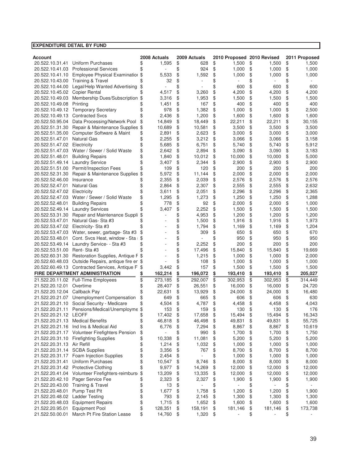| <b>EXPENDITURE DETAIL BY FUND</b>                         |                                                         |          |                  |          |                  |          |                            |          |                  |          |                  |
|-----------------------------------------------------------|---------------------------------------------------------|----------|------------------|----------|------------------|----------|----------------------------|----------|------------------|----------|------------------|
|                                                           |                                                         |          |                  |          |                  |          |                            |          |                  |          |                  |
| Account                                                   |                                                         |          | 2008 Actuals     |          | 2009 Actuals     |          | 2010 Proposed 2010 Revised |          |                  |          | 2011 Proposed    |
| 20.522.10.31.41                                           | <b>Uniform Purchases</b>                                |          | 1,595            | \$       | 628              | \$       | 1,500                      | \$       | 1,500            | \$       | 1,500            |
| 20.522.10.41.03                                           | <b>Professional Services</b>                            | \$       |                  | \$       | 924              | \$       | 1,000                      | \$       | 1,000            | \$       | 1,000            |
| 20.522.10.41.10                                           | Employee Physical Examinatior \$                        |          | 5,533            | \$       | 1,592            | \$       | 1,000                      | \$       | 1,000            | \$       | 1,000            |
| 20.522.10.43.00                                           | Training & Travel                                       |          | 32               | \$       |                  | \$       |                            | \$       |                  | \$       |                  |
| 20.522.10.44.00                                           | Legal/Help Wanted Advertising                           | \$       |                  | \$       |                  | \$       | 600                        | \$       | 600              | \$       | 600              |
| 20.522.10.45.02                                           | <b>Copier Rental</b><br>Membership Dues/Subscription \$ |          | 4,517            | \$<br>\$ | 3,260            | \$<br>\$ | 4,200                      | \$<br>\$ | 4,200            | \$       | 4,200<br>1,500   |
| 20.522.10.49.03<br>20.522.10.49.08                        | Printing                                                |          | 3,316<br>1,451   | \$       | 1,953<br>167     | \$       | 1,500<br>400               | \$       | 1,500<br>400     | \$<br>\$ | 400              |
| 20.522.10.49.12                                           | <b>Temporary Secretary</b>                              | \$       | 978              | \$       | 1,382            | \$       | 1,000                      | \$       | 1.000            | \$       | 2,500            |
| 20.522.10.49.13                                           | <b>Contracted Svcs</b>                                  |          | 2,436            | \$       | 1,200            | \$       | 1,600                      | \$       | 1,600            | \$       | 1,600            |
| 20.522.50.95.04                                           | Data Processing/Network Pool                            | \$       | 14,849           | \$       | 18,449           | \$       | 22,211                     | \$       | 22,211           | \$       | 30,155           |
| 20.522.51.31.30                                           | Repair & Maintenance Supplies \$                        |          | 10,689           | \$       | 10,581           | \$       | 3,500                      | \$       | 3,500            | \$       | 3,500            |
| 20.522.51.35.00                                           | Computer Software & Maint                               | \$       | 2,891            | \$       | 2,623            | \$       | 3,000                      | \$       | 3,000            | \$       | 3,000            |
| 20.522.51.47.01                                           | <b>Natural Gas</b>                                      | \$       | 2,255            | \$       | 3,212            | \$       | 3,066                      | \$       | 3,066            | \$       | 3,158            |
| 20.522.51.47.02                                           | Electricity                                             | \$       | 5,685            | \$       | 6,751            | \$       | 5,740                      | \$       | 5,740            | \$       | 5,912            |
| 20.522.51.47.03                                           | Water / Sewer / Solid Waste                             | \$       | 2,642            | \$       | 2,894            | \$       | 3,090                      | \$       | 3,090            | \$       | 3,183            |
| 20.522.51.48.01                                           | <b>Building Repairs</b>                                 | \$       | 1,840            | \$       | 10,012           | \$       | 10,000                     | \$       | 10,000           | \$       | 5,000            |
| 20.522.51.49.14                                           | <b>Laundry Service</b>                                  | \$       | 3,407            | \$       | 2,344            | \$       | 2,900                      | \$       | 2,900            | \$       | 2,900            |
| 20.522.51.51.00                                           | Permit/Inspection Fees                                  | \$       | 109              | \$       | 120              | \$       | 200                        | \$       | 200              | \$       | 200              |
| 20.522.52.31.30                                           | Repair & Maintenance Supplies \$                        |          | 5,972            | \$       | 11,144           | \$       | 2,000                      | \$       | 2,000            | \$       | 2,000            |
| 20.522.52.46.00                                           | Insurance                                               |          | 2,355            | \$       | 2,039            | \$       | 2,576                      | \$       | 2,576            | \$       | 2,576            |
| 20.522.52.47.01                                           | <b>Natural Gas</b>                                      | \$       | 2,864            | \$       | 2,307            | \$       | 2,555                      | \$       | 2,555            | \$       | 2,632            |
| 20.522.52.47.02                                           | Electricity                                             | \$       | 3,611            | \$       | 2,051            | \$       | 2,296                      | \$       | 2,296            | \$       | 2,365            |
| 20.522.52.47.03                                           | Water / Sewer / Solid Waste                             | \$       | 1,295            | \$       | 1,273            | \$       | 1,250                      | \$       | 1,250            | \$       | 1,288            |
| 20.522.52.48.01                                           | <b>Building Repairs</b>                                 | \$       | 778              | \$       | 92               | \$       | 2,000                      | \$       | 2,000            | \$       | 1,000            |
| 20.522.52.49.14                                           | <b>Laundry Services</b>                                 | \$       | 3,407            | \$       | 2,252            | \$       | 1,500                      | \$       | 1,500            | \$       | 1,500            |
| 20.522.53.31.30                                           | Repair and Maintenance Suppli                           |          |                  | \$       | 4,953            | \$       | 1,200                      | \$       | 1,200            | \$       | 1,200            |
| 20.522.53.47.01                                           | Natural Gas-Sta #3                                      |          |                  | \$       | 1,500            | \$       | 1,916                      | \$       | 1,916            | \$       | 1,973            |
| 20.522.53.47.02                                           | Electricity- Sta #3                                     |          |                  | \$       | 1,794            | \$       | 1,169                      | \$       | 1,169            | \$       | 1,204            |
| 20.522.53.47.03                                           | Water, sewer, garbage- Sta #3                           |          |                  | \$       | 309              | \$       | 650                        | \$       | 650              | \$       | 670              |
| 20.522.53.48.01                                           | Cont. Svcs Heat, window - Sta: \$                       |          |                  | \$       |                  | \$       | 950                        | \$       | 950              | \$       | 950              |
| 20.522.53.49.14                                           | Laundry Service - - Sta #3                              | \$       |                  | \$       | 2,252            | \$       | 200                        | \$       | 200              | \$       | 200              |
| 20.522.53.51.00                                           | Rent-Sta#3                                              |          |                  | \$       | 17,496           | \$       | 15,840                     | \$       | 15,840           | \$       | 19,669           |
| 20.522.60.31.30                                           | Restoration Supplies, Antique F \$                      |          |                  | \$       | 1,215            | \$       | 1,000                      | \$       | 1,000            | \$       | 2,000            |
| 20.522.60.48.03                                           | Outside Repairs, antique fire er \$                     |          |                  | \$       | 108              | \$       | 1,000                      | \$       | 1,000            | \$       | 1,000            |
|                                                           | 20.522.60.49.13 Contracted Services, Antique F          | -\$      | 3,442            | \$       | 157              | \$       | 1,500                      | \$       | 1,500            | \$       | 1,500            |
|                                                           | FIRE DEPARTMENT ADMINISTRATION                          |          | 162,214          | \$       | 196,072          | \$       | 193,410                    | \$       | 193,410          | \$       | 205,027          |
|                                                           | 21.522.20.11.02 Full-Time Employees                     | \$       | 273,185          | \$       | 292,007          | \$       | 302,953                    | \$       | 302,953          | \$       | 314,449          |
| 21.522.20.12.01                                           | Overtime                                                |          | 28,407           | \$       | 26,551           | \$       | 16,000                     | \$       | 16,000           | \$       | 24,720           |
| 21.522.20.12.04 Callback Pay                              |                                                         |          | 22,631           | \$       | 13,929           | \$       | 24,000                     | \$       | 24,000           | \$       | 16,480           |
|                                                           | 21.522.20.21.07 Unemployment Compensation               | \$       | 649              | \$       | 665              | \$       | 606                        | \$       | 606              | \$       | 630              |
|                                                           | 21.522.20.21.10 Social Security - Medicare              |          | 4,504            | \$       | 4,787            | \$       | 4,458                      | \$       | 4,458            | \$       | 4,043            |
|                                                           | 21.522.20.21.11 Pensions/Medical/Unemployme \$          |          | 153              | \$       | 159              | \$       | 130                        | \$       | 130              | \$       | 176              |
| 21.522.20.21.12 LEOFF<br>21.522.20.21.13 Medical Benefits |                                                         | \$<br>\$ | 17,402<br>46,818 | \$<br>\$ | 17,658<br>46,498 | \$<br>\$ | 15,494<br>49,831           | \$<br>\$ | 15,494<br>49,831 | \$<br>\$ | 16,343<br>55,725 |
|                                                           | 21.522.20.21.16 Ind Ins & Medical Aid                   | \$       | 6,776            | \$       | 7,294            |          | 8,867                      | \$       | 8,867            | \$       | 10,619           |
|                                                           | 21.522.20.21.17 Volunteer Firefighters Pension          | \$       |                  | \$       | 990              | \$<br>\$ | 1,700                      | \$       | 1,700            | \$       | 1,750            |
|                                                           | 21.522.20.31.10 Firefighting Supplies                   | \$       | 10,338           | \$       | 11,081           | \$       | 5,200                      | \$       | 5,200            | \$       | 5,200            |
| 21.522.20.31.13 Air Refill                                |                                                         | \$       | 1,214            | \$       | 1,032            | \$       | 1,000                      | \$       | 1,000            | \$       | 1,000            |
| 21.522.20.31.14                                           | <b>SCBA Supplies</b>                                    | \$       | 3,356            | \$       | 767              | \$       | 8,700                      | \$       | 8,700            | \$       | 8,700            |
| 21.522.20.31.17                                           | Foam Injection Supplies                                 | \$       | 2,454            | \$       |                  | \$       | 1,000                      | \$       | 1,000            | \$       | 1,000            |
| 21.522.20.31.41                                           | <b>Uniform Purchases</b>                                | \$       | 10,547           | \$       | 8,746            | \$       | 8,000                      | \$       | 8,000            | \$       | 8,000            |
|                                                           | 21.522.20.31.42 Protective Clothing                     | \$       | 9,977            | \$       | 14,269           | \$       | 12,000                     | \$       | 12,000           | \$       | 12,000           |
|                                                           | 21.522.20.41.04 Volunteer Firefighters-reimburs         | \$       | 13,209           | \$       | 13,335           | \$       | 12,000                     | \$       | 12,000           | \$       | 12,000           |
| 21.522.20.42.10                                           | Pager Service Fee                                       | \$       | 2,323            | \$       | 2,327            | \$       | 1,900                      | \$       | 1,900            | \$       | 1,900            |
| 21.522.20.43.00                                           | <b>Training &amp; Travel</b>                            | \$       | 13               | \$       |                  | \$       | $\overline{\phantom{a}}$   | \$       | ÷,               | \$       |                  |
| 21.522.20.48.01                                           | Pump Test Pit                                           | \$       | 1,677            | \$       | 1,758            | \$       | 1,200                      | \$       | 1,200            | \$       | 1,900            |
| 21.522.20.48.02                                           | <b>Ladder Testing</b>                                   | \$       | 793              | \$       | 2,145            | \$       | 1,300                      | \$       | 1,300            | \$       | 1,300            |
| 21.522.20.48.03                                           | <b>Equipment Repairs</b>                                | \$       | 1,715            | \$       | 1,652            | \$       | 1,600                      | \$       | 1,600            | \$       | 1,600            |
| 21.522.20.95.01                                           | Equipment Pool                                          | \$       | 128,351          | \$       | 158,191          | \$       | 181,146                    | \$       | 181,146          | \$       | 173,738          |
| 21.522.50.00.01                                           | March Pt Fire Station Lease                             | \$       | 14,760           | \$       | 1,320            | \$       |                            | \$       |                  | \$       |                  |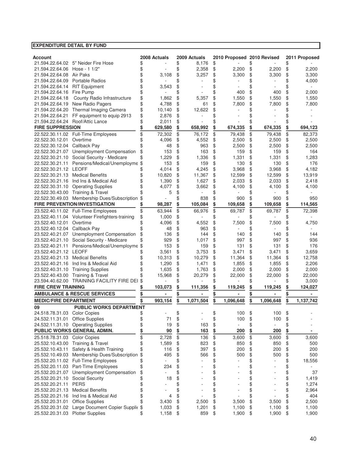| Account                          |                                                                             |          | 2008 Actuals   |          | 2009 Actuals   |           | 2010 Proposed 2010 Revised |          |                          |           | 2011 Proposed  |
|----------------------------------|-----------------------------------------------------------------------------|----------|----------------|----------|----------------|-----------|----------------------------|----------|--------------------------|-----------|----------------|
| 21.594.22.64.06 Hose - 1 1/2"    | 21.594.22.64.02 5" Neider Fire Hose                                         | \$<br>\$ |                | \$<br>\$ | 8,176<br>2,358 | \$<br>\$  | 2,200                      | \$<br>\$ | 2,200                    | \$<br>\$  | 2,200          |
| 21.594.22.64.08 Air Paks         |                                                                             | \$       | 3,108          | \$       | 3,257          | \$        | 3,300                      | \$       | 3,300                    | \$        | 3,300          |
| 21.594.22.64.09                  | <b>Portable Radios</b>                                                      | \$       |                | \$       |                | \$        |                            | \$       |                          | \$        | 4,000          |
| 21.594.22.64.14                  | <b>RIT Equipment</b>                                                        | \$       | 3,543          | \$       |                | \$        |                            | \$       |                          | \$        |                |
| 21.594.22.64.16                  | Fire Pump                                                                   | \$       |                | \$       |                | \$        | 400                        | \$       | 400                      | \$        | 2,000          |
| 21.594.22.64.18                  | County Radio Infrastructure                                                 | \$       | 1,862          | \$       | 5,357          | \$        | 1,550                      | \$       | 1,550                    | \$        | 1,550          |
| 21.594.22.64.19                  | New Radio Pagers                                                            | \$       | 4,788          | \$       | 61             | \$        | 7,800                      | \$       | 7,800                    | \$        | 7,800          |
| 21.594.22.64.20                  | Thermal Imaging Camera                                                      | \$       | 10,140         | \$       | 12,622         | \$        |                            | \$       |                          | \$        |                |
| 21.594.22.64.21                  | FF equipment to equip 2913                                                  | \$       | 2,876          | \$       |                | \$        |                            |          |                          |           |                |
| 21.594.22.64.24                  | Roof/Attic Lance                                                            | \$       | 2,011          | \$       |                |           |                            |          |                          |           |                |
| <b>FIRE SUPPRESSION</b>          |                                                                             | \$       | 629,580        | \$       | 658,992        | \$        | 674,335                    | \$       | 674,335                  | \$        | 694,123        |
|                                  | 22.522.30.11.02 Full-Time Employees                                         | \$       | 72,302         | \$       | 76,172         | \$        | 79,438                     | \$       | 79,438                   | \$        | 82,373         |
| 22.522.30.12.01                  | Overtime                                                                    | \$       | 4,096          | \$       | 4,552          | \$        | 2,500                      | \$       | 2,500                    | \$        | 2,500          |
| 22.522.30.12.04                  | Callback Pay                                                                | \$       | 48             | \$       | 963            | \$        | 2,500                      | \$       | 2,500                    | \$        | 2,500          |
|                                  | 22.522.30.21.07 Unemployment Compensation                                   | \$       | 153            | \$       | 163            | \$        | 159                        | \$       | 159                      | \$        | 164            |
|                                  | 22.522.30.21.10 Social Security - Medicare                                  |          | 1,229          | \$       | 1,336          | \$        | 1,331                      | \$       | 1,331                    | \$        | 1,283          |
|                                  | 22.522.30.21.11 Pensions/Medical/Unemployme                                 | \$       | 153            | \$       | 159            | \$        | 130                        | \$       | 130                      | \$        | 176            |
| 22.522.30.21.12 LEOFF            |                                                                             |          | 4,014          | \$       | 4,245          | \$        | 3,968                      | \$       | 3,968                    | \$        | 4,182          |
| 22.522.30.21.13                  | <b>Medical Benefits</b>                                                     |          | 10,820         | \$       | 11,367         | \$        | 12,599                     | \$       | 12,599                   | \$        | 13,919         |
|                                  | 22.522.30.21.16 Ind Ins & Medical Aid<br>22.522.30.31.10 Operating Supplies | \$       | 1,390<br>4,077 | \$<br>\$ | 1,627<br>3,662 | \$<br>\$  | 2,033<br>4,100             | \$<br>\$ | 2,033<br>4,100           | \$<br>\$  | 2,418<br>4.100 |
|                                  | 22.522.30.43.00 Training & Travel                                           |          | 5              | \$       |                | \$        |                            | \$       |                          | \$        |                |
|                                  | 22.522.30.49.03 Membership Dues/Subscription                                | \$       |                | \$       | 838            | \$        | 900                        | \$       | 900                      | \$        | 950            |
|                                  | FIRE PREVENTION/INVESTIGATION                                               |          | 98,287         | \$       | 105,084        | \$        | 109,658                    | \$       | 109,658                  | \$        | 114,565        |
|                                  | 23.522.40.11.02 Full-Time Employees                                         | \$       | 63,944         | \$       | 66,976         | \$        | 69,787                     | \$       | 69,787                   | \$        | 72,398         |
|                                  | 23.522.40.11.04 Volunteer Firefighters-training                             | \$       | 1,000          | \$       |                | \$        |                            | \$       |                          |           |                |
| 23.522.40.12.01                  | Overtime                                                                    | \$       | 4,096          | \$       | 4,552          | \$        | 7,500                      | \$       | 7,500                    | \$        | 4,750          |
| 23.522.40.12.04 Callback Pay     |                                                                             | \$       | 48             | \$       | 963            | \$        |                            | \$       |                          |           |                |
|                                  | 23.522.40.21.07 Unemployment Compensation                                   | \$       | 136            | \$       | 144            | \$        | 140                        | \$       | 140                      | \$        | 144            |
|                                  | 23.522.40.21.10 Social Security - Medicare                                  | \$       | 929            | \$       | 1,017          | \$        | 997                        | \$       | 997                      | \$        | 936            |
|                                  | 23.522.40.21.11 Pensions/Medical/Unemployme                                 | \$       | 153            | \$       | 159            | \$        | 131                        | \$       | 131                      | \$        | 176            |
| 23.522.40.21.12 LEOFF            |                                                                             |          | 3,561          | \$       | 3,753          | \$        | 3,471                      | \$       | 3,471                    | \$        | 3,659          |
| 23.522.40.21.13 Medical Benefits |                                                                             | \$       | 10,313         | \$       | 10,279         | \$        | 11,364                     | \$       | 11,364                   | \$        | 12,758         |
|                                  | 23.522.40.21.16 Ind Ins & Medical Aid                                       | \$       | 1,290          | \$       | 1,471          | \$        | 1,855                      | \$       | 1,855                    | \$        | 2,206          |
|                                  | 23.522.40.31.10 Training Supplies                                           | \$       | 1,635          | \$       | 1,763          | \$        | 2,000                      | \$       | 2,000                    | \$        | 2,000          |
|                                  | 23.522.40.43.00 Training & Travel                                           |          | 15,968         | \$       | 20,279         | \$        | 22,000                     | \$       | 22,000                   | \$        | 22,000         |
|                                  | 23.594.40.62.00 TRAINING FACILITY FIRE DEI                                  |          |                | \$       |                |           |                            | \$       |                          | \$        | 3,000          |
| <b>FIRE CREW TRAINING</b>        |                                                                             |          | 103,073        | \$       | 111,356        | \$        | 119,245                    | \$       | 119,245                  | \$        | 124,027        |
|                                  | <b>AMBULANCE &amp; RESCUE SERVICES</b>                                      | \$       |                | \$       |                | <u>\$</u> |                            | \$       |                          | <u>\$</u> |                |
| <b>MEDIC/FIRE DEPARTMENT</b>     |                                                                             |          | 993,154        | \$       | 1,071,504      | \$        | 1,096,648                  | \$       | 1,096,648                | \$        | 1,137,742      |
| 09                               | <b>PUBLIC WORKS DEPARTMENT</b>                                              |          |                |          |                |           |                            |          |                          |           |                |
| 24.518.78.31.03 Color Copies     |                                                                             |          |                | \$       |                |           | 100                        | \$       | 100                      | \$.       |                |
| 24.532.11.31.01 Office Supplies  |                                                                             | \$       | 71             | \$       | ۰              | \$        | 100                        | \$       | 100                      | \$        |                |
|                                  | 24.532.11.31.10 Operating Supplies                                          | \$       | 19             | \$       | 163            | \$        | $\overline{\phantom{a}}$   | \$       | $\overline{\phantom{a}}$ | \$        |                |
|                                  | PUBLIC WORKS GENERAL ADMIN.                                                 | \$       | 90             | \$       | 163            | \$        | 200                        | \$       | 200                      | \$        |                |
| 25.518.78.31.03                  | <b>Color Copies</b>                                                         | \$       | 2,728          | \$       | 136            | \$        | 3,600                      | \$       | 3,600                    | \$        | 3,600          |
|                                  | 25.532.10.43.00 Training & Travel                                           | \$       | 1,589          | \$       | 823            | \$        | 850                        | \$       | 850                      | \$        | 500            |
|                                  | 25.532.10.43.11 Safety & Health Training                                    | \$       | 116            | \$       | 397            | \$        | 200                        | \$       | 200                      | \$        | 200            |
|                                  | 25.532.10.49.03 Membership Dues/Subscription                                | \$       | 495            | \$       | 566<br>ä,      | \$        | 500                        | \$       | 500<br>ä,                | \$        | 500            |
|                                  | 25.532.20.11.02 Full-Time Employees<br>25.532.20.11.03 Part-Time Employees  | \$       | 234            | \$       |                | \$        |                            | \$       |                          | \$        | 18,556         |
|                                  | 25.532.20.21.07 Unemployment Compensation                                   | \$<br>\$ | ÷              | \$<br>\$ |                | \$<br>\$  |                            | \$<br>\$ |                          | \$<br>\$  | 37             |
| 25.532.20.21.10 Social Security  |                                                                             | \$       | 18             | \$       |                | \$        |                            | \$       |                          | \$        | 1,419          |
| 25.532.20.21.11                  | <b>PERS</b>                                                                 | \$       |                | \$       |                | \$        |                            | \$       |                          | \$        | 1,274          |
|                                  | 25.532.20.21.13 Medical Benefits                                            | \$       |                | \$       | Ē,             | \$        |                            | \$       |                          | \$        | 2,964          |
|                                  | 25.532.20.21.16 Ind Ins & Medical Aid                                       | \$       | 4              | \$       |                | \$        |                            | \$       |                          | \$        | 404            |
| 25.532.20.31.01 Office Supplies  |                                                                             | \$       | 3,430          | \$       | 2,500          | \$        | 3,500                      | \$       | 3,500                    | \$        | 2,500          |
|                                  | 25.532.20.31.02 Large Document Copier Supplie \$                            |          | 1,033          | \$       | 1,201          | \$        | 1,100                      | \$       | 1,100                    | \$        | 1,100          |
| 25.532.20.31.03 Plotter Supplies |                                                                             | \$       | 1,158          | \$       | 859            | \$        | 1,900                      | \$       | 1,900                    | \$        | 1,900          |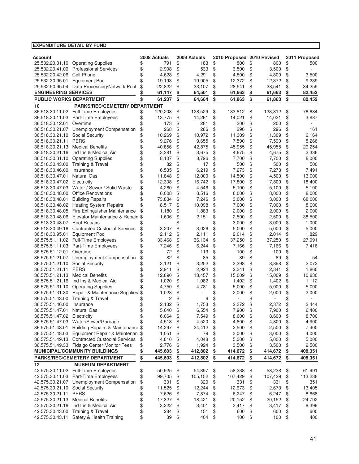| Account                        |                                                                          |          | 2008 Actuals    |          | 2009 Actuals    |          | 2010 Proposed 2010 Revised |          |                 |          | 2011 Proposed   |
|--------------------------------|--------------------------------------------------------------------------|----------|-----------------|----------|-----------------|----------|----------------------------|----------|-----------------|----------|-----------------|
|                                | 25.532.20.31.10 Operating Supplies                                       | \$       | 791             | \$       | 183             | \$       | 800                        | \$       | 800             | \$       | 500             |
| 25.532.20.41.00                | <b>Professional Services</b>                                             | \$       | 2,908           | \$       | 533             | \$       | 3,500                      | \$       | 3,500           | \$       |                 |
| 25.532.20.42.06                | Cell Phone                                                               | \$       | 4,628           | \$       | 4,291           | \$       | 4,800                      | \$       | 4,800           | \$       | 3,500           |
| 25.532.30.95.01                | <b>Equipment Pool</b>                                                    | \$       | 19,193          | \$       | 19,905          | \$       | 12,372                     | \$       | 12,372          | \$       | 9,239           |
|                                | 25.532.50.95.04 Data Processing/Network Pool                             | \$       | 22,822          | \$       | 33,107          | \$       | 28,541                     | \$       | 28,541          | \$       | 34,259          |
| <b>ENGINEERING SERVICES</b>    |                                                                          |          | 61,147          | \$       | 64,501          | \$       | 61,663                     | \$       | 61,663          | \$       | 82,452          |
| <b>PUBLIC WORKS DEPARTMENT</b> |                                                                          | \$       | 61,237          | \$       | 64,664          | \$       | 61,863                     | \$       | 61,863          | \$       | 82,452          |
| 10                             | <b>PARKS/REC/CEMETERY DEPARTMENT</b>                                     |          |                 |          |                 |          |                            |          |                 |          |                 |
|                                | 36.518.30.11.02 Full-Time Employees                                      | \$       | 120,203         | \$       | 128,529         | \$       | 133,812                    | \$       | 133,812         | \$       | 76,684          |
| 36.518.30.11.03                | Part-Time Employees                                                      | \$       | 13,775          | \$       | 14,261          | \$       | 14,021                     | \$       | 14,021          | \$       | 3,887           |
| 36.518.30.12.01                | Overtime                                                                 | \$       | 173             | \$       | 281             | \$       | 200                        | \$       | 200             | \$       |                 |
| 36.518.30.21.07                | Unemployment Compensation                                                | \$       | 268             | \$       | 286             | \$       | 296                        | \$       | 296             | \$       | 161             |
| 36.518.30.21.10                | Social Security                                                          | \$       | 10,269          | \$       | 10,972          | \$       | 11,309                     | \$       | 11,309          | \$       | 6,164           |
| 36.518.30.21.11                | <b>PERS</b>                                                              | \$       | 9,276           | \$       | 9,655           | \$       | 7,590                      | \$       | 7,590           | \$       | 5,266           |
| 36.518.30.21.13                | <b>Medical Benefits</b>                                                  | \$       | 40,856          | \$       | 42,875          | \$       | 45,955                     | \$       | 45,955          | \$       | 29,254          |
| 36.518.30.21.16                | Ind Ins & Medical Aid                                                    | \$       | 3,281           | \$       | 3,675           | \$       | 4,675                      | \$       | 4,675           | \$       | 3,336           |
| 36.518.30.31.10                | <b>Operating Supplies</b>                                                | \$       | 8,107           | \$       | 8,796           | \$       | 7,700                      | \$       | 7,700           | \$       | 8,000           |
| 36.518.30.43.00                | <b>Training &amp; Travel</b>                                             | \$       | 82              | \$       | 17              | \$       | 500                        | \$       | 500             | \$       | 500             |
| 36.518.30.46.00                | Insurance                                                                | \$       | 6,535           | \$       | 6,219           | \$       | 7,273                      | \$       | 7,273           | \$       | 7,491           |
| 36.518.30.47.01                | <b>Natural Gas</b>                                                       | \$       | 11,848          | \$       | 12,000          | \$       | 14,500                     | \$       | 14,500          | \$       | 13,000          |
| 36.518.30.47.02                | Electricity                                                              | \$       | 12,308          | \$       | 16,742          | \$       | 17,800                     | \$       | 17,800          | \$       | 18,400          |
| 36.518.30.47.03                | Water / Sewer / Solid Waste                                              | \$       | 4,280           | \$       | 4,546           | \$       | 5,100                      | \$       | 5,100           | \$       | 5,100           |
| 36.518.30.48.00                | <b>Office Renovations</b>                                                | \$       | 6,008           | \$       | 8,516           | \$       | 8,000                      | \$       | 8,000           | \$       | 8,000           |
| 36.518.30.48.01                | <b>Building Repairs</b>                                                  | \$       | 73,834          | \$       | 7.246           | \$       | 3,000                      | \$       | 3,000           | \$       | 68,000          |
|                                | 36.518.30.48.02 Heating System Repairs                                   | \$       | 8,517           | \$       | 10,098          | \$       | 7,000                      | \$       | 7,000           | \$       | 8,000           |
| 36.518.30.48.05                | Fire Extinguisher Maintenance                                            | \$       | 1,180           | \$       | 1,883           | \$       | 2,000                      | \$       | 2,000           | \$       | 2,000           |
| 36.518.30.48.06                | Elevator Maintenance & Repair                                            | \$       | 1,606           | \$       | 2,151           | \$       | 2,500                      | \$       | 2,500           | \$       | 38,500          |
| 36.518.30.48.07                | <b>Roof Repairs</b>                                                      | \$       |                 | \$       |                 | \$       | 3,000                      | \$       | 3,000           | \$       | 1,000           |
| 36.518.30.49.16                | <b>Contracted Custodial Services</b>                                     | \$       | 3,207           | \$<br>\$ | 3,026           | \$<br>\$ | 5,000                      | \$<br>\$ | 5,000           | \$<br>\$ | 5,000           |
| 36.518.30.95.01                | <b>Equipment Pool</b><br>36.575.51.11.02 Full-Time Employees             | \$       | 2,112<br>33,468 | \$       | 2,111           | \$       | 2,014<br>37,250            | \$       | 2,014<br>37,250 | \$       | 1,829<br>27,091 |
| 36.575.51.11.03                | Part-Time Employees                                                      | \$<br>\$ | 7,246           | \$       | 36,134<br>6,244 | \$       | 7,166                      | \$       | 7,166           | \$       | 7,416           |
| 36.575.51.12.01                | Overtime                                                                 | \$       | 72              | \$       | 113             | \$       | 100                        | \$       | 100             | \$       |                 |
| 36.575.51.21.07                | Unemployment Compensation                                                | \$       | 82              | \$       | 85              | \$       | 89                         | \$       | 89              | \$       | 54              |
| 36.575.51.21.10                | Social Security                                                          | \$       | 3,121           | \$       | 3,252           | \$       | 3,398                      | \$       | 3,398           | \$       | 2,072           |
| 36.575.51.21.11                | <b>PERS</b>                                                              | \$       | 2,911           | \$       | 2,924           | \$       | 2,341                      | \$       | 2,341           | \$       | 1,860           |
| 36.575.51.21.13                | <b>Medical Benefits</b>                                                  | \$       | 12,890          | \$       | 13,457          | \$       | 15,009                     | \$       | 15,009          | \$       | 10,830          |
| 36.575.51.21.16                | Ind Ins & Medical Aid                                                    | \$       | 1,020           | \$       | 1,082           | \$       | 1,402                      | \$       | 1.402           | \$       | 1,112           |
| 36.575.51.31.10                | <b>Operating Supplies</b>                                                |          | 4,750           | \$       | 4,781           | \$       | 5,000                      | \$       | 5,000           | \$       | 5,000           |
| 36.575.51.31.30                | Repair & Maintenance Supplies                                            | \$       | 1,028           | \$       |                 | \$       | 2,000                      | \$       | 2,000           | \$       | 2,000           |
| 36.575.51.43.00                | <b>Training &amp; Travel</b>                                             |          | 2               | \$       | 6               | \$       |                            | \$       |                 | \$       |                 |
| 36.575.51.46.00                | Insurance                                                                | \$       | 2,132           | \$       | 1,753           | \$       | 2,372                      | \$       | 2,372           | \$       | 2,444           |
| 36.575.51.47.01                | Natural Gas                                                              | \$       | 5,640           | \$       | 6,554           | \$       | 7,900                      | \$       | 7,900           | \$       | 6,400           |
| 36.575.51.47.02                | Electricity                                                              | \$       | 6,064           | \$       | 7,549           | \$       | 8,600                      | \$       | 8,600           | \$       | 8,700           |
| 36.575.51.47.03                | Water/Sewer/Garbage                                                      | \$       | 4,518           | \$       | 4,520           | \$       | 4,800                      | \$       | 4,800           | \$       | 4,900           |
| 36.575.51.48.01                | Building Repairs & Maintenance \$                                        |          | 14,297          | \$       | 24,412          | \$       | 2,500                      | \$       | 2,500           | \$       | 7,400           |
| 36.575.51.48.03                | Equipment Repair & Maintenan \$                                          |          | 1,051           | \$       | 79              | \$       | 3,000                      | \$       | 3,000           | \$       | 4,000           |
|                                | 36.575.51.49.13 Contracted Custodial Services                            | \$       | 4,810           | \$       | 4,048           | \$       | 5,000                      | \$       | 5,000           | \$       | 5,000           |
|                                | 36.575.51.49.33 Fidalgo Center Monitor Fees                              | \$       | 2,776           | \$       | 1,924           | \$       | 3,500                      | \$       | 3,500           | \$       | 2,500           |
|                                | MUNICIPAL/COMMUNITY BUILDINGS                                            | \$       | 445,603         | \$       | 412,802         | \$       | 414,672                    | \$       | 414,672         | \$       | 408,351         |
|                                | PARKS/REC/CEMETERY DEPARTMENT                                            | \$       | 445,603         | \$       | 412,802         | \$       | 414,672                    | \$       | 414,672         | \$       | 408,351         |
| 12                             | <b>MUSEUM DEPARTMENT</b>                                                 |          |                 |          |                 |          |                            |          |                 |          |                 |
|                                | 42.575.30.11.02 Full-Time Employees                                      | \$       | 50,925          | \$       | 54,897          | \$       | 58,238                     | \$       | 58,238          | \$       | 61,991          |
| 42.575.30.11.03                | Part-Time Employees                                                      | \$       | 99,705          | \$       | 105,152         | \$       | 107,429                    | \$       | 107,429         | \$       | 113,238         |
|                                | 42.575.30.21.07 Unemployment Compensation                                | \$       | 301             | \$       | 320             | \$       | 331                        | \$       | 331             | \$       | 351             |
| 42.575.30.21.10                | Social Security                                                          | \$       | 11,525          | \$       | 12,244          | \$       | 12,673                     | \$       | 12,673          | \$       | 13,405          |
| 42.575.30.21.11                | <b>PERS</b>                                                              | \$       | 7,626           | \$       | 7,874           | \$       | 6,247                      | \$       | 6,247           | \$       | 8,668           |
| 42.575.30.21.13                | <b>Medical Benefits</b>                                                  | \$       | 17,327          | \$       | 18,421          | \$       | 20,152                     | \$       | 20,152          | \$       | 24,792          |
|                                | 42.575.30.21.16 Ind Ins & Medical Aid                                    | \$<br>\$ | 3,222<br>284    | \$       | 3,401           | \$<br>\$ | 3,417                      | \$<br>\$ | 3,417<br>600    | \$<br>\$ | 8,399<br>600    |
| 42.575.30.43.00                | <b>Training &amp; Travel</b><br>42.575.30.43.11 Safety & Health Training | \$       | 39              | \$<br>\$ | 151<br>404      | \$       | 600<br>100                 | \$       | 100             | \$       | 400             |
|                                |                                                                          |          |                 |          |                 |          |                            |          |                 |          |                 |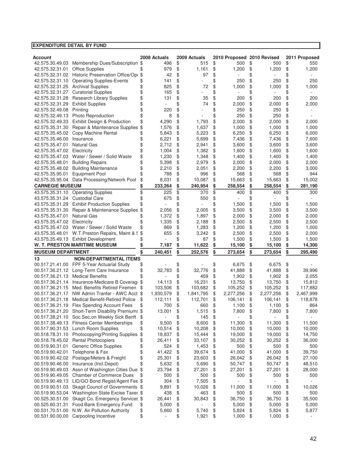| Account                     |                                                          |          | 2008 Actuals |          | 2009 Actuals | 2010 Proposed 2010 Revised |          |                | 2011 Proposed   |
|-----------------------------|----------------------------------------------------------|----------|--------------|----------|--------------|----------------------------|----------|----------------|-----------------|
| 42.575.30.49.03             | Membership Dues/Subscription \$                          |          | 496          | \$       | 515          | \$<br>500                  | \$       | 500            | \$<br>550       |
| 42.575.32.31.01             | <b>Office Supplies</b>                                   | \$       | 979          | \$       | 1,161        | \$<br>1,200                | \$       | 1,200          | \$<br>1,200     |
|                             | 42.575.32.31.02 Historic Preservation Office/Op          | \$       | 42           | \$       | 97           | \$                         | \$       |                | \$              |
| 42.575.32.31.10             | <b>Operating Supplies-Events</b>                         | \$       | 141          | \$       |              | \$<br>250                  | \$       | 250            | \$<br>250       |
|                             | 42.575.32.31.25 Archival Supplies                        | \$       | 825          | \$       | 72           | \$<br>1,000                | \$       | 1,000          | \$<br>1,000     |
| 42.575.32.31.27             | <b>Curatorial Supplies</b>                               | \$       | 165          | \$       |              | \$                         | \$       |                | \$              |
| 42.575.32.31.28             | <b>Research Library Supplies</b>                         | \$       | 131          | \$       | 35           | \$<br>200                  | \$       | 200            | \$<br>200       |
| 42.575.32.31.29             | <b>Exhibit Supplies</b>                                  |          |              | \$       | 74           | \$<br>2,000                | \$       | 2,000          | \$<br>2,000     |
| 42.575.32.49.08             | Printing                                                 | \$       | 220          | \$       |              | \$<br>250                  | \$       | 250            | \$              |
| 42.575.32.49.13             | Photo Reproduction                                       |          | 8            | \$       |              | \$<br>250                  | \$       | 250            | \$              |
| 42.575.32.49.33             | <b>Exhibit Design &amp; Production</b>                   | \$       | 4,290        | \$       | 1,793        | \$<br>2,000                | \$       | 2,000          | \$<br>2,000     |
| 42.575.35.31.30             | Repair & Maintenance Supplies                            | \$       | 1,576        | \$       | 1,637        | \$<br>1,000                | \$       | 1,000          | \$<br>1,000     |
|                             | Copy Machine Rental                                      |          | 5.843        | \$       | 5,223        | \$                         | \$       |                | \$              |
| 42.575.35.45.02             |                                                          |          | 6,221        | \$       | 5,699        | \$<br>6,250                | \$       | 6,250          | 6,000<br>7,600  |
| 42.575.35.46.00             | Insurance                                                |          |              |          |              | 7,436                      |          | 7,436          | \$              |
| 42.575.35.47.01             | <b>Natural Gas</b>                                       | \$       | 2,712        | \$       | 2,941        | \$<br>3,600                | \$       | 3,600          | \$<br>3,600     |
| 42.575.35.47.02             | Electricity                                              |          | 1,004        | \$       | 1,382        | \$<br>1,600                | \$       | 1,600          | \$<br>1,600     |
| 42.575.35.47.03             | Water / Sewer / Solid Waste                              | \$       | 1,230        | \$       | 1,348        | \$<br>1,400                | \$       | 1,400          | \$<br>1,400     |
| 42.575.35.48.01             | <b>Building Repairs</b>                                  | \$       | 5,398        | \$       | 2,979        | \$<br>2,000                | \$       | 2,000          | \$<br>2,000     |
| 42.575.35.48.02             | <b>Building Maintenance</b>                              | \$       | 2,210        | \$       | 2,051        | \$<br>2,200                | \$       | 2,200          | \$<br>3,000     |
| 42.575.35.95.01             | <b>Equipment Pool</b>                                    |          | 788          | \$       | 996          | \$<br>568                  | \$       | 568            | \$<br>944       |
| 42.575.35.95.04             | Data Processing/Network Pool                             | \$       | 8,031        | \$       | 10,087       | \$<br>15,663               | \$       | 15,663         | \$<br>15,002    |
| <b>CARNEGIE MUSEUM</b>      |                                                          |          | 233,264      | \$       | 240,954      | \$<br>258,554              | \$       | 258,554        | \$<br>281,190   |
| 43.575.35.31.10             | <b>Operating Supplies</b>                                | \$       | 225          | \$       | 370          | \$<br>400                  | \$       | 400            | \$<br>300       |
| 43.575.35.31.24             | <b>Custodial Care</b>                                    |          | 675          | \$       | 550          | \$                         | \$       |                | \$              |
|                             | 43.575.35.31.29 Exhibit Production Supplies              | \$       |              | \$       |              | \$<br>1,500                | \$       | 1,500          | \$<br>1,500     |
| 43.575.35.31.30             | Repair & Maintenance Supplies                            | \$       | 2,056        | \$       | 2,005        | \$<br>3,500                | \$       | 3,500          | \$<br>3,500     |
| 43.575.35.47.01             | <b>Natural Gas</b>                                       |          | 1,372        | \$       | 1,897        | \$<br>2,000                | \$       | 2,000          | \$<br>2,000     |
| 43.575.35.47.02 Electricity |                                                          |          | 1,335        | \$       | 2,188        | \$<br>2,500                | \$       | 2,500          | \$<br>2,500     |
|                             | 43.575.35.47.03 Water / Sewer / Solid Waste              | \$       | 869          | \$       | 1,283        | 1,200                      |          |                |                 |
|                             |                                                          |          |              |          |              | \$                         | \$       | 1,200          | \$<br>1,000     |
|                             |                                                          |          |              |          |              |                            |          |                |                 |
|                             | 43.575.35.48.01 W.T. Preston Repairs, Maint & \$         | \$       | 655          | \$       | 3,242        | \$<br>2,500                | \$       | 2,500          | \$<br>2,000     |
|                             | 43.575.35.49.13 Exhibit Development                      |          |              | \$       | 87           | \$<br>1,500                | \$       | 1,500          | \$<br>1,500     |
|                             | W. T. PRESTON MARITIME MUSEUM                            |          | 7,187        | \$       | 11,622       | \$<br>15,100               | \$       | 15,100         | \$<br>14,300    |
| <b>MUSEUM DEPARTMENT</b>    |                                                          | \$       | 240,451      | \$       | 252,576      | \$<br>273,654              | \$       | 273,654        | \$<br>295,490   |
| 13                          | <b>NON-DEPARTMENTAL ITEMS</b>                            |          |              |          |              |                            |          |                |                 |
| 00.517.21.41.00             | FPF 5-Year Actuarial Study                               | \$       |              | \$       |              | \$<br>6,675                | \$       | 6,675          | \$              |
| 00.517.36.21.12             | Long-Term Care Insurance                                 | \$       | 32,783       | \$       | 32,776       | \$<br>41,888               | \$       | 41,888         | \$<br>39,996    |
| 00.517.36.21.13             | <b>Medical Benefits</b>                                  |          |              | \$       | 459          | \$<br>1,902                | \$       | 1,902          | \$<br>2,055     |
|                             |                                                          |          |              |          |              |                            |          |                |                 |
| 00.517.36.21.15             | 00.517.36.21.14 Insurance-Medicare B Coverage            | \$<br>\$ | 14,113       | \$       | 16,231       | \$<br>13,750               | \$       | 13,750         | \$<br>15,812    |
|                             | Med. Benefits Retired Firemen                            |          | 103,506      | \$       | 103,682      | \$<br>105,252              | \$       | 105,252        | \$<br>117,882   |
| 00.517.36.21.17             | NW Admin Tranfer - AWC Acct \$                           |          | 1,930,579    | \$       | 1,841,795    | \$<br>2,277,256            | \$       | 2,277,256      | \$<br>2,467,999 |
| 00.517.36.21.18             | <b>Medical Benefit-Retired Police</b>                    | \$       | 112,111      | \$       | 112,701      | \$<br>106,141              | \$       | 106,141        | \$<br>118,878   |
|                             | 00.517.36.21.19 Flex Spending Account Fees               | \$       | 700          | \$       | 660          | \$<br>1,100                | \$       | 1,100          | \$<br>864       |
|                             | 00.517.36.21.20 Short-Term Disability Premium: \$        |          | 13,001       | \$       | 1,515        | \$<br>7,800                | \$       | 7,800          | \$<br>7,800     |
| 00.517.38.21.10             | Soc.Sec.on Weekly Sick Benft                             | \$       |              | \$       | 145          | \$                         | \$       | ۰              | \$              |
|                             | 00.517.38.49.13 Fitness Center Memberships               | \$       | 9,500        | \$       | 8,600        | \$<br>11,300               | \$       | 11,300         | \$<br>11,500    |
|                             | 00.517.90.31.53 Lunch Room Supplies                      | \$       | 10,514       | \$       | 10,208       | \$<br>10,000               | \$       | 10,000         | \$<br>10,000    |
|                             | 00.518.78.31.10 Photocopying/Printing Supplies           | \$       | 18,837       | \$       | 15,444       | \$<br>19,000               | \$       | 19,000         | \$<br>14,750    |
| 00.518.78.45.02             | <b>Rental Photocopiers</b>                               | \$       | 26,411       | \$       | 33,107       | \$<br>30,252               | \$       | 30,252         | \$<br>36,000    |
| 00.519.90.31.01             | <b>Generic Office Supplies</b>                           | \$       | 524          | \$       | 1,453        | \$<br>500                  | \$       | 500            | \$<br>500       |
| 00.519.90.42.01             | Telephone & Fax                                          | \$       | 41,422       | \$       | 39,674       | \$<br>41,000               | \$       | 41,000         | \$<br>39,750    |
|                             | 00.519.90.42.02 Postage/Meters & Freight                 | \$       | 25,301       | \$       | 23,603       | \$<br>26,042               | \$       | 26,042         | \$<br>27,100    |
| 00.519.90.46.00             | Insurance (Incl.Depot)                                   | \$       | 5,632        | \$       | 5,690        | \$<br>50,747               | \$       | 50,747         | \$<br>48,510    |
| 00.519.90.49.03             | Assn of Washington Cities Due                            | \$       | 23,794       | \$       | 27,201       | \$<br>27,201               | \$       | 27,201         | \$<br>28,000    |
| 00.519.90.49.05             | <b>Chamber of Commerce Dues</b>                          | \$       | 500          | \$       | 500          | \$<br>500                  | \$       | 500            | \$<br>500       |
| 00.519.90.49.13             | LID/GO Bond Regist/Agent Fee \$                          |          | 304          | \$       | 7,505        | \$                         | \$       | $\blacksquare$ | \$              |
| 00.519.90.51.03             | Skagit Council of Governments \$                         |          | 9,891        | \$       | 10,026       | \$<br>11,000               | \$       | 11,000         | \$<br>10,026    |
| 00.519.90.53.04             | Washington State Excise Taxes \$                         |          | 438          | \$       | 463          | \$<br>500                  | \$       | 500            | \$<br>500       |
| 00.525.30.51.00             | Skagit Co. Emergency Services \$                         |          | 26,441       | \$       | 30,843       | \$<br>36,750               | \$       | 36,750         | \$<br>35,500    |
| 00.525.60.31.31             |                                                          |          | 5,000        |          |              | \$<br>5,000                |          | 5,000          | \$<br>5,000     |
| 00.531.70.51.00             | Food Bank Emergency Fund<br>N.W. Air Pollution Authority | \$<br>\$ | 5,660        | \$<br>\$ | 5,740        | \$<br>5,824                | \$<br>\$ | 5,824          | \$<br>5,877     |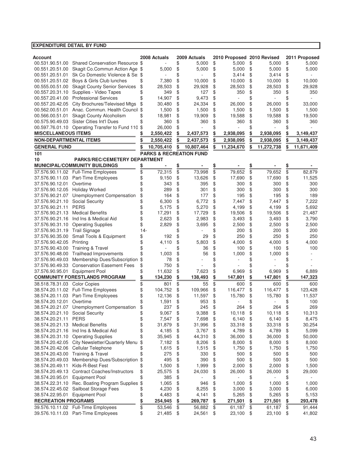| Account                         |                                                   |           | 2008 Actuals                       |           | 2009 Actuals |           | 2010 Proposed 2010 Revised |           |            |           | 2011 Proposed |
|---------------------------------|---------------------------------------------------|-----------|------------------------------------|-----------|--------------|-----------|----------------------------|-----------|------------|-----------|---------------|
| 00.531.90.51.00                 | Shared Conservation Resource \$                   |           |                                    | \$        | 5,000        | \$        | 5,000                      | \$        | 5,000      | \$        | 5,000         |
| 00.551.20.51.00                 | Skagit Co.Commun Action Age \$                    |           | 5,000                              | \$        | 5,000        | \$        | 5,000                      | \$        | 5,000      | \$        | 5,000         |
| 00.551.20.51.01                 | Sk Co Domestic Violence & Se \$                   |           |                                    | \$        |              | \$        | 3,414                      | \$        | 3,414      | \$        |               |
| 00.551.20.51.02                 | Boys & Girls Club lunches                         | \$        | 7,380                              | \$        | 10,000       | \$        | 10,000                     | \$        | 10,000     | \$        | 10,000        |
| 00.555.00.51.00                 | <b>Skagit County Senior Services</b>              | \$        | 28,503                             | \$        | 29,928       | \$        | 28,503                     | \$        | 28,503     | \$        | 29,928        |
| 00.557.20.31.10                 | Supplies - Video Tapes                            | \$        | 349                                | \$        | 127          | \$        | 350                        | \$        | 350        | \$        | 350           |
| 00.557.20.41.00                 | <b>Professional Services</b>                      |           | 14,907                             | \$        | 9,473        | \$        |                            | \$        |            | \$        |               |
| 00.557.20.42.05                 | City Brochures/Televised Mtgs                     | \$        | 30,480                             | \$        | 24,334       | \$        | 26,000                     | \$        | 26,000     | \$        | 33,000        |
| 00.562.00.51.01                 | Anac. Commun. Health Council \$                   |           | 1,500                              | \$        | 1,500        | \$        | 1,500                      | \$        | 1,500      | \$        | 1,500         |
| 00.566.00.51.01                 | <b>Skagit County Alcoholism</b>                   | \$        | 18,981                             | \$        | 19,909       | \$        | 19,588                     | \$        | 19,588     | \$        | 19,500        |
| 00.575.90.49.03                 | Sister Cities Int'l Dues                          |           | 360                                | \$        | 360          | \$        | 360                        | \$        | 360        | \$        | 360           |
|                                 | 00.597.76.01.10 Operating Transfer to Fund 110 \$ |           | 26,000                             | \$        |              | \$        |                            | \$        |            | \$        |               |
| <b>MISCELLANEOUS ITEMS</b>      |                                                   |           | 2,550,422                          | \$        | 2,437,573    | \$        | 2,938,095                  | \$        | 2,938,095  | \$        | 3,149,437     |
| <b>NON-DEPARTMENTAL ITEMS</b>   |                                                   | \$        | 2,550,422                          | \$        | 2,437,573    | \$        | 2,938,095                  | \$        | 2,938,095  | \$        | 3,149,437     |
| <b>GENERAL FUND</b>             |                                                   | \$        | 10,705,410                         | \$        | 10,807,464   | \$        | 11,234,670                 | \$        | 11,272,738 | \$        | 11,671,409    |
| 101                             |                                                   |           | <b>PARKS &amp; RECREATION FUND</b> |           |              |           |                            |           |            |           |               |
| 10                              | <b>PARKS/REC/CEMETERY DEPARTMENT</b>              |           |                                    |           |              |           |                            |           |            |           |               |
|                                 | <b>MUNICIPAL/COMMUNITY BUILDINGS</b>              | <u>\$</u> |                                    | <u>\$</u> |              | <u>\$</u> |                            | <u>\$</u> |            | <u>\$</u> |               |
|                                 | 37.576.90.11.02 Full-Time Employees               | \$        | 72,315                             | \$        | 73,998       | \$        | 79,652                     | \$        | 79,652     | \$        | 82,879        |
| 37.576.90.11.03                 | Part-Time Employees                               | \$        | 9,150                              | \$        | 13,626       | \$        | 17,690                     | \$        | 17,690     | \$        | 11,525        |
| 37.576.90.12.01                 | Overtime                                          | \$        | 343                                | \$        | 395          | \$        | 300                        | \$        | 300        | \$        | 300           |
| 37.576.90.12.05                 | <b>Holiday Worked</b>                             |           | 289                                | \$        | 301          | \$        | 300                        | \$        | 300        | \$        | 300           |
| 37.576.90.21.07                 | Unemployment Compensation                         | \$        | 164                                | \$        | 177          | \$        | 195                        | \$        | 195        | \$        | 189           |
| 37.576.90.21.10                 | <b>Social Security</b>                            | \$        | 6,300                              | \$        | 6.772        | \$        | 7,447                      | \$        | 7,447      | \$        | 7,222         |
| 37.576.90.21.11                 | <b>PERS</b>                                       | \$        | 5,175                              | \$        | 5,270        | \$        | 4,199                      | \$        | 4,199      | \$        | 5,692         |
| 37.576.90.21.13                 | <b>Medical Benefits</b>                           |           | 17,291                             | \$        | 17,729       | \$        | 19,506                     | \$        | 19,506     | \$        | 21,487        |
|                                 | 37.576.90.21.16 Ind Ins & Medical Aid             | \$        | 2,623                              | \$        | 2,983        | \$        | 3,493                      | \$        | 3,493      | \$        | 3,790         |
| 37.576.90.31.10                 | <b>Operating Supplies</b>                         |           | 2,829                              | \$        | 3,695        | \$        | 2,500                      | \$        | 2,500      | \$        | 2,500         |
| 37.576.90.31.19                 | <b>Trail Signage</b>                              | $14 -$    |                                    | \$        |              | \$        | 200                        | \$        | 200        | \$        | 200           |
| 37.576.90.35.00                 | Small Tools & Equipment                           | \$        | 192                                | \$        | 29           | \$        | 250                        | \$        | 250        | \$        | 250           |
| 37.576.90.42.05                 | Printing                                          | \$        | 4,110                              | \$        | 5,803        | \$        | 4,000                      | \$        | 4,000      | \$        | 4,000         |
| 37.576.90.43.00                 | <b>Training &amp; Travel</b>                      | \$        |                                    | \$        | 36           | \$        | 100                        | \$        | 100        | \$        | 100           |
| 37.576.90.48.00                 | <b>Trailhead Improvements</b>                     | \$        | 1,003                              | \$        | 56           | \$        | 1,000                      | \$        | 1,000      | \$        |               |
| 37.576.90.49.03                 | Membership Dues/Subscription                      | \$        | 78                                 | \$        |              | \$        |                            | \$        |            | \$        |               |
| 37.576.90.49.33                 | <b>Conservation Easement Fees</b>                 | \$        | 750                                | \$        |              |           |                            | \$        |            |           |               |
| 37.576.90.95.01 Equipment Pool  |                                                   | \$        | 11,632                             | \$        | 7,623        | \$        | 6,969                      | \$        | 6,969      | \$        | 6,889         |
|                                 | <b>COMMUNITY FORESTLANDS PROGRAM</b>              | \$        | 134,230                            | \$        | 138,493      | \$        | 147,801                    | \$        | 147,801    | \$        | 147,323       |
| 38.518.78.31.03                 | <b>Color Copies</b>                               | \$        | 801                                | \$        | 55           | \$        | 600                        | \$        | 600        | \$        | 600           |
|                                 | 38.574.20.11.02 Full-Time Employees               | \$        | 104,752                            | \$        | 109,966      | \$        | 116,477                    | \$        | 116,477    | \$        | 123,428       |
| 38.574.20.11.03                 | Part-Time Employees                               |           | 12,136                             | \$        | 11,597       | \$        | 15,780                     | \$        | 15,780     | \$        | 11,537        |
| 38.574.20.12.01                 | Overtime                                          |           | 1,591                              | \$        | 953          | \$        |                            | \$        |            | \$        | 100           |
|                                 | 38.574.20.21.07 Unemployment Compensation         |           | 237                                | \$        | 245          | \$        | 264                        | \$        | 264        | \$        | 269           |
| 38.574.20.21.10 Social Security |                                                   | Φ         | 9,067                              | \$        | 9,388        | \$        | 10,118                     | \$        | 10,118     | \$        | 10,313        |
| 38.574.20.21.11 PERS            |                                                   | \$        | 7,547                              | \$        | 7,698        | \$        | 6,140                      | \$        | 6,140      | \$        | 8,475         |
| 38.574.20.21.13                 | <b>Medical Benefits</b>                           | \$        | 31,879                             | \$        | 31,996       | \$        | 33,318                     | \$        | 33,318     | \$        | 30,254        |
| 38.574.20.21.16                 | Ind Ins & Medical Aid                             | \$        | 4,185                              | \$        | 3,767        | \$        | 4,789                      | \$        | 4,789      | \$        | 5,099         |
|                                 | 38.574.20.31.10 Operating Supplies                | \$        | 35,945                             | \$        | 44,310       | \$        | 36,000                     | \$        | 36,000     | \$        | 50,000        |
|                                 | 38.574.20.42.05 City Newsletter/Quarterly Menu    | \$        | 7,182                              | \$        | 8,206        | \$        | 8,000                      | \$        | 8,000      | \$        | 8,000         |
|                                 | 38.574.20.42.06 Cellular Telephone                | \$        | 1,615                              | \$        | 1,515        | \$        | 1,750                      | \$        | 1,750      | \$        | 1,750         |
|                                 | 38.574.20.43.00 Training & Travel                 | \$        | 275                                | \$        | 330          | \$        | 500                        | \$        | 500        | \$        | 500           |
| 38.574.20.49.03                 | Membership Dues/Subscription \$                   |           | 495                                | \$        | 390          | \$        | 500                        | \$        | 500        | \$        | 500           |
| 38.574.20.49.11                 | Kids-R-Best Fest                                  | \$        | 1,500                              | \$        | 1,999        | \$        | 2,000                      | \$        | 2,000      | \$        | 1,500         |
|                                 | 38.574.20.49.13 Contract Coaches/Instructors      | \$        | 25,575                             | \$        | 24,030       | \$        | 26,000                     | \$        | 26,000     | \$        | 29,000        |
| 38.574.20.95.01                 | <b>Equipment Pool</b>                             | \$        | 385                                | \$        |              | \$        |                            | \$        |            | \$        |               |
|                                 | 38.574.22.31.10 Rec. Boating Program Supplies \$  |           | 1,065                              | \$        | 946          | \$        | 1,000                      | \$        | 1,000      | \$        | 1,000         |
|                                 | 38.574.22.45.02 Sailboat Storage Fees             | \$        | 4,230                              | \$        | 8,255        | \$        | 3,000                      | \$        | 3,000      | \$        | 6,000         |
| 38.574.22.95.01 Equipment Pool  |                                                   | \$        | 4,483                              | \$        | 4,141        | \$        | 5,265                      | \$        | 5,265      | \$        | 5,153         |
| <b>RECREATION PROGRAMS</b>      |                                                   | \$        | 254,945                            | \$        | 269,787      | \$        | 271,501                    | \$        | 271,501    | \$        | 293,478       |
|                                 | 39.576.10.11.02 Full-Time Employees               | \$        | 53,546                             | \$        | 56,882       | \$        | 61,187                     | \$        | 61,187     | \$        | 91,444        |
|                                 | 39.576.10.11.03 Part-Time Employees               | \$        | 21,485                             | \$        | 24,561       | \$        | 23,100                     | \$        | 23,100     | \$        | 41,802        |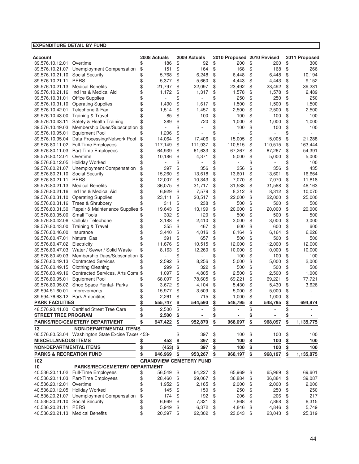#### **EXPENDITURE DETAIL BY FUND Account 2008 Actuals 2009 Actuals 2010 Proposed 2010 Revised 2011 Proposed** 39.576.10.12.01 Overtime 186 \$ 186 \$ 200 \$ 200 \$ 300 39.576.10.21.07 Unemployment Compensation \$151 \$164 \$168 \$168 \$266<br>39.576.10.21.10 Social Security \$5.768 \$6.248 \$6.448 \$6.448 \$10.194 39.576.10.21.10 Social Security  $\begin{array}{ccccccccccccc}\n & & & & & \& & & 5,768 & \text{\$} & & & 6,248 & \text{\$} & & & 6,448 & \text{\$} & & & 6,448 & \text{\$} & & & 10,194 \\
\text{39.576.10.21.11} & & & & & & \& & & \& & & 5,377 & \text{\$} & & & 5,660 & \text{\$} & & & 4,443 & \text{\$} & & 4,443 & \text{\$} & & & 9,152\n\end$ 39.576.10.21.11 PERS \$ 5.377 \$ 5.660 \$ 4.443 \$ 4.443 \$ 39.576.10.21.13 Medical Benefits 21,797 \$ 22,097 \$ 23,492 \$ 23,492 \$ 39,231 \$ 39.576.10.21.16 Ind Ins & Medical Aid  $\begin{array}{cccc} 39.576.10.21.16 & \text{Ind} \text{ Ins } \& \text{Median} \& & \uparrow 1,172 \& 1,172 \& 1,317 \& 1,578 \& 1,578 \& 2,489 \& 39.576.10.31.01 & \text{Office} \& \text{h} \text{noise} \end{array}$ 39.576.10.31.01 Office Supplies  $\begin{array}{cccccccc} 39.576.10.31.01 & \text{Office Supplies} & & \text{\$} & - & \text{\$} & - & \text{\$} & - & \text{\$} & - & \text{\$} & - & \text{\$} & - & \text{\$} & - & \text{\$} & - & \text{\$} & - & \text{\$} & - & \text{\$} & - & \text{\$} & - & \text{\$} & - & \text{\$} & - & \text{\$} & - & \text{\$} & - & \text{\$} & - & \text{\$} & - & \text{\$} & - & \text{\$ 39.576.10.31.10 Operating Supplies 1,490 \$ 1,617 \$ 1,500 \$ 1,500 \$ 1,500 \$ 39.576.10.42.01 Telephone & Fax  $$ 1,514 \$ 1,457 \$ 2,500 \$ 2,500 \$ 2,500$ 39.576.10.43.00 Training & Travel \$\$8\$100\$100\$100\$100<br>39.576.10.43.11 Safety & Health Training \$389 \$720 \$1000 \$1000 \$1000 \$1000 39.576.10.43.11 Safety & Health Training 389 \$ 720 \$ 1,000 \$ 1,000 \$ 1,000 \$ 39.576.10.49.03 Membership Dues/Subscription \$  $-$  \$ 100 \$ 100 \$ 100 39.576.10.95.01 Equipment Pool  $\frac{1}{3}$   $\frac{1}{206}$   $\frac{1}{3}$   $\frac{1}{4064}$   $\frac{1}{3}$   $\frac{1}{4064}$   $\frac{1}{3}$   $\frac{1}{406}$   $\frac{1}{3}$   $\frac{1}{406}$   $\frac{1}{3}$   $\frac{1}{406}$   $\frac{1}{3}$   $\frac{1}{5005}$   $\frac{1}{3}$   $\frac{1}{5005}$   $\frac{1}{3}$  39.576.10.95.04 Data Processing/Network Pool \$ 14,064 \$ 17,406 \$ 15,005 \$ 15,005 \$ 21,288<br>39.576.80.11.02 Full-Time Employees \$ 117,149 \$ 111,937 \$ 110,515 \$ 110,515 \$ 163,444 39.576.80.11.02 Full-Time Employees  $\qquad$  \$ 117,149 \$ 111,937 \$ 110,515 \$ 110,515 \$ 39.576.80.11.03 Part-Time Employees  $$64,939 \$ 61,633 \$ 67,267 \$ 67,267 \$ 67,267 \$ 54,391$ 39.576.80.12.01 Overtime 10,186 \$ 4.371 \$ 5.000 \$ 5.000 \$ 5.000 39.576.80.12.05 Holiday Worked  $\begin{array}{cccccccc} 39.576.80.12.05 & Holiday Worked & & & & 100 \end{array}$ 39.576.80.21.07 Unemployment Compensation \$ 397 \$ 356 \$ 356 \$ 356 \$ 435 39.576.80.21.10 Social Security \$ 15,260 \$ 13,618 \$ 13,601 \$ 13,601 \$ 16,664<br>39.576.80.21.11 PERS \$ 12.007 \$ 10.343 \$ 7.070 \$ 7.070 \$ 11.818 39.576.80.21.11 PERS 12,007 \$ 10,343 \$ 7,070 \$ 7,070 \$ 11,818 \$ 39.576.80.21.13 Medical Benefits 36,075 \$ 31,717 \$ 31,588 \$ 31,588 \$ 48,163 \$ 39.576.80.21.16 Ind Ins & Medical Aid  $\begin{array}{cccc} 10.070 \\ 15.579 \pm 0.000 \\ 39.576.80.31.10 \end{array}$  Operating Supplies  $\begin{array}{cccc} 10.070 \\ 15.000 \\ - 23.111 \pm 0.000 \\ - 23.111 \pm 0.000 \\ - 23.111 \pm 0.000 \\ 0.000 \pm 0.000 \\ \end{array}$  (and  $\begin{array}{cccc}$ 39.576.80.31.10 Operating Supplies  $$23,111 $20,517 $22,000 $22,000 $25,000$ <br>39.576.80.31.16 Trees & Shrubbery  $$311 $238 $5023$ 39.576.80.31.16 Trees & Shrubbery 311 \$ 238 \$ 500 \$ 500 \$ 500 \$ 39.576.80.31.30 Repair & Maintenance Supplies \$ 19.643 \$ 13.199 \$ 20.000 \$ 20.000 \$ 20.000 39.576.80.35.00 Small Tools 302 \$ 120 \$ 500 \$ 500 \$ 500 \$ 39.576.80.42.06 Cellular Telephone  $\frac{1}{3}$   $\frac{3}{188}$   $\frac{1}{3}$   $\frac{2}{410}$   $\frac{1}{9}$   $\frac{3}{1000}$   $\frac{1}{3}$   $\frac{3}{100}$   $\frac{1}{3}$   $\frac{1}{300}$   $\frac{1}{300}$   $\frac{1}{300}$   $\frac{1}{300}$   $\frac{1}{300}$   $\frac{1}{300}$   $\frac{1}{300}$   $\frac{$ 39.576.80.43.00 Training & Travel 39.576.80.46.00 Insurance 3,440 \$ 4,016 \$ 6,164 \$ 6,164 \$ 6,226 \$ 39.576.80.47.01 Natural Gas 391 \$ 657 \$ 500 \$ 500 \$ 500 \$ 39.576.80.47.02 Electricity  $\begin{array}{cccc} 39.576.80.47.02 \end{array}$  Electricity  $\begin{array}{cccc} 42.000 & \text{S} & 12.000 \\ 39.576.80.47.03 \end{array}$  Water / Sewer / Solid Waste  $\begin{array}{cccc} 6 & 12.676 \\ 16 & 8 \\ 16 & 3 \end{array}$   $\begin{array}{cccc} 12.260 & \text{S} & 10.000 \\$ 39.576.80.47.03 Water / Sewer / Solid Waste 8,163 \$ 12,260 \$ 10,000 \$ 10,000 \$ 10,000 \$ 39.576.80.49.03 Membership Dues/Subscription  $\frac{100 \text{ }}{\text{}} \cdot \frac{100 \text{ }}{\text{}} \cdot \frac{100 \text{ }}{\text{}} \cdot \frac{100 \text{ }}{\text{}} \cdot \frac{100 \text{ }}{\text{}} \cdot \frac{100 \text{ }}{\text{}} \cdot \frac{100 \text{ }}{\text{}} \cdot \frac{100 \text{ }}{\text{}} \cdot \frac{100 \text{ }}{\text{}} \cdot \frac{100 \text{ }}{\text{}} \cdot \frac{100 \text{ }}{\text{}} \cdot$ 39.576.80.49.13 Contracted Services  $\frac{2}{3}$  2,592 \$ 8,256 \$ 5,000 \$ 5,000 \$ 5,000 \$ 5,000 \$ 39.576.80.49.15 Clothing Cleaning  $$39.576.80.49.15$  Clothing Cleaning  $$39.576.80.49.15$   $$500$  \$  $$500$ 39.576.80.49.16 Contracted Services, Arts Comi \$ 1,097 \$ 4,805 \$ 2,500 \$ 2,500 \$ 1,000 39.576.80.95.01 Equipment Pool 68,097 \$ 78,605 \$ 69,221 \$ 69,221 \$ 77,721 \$ 39.576.80.95.02 Shop Space Rental- Parks 3,672 \$ 4,104 \$ 5,430 \$ 5,430 \$ 3,626 \$ 39.594.51.60.01 Improvements  $$ 15.977 \text{ } $ 35.09 \text{ } $ 5.000 \text{ } $ 5.000 \text{ } $ 5.000 \text{ } $$ 39.594.76.63.12 Park Amenitites  $\begin{array}{ccccccccccccc}\n & & & & & \& & & 2.261 & \text{\$} & & & & 715 & \text{\$} & & & 1,000 & \text{\$} & & & 1,000 & \text{\$} & & & \\
\textbf{PARK FACILLITIES} & \textbf{1,1} & \textbf{1,2} & \textbf{1,3} & \textbf{1,3} & \textbf{1,3} & \textbf{1,4} & \textbf{1,5} & \textbf{1,6} & \textbf{1,7} & \textbf{1,8} & \textbf{1,7}$ **PARK FACILITIES**  $$55,747$$   $$544,590$$   $$548,795$$   $$548,795$$ 48.576.90.41.00 Certified Street Tree Care  $$ 2,500 $ 3.500 \$  - \$ - \$ - \$ **STREET TREE PROGRAM \$ 2,500 - \$ - \$ - \$ - \$ PARKS/REC/CEMETERY DEPARTMENT \$ 947,422 952,870 \$ 968,097 \$ 968,097 \$ 1,135,775 \$ 13 NON-DEPARTMENTAL ITEMS** 00.576.80.53.04 Washington State Excise Taxes 453-  $$397 \text{ } $100 \text{ } $100 \text{ } $100 \text{ } $100 \text{ } $1000 \text{ } $1000 \text{ } $1000 \text{ } $1000 \text{ } $1000 \text{ } $1000 \text{ } $1000 \text{ } $1000 \text{ } $1000 \text{ } $1000 \text{ } $1000 \text{ } $1000 \text{ } $1000 \text{ } $1000 \text{ } $100$ **MISCELLANEOUS ITEMS \$ 453 397 \$ 100 \$ 100 \$ 100 \$ NON-DEPARTMENTAL ITEMS \$ 397 (453) \$ 100 \$ 100 \$ 100 \$ PARKS & RECREATION FUND \$ 946,969 953,267 \$ 968,197 \$ 968,197 \$ 1,135,875 \$ 102 GRANDVIEW CEMETERY FUND 10 PARKS/REC/CEMETERY DEPARTMENT** 40.536.20.11.02 Full-Time Employees  $$5,549 \$ 64,227 \$ 65,969 \$ 65,969 \$ 69,601$ 40.536.20.11.03 Part-Time Employees 28,460 \$ 29,067 \$ 36,884 \$ 36,884 \$ 39,087 \$ 40.536.20.12.01 Overtime 1,952 \$ 2,165 \$ 2,000 \$ 2,000 \$ 2,000 \$ 40.536.20.12.05 Holiday Worked 145 \$ 150 \$ 250 \$ 250 \$ 250 \$ 40.536.20.21.07 Unemployment Compensation \$ 174 \$ 192 \$ 206 \$ 206 \$ 217 40.536.20.21.10 Social Security  $$ 6,669 \text{ } $ 7,321 \text{ } $ 7,868 \text{ } $ 7,868 \text{ } $ 8,315$ 40.536.20.21.11 PERS 5,949 \$ 6,372 \$ 4,846 \$ 4,846 \$ 5,749 \$ 40.536.20.21.13 Medical Benefits 20,397 \$ 22,302 \$ 23,043 \$ 23,043 \$ 25,319 \$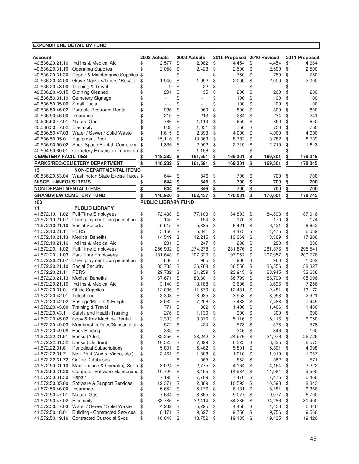| <b>EXPENDITURE DETAIL BY FUND</b>  |                                                  |          |                            |          |                 |          |                            |          |                |          |                |
|------------------------------------|--------------------------------------------------|----------|----------------------------|----------|-----------------|----------|----------------------------|----------|----------------|----------|----------------|
|                                    |                                                  |          |                            |          |                 |          |                            |          |                |          |                |
| Account                            |                                                  |          | 2008 Actuals               |          | 2009 Actuals    |          | 2010 Proposed 2010 Revised |          |                |          | 2011 Proposed  |
| 40.536.20.21.16                    | Ind Ins & Medical Aid                            | \$       | 2,577                      | \$       | 2,982           | \$       | 4,454                      | \$       | 4,454          | \$       | 4,664          |
| 40.536.20.31.10                    | <b>Operating Supplies</b>                        | \$       | 2,058                      | \$       | 2,423           | \$       | 2,500                      | \$       | 2,500          | \$       | 2,500          |
| 40.536.20.31.30                    | Repair & Maintenance Supplies                    | \$       |                            | \$       |                 | \$       | 750                        | \$       | 750            | \$       | 750            |
| 40.536.20.34.00                    | Grave Markers/Liners *Resale*                    | \$       | 1,945                      | \$       | 1,992           | \$       | 2,000                      | \$       | 2,000          | \$       | 2,000          |
| 40.536.20.43.00                    | <b>Training &amp; Travel</b>                     | \$       | 9                          | \$       | 22              | \$       |                            | \$       |                | \$       |                |
| 40.536.20.49.15                    | <b>Clothing Cleaned</b>                          | \$<br>\$ | 291                        | \$<br>\$ | 95              | \$<br>\$ | 200<br>100                 | \$<br>\$ | 200            | \$<br>\$ | 200<br>100     |
| 40.536.50.31.19                    | <b>Cemetery Signage</b><br><b>Small Tools</b>    | \$       |                            | \$       | ä,              | \$       | 100                        | \$       | 100<br>100     | \$       | 100            |
| 40.536.50.35.00<br>40.536.50.45.02 | Portable Restroom Rental                         | \$       | 936                        | \$       | 960             | \$       | 800                        | \$       | 800            | \$       | 800            |
| 40.536.50.46.00                    | Insurance                                        | \$       | 210                        | \$       | 213             | \$       | 234                        | \$       | 234            | \$       | 241            |
| 40.536.50.47.01                    | <b>Natural Gas</b>                               | \$       | 786                        | \$       | 1.113           | \$       | 850                        | \$       | 850            | \$       | 850            |
| 40.536.50.47.02                    | Electricity                                      | \$       | 608                        | \$       | 1,031           | \$       | 750                        | \$       | 750            | \$       | 750            |
| 40.536.50.47.03                    | Water / Sewer / Solid Waste                      | \$       | 1,615                      | \$       | 2,393           | \$       | 4,000                      | \$       | 4,000          | \$       | 4,000          |
| 40.536.50.95.01                    | <b>Equipment Pool</b>                            | \$       | 15,116                     | \$       | 13,363          | \$       | 8,782                      | \$       | 8,782          | \$       | 8,739          |
|                                    | 40.536.50.95.02 Shop Space Rental- Cemetery      | \$       | 1,836                      | \$       | 2,052           | \$       | 2,715                      | \$       | 2,715          | \$       | 1,813          |
|                                    | 40.594.50.60.01 Cemetery Expansion Improvem \$   |          |                            | \$       | 1,156           | \$       |                            | \$       |                | \$       |                |
| <b>CEMETERY FACILITIES</b>         |                                                  | \$       | 148,282                    | \$       | 161,591         | \$       | 169,301                    | \$       | 169,301        | \$       | 178,045        |
|                                    | PARKS/REC/CEMETERY DEPARTMENT                    | \$       | 148,282                    | \$       | 161,591         | \$       | 169,301                    | \$       | 169,301        | \$       | 178,045        |
| 13                                 | <b>NON-DEPARTMENTAL ITEMS</b>                    |          |                            |          |                 |          |                            |          |                |          |                |
|                                    | 00.536.20.53.04 Washington State Excise Taxes \$ |          | 644                        | \$       | 846             | \$       | 700                        | \$       | 700            | \$       | 700            |
| <b>MISCELLANEOUS ITEMS</b>         |                                                  |          | 644                        | \$       | 846             | \$       | 700                        | \$       | 700            | \$       | 700            |
| <b>NON-DEPARTMENTAL ITEMS</b>      |                                                  | \$       | 644                        | \$       | 846             | \$       | 700                        | \$       | 700            | \$       | 700            |
| <b>GRANDVIEW CEMETERY FUND</b>     |                                                  | \$       | 148,926                    | \$       | 162,437         | \$       | 170,001                    | \$       | 170.001        | \$       | 178,745        |
| 103                                |                                                  |          | <b>PUBLIC LIBRARY FUND</b> |          |                 |          |                            |          |                |          |                |
| 11                                 | <b>PUBLIC LIBRARY</b>                            |          |                            |          |                 |          |                            |          |                |          |                |
|                                    | 41.572.10.11.02 Full-Time Employees              | \$       | 72,438                     | \$       | 77,103          | \$       | 84,893                     | \$       | 84,893         | \$       | 87,916         |
| 41.572.10.21.07                    | Unemployment Compensation                        | \$       | 145                        | \$       | 154             | \$       | 170                        | \$       | 170            | \$       | 174            |
| 41.572.10.21.10                    | Social Securtiy                                  | \$       | 5,515                      | \$       | 5,835           | \$       | 6,421                      | \$       | 6,421          | \$       | 6,652          |
| 41.572.10.21.11                    | <b>PERS</b>                                      | \$       | 5,166                      | \$       | 5,341           | \$       | 4,475                      | \$       | 4,475          | \$       | 6,039          |
| 41.572.10.21.13                    | <b>Medical Benefits</b>                          | \$       | 14,549                     | \$       | 12,215          | \$       | 13,369                     | \$       | 13,369         | \$       | 17,806         |
|                                    | 41.572.10.21.16 Ind Ins & Medical Aid            | \$       | 231                        | \$       | 247             | \$       | 288                        | \$       | 288            | \$       | 330            |
|                                    | 41.572.20.11.02 Full-Time Employees              | \$       | 256,932                    | \$       | 274,278         | \$       | 281,876                    | \$       | 281,876        | \$       | 295,541        |
|                                    | 41.572.20.11.03 Part-Time Employees              | \$       | 181,648                    | \$       | 207,320         | \$       | 197,957                    | \$       | 207,957        | \$       | 209,776        |
|                                    | 41.572.20.21.07 Unemployment Compensation        | \$       | 886                        | \$       | 965             | \$       | 960                        | \$       | 960            | \$       | 1,002          |
| 41.572.20.21.10                    | <b>Social Security</b>                           | \$       | 33,735                     | \$       | 36,768          | \$       | 36,556                     | \$       | 36,556         | \$       | 38,327         |
| 41.572.20.21.11 PERS               |                                                  | \$       | 29,782                     | \$       | 31,259          | \$       | 23,945                     | \$       | 23,945         | \$       | 32,638         |
| 41.572.20.21.13                    | <b>Medical Benefits</b>                          | \$       | 67,671                     | \$       | 83,301          | \$       | 88,799                     | \$       | 88,799         | \$       | 105,996        |
| 41.572.20.21.16                    | Ind Ins & Medical Aid                            | \$       | 3,140                      | \$       | 3,188           | \$       | 3,696                      | \$       | 3,696          | \$       | 7,256          |
| 41.572.20.31.01                    | <b>Office Supplies</b>                           | \$       | 12,036                     | \$       | 11,570          | \$       | 12,481                     | \$       | 12,481         | \$       | 13,172         |
| 41.572.20.42.01                    | Telephone                                        | \$       | 3,308                      | \$       | 3,985           | \$       | 3,953                      | \$       | 3,953          | \$       | 2,921          |
|                                    | 41.572.20.42.02 Postage/Meters & Freight         | \$       | 8,032                      | \$       | 7,206           | \$       | 7,488                      | \$       | 7,488          | \$       | 7,445          |
| 41.572.20.43.00                    | <b>Training &amp; Travel</b>                     | \$       | 771                        | \$       | 862             | \$       | 1,406                      | \$       | 1,406          | \$       | 1,406          |
| 41.572.20.43.11                    | Safety and Health Training                       | \$       | 276                        | \$       | 1,130           | \$       | 300                        | \$       | 300            | \$       | 690            |
| 41.572.20.45.02                    | Copy & Fax Machine Rental                        | \$       | 2,333                      | \$       | 3,870           | \$       | 5,116                      | \$       | 5,116          | \$       | 6,050          |
| 41.572.20.49.03                    | Membership Dues/Subscription                     | \$       | 572                        | \$       | 424             | \$       | 578                        | \$       | 578            | \$       | 578            |
| 41.572.20.49.08                    | <b>Book Binding</b>                              | \$       | 335                        | \$       |                 | \$       | 346                        | \$       | 346            | \$       | 100            |
| 41.572.22.31.51                    | Books (Adult)                                    | \$       | 32,256                     | \$       | 23,242          | \$       | 24,976                     | \$       | 24,976         | \$       | 25,725         |
| 41.572.22.31.52                    | Books (Children)                                 | \$       | 10,525                     | \$       | 7,899           | \$       | 8,325                      | \$       | 8,325          | \$       | 8,575          |
| 41.572.22.31.61                    | <b>Periodical Subscriptions</b>                  | \$       | 5,801                      | \$       | 5,462           | \$       | 5,801                      | \$       | 5,801          | \$       | 4,998          |
| 41.572.22.31.71                    | Non-Print (Audio, Video, etc.)                   | \$       | 3,461                      | \$       | 1,808           | \$       | 1,910                      | \$       | 1,910          | \$       | 1,967          |
| 41.572.22.31.72                    | <b>Online Databases</b>                          | \$       |                            | \$       | 565             | \$       | 582                        | \$       | 582            | \$       | 571            |
| 41.572.50.31.10                    | Maintenance & Operating Supp                     | \$       | 3,024                      | \$       | 2,775           | \$       | 4,164                      | \$       | 4,164          | \$       | 3,222          |
| 41.572.50.31.20                    | Computer Software Maintenanc \$                  |          | 10,720                     | \$       | 3,455           | \$       | 14,984                     | \$       | 14,984         | \$       | 9,500          |
| 41.572.50.31.30                    | Repair                                           | \$       | 7,198                      | \$       | 7,709           | \$       | 7,476                      | \$       | 7,476          | \$       | 6,466          |
| 41.572.50.35.00                    | Software & Support Services<br>Insurance         | \$       | 12,371                     | \$       | 2,889           | \$       | 10,593                     | \$       | 10,593         | \$       | 8,343          |
| 41.572.50.46.00                    | <b>Natural Gas</b>                               | \$<br>\$ | 5,652                      | \$       | 5,176           | \$       | 6,181                      | \$       | 6,181          | \$<br>\$ | 6,366          |
| 41.572.50.47.01                    |                                                  | \$       | 7,634                      | \$       | 8,365           | \$       | 9,077                      | \$       | 9,077          |          | 6,700          |
| 41.572.50.47.02 Electricity        | 41.572.50.47.03 Water / Sewer / Solid Waste      |          | 33,786                     | \$       | 32,414<br>5,295 | \$<br>\$ | 34,286                     | \$       | 34,286         | \$       | 31,400         |
| 41.572.50.48.01                    | <b>Building - Contracted Services</b>            | \$<br>\$ | 4,232<br>8,171             | \$<br>\$ | 9,627           | \$       | 4,458<br>9,756             | \$<br>\$ | 4,458<br>9,756 | \$<br>\$ | 5,446<br>9,566 |
|                                    | 41.572.50.49.16 Contracted Custodial Svcs        | \$       | 18,048                     | \$       | 18,752          | \$       | 19,135                     | \$       | 19,135         | \$       | 19,420         |
|                                    |                                                  |          |                            |          |                 |          |                            |          |                |          |                |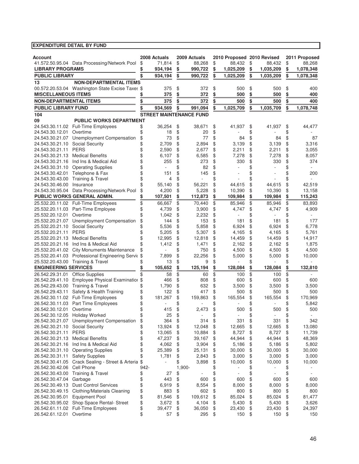| <b>Account</b>                 |                                                  |      | 2008 Actuals | 2009 Actuals                   | 2010 Proposed 2010 Revised     |                 | 2011 Proposed   |
|--------------------------------|--------------------------------------------------|------|--------------|--------------------------------|--------------------------------|-----------------|-----------------|
|                                | 41.572.50.95.04 Data Processing/Network Pool     | \$   | 71,814       | \$<br>88,268                   | \$<br>88,432                   | \$<br>88,432    | \$<br>88,268    |
| <b>LIBRARY PROGRAMS</b>        |                                                  | \$   | 934,194      | \$<br>990,722                  | \$<br>1,025,209                | \$<br>1,035,209 | \$<br>1,078,348 |
| <b>PUBLIC LIBRARY</b>          |                                                  | \$   | 934,194      | \$<br>990,722                  | \$<br>1,025,209                | \$<br>1,035,209 | \$<br>1,078,348 |
| 13                             | <b>NON-DEPARTMENTAL ITEMS</b>                    |      |              |                                |                                |                 |                 |
|                                | 00.572.20.53.04 Washington State Excise Taxes \$ |      | 375          | \$<br>372                      | \$<br>500                      | \$<br>500       | \$<br>400       |
| <b>MISCELLANEOUS ITEMS</b>     |                                                  | \$   | 375          | \$<br>372                      | \$<br>500                      | \$<br>500       | \$<br>400       |
| <b>NON-DEPARTMENTAL ITEMS</b>  |                                                  | \$   | 375          | \$<br>372                      | \$<br>500                      | \$<br>500       | \$<br>400       |
| <b>PUBLIC LIBRARY FUND</b>     |                                                  | \$   | 934,569      | \$<br>991,094                  | \$<br>1,025,709                | \$<br>1,035,709 | \$<br>1,078,748 |
|                                |                                                  |      |              |                                |                                |                 |                 |
| 104                            | <b>PUBLIC WORKS DEPARTMENT</b>                   |      |              | <b>STREET MAINTENANCE FUND</b> |                                |                 |                 |
| 09                             | 24.543.30.11.02 Full-Time Employees              | \$   | 36,254       | \$<br>38.671                   | \$<br>41,937                   | \$<br>41,937    | \$<br>44,477    |
| 24.543.30.12.01                | Overtime                                         | \$   | 18           | \$<br>20                       | \$                             | \$              | \$              |
| 24.543.30.21.07                | Unemployment Compensation                        | \$   | 73           | \$<br>77                       | \$<br>84                       | \$<br>84        | \$<br>87        |
| 24.543.30.21.10                | <b>Social Security</b>                           | \$   | 2,709        | \$<br>2,894                    | \$<br>3,139                    | \$<br>3,139     | \$<br>3,316     |
| 24.543.30.21.11                | <b>PERS</b>                                      | \$   | 2,590        | \$<br>2,677                    | \$<br>2,211                    | \$<br>2,211     | \$<br>3,055     |
| 24.543.30.21.13                | <b>Medical Benefits</b>                          | \$   | 6,107        | \$<br>6,585                    | \$<br>7,278                    | \$<br>7,278     | \$<br>8,057     |
| 24.543.30.21.16                | Ind Ins & Medical Aid                            | \$   | 255          | \$<br>273                      | \$<br>330                      | \$<br>330       | \$<br>374       |
| 24.543.30.31.10                | <b>Operating Supplies</b>                        | \$   |              | \$<br>82                       | \$                             | \$              | \$              |
| 24.543.30.42.01                | Telephone & Fax                                  | \$   | 151          | \$<br>145                      | \$                             | \$              | \$<br>200       |
| 24.543.30.43.00                | <b>Training &amp; Travel</b>                     | \$   | 4            | \$                             | \$                             | \$              | \$              |
| 24.543.30.46.00                | Insurance                                        | \$   | 55,140       | \$<br>56,221                   | \$<br>44,615                   | \$<br>44,615    | \$<br>42.519    |
| 24.543.30.95.04                | Data Processing/Network Pool                     | \$   | 4,200        | \$<br>5,228                    | \$<br>10,390                   | \$<br>10,390    | \$<br>13,158    |
|                                | PUBLIC WORKS GENERAL ADMIN.                      | \$   | 107,501      | \$<br>112,873                  | \$<br>109,984                  | \$<br>109,984   | \$<br>115,243   |
| 25.532.20.11.02                | <b>Full-Time Employees</b>                       | \$   | 66,667       | \$<br>70,440                   | \$<br>85,946                   | \$<br>85,946    | \$<br>83,893    |
| 25.532.20.11.03                | Part-Time Employee                               | \$   | 4,739        | \$<br>3,900                    | \$<br>4,747                    | \$<br>4,747     | \$<br>4,909     |
| 25.532.20.12.01                | Overtime                                         | \$   | 1,042        | \$<br>2,232                    | \$                             | \$              | \$              |
| 25.532.20.21.07                | Unemployment Compensation                        | \$   | 144          | \$<br>153                      | \$<br>181                      | \$<br>181       | \$<br>177       |
| 25.532.20.21.10                | <b>Social Security</b>                           | \$   | 5,536        | \$<br>5,858                    | \$<br>6,924                    | \$<br>6,924     | \$<br>6,778     |
| 25.532.20.21.11                | <b>PERS</b>                                      | \$   | 5,205        | \$<br>5,307                    | \$<br>4,165                    | \$<br>4,165     | \$<br>5,761     |
| 25.532.20.21.13                | <b>Medical Benefits</b>                          | \$   | 12,995       | \$<br>12,818                   | \$<br>14,459                   | \$<br>14,459    | \$<br>14,917    |
| 25.532.20.21.16                | Ind Ins & Medical Aid                            | \$   | 1,412        | \$<br>1,471                    | \$<br>2,162                    | \$<br>2,162     | \$<br>1,875     |
| 25.532.20.41.02                | <b>City Monuments Maintenance</b>                | \$   |              | \$<br>750                      | \$<br>4,500                    | \$<br>4,500     | \$<br>4,500     |
| 25.532.20.41.03                | Professional Engineering Servic \$               |      | 7,899        | \$<br>22,256                   | \$<br>5,000                    | \$<br>5,000     | \$<br>10,000    |
| 25.532.20.43.00                | Training & Travel                                |      | 13           | \$<br>9                        | \$                             | \$              | \$              |
| <b>ENGINEERING SERVICES</b>    |                                                  | \$   | 105,652      | \$<br>125,194                  | \$<br>128,084                  | \$<br>128,084   | \$<br>132,810   |
| 26.542.29.31.01                | <b>Office Supplies</b>                           | \$   | 58           | \$<br>60                       | \$<br>100                      | \$<br>100       | \$              |
| 26.542.29.41.10                | Employee Physical Examinatiol \$                 |      | 466          | \$<br>808                      | \$<br>600                      | \$<br>600       | \$<br>600       |
| 26.542.29.43.00                | Training & Travel                                | \$   | 1,790        | \$<br>632                      | \$<br>3,500                    | \$<br>3,500     | \$<br>3,500     |
| 26.542.29.43.11                | Safety & Health Training                         | \$   | 122          | \$<br>417                      | \$<br>500                      | \$<br>500       | \$<br>500       |
|                                | 26.542.30.11.02 Full-Time Employees              | \$   | 181,267      | \$<br>159,863                  | \$<br>165,554                  | \$<br>165,554   | \$<br>170,969   |
| 26.542.30.11.03                | Part Time Employees                              | \$   |              | \$                             | \$                             | \$              | \$<br>5,842     |
| 26.542.30.12.01 Overtime       |                                                  | \$   | 415          | \$<br>2.473                    | \$<br>500                      | \$<br>500       | \$<br>500       |
| 26.542.30.12.05 Holiday Worked |                                                  | \$   | 25           | \$                             | \$                             | \$              | \$              |
| 26.542.30.21.07                | Unemployment Compensation                        | \$   | 364          | \$<br>314                      | \$<br>331                      | \$<br>331       | \$<br>342       |
| 26.542.30.21.10                | <b>Social Security</b>                           | \$   | 13,924       | \$<br>12,048                   | \$<br>12,665                   | \$<br>12,665    | \$<br>13,080    |
| 26.542.30.21.11                | <b>PERS</b>                                      | \$   | 13,065       | \$<br>10,884                   | \$<br>8,727                    | \$<br>8,727     | \$<br>11,739    |
| 26.542.30.21.13                | <b>Medical Benefits</b>                          | \$   | 47,237       | \$<br>39,167                   | \$<br>44,944                   | \$<br>44,944    | \$<br>48,369    |
| 26.542.30.21.16                | Ind Ins & Medical Aid                            | \$   | 4,062        | \$<br>3,904                    | \$<br>5,186                    | \$<br>5,186     | \$<br>5,802     |
| 26.542.30.31.10                | <b>Operating Supplies</b>                        | \$   | 25,389       | \$<br>25,131                   | \$<br>30,000                   | \$<br>30,000    | \$<br>30,000    |
| 26.542.30.31.11                | <b>Safety Supplies</b>                           | \$   | 1,781        | \$<br>2,843                    | \$<br>3,000                    | \$<br>3,000     | \$<br>3,000     |
| 26.542.30.41.05                | Crack Sealing - Street & Arteria                 | \$   |              | \$<br>3,898                    | \$<br>10,000                   | \$<br>10,000    | \$<br>10,000    |
| 26.542.30.42.06                | Cell Phone                                       | 942- |              | 1,900-                         | \$                             | \$              | \$              |
| 26.542.30.43.00                | <b>Training &amp; Travel</b>                     | \$   | 27           | \$                             | \$<br>$\overline{\phantom{a}}$ | \$<br>٠         | \$<br>$\sim$    |
| 26.542.30.47.04                | Garbage                                          | \$   | 443          | \$<br>600                      | \$<br>600                      | \$<br>600       | \$<br>600       |
| 26.542.30.49.13                | <b>Dust Control Services</b>                     | \$   | 6,919        | \$<br>8,554                    | \$<br>8,000                    | \$<br>8,000     | \$<br>8,000     |
| 26.542.30.49.15                | Clothing/Materials Cleaning                      | \$   | 883          | \$<br>602                      | \$<br>800                      | \$<br>800       | \$<br>800       |
| 26.542.30.95.01                | Equipment Pool                                   | \$   | 81,546       | \$<br>109,612                  | \$<br>85,024                   | \$<br>85,024    | \$<br>81,477    |
| 26.542.30.95.02                | Shop Space Rental- Street                        | \$   | 3,672        | \$<br>4,104                    | \$<br>5,430                    | \$<br>5,430     | \$<br>3,626     |
| 26.542.61.11.02                | Full-Time Employees                              | \$   | 39,477       | \$<br>36,050                   | \$<br>23,430                   | \$<br>23,430    | \$<br>24,397    |
| 26.542.61.12.01                | Overtime                                         | \$   | 57           | \$<br>295                      | \$<br>150                      | \$<br>150       | \$<br>150       |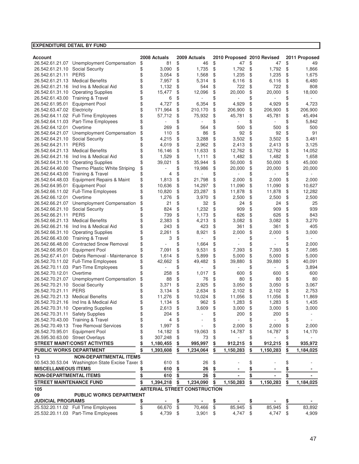| <b>EXPENDITURE DETAIL BY FUND</b>  |                                                     |           |                   |           |                                     |           |                   |               |                   |               |                   |
|------------------------------------|-----------------------------------------------------|-----------|-------------------|-----------|-------------------------------------|-----------|-------------------|---------------|-------------------|---------------|-------------------|
|                                    |                                                     |           |                   |           |                                     |           |                   |               |                   |               |                   |
| <b>Account</b>                     |                                                     |           | 2008 Actuals      |           | 2009 Actuals                        |           | 2010 Proposed     |               | 2010 Revised      |               | 2011 Proposed     |
|                                    | 26.542.61.21.07 Unemployment Compensation           | \$        | 81                | \$        | 46                                  | \$        | 47                | \$            | 47                | \$            | 49                |
| 26.542.61.21.10                    | Social Security<br><b>PERS</b>                      | \$        | 3,090             | \$        | 1,735                               | \$        | 1,792             | \$            | 1,792             | \$            | 1,866             |
| 26.542.61.21.11                    | <b>Medical Benefits</b>                             | \$        | 3,054             | \$        | 1,568                               | \$        | 1,235             | \$            | 1,235             | \$            | 1,675             |
| 26.542.61.21.13                    |                                                     | \$        | 7,957             | \$        | 5,314                               | \$        | 6,116             | \$            | 6,116             | \$            | 6,480             |
| 26.542.61.21.16                    | Ind Ins & Medical Aid                               | \$        | 1,132             | \$        | 544                                 | \$        | 722               | \$            | 722<br>20,000     | \$            | 808               |
| 26.542.61.31.10                    | <b>Operating Supplies</b>                           | \$<br>\$  | 15,477            | \$        | 12,096                              | \$        | 20,000            | \$            |                   | \$            | 18,000            |
| 26.542.61.43.00                    | <b>Training &amp; Travel</b>                        |           | 6                 | \$<br>\$  |                                     | \$        |                   | \$            |                   | \$            |                   |
| 26.542.61.95.01                    | <b>Equipment Pool</b>                               | \$        | 4,727             |           | 6,354<br>210.170                    | \$        | 4,929             | \$            | 4,929             | \$            | 4,723             |
| 26.542.63.47.02                    | Electricity<br><b>Full-Time Employees</b>           | \$<br>\$  | 171,964<br>57,712 | \$        | 75,932                              | \$<br>\$  | 206,900<br>45,781 | \$<br>\$      | 206,900<br>45,781 | \$<br>\$      | 206,900<br>45,494 |
| 26.542.64.11.02                    |                                                     |           |                   | \$<br>\$  |                                     | \$        |                   | \$            |                   |               | 5,842             |
| 26.542.64.11.03<br>26.542.64.12.01 | Part-Time Employees<br>Overtime                     |           | 269               | \$        | 564                                 | \$        | 500               |               | 500               | \$<br>\$      | 500               |
|                                    |                                                     | \$        |                   | \$        | 86                                  | \$        | 92                | \$<br>\$      | 92                | \$            | 91                |
| 26.542.64.21.07                    | Unemployment Compensation<br><b>Social Security</b> |           | 110<br>4,215      | \$        | 3,288                               | \$        | 3,502             |               | 3,502             | \$            | 3,481             |
| 26.542.64.21.10                    | <b>PERS</b>                                         |           | 4,019             | \$        | 2,962                               | \$        | 2,413             | \$<br>\$      | 2,413             |               | 3,125             |
| 26.542.64.21.11                    | <b>Medical Benefits</b>                             | \$        |                   | \$        | 11,633                              | \$        | 12,762            | \$            |                   | \$<br>\$      |                   |
| 26.542.64.21.13<br>26.542.64.21.16 | Ind Ins & Medical Aid                               | \$        | 16,146<br>1,529   |           | 1,111                               | \$        | 1,482             |               | 12,762<br>1,482   |               | 14,052<br>1,658   |
|                                    | <b>Operating Supplies</b>                           |           |                   | \$        | 35,944                              |           |                   | \$            |                   | \$            |                   |
| 26.542.64.31.10<br>26.542.64.40.00 | Thermo Plastic White Striping                       | \$<br>\$  | 39,021            | \$<br>\$  | 19,986                              | \$<br>\$  | 50,000<br>20,000  | \$            | 50,000<br>20,000  | \$            | 45,000<br>20,000  |
|                                    |                                                     |           |                   | \$        |                                     | \$        |                   | \$            |                   | \$            |                   |
| 26.542.64.43.00                    | <b>Training &amp; Travel</b>                        | \$        | 4                 |           |                                     |           |                   | \$            |                   | \$            |                   |
| 26.542.64.48.03                    | Equipment Repairs & Maint                           | \$        | 1,813             | \$        | 21,798                              | \$        | 2,000             | \$            | 2,000             | \$            | 2,000             |
| 26.542.64.95.01                    | <b>Equipment Pool</b>                               | \$<br>\$  | 10,636            | \$        | 14,297                              | \$        | 11,090            | \$            | 11,090            | \$            | 10,627            |
| 26.542.66.11.02                    | <b>Full-Time Employees</b>                          |           | 10,820            | \$        | 23,287                              | \$        | 11,878            | \$            | 11,878            | \$            | 12,282            |
| 26.542.66.12.01                    | Overtime                                            |           | 1,276             | \$        | 3,970                               | \$        | 2,500             | \$            | 2,500             | \$            | 2,500             |
| 26.542.66.21.07                    | Unemployment Compensation                           | \$        | 21                | \$        | 32                                  | \$        | 24                | \$            | 24                | \$            | 25                |
| 26.542.66.21.10                    | Social Security                                     | \$        | 824               | \$        | 1,232                               | \$        | 909               | \$            | 909               | \$            | 939               |
| 26.542.66.21.11                    | <b>PERS</b>                                         |           | 739               | \$        | 1,173                               | \$        | 626               | \$            | 626               | \$            | 843               |
| 26.542.66.21.13                    | <b>Medical Benefits</b>                             | \$        | 2,383             | \$        | 4,213                               | \$        | 3,082             | \$            | 3,082             | \$            | 3,270             |
| 26.542.66.21.16                    | Ind Ins & Medical Aid                               | \$        | 243               | \$        | 423                                 | \$        | 361               | \$            | 361               | \$            | 405               |
| 26.542.66.31.10                    | <b>Operating Supplies</b>                           | \$        | 2,261             | \$        | 8,921                               | \$        | 2,000             | \$            | 2,000             | \$            | 3,000             |
| 26.542.66.43.00                    | Training & Travel                                   | \$        | 3                 | \$        |                                     | \$        |                   | \$            |                   | \$            |                   |
| 26.542.66.48.00                    | <b>Contracted Snow Removal</b>                      | \$        |                   | \$        | 1,664                               | \$        |                   | \$            |                   | \$            | 2,000             |
| 26.542.66.95.01                    | <b>Equipment Pool</b>                               | \$        | 7,091             | \$        | 9,531                               | \$        | 7,393             | \$            | 7,393             | \$            | 7,085             |
| 26.542.67.41.01                    | Debris Removal - Maintenance                        | \$        | 1,614             | \$        | 5,899                               | \$        | 5,000             | \$            | 5,000             | \$            | 5,000             |
| 26.542.70.11.02                    | Full-Time Employees                                 |           | 42,662            | \$        | 49,482                              | \$        | 39,880            | \$            | 39,880            | \$            | 40,091            |
| 26.542.70.11.03                    | Part-Time Employees                                 |           |                   | \$        |                                     | \$        |                   | \$            |                   | \$            | 3,894             |
| 26.542.70.12.01                    | Overtime                                            |           | 258               | \$        | 1,017                               | \$        | 600               | \$            | 600               | \$            | 600               |
| 26.542.70.21.07                    | Unemployment Compensation                           | \$        | 88                | \$        | 76                                  | \$        | 80                | \$            | 80                | \$            | 80                |
| 26.542.70.21.10                    | Social Security                                     |           | 3,371             | \$        | 2,925                               | \$        | 3,050             | \$            | 3,050             | \$            | 3,067             |
| 26.542.70.21.11                    | <b>PERS</b>                                         |           | 3,134             | \$        | 2,634                               | \$        | 2,102             | \$            | 2,102             | \$            | 2,753             |
| 26.542.70.21.13                    | <b>Medical Benefits</b>                             | \$        | 11,276            | \$        | 10,024                              | \$        | 11,056            | \$            | 11,056            | \$            | 11,869            |
| 26.542.70.21.16                    | Ind Ins & Medical Aid                               | \$        | 1,134             | \$        | 962                                 | \$        | 1,283             | \$            | 1,283             | \$            | 1,435             |
| 26.542.70.31.10                    | <b>Operating Supplies</b>                           | \$        | 2,613             | \$        | 3,609                               | \$        | 3,000             | \$            | 3,000             | \$            | 3,000             |
| 26.542.70.31.11                    | <b>Safety Supplies</b>                              | \$        | 204               | \$        |                                     | \$        | 200               | \$            | 200               | \$            |                   |
| 26.542.70.43.00                    | Training & Travel                                   | \$        | 4                 | \$        |                                     | \$        |                   | \$            |                   | \$            |                   |
|                                    | 26.542.70.49.13 Tree Removal Services               | \$        | 1,997             | \$        |                                     | \$        | 2,000             | \$            | 2,000             | \$            | 2,000             |
| 26.542.70.95.01                    | <b>Equipment Pool</b>                               | \$        | 14,182            | \$        | 19,063                              | \$        | 14,787            | \$            | 14,787            | \$            | 14,170            |
| 26.595.30.63.00 Street Overlays    |                                                     | \$        | 307,248           | \$        | 73                                  | \$        |                   | \$            |                   | \$            |                   |
|                                    | <b>STREET MAINT/CONST ACTIVITIES</b>                | \$        | 1,180,455         | \$        | 995,997                             | \$        | 912,215           | \$            | 912,215           | \$            | 935,972           |
| <b>PUBLIC WORKS DEPARTMENT</b>     |                                                     | \$        | 1,393,608         | \$        | 1,234,064                           | \$        | 1,150,283         |               | 1,150,283         | \$            | 1,184,025         |
| 13                                 | <b>NON-DEPARTMENTAL ITEMS</b>                       |           |                   |           |                                     |           |                   |               |                   |               |                   |
|                                    | 00.543.30.53.04 Washington State Excise Taxes \$    |           | 610               | \$        | 26                                  | \$        |                   | \$            |                   | \$            |                   |
| <b>MISCELLANEOUS ITEMS</b>         |                                                     | \$        | 610               | \$        | 26                                  | \$        |                   | \$            |                   | \$            |                   |
| <b>NON-DEPARTMENTAL ITEMS</b>      |                                                     | \$        | 610               | \$        | 26                                  | \$        |                   | \$            |                   | $\frac{3}{2}$ |                   |
| <b>STREET MAINTENANCE FUND</b>     |                                                     | \$        | 1,394,218         | \$        | 1,234,090                           | \$        | 1,150,283         | \$            | 1,150,283         | \$            | 1,184,025         |
| 105                                |                                                     |           |                   |           | <b>ARTERIAL STREET CONSTRUCTION</b> |           |                   |               |                   |               |                   |
| 09                                 | <b>PUBLIC WORKS DEPARTMENT</b>                      |           |                   |           |                                     |           |                   |               |                   |               |                   |
| <b>JUDICIAL PROGRAMS</b>           |                                                     | <u>\$</u> |                   | <u>\$</u> | ٠                                   | <u>\$</u> |                   | $\frac{3}{9}$ |                   | <u>\$</u>     |                   |
|                                    | 25.532.20.11.02 Full Time Employees                 | \$        | 66,670            | \$        | 70,466                              | \$        | 85,945            |               | 85,945            | \$            | 83,892            |
|                                    | 25.532.20.11.03 Part-Time Employees                 | \$        | 4,739             | \$        | 3,901                               | \$        | 4,747             | \$            | 4,747             | \$            | 4,909             |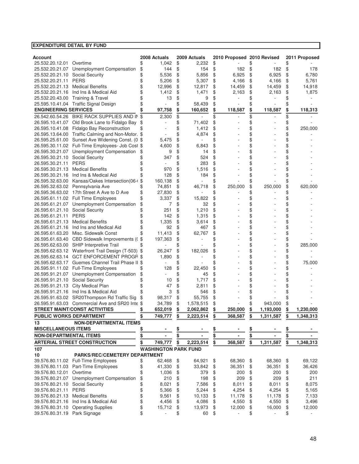| <b>EXPENDITURE DETAIL BY FUND</b>  |                                                                                                       |           |                             |                 |                   |               |                            |          |           |          |               |
|------------------------------------|-------------------------------------------------------------------------------------------------------|-----------|-----------------------------|-----------------|-------------------|---------------|----------------------------|----------|-----------|----------|---------------|
|                                    |                                                                                                       |           |                             |                 |                   |               |                            |          |           |          |               |
| <b>Account</b>                     |                                                                                                       |           | 2008 Actuals                |                 | 2009 Actuals      |               | 2010 Proposed 2010 Revised |          |           |          | 2011 Proposed |
| 25.532.20.12.01 Overtime           |                                                                                                       | \$        | 1,042                       | \$              | 2,232             | \$            |                            | \$       |           | \$       |               |
|                                    | 25.532.20.21.07 Unemployment Compensation                                                             | \$        | 144                         | \$              | 154               | \$            | 182                        | \$       | 182       | \$       | 178           |
| 25.532.20.21.10 Social Security    | <b>PERS</b>                                                                                           | \$        | 5,536                       | \$              | 5,856             | \$            | 6,925                      | \$       | 6,925     | \$       | 6,780         |
| 25.532.20.21.11                    | 25.532.20.21.13 Medical Benefits                                                                      | \$        | 5,206                       | \$              | 5,307             | \$            | 4,166                      | \$       | 4,166     | \$       | 5,761         |
|                                    |                                                                                                       |           | 12,996                      | \$              | 12,817            | \$            | 14,459                     | \$       | 14,459    | \$       | 14,918        |
| 25.532.20.21.16                    | Ind Ins & Medical Aid                                                                                 | \$        | 1,412                       | \$              | 1,471             | \$            | 2,163                      | \$       | 2,163     | \$       | 1,875         |
| 25.532.20.43.00                    | <b>Training &amp; Travel</b>                                                                          | \$<br>\$  | 13                          | \$<br>\$        | 9                 | \$            |                            | \$<br>\$ |           | \$       |               |
| <b>ENGINEERING SERVICES</b>        | 25.595.10.41.04 Traffic Signal Design                                                                 |           | 97,758                      |                 | 58,439<br>160,652 | \$            | 118,587                    |          | 118,587   |          |               |
|                                    |                                                                                                       |           |                             | \$              |                   | \$            |                            | \$       |           | \$       | 118,313       |
|                                    | 26.542.60.54.26 BIKE RACK SUPPLIES AND IN                                                             | \$        | 2,300                       | \$              |                   | \$            |                            | \$       |           | \$       |               |
|                                    | 26.595.10.41.07 Old Brook Lane to Fidalgo Bay                                                         |           |                             | \$              | 71,402            | \$            |                            | \$       |           | \$       |               |
|                                    | 26.595.10.41.08 Fidalgo Bay Reconstruction                                                            | \$        |                             | \$              | 1,412             | \$            |                            | \$<br>\$ |           | \$       | 250,000       |
|                                    | 26.595.13.64.00 Traffic Calming and Non-Motor. \$<br>26.595.25.61.00 Sunset Ave Widening Const. (0 \$ |           |                             | \$              | 4,874             | \$            |                            |          |           | \$       |               |
|                                    | 26.595.30.11.02 Full-Time Employees- Job Cost \$                                                      |           | 5,475<br>4,600              | \$<br>\$        | 6,843             | \$<br>\$      |                            | \$<br>\$ |           | \$       |               |
|                                    | 26.595.30.21.07 Unemployment Compensation                                                             |           |                             | \$              |                   | \$            |                            | \$       |           | \$       |               |
| 26.595.30.21.10                    | Social Security                                                                                       | \$        | 9<br>347                    | \$              | 14<br>524         | \$            |                            | \$       |           | \$<br>\$ |               |
|                                    | <b>PERS</b>                                                                                           |           |                             | \$              | 283               | \$            |                            | \$       |           | \$       |               |
| 26.595.30.21.11<br>26.595.30.21.13 | <b>Medical Benefits</b>                                                                               |           |                             |                 |                   | \$            |                            |          |           |          |               |
|                                    | 26.595.30.21.16 Ind Ins & Medical Aid                                                                 |           | 970<br>128                  | \$<br>\$        | 1,516             | \$            |                            | \$<br>\$ |           | \$       |               |
|                                    | 26.595.32.63.00 Kansas/Oakes Intersection(06-                                                         | \$        | 160,138                     | \$              | 184               |               |                            | \$       |           | \$<br>\$ |               |
|                                    | 26.595.32.63.02 Pennsylvania Ave                                                                      |           | 74,851                      | \$              | 46,718            | \$<br>\$      | 250,000                    | \$       | 250,000   | \$       | 620,000       |
|                                    | 26.595.36.63.02 17th Street A Ave to D Ave                                                            | \$        | 27,830                      | \$              |                   | \$            |                            | \$       |           | \$       |               |
|                                    | 26.595.61.11.02 Full Time Employees                                                                   | \$        | 3,337                       | \$              | 15,822            | \$            |                            | \$       |           | \$       |               |
| 26.595.61.21.07                    | Unemployment Compensation                                                                             | \$        | 7                           | \$              | 32                | \$            |                            | \$       |           | \$       |               |
| 26.595.61.21.10                    | <b>Social Security</b>                                                                                |           | 251                         | \$              | 1,210             | \$            |                            | \$       |           | \$       |               |
| 26.595.61.21.11                    | <b>PERS</b>                                                                                           |           | 142                         | \$              | 1,315             | \$            |                            | \$       |           | \$       |               |
| 26.595.61.21.13                    | <b>Medical Benefits</b>                                                                               |           | 1,335                       | \$              | 3,614             | \$            |                            | \$       |           | \$       |               |
|                                    | 26.595.61.21.16 Ind Ins and Medical Aid                                                               |           | 92                          | \$              | 467               | \$            |                            | \$       |           | \$       |               |
| 26.595.61.63.20                    | Misc. Sidewalk Const                                                                                  |           | 11,413                      | \$              | 62,767            | \$            |                            | \$       |           | \$       |               |
|                                    | 26.595.61.63.40 CBD Sidewalk Improvements (                                                           | \$        | 197,363                     | \$              |                   | \$            |                            | \$       |           | \$       |               |
|                                    | 26.595.62.63.00 SHIP Interpretive Trail                                                               |           |                             | \$              |                   | \$            |                            | \$       |           | \$       | 285,000       |
|                                    | 26.595.62.63.12 Waterfront Trail Design (T-503) \$                                                    |           | 26,247                      | \$              | 182,026           | \$            |                            | \$       |           | \$       |               |
|                                    | 26.595.62.63.14 GCT ENFORCEMENT PROGF \$                                                              |           | 1,890                       | \$              |                   | \$            |                            | \$       |           | \$       |               |
|                                    | 26.595.62.63.17 Guemes Channel Trail Phase II \$                                                      |           |                             | \$              |                   | \$            |                            | \$       |           | \$       | 75,000        |
|                                    | 26.595.91.11.02 Full-Time Employees                                                                   | \$        | 128                         | \$              | 22,450            | \$            |                            | \$       |           | \$       |               |
|                                    | 26.595.91.21.07 Unemployment Compensation                                                             | \$        |                             | \$              | 45                | \$            |                            | \$       |           | \$       |               |
| 26.595.91.21.10 Social Security    |                                                                                                       |           | 10                          | \$              | 1,717             | \$            |                            | \$       |           | \$       |               |
|                                    | 26.595.91.21.13 City Medical Plan                                                                     |           | 47                          | \$              | 2,811             | \$            |                            | \$       |           | \$       |               |
|                                    | 26.595.91.21.16 Ind Ins & Medical Aid                                                                 |           | 3                           | \$              | 546               | \$            |                            | \$       |           | \$       |               |
|                                    | 26.595.91.63.02 SR20Thompson Rd Traffic Sig                                                           |           | 98,317                      | \$              | 55,755            | \$            |                            | \$       |           | \$       |               |
|                                    | 26.595.91.63.03 Commercial Ave and SR20 Inte \$                                                       |           | 34,789                      | \$              | 1,578,515         |               |                            | \$       | 943.000   |          |               |
|                                    | <b>STREET MAINT/CONST ACTIVITIES</b>                                                                  | <u>\$</u> | 652,019                     | <u>\$</u>       | 2,062,862         | $\frac{2}{2}$ | 250,000                    | \$       | 1,193,000 | \$       | 1,230,000     |
| <b>PUBLIC WORKS DEPARTMENT</b>     |                                                                                                       | \$        | 749,777                     | \$              | 2,223,514         | \$            | 368,587                    | \$       | 1,311,587 | \$       | 1,348,313     |
| 13                                 | <b>NON-DEPARTMENTAL ITEMS</b>                                                                         |           |                             |                 |                   |               |                            |          |           |          |               |
| <b>MISCELLANEOUS ITEMS</b>         |                                                                                                       | \$        |                             |                 |                   | \$            |                            | \$       |           | \$       |               |
| <b>NON-DEPARTMENTAL ITEMS</b>      |                                                                                                       | <u>\$</u> |                             | <u>\$</u><br>\$ |                   | \$            |                            | \$       |           | \$       |               |
|                                    | <b>ARTERIAL STREET CONSTRUCTION</b>                                                                   | \$        | 749,777                     | \$              | 2,223,514         | \$            | 368.587                    | \$       | 1,311,587 | \$       | 1,348,313     |
| 107                                |                                                                                                       |           | <b>WASHINGTON PARK FUND</b> |                 |                   |               |                            |          |           |          |               |
| 10                                 | <b>PARKS/REC/CEMETERY DEPARTMENT</b>                                                                  |           |                             |                 |                   |               |                            |          |           |          |               |
|                                    | 39.576.80.11.02 Full-Time Employees                                                                   | \$        | 62,468                      | \$              | 64,921            | \$            | 68,360                     |          | 68,360    |          | 69,122        |
|                                    | 39.576.80.11.03 Part-Time Employees                                                                   | \$        | 41,330                      | \$              | 33,842            | \$            | 36,351                     | \$<br>\$ | 36,351    | \$<br>\$ | 36,426        |
| 39.576.80.12.01                    | Overtime                                                                                              | \$        | 1,036                       | \$              | 379               | \$            | 200                        | \$       | 200       | \$       | 200           |
|                                    | 39.576.80.21.07 Unemployment Compensation                                                             | \$        | 210                         | \$              | 198               | \$            | 209                        | \$       | 209       | \$       | 211           |
| 39.576.80.21.10 Social Security    |                                                                                                       | \$        | 8,021                       | \$              | 7,586             | \$            | 8,011                      | \$       | 8,011     | \$       | 8,075         |
| 39.576.80.21.11 PERS               |                                                                                                       | \$        | 5,366                       | \$              | 5,244             | \$            | 4,254                      | \$       | 4,254     | \$       | 5,165         |
|                                    | 39.576.80.21.13 Medical Benefits                                                                      | \$        | 9,561                       | \$              | 10,133            | \$            | 11,178                     | \$       | 11,178    | \$       | 7,133         |
| 39.576.80.21.16                    | Ind Ins & Medical Aid                                                                                 | \$        | 4,456                       | \$              | 4,086             | \$            | 4,550                      | \$       | 4,550     | \$       | 3,496         |
| 39.576.80.31.10                    | <b>Operating Supplies</b>                                                                             | \$        | 15,712                      | \$              | 13,973            | \$            | 12,000                     | \$       | 16,000    | \$       | 12,000        |
| 39.576.80.31.19 Park Signage       |                                                                                                       | \$        | ä,                          | \$              | 60                | \$            |                            | \$       |           | \$       |               |
|                                    |                                                                                                       |           |                             |                 |                   |               |                            |          |           |          |               |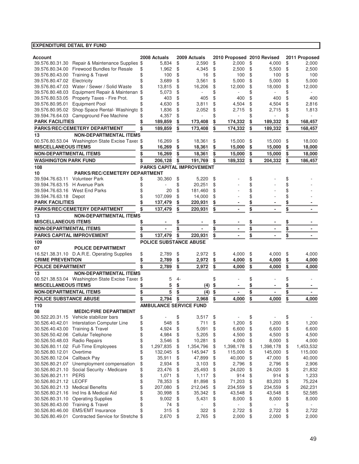| Account                          |                                                    | 2008 Actuals                  |          | 2009 Actuals                     |          | 2010 Proposed 2010 Revised |          |                |           | 2011 Proposed      |
|----------------------------------|----------------------------------------------------|-------------------------------|----------|----------------------------------|----------|----------------------------|----------|----------------|-----------|--------------------|
|                                  | 39.576.80.31.30 Repair & Maintenance Supplies \$   | 5,834                         | \$       | 2,590                            | \$       | 2,000                      | \$       | 4,000          | \$        | 2,000              |
| 39.576.80.34.00                  | Firewood Bundles for Resale                        | \$<br>1,962                   | \$       | 4,345                            | \$       | 2,500                      | \$       | 5,500          | \$        | 2,500              |
|                                  | 39.576.80.43.00 Training & Travel                  | \$<br>100                     | \$       | 16                               | \$       | 100                        | \$       | 100            | \$        | 100                |
| 39.576.80.47.02 Electricity      |                                                    | \$<br>3,689                   | \$       | 3,561                            | \$       | 5.000                      | \$       | 5,000          | \$        | 5,000              |
|                                  | 39.576.80.47.03 Water / Sewer / Solid Waste        | \$<br>13,815                  | \$       | 16,206                           | \$       | 12,000                     | \$       | 18,000         | \$        | 12,000             |
|                                  | 39.576.80.48.03 Equipment Repair & Maintenan       | \$<br>5,073                   | \$       |                                  | \$       |                            | \$       |                |           |                    |
|                                  | 39.576.80.53.05 Property Taxes - Fire Prot.        | \$<br>403                     | \$       | 405                              | \$       | 400                        | \$       | 400            | \$        | 400                |
| 39.576.80.95.01                  | <b>Equipment Pool</b>                              | 4,630                         | \$       | 3,811                            | \$       | 4,504                      | \$       | 4,504          | \$        | 2,816              |
| 39.576.80.95.02                  | Shop Space Rental- Washingto                       | \$<br>1,836                   | \$       | 2,052                            | \$       | 2,715                      | \$       | 2,715          | \$        | 1,813              |
| <b>PARK FACILITIES</b>           | 39.594.76.64.03 Campground Fee Machine             | 4,357                         | \$<br>\$ |                                  | \$       |                            | \$       | 189.332        | \$        |                    |
|                                  | <b>PARKS/REC/CEMETERY DEPARTMENT</b>               | 189,859<br>189,859            | \$       | 173,408<br>173,408               | \$<br>\$ | 174,332<br>174,332         | \$<br>\$ | 189,332        | \$<br>\$  | 168,457<br>168,457 |
| 13                               | <b>NON-DEPARTMENTAL ITEMS</b>                      |                               |          |                                  |          |                            |          |                |           |                    |
|                                  | 00.576.80.53.04 Washington State Excise Taxes \$   | 16,269                        | \$       | 18,361                           | \$       | 15,000                     | \$       | 15,000         | \$        | 18,000             |
| <b>MISCELLANEOUS ITEMS</b>       |                                                    | 16,269                        | \$       | 18,361                           | \$       | 15,000                     | \$       | 15,000         | \$        | 18,000             |
| <b>NON-DEPARTMENTAL ITEMS</b>    |                                                    | \$<br>16,269                  | \$       | 18,361                           | \$       | 15,000                     | \$       | 15,000         | \$        | 18,000             |
| <b>WASHINGTON PARK FUND</b>      |                                                    | \$<br>206,128                 | \$       | 191,769                          | \$       | 189,332                    | \$       | 204,332        | \$        | 186,457            |
| 108                              |                                                    |                               |          | <b>PARKS CAPITAL IMPROVEMENT</b> |          |                            |          |                |           |                    |
| 10                               | <b>PARKS/REC/CEMETERY DEPARTMENT</b>               |                               |          |                                  |          |                            |          |                |           |                    |
| 39.594.76.63.11 Volunteer Park   |                                                    | \$<br>30,360                  | \$       | 5,220                            | \$       |                            | \$       |                | \$        |                    |
| 39.594.76.63.15 H Avenue Park    |                                                    |                               | \$       | 20,251                           | \$       |                            | \$       |                | \$        |                    |
| 39.594.76.63.16 West End Parks   |                                                    | 20                            | \$       | 181,460                          | \$       |                            | \$       |                | \$        |                    |
| 39.594.76.63.18 Depot            |                                                    | 107,099                       | \$       | 14,000                           | \$       |                            |          |                |           |                    |
| <b>PARK FACILITIES</b>           |                                                    | 137,479                       | \$       | 220,931                          | \$       | ٠                          |          |                | \$        |                    |
|                                  | <b>PARKS/REC/CEMETERY DEPARTMENT</b>               | 137,479                       | \$       | 220,931                          | \$       | $\overline{\phantom{a}}$   | \$       |                |           |                    |
| 13                               | <b>NON-DEPARTMENTAL ITEMS</b>                      |                               |          |                                  |          |                            |          |                |           |                    |
| <b>MISCELLANEOUS ITEMS</b>       |                                                    |                               |          |                                  |          |                            |          |                |           |                    |
| <b>NON-DEPARTMENTAL ITEMS</b>    |                                                    | \$                            |          |                                  | \$       | ٠                          | \$       |                | <u>\$</u> |                    |
|                                  | PARKS CAPITAL IMPROVEMENT                          | 137,479                       | \$       | 220,931                          | \$       |                            |          |                |           |                    |
| 109                              |                                                    | <b>POLICE SUBSTANCE ABUSE</b> |          |                                  |          |                            |          |                |           |                    |
| 07                               | <b>POLICE DEPARTMENT</b>                           |                               |          |                                  |          |                            |          |                |           |                    |
|                                  | 16.521.38.31.10 D.A.R.E. Operating Supplies        | \$<br>2,789                   | \$       | 2,972                            | \$       | 4,000                      | \$       | 4,000          | \$        | 4,000              |
| <b>CRIME PREVENTION</b>          |                                                    | \$<br>2,789                   | \$       | 2,972                            | \$       | 4,000                      | \$       | 4,000          | \$        | 4,000              |
| <b>POLICE DEPARTMENT</b>         |                                                    | \$<br>2,789                   | \$       | 2,972                            | \$       | 4,000                      | \$       | 4,000          | \$        | 4,000              |
| 13                               | <b>NON-DEPARTMENTAL ITEMS</b>                      |                               |          |                                  |          |                            |          |                |           |                    |
|                                  | 00.521.38.53.04 Washington State Excise Taxes \$   | 5                             | 4-       |                                  |          |                            |          |                |           |                    |
| <b>MISCELLANEOUS ITEMS</b>       |                                                    | 5                             | \$       | <u>(4)</u>                       | \$       |                            |          |                |           |                    |
| <b>NON-DEPARTMENTAL ITEMS</b>    |                                                    | \$<br>5                       | \$       | (4)                              | \$       | $\blacksquare$             | \$       | $\blacksquare$ | \$        |                    |
| <b>POLICE SUBSTANCE ABUSE</b>    |                                                    | 2,794                         | \$       | 2,968                            | \$       | 4,000                      | \$       | 4,000          | \$        | 4,000              |
| 110                              |                                                    | <b>AMBULANCE SERVICE FUND</b> |          |                                  |          |                            |          |                |           |                    |
| 08                               | <b>MEDIC/FIRE DEPARTMENT</b>                       |                               |          |                                  |          |                            |          |                |           |                    |
|                                  | 30.522.20.31.15 Vehicle stabilizer bars            | \$<br>÷,                      | \$       | 3,517                            | \$       |                            | \$       |                | \$        |                    |
| 30.526.40.42.01                  | Interstation Computer Line                         | \$<br>548                     | \$       | 711                              | \$       | 1,200                      | \$       | 1,200          | \$        | 1,200              |
|                                  | 30.526.40.43.00 Training & Travel                  | \$<br>4,924                   | \$       | 5,091                            | \$       | 6,600                      | \$       | 6,600          | \$        | 6,600              |
|                                  | 30.526.50.42.06 Cellular Telephone                 | \$<br>4,984                   | \$       | 5,205                            | \$       | 4,500                      | \$       | 4,500          | \$        | 4,500              |
| 30.526.50.48.03 Radio Repairs    |                                                    | \$<br>3,546                   | \$       | 10,281                           | \$       | 4,000                      | \$       | 8,000          | \$        | 4,000              |
|                                  | 30.526.80.11.02 Full-Time Employees                | \$<br>1,297,835               | \$       | 1,354,796                        | \$       | 1,398,178                  | \$       | 1,398,178      | \$        | 1,453,532          |
| 30.526.80.12.01                  | Overtime                                           | \$<br>132,045                 | \$       | 145,947                          | \$       | 115,000                    | \$       | 145,000        | \$        | 115,000            |
| 30.526.80.12.04 Callback Pay     |                                                    | \$<br>35,911                  | \$       | 47,899                           | \$       | 40,000                     | \$       | 47,000         | \$        | 40,000             |
| 30.526.80.21.07                  | Unemployment compensation                          | \$<br>2,934                   | \$       | 3,103                            | \$       | 2,796                      | \$       | 2,796          | \$        | 2,906              |
|                                  | 30.526.80.21.10 Social Security - Medicare         | \$<br>23,476                  | \$       | 25,493                           | \$       | 24,020                     | \$       | 24,020         | \$        | 21,832             |
| 30.526.80.21.11                  | <b>PERS</b>                                        | \$<br>1,071                   | \$       | 1,117                            | \$       | 914                        | \$       | 914            | \$        | 1,233              |
| 30.526.80.21.12 LEOFF            |                                                    | \$<br>78,353                  | \$       | 81,898                           | \$       | 71,203                     | \$       | 83,203         | \$        | 75,224             |
| 30.526.80.21.13 Medical Benefits |                                                    | \$<br>207,080                 | \$       | 212,045                          | \$       | 234,559                    | \$       | 234,559        | \$        | 262,231            |
|                                  | 30.526.80.21.16 Ind Ins & Medical Aid              | \$<br>30,998                  | \$       | 35,342                           | \$       | 43,548                     | \$       | 43,548         | \$        | 52,585             |
| 30.526.80.31.10                  | <b>Operating Supplies</b>                          | \$<br>9,002                   | \$       | 5,431                            | \$       | 8,000                      | \$       | 8,000          | \$        | 8,000              |
| 30.526.80.43.00                  | <b>Training &amp; Travel</b>                       | \$<br>74                      | \$       |                                  | \$       |                            | \$       |                | \$        |                    |
| 30.526.80.46.00                  | <b>EMS/EMT Insurance</b>                           | \$<br>315                     | \$       | 322                              | \$       | 2,722                      | \$       | 2,722          | \$        | 2,722              |
|                                  | 30.526.80.49.01 Contracted Service for Stretche \$ | 2,670                         | \$       | 2,765                            | \$       | 2,000                      | \$       | 2,000          | \$        | 2,000              |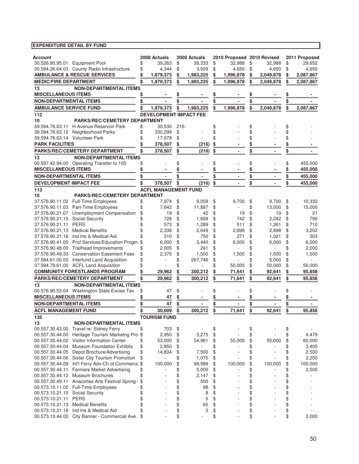| Account                                            |                                                                                |          | 2008 Actuals                  |          | 2009 Actuals    |          | 2010 Proposed 2010 Revised |          |                          |          | 2011 Proposed      |
|----------------------------------------------------|--------------------------------------------------------------------------------|----------|-------------------------------|----------|-----------------|----------|----------------------------|----------|--------------------------|----------|--------------------|
| 30.526.80.95.01 Equipment Pool                     | 30.594.26.64.03 County Radio Infrastructure                                    | \$       | 39,263<br>4,344               | \$<br>\$ | 38,333<br>3,929 | \$       | 32,988<br>4,650            | \$       | 32,988<br>4.650          | \$       | 29,652             |
|                                                    | <b>AMBULANCE &amp; RESCUE SERVICES</b>                                         | \$<br>\$ | 1,879,373                     | \$       | 1,983,225       | \$       | 1,996,878                  | \$       | 2,049,878                | \$       | 4,650<br>2,087,867 |
| <b>MEDIC/FIRE DEPARTMENT</b>                       |                                                                                |          | 1,879,373                     | \$       |                 | \$<br>\$ |                            | \$<br>\$ | 2,049,878                | \$<br>\$ | 2,087,867          |
|                                                    | <b>NON-DEPARTMENTAL ITEMS</b>                                                  |          |                               |          | 1,983,225       |          | 1,996,878                  |          |                          |          |                    |
| 13<br><b>MISCELLANEOUS ITEMS</b>                   |                                                                                |          |                               |          |                 |          |                            |          |                          |          |                    |
| <b>NON-DEPARTMENTAL ITEMS</b>                      |                                                                                |          |                               | \$       |                 | \$       |                            | \$       |                          | \$       |                    |
| <b>AMBULANCE SERVICE FUND</b>                      |                                                                                | \$       | 1,879,373                     | \$       | 1,983,225       | \$       | 1,996,878                  | \$       | 2.049.878                | \$       | 2,087,867          |
| 112                                                |                                                                                |          | <b>DEVELOPMENT IMPACT FEE</b> |          |                 |          |                            |          |                          |          |                    |
| 10                                                 | <b>PARKS/REC/CEMETERY DEPARTMENT</b>                                           |          |                               |          |                 |          |                            |          |                          |          |                    |
|                                                    | 39.594.76.63.11 H Avenue Reservoir Park                                        | \$       | 30.530                        | $216 -$  |                 | \$       |                            | \$       |                          | \$       |                    |
|                                                    | 39.594.76.63.12 Neighborhood Parks                                             | \$       | 330,299                       | \$       |                 | \$       |                            | \$       |                          | \$       |                    |
| 39.594.76.63.14 Volunteer Park                     |                                                                                |          | 17,678                        | \$       |                 | \$       |                            | \$       |                          | \$       |                    |
| <b>PARK FACILITIES</b>                             |                                                                                |          | 378,507                       | \$       | (216)           | \$       |                            |          |                          |          |                    |
|                                                    | PARKS/REC/CEMETERY DEPARTMENT                                                  |          | 378,507                       | \$       | (216)           | \$       |                            | \$       |                          | \$       |                    |
| 13                                                 | <b>NON-DEPARTMENTAL ITEMS</b>                                                  |          |                               |          |                 |          |                            |          |                          |          |                    |
|                                                    | 00.597.42.94.00 Operating Transfer to 105                                      |          |                               | \$       |                 | \$       |                            | \$       |                          | \$       | 455,000            |
| <b>MISCELLANEOUS ITEMS</b>                         |                                                                                |          |                               |          |                 |          |                            |          |                          | \$       | 455,000            |
| <b>NON-DEPARTMENTAL ITEMS</b>                      |                                                                                |          |                               | \$       | $\blacksquare$  |          | $\blacksquare$             | \$       |                          | \$       | 455,000            |
| <b>DEVELOPMENT IMPACT FEE</b>                      |                                                                                |          | 378,507                       | \$       | (216)           | \$       | $\blacksquare$             | \$       |                          | \$       | 455,000            |
| 113                                                |                                                                                |          | <b>ACFL MANAGEMENT FUND</b>   |          |                 |          |                            |          |                          |          |                    |
| 10                                                 | <b>PARKS/REC/CEMETERY DEPARTMENT</b>                                           |          |                               |          |                 |          |                            |          |                          |          |                    |
|                                                    | 37.576.90.11.02 Full-Time Employees                                            | \$       | 7,974                         | \$       | 9,059           | \$       | 9,700                      | \$       | 9,700                    | \$       | 10,332             |
|                                                    | 37.576.90.11.03 Part-Time Employees                                            | \$       | 7,642                         | \$       | 11,887          | \$       |                            | \$       | 13,000                   | \$       | 15,000             |
|                                                    | 37.576.90.21.07 Unemployment Compensation                                      | \$       | 19                            | \$       | 42              | \$       | 19                         | \$       | 19                       | \$       | 21                 |
| 37.576.90.21.10 Social Security<br>37.576.90.21.11 | <b>PERS</b>                                                                    |          | 726<br>573                    | \$<br>\$ | 1,609           | \$<br>\$ | 742<br>511                 | \$<br>\$ | 2,242                    | \$<br>\$ | 790<br>710         |
| 37.576.90.21.13 Medical Benefits                   |                                                                                |          | 2,338                         | \$       | 1,289<br>2,649  | \$       | 2,898                      | \$       | 1,261<br>2,898           | \$       | 3,202              |
|                                                    | 37.576.90.21.16 Ind Ins & Medical Aid                                          |          | 310                           | \$       | 750             | \$       | 271                        | \$       | 1,021                    | \$       | 303                |
|                                                    | 37.576.90.41.00 Prof Services/Education Progm                                  | \$       | 6,000                         | \$       | 3,440           | \$       | 6,000                      | \$       | 6,000                    | \$       | 6,000              |
|                                                    | 37.576.90.48.00 Trailhead Improvements                                         | \$       | 2,005                         | \$       | 241             | \$       |                            | \$       | $\overline{\phantom{a}}$ | \$       | 2,000              |
|                                                    | 37.576.90.49.33 Conservation Easement Fees                                     | \$       | 2,375                         | \$       | 1,500           | \$       | 1,500                      | \$       | 1,500                    | \$       | 1,500              |
|                                                    | 37.594.61.00.00 Interfund Land Acquisition                                     |          |                               | \$       | 267,746         | \$       |                            | \$       | 5,000                    | \$       |                    |
|                                                    | 37.594.79.61.00 ACFL Land Acquisition                                          |          |                               |          |                 |          | 50,000                     | \$       | 50,000                   | \$       | 56,000             |
|                                                    | <b>COMMUNITY FORESTLANDS PROGRAM</b>                                           |          | 29,962                        |          | 300,212         |          | 71,641                     | \$       | 92,641                   |          | 95,858             |
|                                                    | <b>PARKS/REC/CEMETERY DEPARTMENT</b>                                           |          | 29,962                        | \$       | 300,212         |          | 71,641                     | \$       | 92,641                   | \$       | 95,858             |
| 13                                                 | <b>NON-DEPARTMENTAL ITEMS</b>                                                  |          |                               |          |                 |          |                            |          |                          |          |                    |
|                                                    | 00.576.90.53.04 Washington State Excise Tax                                    | \$       | 47                            | \$       |                 |          |                            | \$       |                          |          |                    |
| <b>MISCELLANEOUS ITEMS</b>                         |                                                                                |          | 47                            |          |                 |          |                            |          |                          |          |                    |
| <b>NON-DEPARTMENTAL ITEMS</b>                      |                                                                                |          | 47                            | \$       |                 |          |                            | \$       |                          | \$       |                    |
| <b>ACFL MANAGEMENT FUND</b>                        |                                                                                | \$       | 30.009                        | \$       | 300,212         | \$       | 71.641                     | \$       | 92.641                   | \$       | 95,858             |
| 135                                                |                                                                                |          | <b>TOURISM FUND</b>           |          |                 |          |                            |          |                          |          |                    |
| 13                                                 | <b>NON-DEPARTMENTAL ITEMS</b>                                                  |          |                               |          |                 |          |                            |          |                          |          |                    |
|                                                    | 00.557.30.43.00 Travel re: Sidney Ferry                                        | \$       | 703                           | \$       |                 | \$       |                            | \$       |                          | \$       |                    |
| 00.557.30.44.00                                    | Heritage Tourism Marketng Pro \$<br>00.557.30.44.02 Visitor Information Center | \$       | 2,950<br>53,000               | \$<br>\$ | 3,275<br>54,961 | \$<br>\$ | 55,000                     | \$<br>\$ | 55,000                   | \$<br>\$ | 4,479<br>60,000    |
| 00.557.30.44.04                                    | <b>Museum Foundation Exhibits</b>                                              | \$       | 2,850                         | \$       |                 | \$       |                            | \$       |                          | \$       | 3,405              |
| 00.557.30.44.05                                    | Depot Brochure/Advertising                                                     | \$       | 14,834                        | \$       | 7,500           | \$       |                            | \$       |                          | \$       | 2,500              |
|                                                    | 00.557.30.44.06 Sister City Tourism Promotion                                  | \$       |                               | \$       | 1,075           | \$       |                            | \$       |                          | \$       | 2,200              |
|                                                    | 00.557.30.44.09 Int'l Ferry Adv-Ch of Commerce \$                              |          | 100,000                       | \$       | 99,999          | \$       | 100,000                    | \$       | 100,000                  | \$       | 100,000            |
| 00.557.30.44.11                                    | <b>Farmers Market Advertising</b>                                              | \$       |                               | \$       | 5,000           | \$       |                            | \$       |                          | \$       | 3,500              |
| 00.557.30.44.12 Museum Brochures                   |                                                                                | \$       |                               | \$       | 2,147           | \$       |                            | \$       |                          | \$       |                    |
|                                                    | 00.557.30.49.11 Anacortes Arts Festival Spring                                 | \$       |                               | \$       | 500             | \$       |                            | \$       |                          | \$       |                    |
|                                                    | 00.573.10.11.02 Full-Time Employees                                            | \$       |                               | \$       | 98              | \$       |                            | \$       |                          | \$       |                    |
| 00.573.10.21.10 Social Security                    |                                                                                | \$       |                               | \$       | 8               | \$       |                            | \$       |                          | \$       |                    |
| 00.573.10.21.11 PERS                               |                                                                                | \$       | ÷.                            | \$       | 5               | \$       |                            | \$       |                          | \$       |                    |
| 00.573.10.21.13                                    | <b>Medical Benefits</b>                                                        | \$       |                               | \$       | 65              | \$       |                            | \$       |                          | \$       |                    |
| 00.573.10.21.16                                    | Ind Ins & Medical Aid                                                          |          |                               | \$       | 3               | \$       |                            | \$       |                          | \$       |                    |
|                                                    | 00.573.10.44.00 City Banner - Commercial Ave. \$                               |          |                               | \$       |                 | \$       |                            | \$       |                          | \$       | 2,000              |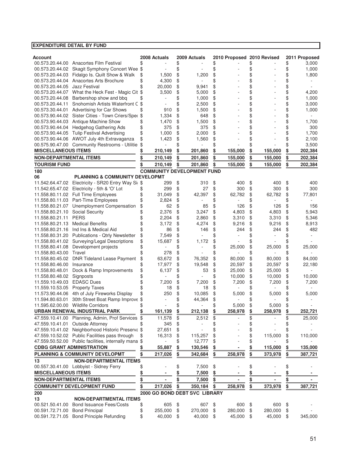| Account                            |                                                                           |          | 2008 Actuals     |          | 2009 Actuals                      |          | 2010 Proposed 2010 Revised |          |                  |          | 2011 Proposed  |
|------------------------------------|---------------------------------------------------------------------------|----------|------------------|----------|-----------------------------------|----------|----------------------------|----------|------------------|----------|----------------|
| 00.573.20.44.02                    | 00.573.20.44.00 Anacortes Film Festival<br>Skagit Symphony Concert Wee \$ | \$       |                  | \$<br>\$ |                                   | \$<br>\$ |                            | \$<br>\$ |                  | \$<br>\$ | 3,000<br>1,000 |
|                                    | 00.573.20.44.03 Fidalgo Is. Quilt Show & Walk                             | \$       | 1,500            | \$       | 1,200                             | \$       |                            | \$       |                  | \$       | 1,800          |
|                                    | 00.573.20.44.04 Anacortes Arts Brochure                                   | \$       | 4,300            | \$       |                                   | \$       |                            | \$       |                  | \$       |                |
| 00.573.20.44.05                    | Jazz Festival                                                             |          | 20,000           | \$       | 9,941                             | \$       |                            | \$       |                  | \$       |                |
|                                    | 00.573.20.44.07 What the Heck Fest - Magic Cit \$                         |          | 3,500            | \$       | 5,000                             | \$       |                            | \$       |                  | \$       | 4,200          |
| 00.573.20.44.08                    | Barbershop show and bbq                                                   | \$       |                  | \$       | 1,000                             | \$       |                            | \$       |                  | \$       | 1,000          |
| 00.573.20.44.11                    | Snohomish Artists Waterfront C \$                                         |          |                  | \$       | 2,500                             | \$       |                            | \$       |                  | \$       | 3,000          |
| 00.573.30.44.01                    | Advertising for Car Shows                                                 |          | 910              | \$       | 1,500                             | \$       |                            | \$       |                  | \$       | 1,000          |
|                                    | 00.573.90.44.02 Sister Cities - Town Criers/Sper \$                       |          | 1,334            | \$       | 648                               | \$       |                            | \$       |                  | \$       |                |
|                                    | 00.573.90.44.03 Antique Machine Show                                      |          | 1,470            | \$       | 1,500                             | \$       |                            | \$       |                  | \$       | 1,700          |
| 00.573.90.44.04                    | <b>Hedgehog Gathering Ads</b>                                             | \$       | 375              | \$       | 375                               | \$       |                            | \$       |                  | \$       | 300            |
|                                    | 00.573.90.44.05 Tulip Festival Advertising                                | \$       | 1,000            | \$       | 2,000                             | \$       |                            | \$       |                  | \$       | 1,700          |
|                                    | 00.573.90.44.06 AWOT July 4th Extravaganza                                | \$       | 1,423            | \$       | 1,560                             | \$       |                            | \$       |                  | \$       | 2,100          |
| <b>MISCELLANEOUS ITEMS</b>         | 00.575.90.47.00 Community Restrooms - Utilitie                            |          | 210,149          |          |                                   | \$       |                            | \$       |                  | \$       | 3,500          |
|                                    |                                                                           |          |                  | \$       | 201,860                           | \$       | 155,000                    | \$       | 155,000          | \$       | 202,384        |
| <b>NON-DEPARTMENTAL ITEMS</b>      |                                                                           |          | 210,149          | \$       | 201,860                           | \$       | 155,000                    | \$       | 155,000          | \$       | 202,384        |
| <b>TOURISM FUND</b>                |                                                                           |          | 210,149          | \$       | 201,860                           | \$       | 155,000                    | \$       | 155,000          | \$       | 202,384        |
| 180                                | <b>PLANNING &amp; COMMUNITY DEVELOPMT</b>                                 |          |                  |          | <b>COMMUNITY DEVELOPMENT FUND</b> |          |                            |          |                  |          |                |
| 06                                 | 11.542.64.47.02 Electricity - SR20 Entry Way Si \$                        |          | 299              | \$       | 310                               | \$       | 400                        | \$       | 400              | \$       | 400            |
|                                    | 11.542.65.47.02 Electricity - 5th & 'O' Lot                               |          | 299              | \$       | 27                                | \$       | 300                        | \$       | 300              | \$       | 300            |
|                                    | 11.558.80.11.02 Full Time Employees                                       | \$       | 31,049           | \$       | 42,397                            | \$       | 62,782                     | \$       | 62,782           | \$       | 77,801         |
|                                    | 11.558.80.11.03 Part-Time Employees                                       |          | 2,824            | \$       |                                   | \$       |                            | \$       |                  | \$       |                |
| 11.558.80.21.07                    | Unemployment Compensation                                                 |          | 62               | \$       | 85                                | \$       | 126                        | \$       | 126              | \$       | 156            |
| 11.558.80.21.10                    | <b>Social Security</b>                                                    |          | 2,376            | \$       | 3,247                             | \$       | 4,803                      | \$       | 4,803            | \$       | 5,943          |
| 11.558.80.21.11                    | <b>PERS</b>                                                               |          | 2,204            | \$       | 2,860                             | \$       | 3,310                      | \$       | 3,310            | \$       | 5,346          |
| 11.558.80.21.13                    | <b>Medical Benefits</b>                                                   |          | 3,172            | \$       | 4,274                             | \$       | 9,216                      | \$       | 9,216            | \$       | 8,913          |
| 11.558.80.21.16                    | Ind Ins & Medical Aid                                                     | \$       | 86               | \$       | 146                               | \$       | 244                        | \$       | 244              | \$       | 482            |
| 11.558.80.31.20                    | <b>Publications - Qtrly Newsletter</b>                                    | \$       | 7,549            | \$       |                                   | \$       |                            | \$       |                  | \$       |                |
| 11.558.80.41.02                    | Surveying/Legal Descriptions                                              | \$       | 15,687           | \$       | 1,172                             | \$       |                            |          |                  |          |                |
| 11.558.80.41.08                    | Development projects                                                      |          |                  | \$       |                                   | \$       | 25,000                     | \$       | 25,000           | \$       | 25,000         |
| 11.558.80.43.00                    | Travel                                                                    |          | 278              | \$       |                                   | \$       |                            | \$       |                  | \$       |                |
| 11.558.80.45.02<br>11.558.80.46.00 | <b>DNR Tideland Lease Payment</b><br>Insurance                            | \$<br>\$ | 63,672<br>17,977 | \$<br>\$ | 76,352                            | \$<br>\$ | 80,000                     | \$       | 80,000           | \$<br>\$ | 84,000         |
| 11.558.80.48.01                    | Dock & Ramp Improvements                                                  | \$       | 6,137            | \$       | 19,548<br>53                      | \$       | 20,597<br>25,000           | \$<br>\$ | 20,597<br>25,000 | \$       | 22,180         |
| 11.558.80.48.02                    | Signposts                                                                 |          |                  | \$       |                                   | \$       | 10,000                     | \$       | 10,000           | \$       | 10,000         |
| 11.559.10.49.03                    | <b>EDASC Dues</b>                                                         | \$       | 7,200            | \$       | 7,200                             | \$       | 7,200                      | \$       | 7,200            | \$       | 7,200          |
| 11.559.10.53.05                    | <b>Property Taxes</b>                                                     |          | 18               | \$       | 18                                | \$       |                            | \$       |                  | \$       |                |
| 11.573.90.44.06                    | 4th of July Fireworks Display                                             | \$       | 250              | \$       | 10,085                            | \$       | 5,000                      | \$       | 5,000            | \$       | 5,000          |
| 11.594.80.63.01                    | 30th Street Boat Ramp Improve \$                                          |          |                  | \$       | 44,364                            | \$       |                            | \$       |                  |          |                |
|                                    | 11.595.62.00.00 Wildlife Corridors                                        |          |                  |          |                                   | \$       | 5,000                      | \$       | 5,000            | \$       |                |
|                                    | URBAN RENEWAL INDUSTRIAL PARK                                             |          | 161,139          | \$       | 212,138                           | \$       | 258,978                    |          | 258,978          |          | 252,721        |
|                                    | 47.559.10.41.00 Planning, Admin, Prof Services \$                         |          | 11,578           | \$       | 2,512                             | \$       |                            | \$       |                  | \$       | 25,000         |
| 47.559.10.41.01                    | <b>Outside Attorney</b>                                                   |          | 345              | \$       |                                   |          |                            | \$       |                  | \$       |                |
|                                    | 47.559.10.41.02 Neighborhood Historic Preserva \$                         |          | 27,651           | \$       |                                   | \$       |                            | \$       |                  | \$       |                |
|                                    | 47.559.10.52.02 Public Facilities pass through                            |          | 16,313           | \$       | 115,257                           | \$       |                            | \$       | 115,000          | \$       | 110,000        |
|                                    | 47.559.50.52.00 Public facilities, internally mana \$                     |          |                  |          | 12,777                            | \$       |                            | \$       |                  |          |                |
|                                    | <b>CDBG GRANT ADMINISTRATION</b>                                          |          | 55,887           | \$       | 130,546                           | \$       |                            | \$       | 115,000          | \$       | 135,000        |
|                                    | PLANNING & COMMUNITY DEVELOPMT                                            | \$       | 217,026          | \$       | 342,684                           | \$       | 258,978                    | \$       | 373,978          | \$       | 387,721        |
| 13                                 | <b>NON-DEPARTMENTAL ITEMS</b><br>00.557.30.41.00 Lobbyist - Sidney Ferry  |          |                  | \$       | 7,500                             | \$       |                            | \$       |                  | \$       |                |
| <b>MISCELLANEOUS ITEMS</b>         |                                                                           |          |                  |          | 7,500                             | \$       |                            |          |                  |          |                |
| <b>NON-DEPARTMENTAL ITEMS</b>      |                                                                           | \$       |                  | \$       | 7,500                             | \$       |                            | \$       |                  | \$       |                |
|                                    | <b>COMMUNITY DEVELOPMENT FUND</b>                                         | \$       | 217,026          | \$       | 350,184                           | \$       | 258,978                    | \$       | 373,978          | \$       | 387,721        |
| 200                                |                                                                           |          |                  |          | 2000 GO BOND DEBT SVC LIBRARY     |          |                            |          |                  |          |                |
| 13                                 | <b>NON-DEPARTMENTAL ITEMS</b>                                             |          |                  |          |                                   |          |                            |          |                  |          |                |
| 00.521.50.41.00                    | <b>Bond Issuance Fees/Costs</b>                                           | \$       | 605              | \$       | 607                               | \$       | 600                        | \$       | 600              | \$       |                |
| 00.591.72.71.00                    | <b>Bond Principal</b>                                                     | \$       | 255,000          | \$       | 270,000                           | \$       | 280,000                    | \$       | 280,000          | \$       |                |
|                                    | 00.591.72.71.05 Bond Principle Refunding                                  | \$       | 40,000           | \$       | 40,000                            | \$       | 45,000                     | \$       | 45,000           | \$       | 345,000        |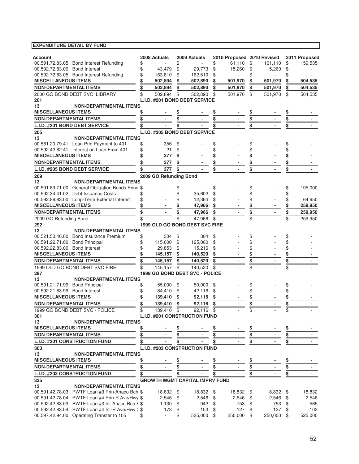| <b>EXPENDITURE DETAIL BY FUND</b>                                               |          |                        |          |                                          |          |                            |               |            |                 |               |
|---------------------------------------------------------------------------------|----------|------------------------|----------|------------------------------------------|----------|----------------------------|---------------|------------|-----------------|---------------|
|                                                                                 |          |                        |          |                                          |          |                            |               |            |                 |               |
| <b>Account</b>                                                                  |          | 2008 Actuals           |          | 2009 Actuals                             |          | 2010 Proposed 2010 Revised |               |            |                 | 2011 Proposed |
| 00.591.72.83.05 Bond Interest Refunding                                         | \$       |                        | \$       |                                          | \$       | 161,110                    | \$            | 161,110    | \$              | 159,535       |
| 00.592.72.83.00 Bond Interest                                                   | \$       | 43,479                 | \$       | 29,773                                   | \$       | 15,260                     | \$            | 15,260     | \$              |               |
| 00.592.72.83.05 Bond Interest Refunding<br><b>MISCELLANEOUS ITEMS</b>           | \$<br>\$ | 163,810<br>502,894     | \$<br>\$ | 162,510                                  | \$<br>\$ | $\sim$<br>501,970          | \$<br>\$      | 501,970    | \$<br>\$        |               |
| <b>NON-DEPARTMENTAL ITEMS</b>                                                   |          |                        | \$       | 502,890                                  | \$       |                            | \$            |            | \$              | 504,535       |
|                                                                                 | \$       | 502,894                |          | 502,890                                  |          | 501,970                    |               | 501,970    |                 | 504,535       |
| 2000 GO BOND DEBT SVC LIBRARY                                                   | \$       | 502,894                | \$       | 502,890<br>L.I.D. #201 BOND DEBT SERVICE | \$       | 501,970                    | \$            | 501,970    | \$              | 504,535       |
| 201<br>13<br><b>NON-DEPARTMENTAL ITEMS</b>                                      |          |                        |          |                                          |          |                            |               |            |                 |               |
| <b>MISCELLANEOUS ITEMS</b>                                                      | \$       |                        |          |                                          |          |                            | \$            |            |                 |               |
| <b>NON-DEPARTMENTAL ITEMS</b>                                                   | \$       |                        | \$       |                                          | \$       |                            | \$            |            | <u>\$</u><br>\$ |               |
|                                                                                 | \$       |                        |          |                                          |          |                            | \$            |            | \$              |               |
| L.I.D. #201 BOND DEBT SERVICE                                                   |          |                        |          |                                          |          |                            |               |            |                 |               |
| 205                                                                             |          |                        |          | L.I.D. #205 BOND DEBT SERVICE            |          |                            |               |            |                 |               |
| 13<br><b>NON-DEPARTMENTAL ITEMS</b><br>00.581.20.79.41 Loan Prin Payment to 401 | \$       | 356                    | \$       |                                          | \$       |                            | \$            |            | \$              |               |
| 00.592.42.82.41 Interest on Loan From 401                                       | \$       | 21                     | \$       |                                          |          |                            | \$            |            | \$              |               |
| <b>MISCELLANEOUS ITEMS</b>                                                      |          | 377                    | \$       |                                          |          |                            |               |            | \$              |               |
| <b>NON-DEPARTMENTAL ITEMS</b>                                                   | \$       | 377                    | \$       |                                          |          |                            |               |            |                 |               |
|                                                                                 |          | 377                    | \$       |                                          |          |                            | <u>\$</u>     |            | <u>\$</u>       |               |
| L.I.D. #205 BOND DEBT SERVICE                                                   |          |                        |          |                                          |          |                            | \$            |            | \$              |               |
| 209<br><b>NON-DEPARTMENTAL ITEMS</b><br>13                                      |          | 2009 GO Refunding Bond |          |                                          |          |                            |               |            |                 |               |
| 00.591.89.71.00 General Obligation Bonds Princ \$                               |          |                        | \$       |                                          | \$       |                            | \$            |            | \$              | 195,000       |
| 00.592.34.41.02 Debt Issuance Costs                                             | \$       |                        | \$       | 35,602                                   | \$       |                            | \$            |            | \$              |               |
| 00.592.89.83.00 Long-Term External Interest                                     | \$       |                        | \$       | 12,364                                   | \$       |                            | \$            |            | \$              | 64,950        |
| <b>MISCELLANEOUS ITEMS</b>                                                      |          |                        |          | 47,966                                   |          |                            |               |            | \$              | 259,950       |
| <b>NON-DEPARTMENTAL ITEMS</b>                                                   | \$       |                        |          | 47,966                                   | \$       |                            | \$            |            | \$              | 259,950       |
| 2009 GO Refunding Bond                                                          | \$       |                        | \$       | 47,966                                   | \$       |                            | \$            |            | \$              | 259,950       |
| 292                                                                             |          |                        |          | 1999 OLD GO BOND DEBT SVC FIRE           |          |                            |               |            |                 |               |
| 13<br><b>NON-DEPARTMENTAL ITEMS</b>                                             |          |                        |          |                                          |          |                            |               |            |                 |               |
| 00.521.50.46.00 Bond Insurance Premium                                          | \$       | 304                    | \$       | 304                                      | \$       |                            | \$            |            | \$              |               |
| 00.591.22.71.00 Bond Principal                                                  | \$       | 115,000                | \$       | 125,000                                  | \$       |                            | \$            |            | \$              |               |
| 00.592.22.83.00 Bond Interest                                                   |          | 29,853                 | \$       | 15,216                                   | \$       |                            | \$            |            | \$              |               |
| <b>MISCELLANEOUS ITEMS</b>                                                      |          | 145,157                | \$       | 140,520                                  | \$       |                            | $\frac{3}{2}$ |            | $\frac{3}{2}$   |               |
| <b>NON-DEPARTMENTAL ITEMS</b>                                                   | \$       | 145,157                | \$       | 140,520                                  | \$       |                            | \$            |            | \$              |               |
| 1999 OLD GO BOND DEBT SVC FIRE                                                  |          | 145,157                | \$       | 140,520                                  | \$       |                            | \$            |            | \$              |               |
| 297                                                                             |          |                        |          | 1999 GO BOND DEBT SVC - POLICE           |          |                            |               |            |                 |               |
| <b>NON-DEPARTMENTAL ITEMS</b><br>13                                             |          |                        |          |                                          |          |                            |               |            |                 |               |
| 00.591.21.71.99 Bond Principal                                                  | \$       | 55.000                 | \$       | 50,000                                   | \$       |                            | \$            |            | \$              |               |
| 00.592.21.83.99 Bond Interest                                                   | \$       | 84.410                 | \$       | 42,116                                   | \$       |                            | \$            |            | \$              |               |
| <b>MISCELLANEOUS ITEMS</b>                                                      |          | 139,410                | \$       | 92,116                                   | \$       |                            | \$            |            | \$              |               |
| <b>NON-DEPARTMENTAL ITEMS</b>                                                   | \$       | 139,410                | \$       | 92,116                                   | \$       |                            | \$            |            | \$              |               |
| 1999 GO BOND DEBT SVC - POLICE                                                  | \$       | 139,410 \$             |          | 92,116 \$                                |          |                            | \$            |            | \$              |               |
| 301                                                                             |          |                        |          | L.I.D. #201 CONSTRUCTION FUND            |          |                            |               |            |                 |               |
| 13<br><b>NON-DEPARTMENTAL ITEMS</b>                                             |          |                        |          |                                          |          |                            |               |            |                 |               |
| <b>MISCELLANEOUS ITEMS</b>                                                      | \$       |                        |          |                                          |          |                            |               |            |                 |               |
| <b>NON-DEPARTMENTAL ITEMS</b>                                                   | \$       |                        |          |                                          |          |                            | \$            |            | <u>\$</u>       |               |
| L.I.D. #201 CONSTRUCTION FUND                                                   |          |                        |          |                                          |          |                            | \$            |            | <u>\$</u>       |               |
| 303                                                                             |          |                        |          | L.I.D. #203 CONSTRUCTION FUND            |          |                            |               |            |                 |               |
| 13<br><b>NON-DEPARTMENTAL ITEMS</b>                                             |          |                        |          |                                          |          |                            |               |            |                 |               |
| <b>MISCELLANEOUS ITEMS</b>                                                      | \$       |                        |          |                                          |          |                            | <u>\$</u>     |            |                 |               |
| <b>NON-DEPARTMENTAL ITEMS</b>                                                   | \$       |                        | \$       |                                          | \$       |                            | <u>\$</u>     |            | <u>\$</u>       |               |
| L.I.D. #203 CONSTRUCTION FUND                                                   | \$       |                        | \$       |                                          | \$       |                            | \$            |            | \$              |               |
| 335                                                                             |          |                        |          | <b>GROWTH MGMT CAPITAL IMPRV FUND</b>    |          |                            |               |            |                 |               |
| 13<br><b>NON-DEPARTMENTAL ITEMS</b>                                             |          |                        |          |                                          |          |                            |               |            |                 |               |
| 00.591.42.78.03 PWTF Loan #3 Prin-Anaco Bch \$                                  |          | 18,832 \$              |          | 18,832 \$                                |          | 18,832 \$                  |               | 18,832 \$  |                 | 18,832        |
| 00.591.42.78.04 PWTF Loan #4 Prin-R Ave/Hwy \$                                  |          | $2,546$ \$             |          | $2,546$ \$                               |          | $2,546$ \$                 |               | $2,546$ \$ |                 | 2,546         |
| 00.592.42.83.03 PWTF Loan #3 Int-Anaco Bch I \$                                 |          | 1,130                  | $\$\$    | 942                                      | \$       | 753                        | \$            | 753        | \$              | 565           |
| 00.592.42.83.04 PWTF Loan #4 Int-R Ave/Hwy: \$                                  |          | 178                    | \$       | 153                                      | \$       | 127                        | \$            | 127        | \$              | 102           |
| 00.597.42.94.00 Operating Transfer to 105                                       | \$       | $\sim$                 | \$       | 525,000                                  | \$       | 250,000                    | \$            | 250,000    | - \$            | 525,000       |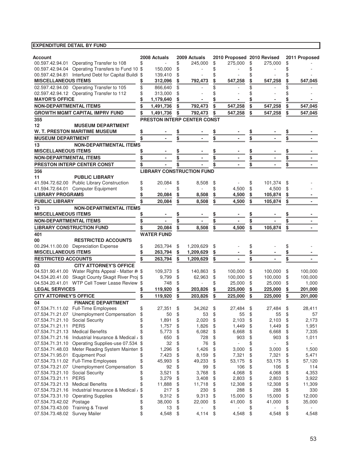| Account                                              | 2008 Actuals      | 2009 Actuals                     | 2010 Proposed 2010 Revised     |                                | 2011 Proposed |
|------------------------------------------------------|-------------------|----------------------------------|--------------------------------|--------------------------------|---------------|
| 00.597.42.94.01 Operating Transfer to 108            |                   | \$<br>245,000                    | \$<br>275.000                  | \$<br>275,000                  | \$            |
| 00.597.42.94.04 Operating Transfers to Fund 10 \$    | 150.000           | \$                               | \$                             | \$                             | \$            |
| 00.597.42.94.81 Interfund Debt for Capital Buildi \$ | 139,410           | \$                               | \$                             |                                |               |
| <b>MISCELLANEOUS ITEMS</b>                           | 312,096           | \$<br>792,473                    | \$<br>547,258                  | \$<br>547,258                  | \$<br>547.045 |
| 02.597.42.94.00 Operating Transfer to 105            | \$<br>866.640     | \$                               |                                |                                |               |
| 02.597.42.94.12 Operating Transfer to 112            | 313,000           | \$                               |                                |                                |               |
| <b>MAYOR'S OFFICE</b>                                | 1,179,640         |                                  |                                |                                |               |
| <b>NON-DEPARTMENTAL ITEMS</b>                        | \$<br>1,491,736   | \$<br>792,473                    | \$<br>547,258                  | \$<br>547,258                  | \$<br>547,045 |
| <b>GROWTH MGMT CAPITAL IMPRV FUND</b>                | \$<br>1,491,736   | \$<br>792,473                    | \$<br>547,258                  | \$<br>547,258                  | \$<br>547,045 |
| 355                                                  |                   | PRESTON INTERP CENTER CONST      |                                |                                |               |
| 12<br><b>MUSEUM DEPARTMENT</b>                       |                   |                                  |                                |                                |               |
| <b>W. T. PRESTON MARITIME MUSEUM</b>                 | \$                |                                  |                                |                                |               |
| <b>MUSEUM DEPARTMENT</b>                             | \$                | \$                               |                                | \$                             |               |
| <b>NON-DEPARTMENTAL ITEMS</b><br>13                  |                   |                                  |                                |                                |               |
| <b>MISCELLANEOUS ITEMS</b>                           |                   |                                  |                                |                                |               |
| <b>NON-DEPARTMENTAL ITEMS</b>                        |                   | \$                               | \$<br>٠                        | \$                             | \$            |
|                                                      |                   |                                  |                                |                                |               |
| PRESTON INTERP CENTER CONST                          |                   |                                  |                                | \$                             | \$            |
| 356                                                  |                   | <b>LIBRARY CONSTRUCTION FUND</b> |                                |                                |               |
| 11<br><b>PUBLIC LIBRARY</b>                          |                   |                                  |                                |                                |               |
| 41.594.72.62.00 Public Library Construction          | \$<br>20,084      | \$<br>8,508                      | \$                             | \$<br>101,374                  | \$            |
| 41.594.72.64.01 Computer Equipment                   | \$                | \$                               | \$<br>4,500                    | \$<br>4,500                    | \$            |
| <b>LIBRARY PROGRAMS</b>                              | 20,084            | \$<br>8,508                      | \$<br>4,500                    | \$<br>105,874                  | \$            |
| <b>PUBLIC LIBRARY</b>                                | 20,084            | \$<br>8,508                      | 4,500                          | \$<br>105,874                  | \$            |
| <b>NON-DEPARTMENTAL ITEMS</b><br>13                  |                   |                                  |                                |                                |               |
| <b>MISCELLANEOUS ITEMS</b>                           |                   |                                  |                                |                                |               |
| <b>NON-DEPARTMENTAL ITEMS</b>                        | ٠                 | \$<br>$\blacksquare$             | \$                             | \$                             | \$            |
| <b>LIBRARY CONSTRUCTION FUND</b>                     | 20,084            | \$<br>8,508                      | \$<br>4,500                    | \$<br>105,874                  | \$            |
| 401                                                  | <b>WATER FUND</b> |                                  |                                |                                |               |
| 00<br><b>RESTRICTED ACCOUNTS</b>                     |                   |                                  |                                |                                |               |
| 00.294.11.00.00 Depreciation Expense                 | \$<br>263,794     | \$<br>1,209,629                  | \$                             | \$                             | \$            |
| <b>MISCELLANEOUS ITEMS</b>                           | 263,794           | \$<br>1,209,629                  | \$                             |                                |               |
| <b>RESTRICTED ACCOUNTS</b>                           | 263,794           | \$<br>1,209,629                  | \$                             |                                |               |
| <b>CITY ATTORNEY'S OFFICE</b><br>03                  |                   |                                  |                                |                                |               |
| 04.531.90.41.00 Water Rights Appeal - Matter # \$    | 109,373           | \$<br>140,863                    | \$<br>100,000                  | \$<br>100,000                  | \$<br>100,000 |
| 04.534.20.41.00 Skagit County Skagit River Proj \$   | 9,799             | \$<br>62,963                     | \$<br>100,000                  | \$<br>100,000                  | \$<br>100.000 |
| 04.534.20.41.01 WTP Cell Tower Lease Review \$       | 748               | \$                               | \$<br>25,000                   | \$<br>25,000                   | \$<br>1,000   |
| <b>LEGAL SERVICES</b>                                | 119,920           | \$<br>203,826                    | 225,000                        | 225,000                        | 201,000       |
| <b>CITY ATTORNEY'S OFFICE</b>                        | \$<br>119,920     | \$<br>203,826                    | \$<br>225,000                  | \$<br>225,000                  | \$<br>201.000 |
| 04<br><b>FINANCE DEPARTMENT</b>                      |                   |                                  |                                |                                |               |
| 07.534.71.11.02 Full-Time Employees                  | \$<br>27,351      | \$<br>34,262                     | \$<br>27,484                   | \$<br>27,484                   | \$<br>28,411  |
| 07.534.71.21.07 Unemployment Compensation            | \$<br>50          | \$<br>53                         | \$<br>55                       | \$<br>55                       | \$<br>57      |
| 07.534.71.21.10 Social Security                      | \$<br>1,891       | \$<br>2,020                      | \$<br>2,103                    | \$<br>2,103                    | \$<br>2,173   |
| 07.534.71.21.11<br><b>PERS</b>                       | \$<br>1,757       | \$<br>1,826                      | \$<br>1,449                    | \$<br>1,449                    | \$<br>1,951   |
| 07.534.71.21.13 Medical Benefits                     | \$<br>5,773       | \$<br>6,082                      | \$<br>6,668                    | \$<br>6,668                    | \$<br>7,335   |
| 07.534.71.21.16 Industrial Insurance & Medical ,     | \$<br>650         | \$<br>728                        | \$<br>903                      | \$<br>903                      | \$<br>1,011   |
| 07.534.71.31.10 Operating Supplies-use 07.534 \$     | 32                | \$<br>76                         | \$                             | \$<br>$\overline{\phantom{a}}$ | \$            |
| 07.534.71.48.03 Meter Reading System Mainten \$      | 1,296             | \$<br>1,426                      | \$<br>3,000                    | \$<br>3,000                    | \$<br>1,500   |
| <b>Equipment Pool</b><br>07.534.71.95.01             | \$<br>7,423       | \$<br>8,159                      | \$<br>7,321                    | \$<br>7,321                    | \$<br>5,471   |
| 07.534.73.11.02 Full-Time Employees                  | \$<br>45,993      | \$<br>49,233                     | \$<br>53,175                   | \$<br>53,175                   | \$<br>57,120  |
| 07.534.73.21.07 Unemployment Compensation            | \$<br>92          | \$<br>99                         | \$<br>106                      | \$<br>106                      | \$<br>114     |
| 07.534.73.21.10<br><b>Social Security</b>            | \$<br>3,521       | \$<br>3,768                      | \$<br>4,068                    | \$<br>4,068                    | \$<br>4,353   |
| <b>PERS</b><br>07.534.73.21.11                       | \$<br>3,279       | \$<br>3,408                      | \$<br>2,803                    | \$<br>2,803                    | \$<br>3,922   |
| 07.534.73.21.13<br><b>Medical Benefits</b>           | \$<br>11,888      | \$<br>11,718                     | \$<br>12,308                   | \$<br>12,308                   | \$<br>11,309  |
| 07.534.73.21.16 Industrial Insurance & Medical ,     | \$<br>217         | \$<br>230                        | \$<br>288                      | \$<br>288                      | \$<br>330     |
| 07.534.73.31.10 Operating Supplies                   | \$<br>9,312       | \$<br>9,313                      | \$<br>15,000                   | \$<br>15,000                   | \$<br>12,000  |
| 07.534.73.42.02 Postage                              | \$<br>38,000      | \$<br>22,000                     | \$<br>41,000                   | \$<br>41,000                   | \$<br>35,000  |
| 07.534.73.43.00 Training & Travel                    | \$<br>13          | \$<br>$\overline{\phantom{m}}$   | \$<br>$\overline{\phantom{a}}$ | \$                             | \$            |
| 07.534.73.48.02 Survey Mailer                        | \$<br>4,548       | \$<br>4,114                      | \$<br>4,548                    | \$<br>4,548                    | \$<br>4,548   |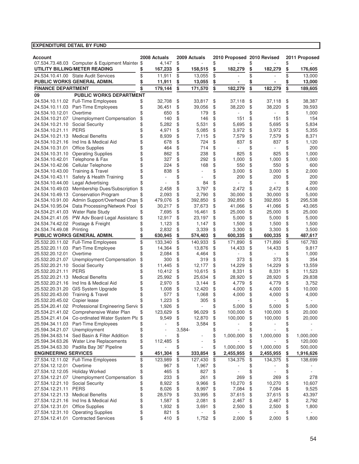| <b>Account</b>                     |                                                    |          | 2008 Actuals |                | 2009 Actuals |          | 2010 Proposed 2010 Revised |          |           |          | 2011 Proposed |
|------------------------------------|----------------------------------------------------|----------|--------------|----------------|--------------|----------|----------------------------|----------|-----------|----------|---------------|
|                                    | 07.534.73.48.03 Computer & Equipment Mainter \$    |          | 4,147        | \$             |              | \$       |                            |          |           | \$       |               |
|                                    | UTILITY BILLING/METER READING                      | \$       | 167,233      | \$             | 158,515      | \$       | 182,279                    | \$       | 182,279   | \$       | 176,605       |
|                                    | 24.534.10.41.00 State Audit Services               | \$       | 11,911       | \$             | 13,055       | \$       |                            | \$       |           | \$       | 13,000        |
|                                    | PUBLIC WORKS GENERAL ADMIN.                        | \$       | 11,911       | \$             | 13,055       | \$       |                            | \$       |           |          | 13,000        |
| <b>FINANCE DEPARTMENT</b>          |                                                    | \$       | 179,144      | \$             | 171,570      | \$       | 182,279                    | \$       | 182,279   | \$       | 189,605       |
| 09                                 | <b>PUBLIC WORKS DEPARTMENT</b>                     |          |              |                |              |          |                            |          |           |          |               |
|                                    | 24.534.10.11.02 Full-Time Employees                | \$       | 32,708       | \$             | 33,817       | \$       | 37,118                     | \$       | 37,118    | \$       | 38,387        |
| 24.534.10.11.03                    | Part-Time Employees                                | \$       | 36,451       | \$             | 39,056       | \$       | 38,220                     | \$       | 38,220    | \$       | 39,593        |
| 24.534.10.12.01                    | Overtime                                           | \$       | 650          | \$             | 179          | \$       |                            | \$       |           | \$       | 1,000         |
|                                    | 24.534.10.21.07 Unemployment Compensation          | \$       | 140          | \$             | 146          | \$       | 151                        | \$       | 151       | \$       | 154           |
| 24.534.10.21.10                    | Social Security                                    | \$       | 5,282        | \$             | 5,531        | \$       | 5,695                      | \$       | 5,695     | \$       | 5,834         |
| 24.534.10.21.11                    | <b>PERS</b>                                        | \$       | 4,971        | \$             | 5,085        | \$       | 3,972                      | \$       | 3,972     | \$       | 5,355         |
| 24.534.10.21.13                    | <b>Medical Benefits</b>                            | \$       | 8,939        | \$             | 7,115        | \$       | 7,579                      | \$       | 7,579     | \$       | 8,371         |
| 24.534.10.21.16                    | Ind Ins & Medical Aid                              | \$       | 678          | \$             | 724<br>714   | \$       | 837                        | \$       | 837<br>÷, | \$       | 1,120         |
| 24.534.10.31.01                    | <b>Office Supplies</b>                             | \$<br>\$ | 464<br>862   | \$<br>\$       | 238          | \$<br>\$ | 825                        | \$<br>\$ | 825       | \$<br>\$ | 200<br>1,000  |
| 24.534.10.31.10<br>24.534.10.42.01 | <b>Operating Supplies</b><br>Telephone & Fax       | \$       | 327          | \$             | 292          | \$       | 1,000                      | \$       | 1,000     | \$       | 1,000         |
| 24.534.10.42.06                    | Cellular Telephone                                 | \$       | 224          | \$             | 168          | \$       | 550                        | \$       | 550       | \$       | 600           |
| 24.534.10.43.00                    | <b>Training &amp; Travel</b>                       | \$       | 838          | \$             |              | \$       | 3,000                      | \$       | 3,000     | \$       | 2,000         |
| 24.534.10.43.11                    | Safety & Health Training                           | \$       |              | \$             |              | \$       | 200                        | \$       | 200       | \$       | 200           |
| 24.534.10.44.00                    | Legal Advertising                                  | \$       |              | \$             | 84           | \$       |                            | \$       |           | \$       | 200           |
| 24.534.10.49.03                    | Membership Dues/Subscription \$                    |          | 2,458        | \$             | 3,797        | \$       | 2,472                      | \$       | 2,472     | \$       | 4,000         |
| 24.534.10.49.13                    | <b>Conservation Program</b>                        | \$       | 2,093        | \$             | 2,790        | \$       | 30,000                     | \$       | 30,000    | \$       | 5,000         |
| 24.534.10.91.00                    | Admin Support/Overhead Charg \$                    |          | 479,076      | \$             | 392,850      | \$       | 392.850                    | \$       | 392,850   | \$       | 295,538       |
| 24.534.10.95.04                    | Data Processing/Network Pool                       | \$       | 30,217       | \$             | 37,673       | \$       | 41,066                     | \$       | 41,066    | \$       | 43,065        |
|                                    | 24.534.21.41.03 Water Rate Study                   | \$       | 7,695        | \$             | 16,461       | \$       | 25,000                     | \$       | 25,000    | \$       | 25,000        |
|                                    | 24.534.21.41.05 PW Adv Board Legal Assistanc \$    |          | 12,917       | \$             | 23,197       | \$       | 5,000                      | \$       | 5,000     | \$       | 5,000         |
|                                    | 24.534.74.42.02 Postage & Freight                  |          | 1,123        | \$             | 1,147        | \$       | 1,500                      | \$       | 1,500     | \$       | 1,500         |
| 24.534.74.49.08 Printing           |                                                    | \$       | 2,832        | \$             | 3,339        | \$       | 3,300                      | \$       | 3,300     | \$       | 3,500         |
|                                    | PUBLIC WORKS GENERAL ADMIN.                        | \$       | 630,945      | \$             | 574,403      | \$       | 600,335                    | \$       | 600,335   | \$       | 487,617       |
|                                    | 25.532.20.11.02 Full-Time Employees                | \$       | 133,340      | \$             | 140,933      | \$       | 171,890                    | \$       | 171,890   | \$       | 167,783       |
| 25.532.20.11.03                    | Part-Time Employee                                 | \$       | 14,364       | \$             | 13,876       | \$       | 14,433                     | \$       | 14,433    | \$       | 9,817         |
| 25.532.20.12.01                    | Overtime                                           | \$       | 2,084        | \$             | 4,464        | \$       |                            | \$       |           | \$       | 1,000         |
| 25.532.20.21.07                    | Unemployment Compensation                          | \$       | 300          | \$             | 319          | \$       | 373                        | \$       | 373       | \$       | 354           |
| 25.532.20.21.10                    | Social Security                                    | \$       | 11,445       | \$             | 12,177       | \$       | 14,229                     | \$       | 14,229    | \$       | 13,559        |
| 25.532.20.21.11                    | <b>PERS</b>                                        | \$       | 10,412       | \$             | 10,615       | \$       | 8,331                      | \$       | 8,331     | \$       | 11,523        |
| 25.532.20.21.13                    | <b>Medical Benefits</b>                            | \$       | 25,992       | \$             | 25,634       | \$       | 28,920                     | \$       | 28,920    | \$       | 29,838        |
|                                    | 25.532.20.21.16 Ind Ins & Medical Aid              | \$       | 2,970        | \$             | 3,144        | \$       | 4,779                      | \$       | 4,779     | \$       | 3,752         |
| 25.532.20.31.20                    | GIS System Upgrade                                 | \$       | 1,008        | \$             | 12,420       | \$       | 4,000                      | \$       | 4,000     | \$       | 10,000        |
| 25.532.20.43.00                    | <b>Training &amp; Travel</b>                       | \$       | 577          | \$             | 1,068        | \$       | 4,000                      | \$       | 4,000     | \$       | 4,000         |
| 25.532.20.45.02                    | Copier lease                                       |          | 1,223        | \$             | 305          | \$       |                            | \$       |           | \$       |               |
|                                    | 25.534.20.41.02 Professional Engineering Servic \$ |          | 1,926        | \$             |              | \$       | 5,000                      | \$       | 5,000     | \$       | 5,000         |
| 25.534.21.41.02                    | Comprehensive Water Plan                           | \$       | 123,629      | \$             | 96,029       | \$       | 100,000                    | \$       | 100,000   | \$       | 20,000        |
|                                    | 25.534.21.41.04 Co-ordinated Water System Pla \$   |          | 9,549        | \$             | 12,870       | \$       | 100,000                    | \$       | 100,000   | \$       | 20,000        |
| 25.594.34.21.07 Unemployment       | 25.594.34.11.03 Part-Time Employees                | \$<br>\$ |              | \$<br>$3,584-$ | 3,584        | \$       |                            | \$<br>\$ |           | \$<br>\$ |               |
|                                    | 25.594.34.63.14 Sed Basin & Filter Addition        | \$       |              | \$             |              | \$<br>\$ | 1,000,000                  | \$       | 1,000,000 | \$       | 1,000,000     |
|                                    | 25.594.34.63.26 Water Line Replacements            | \$       | 112,485      | \$             |              | \$       |                            | \$       |           | \$       | 120,000       |
|                                    | 25.594.34.63.30 Padilla Bay 36" Pipeline           | \$       |              | \$             |              | \$       | 1,000,000                  | \$       | 1,000,000 | \$       | 500,000       |
| <b>ENGINEERING SERVICES</b>        |                                                    | \$       | 451,304      | \$             | 333,854      | \$       | 2,455,955                  | \$       | 2,455,955 | \$       | 1,916,626     |
|                                    | 27.534.12.11.02 Full-Time Employees                | \$       | 123,989      | \$             | 127,430      | \$       | 134,375                    | \$       | 134,375   | \$       | 138,699       |
| 27.534.12.12.01                    | Overtime                                           | \$       | 967          | \$             | 1,967        | \$       |                            | \$       |           | \$       |               |
| 27.534.12.12.05                    | <b>Holiday Worked</b>                              | \$       | 465          | \$             | 827          | \$       |                            | \$       |           | \$       |               |
|                                    | 27.534.12.21.07 Unemployment Compensation          | \$       | 233          | \$             | 261          | \$       | 269                        | \$       | 269       | \$       | 278           |
| 27.534.12.21.10                    | <b>Social Security</b>                             | \$       | 8,922        | \$             | 9,966        | \$       | 10,270                     | \$       | 10,270    | \$       | 10,607        |
| 27.534.12.21.11                    | <b>PERS</b>                                        | \$       | 8,026        | \$             | 8,997        | \$       | 7,084                      | \$       | 7,084     | \$       | 9,525         |
| 27.534.12.21.13                    | <b>Medical Benefits</b>                            | \$       | 28,579       | \$             | 33,995       | \$       | 37,615                     | \$       | 37,615    | \$       | 43,397        |
| 27.534.12.21.16                    | Ind Ins & Medical Aid                              | \$       | 1,587        | \$             | 2,081        | \$       | 2,467                      | \$       | 2,467     | \$       | 2,792         |
| 27.534.12.31.01                    | <b>Office Supplies</b>                             | \$       | 1,932        | \$             | 3,691        | \$       | 2,500                      | \$       | 2,500     | \$       | 1,800         |
| 27.534.12.31.10                    | <b>Operating Supplies</b>                          | \$       | 821          | \$             |              | \$       |                            | \$       |           | \$       |               |
| 27.534.12.41.01                    | <b>Contracted Services</b>                         | \$       | 410          | \$             | 1,752        | \$       | 2,000                      | \$       | 2,000     | \$       | 1,800         |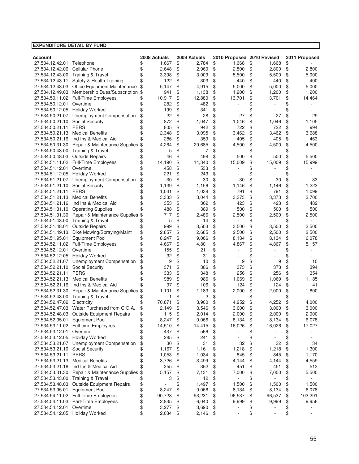| <b>EXPENDITURE DETAIL BY FUND</b>  |                                                        |          |                |          |                |          |                            |          |              |          |                |
|------------------------------------|--------------------------------------------------------|----------|----------------|----------|----------------|----------|----------------------------|----------|--------------|----------|----------------|
|                                    |                                                        |          |                |          |                |          |                            |          |              |          |                |
| <b>Account</b>                     |                                                        |          | 2008 Actuals   |          | 2009 Actuals   |          | 2010 Proposed 2010 Revised |          |              |          | 2011 Proposed  |
| 27.534.12.42.01                    | Telephone                                              | \$       | 1,667          | \$       | 2,784          | \$       | 1,668                      | \$       | 1,668        | \$       |                |
| 27.534.12.42.06                    | <b>Cellular Phone</b>                                  | \$       | 2,648          | \$       | 2,960          | \$       | 2,800                      | \$       | 2,800        | \$       | 2,800          |
| 27.534.12.43.00                    | <b>Training &amp; Travel</b>                           | \$       | 3,398          | \$       | 3,009          | \$       | 5,500                      | \$       | 5,500        | \$       | 5,000          |
| 27.534.12.43.11                    | Safety & Health Training                               | \$       | 122            | \$<br>\$ | 303            | \$       | 440                        | \$       | 440<br>5,000 | \$       | 400<br>5,000   |
| 27.534.12.48.03                    | Office Equipment Maintenance                           | \$       | 5,147          |          | 4,915          | \$       | 5,000                      | \$       |              | \$       |                |
| 27.534.12.49.03                    | Membership Dues/Subscription                           | \$       | 941            | \$       | 1,138          | \$       | 1,200                      | \$       | 1,200        | \$       | 1,200          |
|                                    | 27.534.50.11.02 Full-Time Employees                    | \$       | 10,917         | \$       | 12,880         | \$       | 13,701                     | \$       | 13,701       | \$       | 14,464         |
| 27.534.50.12.01                    | Overtime                                               | \$       | 282            | \$       | 482            | \$       |                            | \$       |              | \$       |                |
| 27.534.50.12.05                    | <b>Holiday Worked</b>                                  | \$       | 199            | \$<br>\$ | 341            | \$       |                            | \$       |              | \$       |                |
| 27.534.50.21.07                    | Unemployment Compensation                              | \$       | 22<br>872      |          | 28             | \$       | 27                         | \$       | 27           | \$       | 29             |
| 27.534.50.21.10                    | <b>Social Security</b><br><b>PERS</b>                  | \$<br>\$ | 805            | \$<br>\$ | 1,047          | \$       | 1,046<br>722               | \$       | 1,046<br>722 | \$<br>\$ | 1,105<br>994   |
| 27.534.50.21.11                    |                                                        |          |                |          | 942            | \$       |                            | \$       |              |          |                |
| 27.534.50.21.13                    | <b>Medical Benefits</b>                                | \$<br>\$ | 2,348          | \$       | 3,095          | \$       | 3,462                      | \$       | 3,462        | \$       | 3,688          |
| 27.534.50.21.16                    | Ind Ins & Medical Aid                                  |          | 286            | \$       | 359            | \$       | 405                        | \$       | 405          | \$       | 463            |
| 27.534.50.31.30                    | Repair & Maintenance Supplies                          | \$       | 4,264<br>5     | \$<br>\$ | 29,685         | \$<br>\$ | 4,500                      | \$<br>\$ | 4,500        | \$<br>\$ | 4,500          |
| 27.534.50.43.00<br>27.534.50.48.03 | <b>Training &amp; Travel</b><br><b>Outside Repairs</b> | \$<br>\$ | 46             | \$       | 7<br>498       | \$       |                            | \$       | 500          | \$       | 5,500          |
| 27.534.51.11.02                    |                                                        |          |                |          |                |          | 500                        |          |              |          |                |
| 27.534.51.12.01                    | <b>Full-Time Employees</b><br>Overtime                 | \$<br>\$ | 14,190<br>458  | \$<br>\$ | 14,340         | \$<br>\$ | 15,009                     | \$<br>\$ | 15,009       | \$<br>\$ | 15,999         |
|                                    |                                                        |          |                |          | 533            |          |                            |          |              |          |                |
| 27.534.51.12.05                    | <b>Holiday Worked</b><br>Unemployment Compensation     | \$       | 221<br>30      | \$<br>\$ | 243<br>30      | \$       | 30                         | \$<br>\$ | 30           | \$<br>\$ |                |
| 27.534.51.21.07                    |                                                        | \$       |                |          |                | \$       |                            |          |              |          | 33             |
| 27.534.51.21.10<br>27.534.51.21.11 | <b>Social Security</b><br><b>PERS</b>                  | \$<br>\$ | 1,139<br>1,031 | \$<br>\$ | 1,156<br>1,038 | \$<br>\$ | 1,146<br>791               | \$<br>\$ | 1,146<br>791 | \$<br>\$ | 1,223          |
| 27.534.51.21.13                    | <b>Medical Benefits</b>                                |          | 3,333          | \$       |                |          | 3,373                      |          | 3,373        | \$       | 1,099          |
| 27.534.51.21.16                    | Ind Ins & Medical Aid                                  | \$<br>\$ | 353            | \$       | 3,044<br>362   | \$<br>\$ | 423                        | \$<br>\$ | 423          | \$       | 3,700<br>482   |
|                                    | <b>Operating Supplies</b>                              | \$       | 488            | \$       | 389            | \$       | 500                        | \$       | 500          | \$       | 500            |
| 27.534.51.31.10                    | Repair & Maintenance Supplies                          |          | 717            | \$       | 2,486          |          | 2,500                      |          | 2,500        | \$       | 2,500          |
| 27.534.51.31.30<br>27.534.51.43.00 | <b>Training &amp; Travel</b>                           | \$<br>\$ | 5              | \$       | 14             | \$<br>\$ |                            | \$<br>\$ |              | \$       |                |
|                                    | <b>Outside Repairs</b>                                 | \$       | 999            | \$       | 3,503          | \$       |                            | \$       | 3,500        | \$       |                |
| 27.534.51.48.01<br>27.534.51.49.13 | Dike Mowing/Spraying/Maint                             | \$       | 2,857          | \$       | 2,685          | \$       | 3,500<br>2,500             | \$       | 2,500        | \$       | 3,500<br>2,500 |
| 27.534.51.95.01                    | <b>Equipment Pool</b>                                  | \$       | 8,247          | \$       | 9,066          | \$       | 8,134                      | \$       | 8,134        | \$       | 6,078          |
| 27.534.52.11.02                    | Full-Time Employees                                    | \$       | 4,667          | \$       | 4,801          | \$       | 4,867                      | \$       | 4,867        | \$       | 5,157          |
| 27.534.52.12.01                    | Overtime                                               | \$       | 155            | \$       | 211            | \$       |                            | \$       |              | \$       |                |
| 27.534.52.12.05                    | <b>Holiday Worked</b>                                  | \$       | 32             | \$       | 31             | \$       |                            | \$       |              | \$       |                |
| 27.534.52.21.07                    | Unemployment Compensation                              | \$       | 9              | \$       | 10             | \$       | 9                          | \$       | 9            | \$       | 10             |
| 27.534.52.21.10                    | <b>Social Security</b>                                 | \$       | 371            | \$       | 386            | \$       | 373                        | \$       | 373          | \$       | 394            |
| 27.534.52.21.11                    | <b>PERS</b>                                            | \$       | 333            | \$       | 348            | \$       | 256                        | \$       | 256          | \$       | 354            |
| 27.534.52.21.13                    | <b>Medical Benefits</b>                                | \$       | 989            | \$       | 986            | \$       | 1,069                      | \$       | 1,069        | \$       | 1,185          |
| 27.534.52.21.16                    | Ind Ins & Medical Aid                                  | \$       | 97             | \$       | 106            | \$       | 124                        | \$       | 124          | \$       | 141            |
| 27.534.52.31.30                    | Repair & Maintenance Supplies                          | \$       | 1,101          | \$       | 1,183          | \$       | 2,000                      | \$       | 2,000        | \$       | 1,800          |
| 27.534.52.43.00                    | Training & Travel                                      | \$       | 1              | \$       | 2              | \$       |                            | \$       |              | \$       |                |
| 27.534.52.47.02                    | Electricity                                            | \$       | 70,871         | \$       | 3,900          | \$       | 4,252                      | \$       | 4,252        | \$       | 4.000          |
| 27.534.52.47.03                    | Water Purchased from C.O.A.                            | \$       | 2,149          | \$       | 3,546          | \$       | 3,000                      | \$       | 3,000        | \$       | 3,000          |
| 27.534.52.48.03                    | <b>Outside Equipment Repairs</b>                       | \$       | 115            | \$       | 2,014          | \$       | 2,000                      | \$       | 2,000        | \$       | 2,000          |
| 27.534.52.95.01                    | <b>Equipment Pool</b>                                  | \$       | 8,247          | \$       | 9,066          | \$       | 8,134                      | \$       | 8,134        | \$       | 6,078          |
|                                    | 27.534.53.11.02 Full-time Employees                    | \$       | 14,510         | \$       | 14,415         | \$       | 16,026                     | \$       | 16,026       | \$       | 17,027         |
| 27.534.53.12.01                    | Overtime                                               | \$       | 437            | \$       | 566            | \$       |                            | \$       |              | \$       |                |
| 27.534.53.12.05                    | <b>Holiday Worked</b>                                  | \$       | 285            | \$       | 241            | \$       |                            | \$       |              | \$       | ä,             |
| 27.534.53.21.07                    | Unemployment Compensation                              | \$       | 30             | \$       | 31             | \$       | 32                         | \$       | 32           | \$       | 34             |
| 27.534.53.21.10                    | <b>Social Security</b>                                 | \$       | 1,167          | \$       | 1,161          | \$       | 1,218                      | \$       | 1,218        | \$       | 1,300          |
| 27.534.53.21.11                    | <b>PERS</b>                                            | \$       | 1,053          | \$       | 1,034          | \$       | 845                        | \$       | 845          | \$       | 1,170          |
| 27.534.53.21.13                    | <b>Medical Benefits</b>                                | \$       | 3,726          | \$       | 3,499          | \$       | 4,144                      | \$       | 4,144        | \$       | 4,559          |
| 27.534.53.21.16                    | Ind Ins & Medical Aid                                  | \$       | 355            | \$       | 362            | \$       | 451                        | \$       | 451          | \$       | 513            |
| 27.534.53.31.30                    | Repair & Maintenance Supplies                          | \$       | 5,157          | \$       | 7,131          | \$       | 7,000                      | \$       | 7,000        | \$       | 5,500          |
| 27.534.53.43.00                    | <b>Training &amp; Travel</b>                           | \$       | 3              | \$       | 12             | \$       |                            | \$       |              | \$       |                |
| 27.534.53.48.03                    | <b>Outside Equipment Repairs</b>                       | \$       |                | \$       | 1,497          | \$       | 1,500                      | \$       | 1,500        | \$       | 1,500          |
| 27.534.53.95.01                    | <b>Equipment Pool</b>                                  | \$       | 8,247          | \$       | 9,066          | \$       | 8,134                      | \$       | 8,134        | \$       | 6,078          |
|                                    | 27.534.54.11.02 Full-Time Employees                    | \$       | 90,728         | \$       | 93,231         | \$       | 96,537                     | \$       | 96,537       | \$       | 103,291        |
| 27.534.54.11.03                    | Part-Time Employees                                    | \$       | 2,835          | \$       | 6,040          | \$       | 9,999                      | \$       | 9,999        | \$       | 9,956          |
| 27.534.54.12.01                    | Overtime                                               | \$       | 3,277          | \$       | 3,690          | \$       | ÷                          | \$       |              | \$       |                |
| 27.534.54.12.05 Holiday Worked     |                                                        | \$       | 2,034          | \$       | 2,146          | \$       |                            | \$       |              | \$       |                |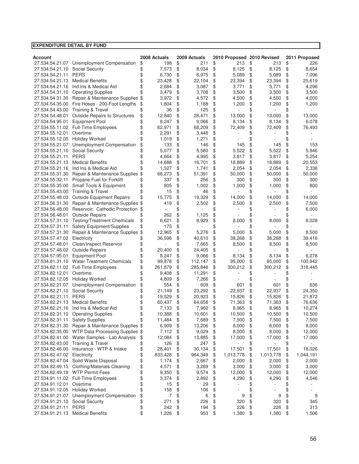| <b>Account</b>       |                                       | 2008 Actuals  | 2009 Actuals  | 2010 Proposed 2010 Revised |                 | 2011 Proposed   |
|----------------------|---------------------------------------|---------------|---------------|----------------------------|-----------------|-----------------|
| 27.534.54.21.07      | Unemployment Compensation             | \$<br>198     | \$<br>211     | \$<br>213                  | \$<br>213       | \$<br>226       |
| 27.534.54.21.10      | <b>Social Security</b>                | \$<br>7,573   | \$<br>8,034   | \$<br>8,125                | \$<br>8,125     | \$<br>8,654     |
| 27.534.54.21.11      | <b>PERS</b>                           | \$<br>6,730   | \$<br>6,975   | \$<br>5,089                | \$<br>5,089     | \$<br>7,096     |
| 27.534.54.21.13      | <b>Medical Benefits</b>               | \$<br>23,428  | \$<br>22,104  | \$<br>23,394               | \$<br>23,394    | \$<br>25,619    |
| 27.534.54.21.16      | Ind Ins & Medical Aid                 | \$<br>2,684   | \$<br>3,087   | \$<br>3,771                | \$<br>3,771     | \$<br>4,296     |
| 27.534.54.31.10      | <b>Operating Supplies</b>             | 3,479         | \$<br>3,708   | \$<br>3,500                | \$<br>3,500     | \$<br>3,500     |
| 27.534.54.31.30      | Repair & Maintenance Supplies         | \$<br>3,972   | \$<br>4,572   | \$<br>4,500                | \$<br>4,500     | \$<br>4,000     |
| 27.534.54.35.00      | Fire Hoses - 200-Foot Lengths         | \$<br>1,804   | \$<br>1,188   | \$<br>1,200                | \$<br>1,200     | \$<br>1,200     |
| 27.534.54.43.00      | Training & Travel                     | \$<br>36      | \$<br>125     | \$                         | \$              | \$              |
| 27.534.54.48.01      | Outside Repairs to Structures         | \$<br>12,840  | \$<br>28,471  | \$<br>13,000               | \$<br>13,000    | \$<br>13,000    |
| 27.534.54.95.01      | <b>Equipment Pool</b>                 | \$<br>8,247   | \$<br>9,066   | \$<br>8,134                | \$<br>8,134     | \$<br>6,078     |
| 27.534.55.11.02      | Full-Time Employees                   | \$<br>62,971  | \$<br>68,209  | \$<br>72,409               | \$<br>72,409    | \$<br>76,493    |
| 27.534.55.12.01      | Overtime                              | \$<br>2,291   | \$<br>3,448   | \$                         | \$              | \$              |
| 27.534.55.12.05      | <b>Holiday Worked</b>                 | \$<br>1,019   | \$<br>1,271   | \$                         | \$              | \$              |
| 27.534.55.21.07      | Unemployment Compensation             | \$<br>133     | \$<br>146     | \$<br>145                  | \$<br>145       | \$<br>153       |
| 27.534.55.21.10      | <b>Social Security</b>                | 5,077         | \$<br>5,580   | \$<br>5,522                | \$<br>5,522     | \$<br>5,846     |
| 27.534.55.21.11      | <b>PERS</b>                           | \$<br>4,664   | \$<br>4,995   | \$<br>3,817                | \$<br>3,817     | \$<br>5,254     |
| 27.534.55.21.13      | <b>Medical Benefits</b>               | \$<br>14,688  | \$<br>16,701  | \$<br>18,889               | \$<br>18,889    | \$<br>20,553    |
| 27.534.55.21.16      | Ind Ins & Medical Aid                 | 1,527         | \$<br>1,741   | \$<br>2,054                | \$<br>2,054     | \$<br>2,336     |
| 27.534.55.31.30      | Repair & Maintenance Supplies         | \$<br>68,273  | \$<br>51,391  | \$<br>50,000               | \$<br>50,000    | \$<br>50,000    |
| 27.534.55.32.11      | Propane Fuel for Forklift             | \$<br>337     | \$<br>256     | \$<br>300                  | \$<br>300       | \$<br>300       |
| 27.534.55.35.00      | Small Tools & Equipment               | \$<br>805     | \$<br>1,002   | \$<br>1,000                | \$<br>1,000     | \$<br>800       |
| 27.534.55.43.00      | <b>Training &amp; Travel</b>          | \$<br>15      | \$<br>46      | \$                         |                 | \$              |
| 27.534.55.48.03      | <b>Outside Equipment Repairs</b>      | \$<br>15,775  | \$<br>19,329  | \$<br>14,000               | \$<br>14,000    | \$<br>14.000    |
| 27.534.56.31.30      | Repair & Maintenance Supplies \$      | 419           | \$<br>2,502   | \$<br>2,500                | \$<br>2,500     | \$<br>7,500     |
| 27.534.56.48.00      | Reservoir: Cathodic Protection \$     |               | \$            | \$                         |                 | \$<br>6,000     |
| 27.534.56.48.01      | <b>Outside Repairs</b>                | \$<br>262     | \$<br>1,125   | \$                         | \$              | \$              |
| 27.534.57.31.10      | <b>Testing/Treatment Chemicals</b>    | \$<br>6,621   | \$<br>8,929   | \$<br>8,000                | \$<br>8,000     | \$<br>8,028     |
| 27.534.57.31.11      | Safety Equipment/Supplies             | \$<br>175     | \$            | \$                         | \$              | \$              |
| 27.534.57.31.30      | Repair & Maintenance Supplies         | \$<br>12,965  | \$<br>5,276   | \$<br>5,000                | \$<br>5,000     | \$<br>8,500     |
| 27.534.57.47.02      | Electricity                           | 36,596        | \$<br>40,610  | \$<br>38,268               | \$<br>38,268    | \$<br>39,416    |
| 27.534.57.48.01      | Clean/Inspect Reservoir               | \$            | \$<br>7,665   | \$<br>8,500                | \$<br>8,500     | \$<br>8,500     |
| 27.534.57.48.02      | <b>Outside Repairs</b>                | \$<br>20,400  | \$<br>24,405  | \$                         | \$              | \$              |
| 27.534.57.95.01      | <b>Equipment Pool</b>                 | \$<br>8,247   | \$<br>9,066   | \$<br>8,134                | \$<br>8,134     | \$<br>6,078     |
| 27.534.81.31.10      | <b>Water Treatment Chemicals</b>      | \$<br>99,878  | \$<br>112,147 | \$<br>95,000               | \$<br>95,000    | \$<br>100,942   |
| 27.534.82.11.02      | <b>Full-Time Employees</b>            | \$<br>261,879 | \$<br>285,846 | \$<br>300,212              | \$<br>300,212   | \$<br>318,445   |
| 27.534.82.12.01      | Overtime                              | \$<br>9,408   | \$<br>11,291  | \$                         | \$              | \$              |
| 27.534.82.12.05      | <b>Holiday Worked</b>                 | \$<br>4,809   | \$<br>7,266   | \$                         | \$              | \$              |
| 27.534.82.21.07      | Unemployment Compensation             | \$<br>554     | \$<br>609     | \$<br>601                  | \$<br>601       | \$<br>636       |
| 27.534.82.21.10      | <b>Social Security</b>                | \$<br>21,149  | \$<br>23,292  | \$<br>22,937               | \$<br>22,937    | \$<br>24,350    |
| 27.534.82.21.11      | <b>PERS</b>                           | \$<br>19,529  | \$<br>20,923  | \$<br>15,826               | \$<br>15,826    | \$<br>21,872    |
| 27.534.82.21.13      | <b>Medical Benefits</b>               | \$<br>60,437  | \$<br>64,658  | \$<br>71,363               | \$<br>71,363    | \$<br>76,636    |
|                      | 27.534.82.21.16 Ind Ins & Medical Aid | \$<br>7,133   | \$<br>7,960   | \$<br>8,965                | \$<br>8,965     | \$<br>10,274    |
|                      | 27.534.82.31.10 Operating Supplies    | \$<br>10,388  | \$<br>10,601  | \$<br>10,500               | \$<br>10,500    | \$<br>10,500    |
| 27.534.82.31.11      | <b>Safety Supplies</b>                | \$<br>11,484  | \$<br>7,689   | \$<br>7,500                | \$<br>7,500     | \$<br>7,500     |
| 27.534.82.31.30      | Repair & Maintenance Supplies \$      | 6,909         | \$<br>13,206  | \$<br>8,000                | \$<br>8,000     | \$<br>8,000     |
| 27.534.82.35.00      | WTP Data Processing Supplies \$       | 7,112         | \$<br>9,029   | \$<br>8,000                | \$<br>8,000     | \$<br>12,000    |
| 27.534.82.41.00      | Water Samples - Lab Analysis          | \$<br>12,084  | \$<br>13,885  | \$<br>17,000               | \$<br>17,000    | \$<br>17,000    |
| 27.534.82.43.00      | <b>Training &amp; Travel</b>          | \$<br>126     | \$<br>247     | \$                         | \$              | \$              |
| 27.534.82.46.00      | Insurance - WTP & Intake              | \$<br>28,401  | \$<br>30,134  | \$<br>17,501               | \$<br>17,501    | \$<br>18,026    |
| 27.534.82.47.02      | Electricity                           | \$<br>833,428 | \$<br>964,349 | \$<br>1,013,778            | \$<br>1,013,778 | \$<br>1,044,191 |
| 27.534.82.47.04      | Solid Waste Disposal                  | \$<br>1,174   | \$<br>2,667   | \$<br>2,000                | \$<br>2,000     | \$<br>2,000     |
| 27.534.82.49.15      | <b>Clothing/Materials Cleaning</b>    | \$<br>4,571   | \$<br>3,269   | \$<br>3,000                | \$<br>3,000     | \$<br>3,000     |
|                      | 27.534.82.49.19 WTP Permit Fees       | \$<br>9,350   | \$<br>9,574   | \$<br>12,000               | \$<br>12,000    | \$<br>12,000    |
|                      | 27.534.91.11.02 Full-Time Employees   | \$<br>3,374   | \$<br>2,892   | \$<br>4,290                | \$<br>4,290     | \$<br>4,546     |
| 27.534.91.12.01      | Overtime                              | \$<br>15      | \$<br>29      | \$                         | \$              | \$              |
| 27.534.91.12.05      | <b>Holiday Worked</b>                 | \$<br>158     | \$<br>106     | \$                         | \$              | \$              |
| 27.534.91.21.07      | Unemployment Compensation             | \$<br>7       | \$<br>6       | \$<br>9                    | \$<br>9         | \$<br>9         |
| 27.534.91.21.10      | <b>Social Security</b>                | \$<br>271     | \$<br>226     | \$<br>320                  | \$<br>320       | \$<br>345       |
| 27.534.91.21.11 PERS |                                       | \$<br>242     | \$<br>194     | \$<br>226                  | \$<br>226       | \$<br>313       |
|                      | 27.534.91.21.13 Medical Benefits      | \$<br>1,226   | \$<br>953     | \$<br>1,380                | \$<br>1,380     | \$<br>1,506     |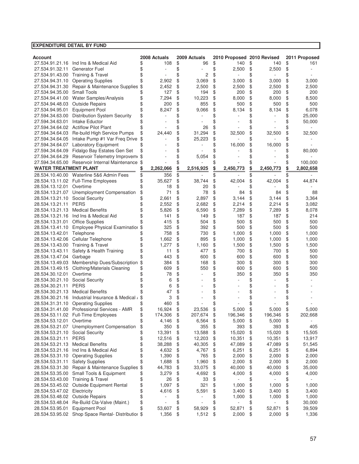| <b>EXPENDITURE DETAIL BY FUND</b>  |                                                       |               |          |              |          |                            |          |                |          |               |
|------------------------------------|-------------------------------------------------------|---------------|----------|--------------|----------|----------------------------|----------|----------------|----------|---------------|
|                                    |                                                       |               |          |              |          |                            |          |                |          |               |
| <b>Account</b>                     |                                                       | 2008 Actuals  |          | 2009 Actuals |          | 2010 Proposed 2010 Revised |          |                |          | 2011 Proposed |
| 27.534.91.21.16                    | Ind Ins & Medical Aid                                 | \$<br>108     | \$       | 96           | \$       | 140                        | \$       | 140            | \$       | 161           |
| 27.534.91.32.11                    | <b>Generator Fuel</b><br><b>Training &amp; Travel</b> | \$            | \$<br>\$ | 2            | \$<br>\$ | 2,500                      | \$       | 2,500          | \$       |               |
| 27.534.91.43.00<br>27.534.94.31.10 | <b>Operating Supplies</b>                             | 2,902         | \$       | 3,069        | \$       |                            | \$<br>\$ |                | \$<br>\$ | 3,000         |
| 27.534.94.31.30                    | Repair & Maintenance Supplies                         | \$<br>2,452   | \$       | 2,500        | \$       | 3,000<br>2,500             | \$       | 3,000<br>2,500 | \$       | 2,500         |
| 27.534.94.35.00                    | <b>Small Tools</b>                                    | 127           | \$       | 194          | \$       | 200                        | \$       | 200            | \$       | 200           |
| 27.534.94.41.00                    | Water Samples/Analysis                                | 7,294         | \$       | 10,223       | \$       | 8,000                      | \$       | 8,000          | \$       | 8,500         |
| 27.534.94.48.03                    | <b>Outside Repairs</b>                                | 200           | \$       | 855          | \$       | 500                        | \$       | 500            | \$       | 500           |
| 27.534.94.95.01                    | <b>Equipment Pool</b>                                 | \$<br>8,247   | \$       | 9,066        | \$       | 8,134                      | \$       | 8,134          | \$       | 6,078         |
| 27.594.34.63.00                    | Distribution System Security                          | \$            | \$       |              | \$       |                            | \$       |                | \$       | 25,000        |
| 27.594.34.63.01                    | Intake Eductor                                        |               | \$       |              | \$       |                            | \$       |                | \$       | 50,000        |
|                                    | 27.594.34.64.02 Actiflow Pilot Plant                  | \$            | \$       | 26           | \$       |                            | \$       |                | \$       |               |
| 27.594.34.64.03                    | Re-build High Service Pumps                           | 24,440        | \$       | 31,294       | \$       | 32,500                     | \$       | 32,500         | \$       | 32,500        |
| 27.594.34.64.05                    | Intake Pump #1 Var Freq Drive                         |               | \$       | 25,223       | \$       |                            | \$       |                | \$       |               |
| 27.594.34.64.07                    | <b>Laboratory Equipment</b>                           |               | \$       |              | \$       | 16,000                     | \$       | 16,000         | \$       |               |
| 27.594.34.64.09                    | Fidalgo Bay Estates Gen Set                           | \$            | \$       |              | \$       |                            | \$       |                | \$       | 80,000        |
| 27.594.34.64.29                    | Reservoir Telemetry Improvem                          |               | \$       | 5,054        | \$       |                            | \$       |                | \$       |               |
|                                    | 27.594.34.65.00 Reservoir Internal Maintenance        | \$            | \$       |              | \$       |                            | \$       |                | \$       | 100,000       |
| <b>WATER TREATMENT PLANT</b>       |                                                       | 2,262,066     | \$       | 2,516,925    | \$       | 2,450,773                  | \$       | 2,450,773      | \$       | 2,802,658     |
|                                    | 28.534.10.40.00 Waterline 5&6 Admin Fees              | \$<br>356     | \$       |              | \$       |                            | \$       |                | \$       |               |
|                                    | 28.534.13.11.02 Full-Time Employees                   | \$<br>35,627  | \$       | 38,744       | \$       | 42,004                     | \$       | 42,004         | \$       | 44,874        |
| 28.534.13.12.01                    | Overtime                                              | 18            | \$       | 20           | \$       |                            | \$       |                | \$       |               |
|                                    | 28.534.13.21.07 Unemployment Compensation             | \$<br>71      | \$       | 78           | \$       | 84                         | \$       | 84             | \$       | 88            |
| 28.534.13.21.10                    | Social Security                                       | 2,661         | \$       | 2,897        | \$       | 3,144                      | \$       | 3,144          | \$       | 3,364         |
| 28.534.13.21.11                    | <b>PERS</b>                                           | 2,552         | \$       | 2,682        | \$       | 2,214                      | \$       | 2,214          | \$       | 3,082         |
| 28.534.13.21.13                    | <b>Medical Benefits</b>                               | 5,826         | \$       | 6,590        | \$       | 7,289                      | \$       | 7,289          | \$       | 8,078         |
| 28.534.13.21.16                    | Ind Ins & Medical Aid                                 | 141           | \$       | 149          | \$       | 187                        | \$       | 187            | \$       | 214           |
| 28.534.13.31.01                    | <b>Office Supplies</b>                                | 415           | \$       | 504          | \$       | 500                        | \$       | 500            | \$       | 500           |
| 28.534.13.41.10                    | Employee Physical Examination                         | \$<br>325     | \$       | 392          | \$       | 500                        | \$       | 500            | \$       | 500           |
| 28.534.13.42.01                    | Telephone                                             | 758           | \$       | 730          | \$       | 1,000                      | \$       | 1,000          | \$       | 1,000         |
| 28.534.13.42.06                    | Cellular Telephone                                    | 1,662         | \$       | 895          | \$       | 1,000                      | \$       | 1,000          | \$       | 1,000         |
| 28.534.13.43.00                    | Training & Travel                                     | 1,277         | \$       | 1,160        | \$       | 1,500                      | \$       | 1,500          | \$       | 1,500         |
| 28.534.13.43.11                    | Safety & Health Training                              | 11            | \$       | 477          | \$       | 700                        | \$       | 700            | \$       | 500           |
| 28.534.13.47.04                    | Garbage                                               | 443           | \$       | 600          | \$       | 600                        | \$       | 600            | \$       | 500           |
| 28.534.13.49.03                    | Membership Dues/Subscription                          | \$<br>384     | \$       | 168          | \$       | 300                        | \$       | 300            | \$       | 300           |
| 28.534.13.49.15                    | Clothing/Materials Cleaning                           | \$<br>609     | \$       | 550          | \$       | 600                        | \$       | 600            | \$       | 500           |
| 28.534.30.12.01                    | Overtime                                              | 78            | \$       | ä,           | \$       | 350                        | \$       | 350            | \$       | 350           |
| 28.534.30.21.10                    | Social Security                                       | 6             | \$       |              | \$       |                            | \$       |                | \$       |               |
| 28.534.30.21.11                    | <b>PERS</b>                                           | 6             | \$       |              | \$       |                            | \$       |                | \$       |               |
| 28.534.30.21.13                    | <b>Medical Benefits</b>                               | 47            | \$       |              | \$       |                            | \$       |                | \$       |               |
|                                    | 28.534.30.21.16 Industrial Insurance & Medical        | 3             | \$       |              | \$       |                            | \$       |                | \$       |               |
|                                    | 28.534.31.31.10 Operating Supplies                    | 460           |          |              | ፍ        |                            | \$       |                | ዼ        |               |
|                                    | 28.534.31.41.00 Professional Services - AMR           | \$<br>16,924  | \$       | 23,536       | \$       | 5,000                      | \$       | 5,000          | \$       | 5,000         |
|                                    | 28.534.53.11.02 Full-Time Employees                   | \$<br>174,306 | \$       | 207,674      | \$       | 196,346                    | \$       | 196,346        | \$       | 202,668       |
| 28.534.53.12.01                    | Overtime                                              | \$<br>4,146   | \$       | 6,564        | \$       | 5,000                      | \$       | 5,000          | \$       |               |
| 28.534.53.21.07                    | Unemployment Compensation                             | \$<br>350     | \$       | 355          | \$       | 393                        | \$       | 393            | \$       | 405           |
| 28.534.53.21.10                    | Social Security                                       | 13,391        | \$       | 13,588       | \$       | 15,020                     | \$       | 15,020         | \$       | 15,505        |
| 28.534.53.21.11                    | <b>PERS</b>                                           | \$<br>12,516  | \$       | 12,203       | \$       | 10,351                     | \$       | 10,351         | \$       | 13,917        |
| 28.534.53.21.13                    | <b>Medical Benefits</b>                               | \$<br>38,288  | \$       | 40,305       | \$       | 47,089                     | \$       | 47,089         | \$       | 51,545        |
| 28.534.53.21.16                    | Ind Ins & Medical Aid                                 | \$<br>4,632   | \$       | 4,767        | \$       | 6,251                      | \$       | 6,251          | \$       | 6,894         |
| 28.534.53.31.10                    | <b>Operating Supplies</b>                             | \$<br>1,390   | \$       | 765          | \$       | 2,000                      | \$       | 2,000          | \$       | 2,000         |
| 28.534.53.31.11                    | <b>Safety Supplies</b>                                | \$<br>1,688   | \$       | 1,960        | \$       | 2,000                      | \$       | 2,000          | \$       | 2,000         |
| 28.534.53.31.30                    | Repair & Maintenance Supplies                         | \$<br>44,783  | \$       | 33,075       | \$       | 40,000                     | \$       | 40,000         | \$       | 35,000        |
| 28.534.53.35.00                    | Small Tools & Equipment                               | \$<br>3,279   | \$       | 4,692        | \$       | 4,000                      | \$       | 4,000          | \$       | 4,000         |
| 28.534.53.43.00                    | Training & Travel                                     | \$<br>26      | \$       | 33           | \$       | $\overline{\phantom{a}}$   | \$       |                | \$       |               |
| 28.534.53.45.02                    | <b>Outside Equipment Rental</b>                       | \$<br>1,097   | \$       | 321          | \$       | 1,000                      | \$       | 1,000          | \$       | 1,000         |
| 28.534.53.47.02                    | Electricity                                           | \$<br>4,616   | \$       | 5,591        | \$       | 3,400                      | \$       | 3,400          | \$       | 3,400         |
| 28.534.53.48.02                    | <b>Outside Repairs</b>                                | \$            | \$       |              | \$       | 1,000                      | \$       | 1,000          | \$       | 1,000         |
| 28.534.53.48.04                    | Re-Build Cla-Valve (Maint.)                           | \$            | \$       |              | \$       |                            | \$       |                | \$       | 30,000        |

28.534.53.95.01 Equipment Pool \$ 53,607 \$ 58,929 \$ 52,871 \$ 52,871 \$ 39,509 28.534.53.95.02 Shop Space Rental- Distribution  $\frac{28.534.53.95.02}{2}$   $\frac{2,000}{2}$   $\frac{2,000}{2}$   $\frac{2,000}{2}$   $\frac{2,000}{2}$   $\frac{2,000}{2}$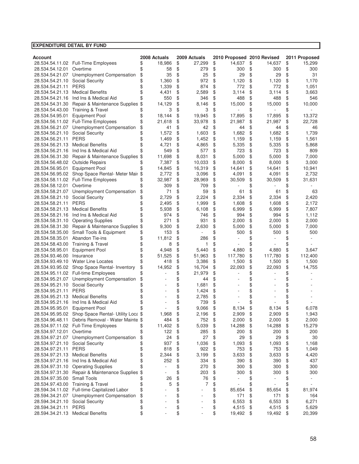| <b>EXPENDITURE DETAIL BY FUND</b> |                                           |              |              |                            |                                |               |
|-----------------------------------|-------------------------------------------|--------------|--------------|----------------------------|--------------------------------|---------------|
|                                   |                                           |              |              |                            |                                |               |
| <b>Account</b>                    |                                           | 2008 Actuals | 2009 Actuals | 2010 Proposed 2010 Revised |                                | 2011 Proposed |
|                                   | 28.534.54.11.02 Full-Time Employees       | \$<br>18,986 | \$<br>27,299 | \$<br>14,637               | \$<br>14,637                   | \$<br>15,299  |
| 28.534.54.12.01                   | Overtime                                  | \$<br>58     | \$<br>279    | \$<br>300                  | \$<br>300                      | \$<br>300     |
| 28.534.54.21.07                   | Unemployment Compensation                 | \$<br>35     | \$<br>25     | \$<br>29                   | \$<br>29                       | \$<br>31      |
| 28.534.54.21.10                   | Social Security                           | \$<br>1,360  | \$<br>972    | \$<br>1,120                | \$<br>1,120                    | \$<br>1,170   |
| 28.534.54.21.11                   | <b>PERS</b>                               | \$<br>1,339  | \$<br>874    | \$<br>772                  | \$<br>772                      | \$<br>1,051   |
| 28.534.54.21.13                   | <b>Medical Benefits</b>                   | 4,431        | \$<br>2,589  | \$<br>3,114                | \$<br>3,114                    | \$<br>3,663   |
| 28.534.54.21.16                   | Ind Ins & Medical Aid                     | 550          | \$<br>346    | \$<br>488                  | \$<br>488                      | \$<br>546     |
| 28.534.54.31.30                   | Repair & Maintenance Supplies \$          | 14,129       | \$<br>8,146  | \$<br>15,000               | \$<br>15,000                   | \$<br>10,000  |
| 28.534.54.43.00                   | Training & Travel                         | \$<br>3      | \$<br>3      | \$                         | \$                             | \$            |
| 28.534.54.95.01                   | <b>Equipment Pool</b>                     | \$<br>18,144 | \$<br>19,945 | \$<br>17,895               | \$<br>17,895                   | \$<br>13,372  |
| 28.534.56.11.02                   | Full-Time Employees                       | 21,618       | \$<br>33,978 | \$<br>21,987               | \$<br>21,987                   | \$<br>22,728  |
| 28.534.56.21.07                   | Unemployment Compensation                 | \$<br>41     | \$<br>42     | \$<br>44                   | \$<br>44                       | \$<br>46      |
| 28.534.56.21.10                   | <b>Social Security</b>                    | 1,572        | \$<br>1,603  | \$<br>1,682                | \$<br>1,682                    | \$<br>1,739   |
| 28.534.56.21.11                   | <b>PERS</b>                               | \$<br>1,469  | \$<br>1,452  | \$<br>1,159                | \$<br>1,159                    | \$<br>1,561   |
| 28.534.56.21.13                   | <b>Medical Benefits</b>                   | 4,721        | \$<br>4,865  | \$<br>5,335                | \$<br>5,335                    | \$<br>5,868   |
| 28.534.56.21.16                   | Ind Ins & Medical Aid                     | 549          | \$<br>577    | \$<br>723                  | \$<br>723                      | \$<br>809     |
| 28.534.56.31.30                   | Repair & Maintenance Supplies \$          | 11,698       | \$<br>8,031  | \$<br>5,000                | \$<br>5,000                    | \$<br>7,000   |
| 28.534.56.48.02                   | <b>Outside Repairs</b>                    | 7,387        | \$<br>10,033 | \$<br>8,000                | \$<br>8,000                    | \$<br>3,000   |
| 28.534.56.95.01                   | <b>Equipment Pool</b>                     | 14,845       | \$<br>16,319 | \$<br>14,641               | \$<br>14,641                   | \$<br>10,941  |
| 28.534.56.95.02                   | Shop Space Rental- Meter Mair \$          | 2,772        | \$<br>3,096  | \$<br>4,091                | \$<br>4,091                    | \$<br>2,732   |
| 28.534.58.11.02                   | Full-Time Employees                       | 32,987       | \$<br>28,969 | \$<br>30,509               | \$<br>30,509                   | \$<br>31,631  |
| 28.534.58.12.01                   | Overtime                                  | 309          | \$<br>709    | \$                         | \$                             | \$            |
| 28.534.58.21.07                   | Unemployment Compensation                 | \$<br>71     | \$<br>59     | \$<br>61                   | \$<br>61                       | \$<br>63      |
| 28.534.58.21.10                   | Social Security                           | 2,729        | \$<br>2,224  | \$<br>2,334                | \$<br>2,334                    | \$<br>2,420   |
| 28.534.58.21.11                   | <b>PERS</b>                               | \$<br>2,495  | \$<br>1,999  | \$<br>1,608                | \$<br>1,608                    | \$<br>2,172   |
| 28.534.58.21.13                   | <b>Medical Benefits</b>                   | \$<br>5,938  | \$<br>6,108  | \$<br>6,999                | \$<br>6,999                    | \$<br>7,807   |
| 28.534.58.21.16                   | Ind Ins & Medical Aid                     | \$<br>974    | \$<br>746    | \$<br>994                  | \$<br>994                      | \$<br>1,112   |
| 28.534.58.31.10                   | <b>Operating Supplies</b>                 | \$<br>271    | \$<br>931    | \$<br>2,000                | \$<br>2,000                    | \$<br>2,000   |
| 28.534.58.31.30                   | Repair & Maintenance Supplies             | \$<br>9,300  | \$<br>2,630  | \$<br>5,000                | \$<br>5,000                    | \$<br>7,000   |
| 28.534.58.35.00                   | Small Tools & Equipment                   | \$<br>153    | \$           | \$<br>500                  | \$<br>500                      | \$<br>500     |
| 28.534.58.35.01                   | Abandon Tie-ins                           | \$<br>11,812 | \$<br>286    | \$                         | \$                             | \$            |
| 28.534.58.43.00                   | <b>Training &amp; Travel</b>              | \$<br>8      | \$<br>1      | \$                         | \$                             | \$            |
| 28.534.58.95.01                   | <b>Equipment Pool</b>                     | \$<br>4,948  | \$<br>5,440  | \$<br>4,880                | \$<br>4,880                    | \$<br>3,647   |
| 28.534.93.46.00                   | Insurance                                 | \$<br>51,525 | \$<br>51,963 | \$<br>117,780              | \$<br>117,780                  | \$<br>112,400 |
| 28.534.93.49.10                   | <b>Water Line Locates</b>                 | \$<br>418    | \$<br>3,386  | \$<br>1,500                | \$<br>1,500                    | \$<br>1,500   |
| 28.534.93.95.02                   | Shop Space Rental- Inventory              | \$<br>14,952 | \$<br>16,704 | \$<br>22,093               | \$<br>22,093                   | \$<br>14,755  |
| 28.534.95.11.02                   | <b>Full-time Employees</b>                | \$           | \$<br>21,979 | \$                         | \$                             | \$            |
| 28.534.95.21.07                   | Unemployment Compensation                 | \$           | \$<br>44     | \$                         | \$                             | \$            |
| 28.534.95.21.10                   | Social Security                           |              | \$<br>1,681  | \$                         | \$                             | \$            |
| 28.534.95.21.11                   | <b>PERS</b>                               | \$           | \$<br>1,424  | \$                         | \$                             | \$            |
| 28.534.95.21.13                   | <b>Medical Benefits</b>                   | \$           | \$<br>2,785  | \$                         | \$                             | \$            |
| 28.534.95.21.16                   | Ind Ins & Medical Aid                     | \$           | \$<br>739    | \$                         | \$                             | \$            |
| 28.534.95.95.01                   | <b>Equipment Pool</b>                     | \$           | \$<br>9,066  | \$<br>8,134                | \$<br>8,134                    | \$<br>6,078   |
| 28.534.95.95.02                   | Shop Space Rental- Utility Loca \$        | 1,968        | \$<br>2,196  | \$<br>2,909                | \$<br>2,909                    | \$<br>1,943   |
| 28.534.96.48.11                   | Debris Removal - Water Mainte \$          | 484          | \$<br>752    | \$<br>2,000                | \$<br>2,000                    | \$<br>2,000   |
|                                   | 28.534.97.11.02 Full-Time Employees       | \$<br>11,402 | \$<br>5,039  | \$<br>14,288               | \$<br>14,288                   | \$<br>15,279  |
| 28.534.97.12.01                   | Overtime                                  | \$<br>122    | \$<br>285    | \$<br>200                  | \$<br>200                      | \$<br>200     |
|                                   | 28.534.97.21.07 Unemployment Compensation | \$<br>24     | \$<br>27     | \$<br>29                   | \$<br>29                       | \$<br>30      |
| 28.534.97.21.10                   | Social Security                           | \$<br>937    | \$<br>1,036  | \$<br>1,093                | \$<br>1,093                    | \$<br>1,168   |
| 28.534.97.21.11                   | <b>PERS</b>                               | \$<br>818    | \$<br>922    | \$<br>753                  | \$<br>753                      | \$<br>1,049   |
| 28.534.97.21.13                   | <b>Medical Benefits</b>                   | \$<br>2,344  | \$<br>3,199  | \$<br>3,633                | \$<br>3,633                    | \$<br>4,420   |
| 28.534.97.21.16                   | Ind Ins & Medical Aid                     | \$<br>252    | \$<br>334    | \$<br>390                  | \$<br>390                      | \$<br>437     |
| 28.534.97.31.10                   | <b>Operating Supplies</b>                 | \$<br>÷,     | \$<br>270    | \$<br>300                  | \$<br>300                      | \$<br>300     |
| 28.534.97.31.30                   | Repair & Maintenance Supplies             | \$<br>÷,     | \$<br>203    | \$<br>300                  | \$<br>300                      | \$<br>300     |
| 28.534.97.35.00                   | Small Tools                               | \$<br>26     | \$<br>76     | \$                         | \$                             | \$            |
| 28.534.97.43.00                   | <b>Training &amp; Travel</b>              | \$<br>5      | \$<br>7      | \$                         | \$<br>$\overline{\phantom{a}}$ | \$            |
| 28.594.34.11.02                   | Full-time Capitalized Labor               | \$           | \$           | \$<br>85,654               | \$<br>85,654                   | \$<br>81,974  |
| 28.594.34.21.07                   | Unemployment Compensation                 | \$           | \$           | \$<br>171                  | \$<br>171                      | \$<br>164     |
| 28.594.34.21.10                   | <b>Social Security</b>                    | \$           | \$           | \$<br>6,553                | \$<br>6,553                    | \$<br>6,271   |
| 28.594.34.21.11                   | <b>PERS</b>                               | \$           | \$           | \$<br>4,515                | \$<br>4,515                    | \$<br>5,629   |
|                                   | 28.594.34.21.13 Medical Benefits          | \$           | \$           | \$<br>19,492               | \$<br>19,492                   | \$<br>20,399  |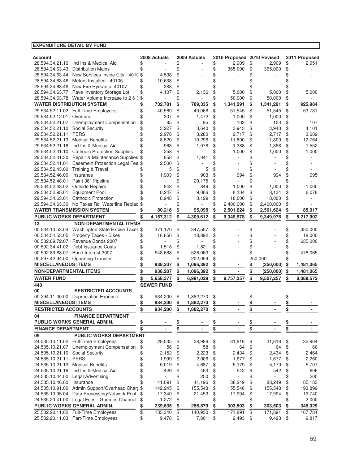| <b>EXPENDITURE DETAIL BY FUND</b> |                                                                                   |               |                   |           |                |           |                            |           |           |                 |
|-----------------------------------|-----------------------------------------------------------------------------------|---------------|-------------------|-----------|----------------|-----------|----------------------------|-----------|-----------|-----------------|
|                                   |                                                                                   |               |                   |           |                |           |                            |           |           |                 |
| Account                           |                                                                                   |               | 2008 Actuals      |           | 2009 Actuals   |           | 2010 Proposed 2010 Revised |           |           | 2011 Proposed   |
|                                   | 28.594.34.21.16 Ind Ins & Medical Aid                                             | \$            |                   | \$        |                | \$        | 2,909                      | \$        | 2,909     | \$<br>2,951     |
| 28.594.34.63.43                   | <b>Distribution Mains</b>                                                         | \$            |                   | \$        |                | \$        | 365,000                    | \$        | 365,000   | \$              |
| 28.594.34.63.44                   | New Services Inside City - 401(\$                                                 |               | 4,538             | \$        |                | \$        |                            | \$        |           | \$              |
| 28.594.34.63.46                   | Meters Installed - 40105                                                          | \$            | 10,638            | \$        |                | \$        |                            | \$        |           |                 |
| 28.594.34.63.48                   | New Fire Hydrants- 40107                                                          | \$            | 388               | \$        |                | \$        |                            | \$        |           |                 |
| 28.594.34.63.77                   | Pave Inventory Storage Lot                                                        | \$            | 4,107             | \$        | 2,136          | \$        | 5,000                      | \$        | 5,000     | \$<br>5,000     |
| 28.594.34.63.78                   | Water Volume Increase to 2 & :                                                    |               |                   | \$        |                | \$        | 50,000                     | \$        | 50,000    | \$              |
| <b>WATER DISTRIBUTION SYSTEM</b>  |                                                                                   |               | 732,781           | \$        | 789,335        | \$        | 1,341,291                  | \$        | 1,341,291 | \$<br>925,984   |
|                                   | 29.534.52.11.02 Full-Time Employees                                               | \$            | 40,569            | \$        | 40,066         | \$        | 51,545                     | \$        | 51,545    | \$<br>53,731    |
| 29.534.52.12.01                   | Overtime                                                                          |               | 307               | \$        | 1,472          | \$        | 1,000                      | \$        | 1,000     | \$              |
| 29.534.52.21.07                   | Unemployment Compensation                                                         | \$            | 85                | \$        | 95             | \$        | 103                        | \$        | 103       | \$<br>107       |
| 29.534.52.21.10                   | Social Security                                                                   |               | 3,227             | \$        | 3,640          | \$        | 3,943                      | \$        | 3,943     | \$<br>4,101     |
| 29.534.52.21.11                   | <b>PERS</b>                                                                       | \$            | 2,978             | \$        | 3,280          | \$        | 2,717                      | \$        | 2,717     | \$<br>3,689     |
| 29.534.52.21.13                   | <b>Medical Benefits</b>                                                           |               | 8,520             | \$        | 10,296         | \$        | 11,800                     | \$        | 11,800    | \$<br>12,764    |
| 29.534.52.21.16                   | Ind Ins & Medical Aid                                                             | \$            | 963               | \$        | 1,078          | \$        | 1,388                      | \$        | 1,388     | \$<br>1,552     |
| 29.534.52.31.10                   | <b>Cathodic Protection Supplies</b>                                               | \$            | 258               | \$        |                | \$        | 1,000                      | \$        | 1,000     | \$<br>1,000     |
| 29.534.52.31.30                   | Repair & Maintenance Supplies \$                                                  |               | 858               | \$        | 1,041          | \$        |                            | \$        |           |                 |
| 29.534.52.41.01                   | Easement Protection Legal Fee \$                                                  |               | 2,500             | \$        |                | \$        |                            |           |           |                 |
| 29.534.52.43.00                   | Training & Travel                                                                 |               | 5                 | \$        | 5              | \$        |                            | \$        |           |                 |
| 29.534.52.46.00                   | Insurance                                                                         |               | 1,903             | \$        | 903            | \$        | 994                        | \$        | 994       | \$<br>995       |
| 29.534.52.48.01                   | Paint 36" Pipeline                                                                |               |                   | \$        | 20,175         | \$        |                            | \$        |           |                 |
| 29.534.52.48.02                   | <b>Outside Repairs</b>                                                            | \$            | 848               | \$        | 849            | \$        | 1,000                      | \$        | 1,000     | \$<br>1,000     |
| 29.534.52.95.01                   | <b>Equipment Pool</b>                                                             | \$            | 8,247             | \$        | 9,066          | \$        | 8,134                      | \$        | 8,134     | \$<br>6,078     |
| 29.594.34.63.01                   | <b>Cathodic Protection</b>                                                        |               | 8,948             | \$        | 3,129          | \$        | 18,000                     | \$        | 18,000    | \$              |
|                                   | 29.594.34.63.30 No Texas Rd Waterline Replac \$                                   |               |                   | \$        |                | \$        | 2,400,000                  | \$        | 2,400,000 | \$              |
|                                   | <b>WATER TRANSMISSION SYSTEM</b>                                                  |               | 80,216            | \$        | 95,095         | \$        | 2,501,624                  | \$        | 2,501,624 | \$<br>85,017    |
| PUBLIC WORKS DEPARTMENT           |                                                                                   | \$            | 4,157,312         | \$        | 4,309,612      | \$        | 9,349,978                  | \$        | 9,349,978 | \$<br>6,217,902 |
|                                   |                                                                                   |               |                   |           |                |           |                            |           |           |                 |
| 13                                | <b>NON-DEPARTMENTAL ITEMS</b><br>00.534.10.53.04 Washington State Excise Taxes \$ |               | 371,170           | \$        | 347,557        | \$        |                            |           |           | \$<br>350,000   |
|                                   |                                                                                   |               |                   |           |                |           |                            | \$        |           |                 |
|                                   | 00.534.54.53.05 Property Taxes - Dikes<br>00.582.89.72.07 Revenue Bonds 2007      |               | 16,856            | \$<br>\$  | 18,892         | \$        |                            | \$        |           | \$<br>18,000    |
|                                   |                                                                                   | \$            |                   |           |                | \$        |                            | \$        |           | \$<br>635,000   |
| 00.592.34.41.02                   | Debt Issuance Costs                                                               | \$            | 1,518             | \$        | 1,821          | \$        |                            | \$        |           | \$              |
| 00.592.89.83.07                   | Bond Interest 2007                                                                | \$            | 548,663           | \$        | 526,063        | \$        |                            | \$        |           | \$<br>478,065   |
|                                   | 00.597.42.94.00 Operating Transfer                                                | \$            |                   | \$        | 202,059        | \$        | ä,                         |           | 250,000-  | \$              |
| <b>MISCELLANEOUS ITEMS</b>        |                                                                                   |               | 938,207           | \$        | 1,096,392      | \$        |                            | \$        | (250,000) | \$<br>1,481,065 |
| <b>NON-DEPARTMENTAL ITEMS</b>     |                                                                                   | \$            | 938,207           | \$        | 1,096,392      | \$        |                            | \$        | (250,000) | \$<br>1,481,065 |
| <b>WATER FUND</b>                 |                                                                                   | $\frac{3}{2}$ | 5,658,377         | \$        | 6,991,029      | \$        | 9,757,257                  | \$        | 9,507,257 | \$<br>8,089,572 |
| 440                               |                                                                                   |               | <b>SEWER FUND</b> |           |                |           |                            |           |           |                 |
| 00                                | <b>RESTRICTED ACCOUNTS</b>                                                        |               |                   |           |                |           |                            |           |           |                 |
|                                   | 00.294.11.00.00 Depreciation Expense                                              | \$            | 934,200           | \$        | 1,882,270      | \$        |                            | \$        |           | \$              |
| <b>MISCELLANEOUS ITEMS</b>        |                                                                                   | \$            | 934,200           | \$        | 1,882,270      | \$        |                            | \$        |           | \$              |
| <b>RESTRICTED ACCOUNTS</b>        |                                                                                   | \$            | 934,200           | \$        | 1,882,270      | \$        |                            | \$        |           | \$              |
| 04                                | <b>FINANCE DEPARTMENT</b>                                                         |               |                   |           |                |           |                            |           |           |                 |
|                                   | PUBLIC WORKS GENERAL ADMIN.                                                       | <u>\$</u>     |                   | <u>\$</u> |                | <u>\$</u> |                            | <u>\$</u> |           | \$              |
| <b>FINANCE DEPARTMENT</b>         |                                                                                   | \$            | $\blacksquare$    | \$        | $\blacksquare$ | \$        | $\blacksquare$             | \$        |           | \$              |
| 09                                | <b>PUBLIC WORKS DEPARTMENT</b>                                                    |               |                   |           |                |           |                            |           |           |                 |
|                                   | 24.535.10.11.02 Full-Time Employees                                               | \$            | 28,035            |           | 28,986         | \$        | 31,816                     | \$        | 31,816    | \$<br>32,904    |
| 24.535.10.21.07                   | Unemployment Compensation                                                         | \$            | 56                | \$<br>\$  | 58             | \$        | 64                         | \$        | 64        | \$<br>66        |
| 24.535.10.21.10                   | <b>Social Security</b>                                                            |               | 2,152             |           | 2,223          |           | 2,434                      |           | 2,434     |                 |
|                                   |                                                                                   | \$            |                   | \$        |                | \$        |                            | \$        |           | \$<br>2,464     |
| 24.535.10.21.11                   | <b>PERS</b><br><b>Medical Benefits</b>                                            | \$            | 1,999             | \$        | 2,006          | \$        | 1,677                      | \$        | 1,677     | \$<br>2,260     |
| 24.535.10.21.13                   |                                                                                   | \$            | 5,019             | \$        | 4,687          | \$        | 5,179                      | \$        | 5,179     | \$<br>5,707     |
| 24.535.10.21.16                   | Ind Ins & Medical Aid                                                             | \$            | 426               | \$        | 463            | \$        | 542                        | \$        | 542       | \$<br>606       |
| 24.535.10.44.00                   | <b>Legal Advertising</b>                                                          | \$            |                   | \$        | 250            | \$        |                            | \$        |           | \$<br>200       |
| 24.535.10.46.00                   | Insurance                                                                         | \$            | 41,091            | \$        | 41,196         | \$        | 88,249                     | \$        | 88,249    | \$<br>85,183    |
| 24.535.10.91.00                   | Admin Support/Overhead Chard \$                                                   |               | 142,245           | \$        | 155,548        | \$        | 155,548                    | \$        | 155,548   | \$<br>193,899   |
| 24.535.10.95.04                   | Data Processing/Network Pool                                                      | \$            | 17,340            | \$        | 21,453         | \$        | 17,994                     | \$        | 17,994    | \$<br>19,740    |
|                                   | 24.535.20.41.00 Legal Fees - Guemes Channel                                       | \$            | 1,272             | \$        |                | \$        |                            | \$        |           | \$<br>2,000     |
|                                   | PUBLIC WORKS GENERAL ADMIN.                                                       | <u>\$</u>     | 239,635           | \$        | 256,870        | \$        | 303,503                    | \$        | 303,503   | \$<br>345,029   |
|                                   | 25.532.20.11.02 Full-Time Employees                                               | \$            | 133,340           | \$        | 140,930        | \$        | 171,891                    | \$        | 171,891   | \$<br>167,784   |
|                                   | 25.532.20.11.03 Part-Time Employees                                               | \$            | $9,478$ \$        |           | 7,801          | \$        | 9,493                      | \$        | 9,493     | \$<br>9,817     |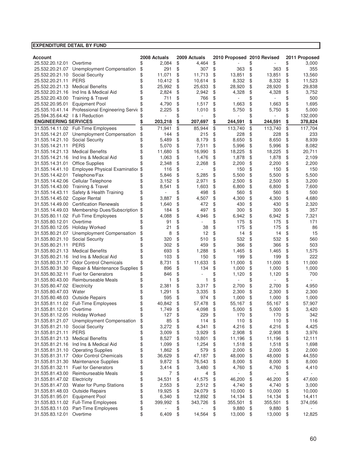| <b>Account</b>                     |                                     |          | 2008 Actuals |          | 2009 Actuals |          | 2010 Proposed 2010 Revised |          |              |          | 2011 Proposed |
|------------------------------------|-------------------------------------|----------|--------------|----------|--------------|----------|----------------------------|----------|--------------|----------|---------------|
| 25.532.20.12.01                    | Overtime                            | \$       | 2,084        | \$       | 4,464        | \$       |                            | \$       |              | \$       | 3,000         |
| 25.532.20.21.07                    | Unemployment Compensation           | \$       | 291          | \$       | 307          | \$       | 363                        | \$       | 363          | \$       | 355           |
| 25.532.20.21.10                    | <b>Social Security</b>              | \$       | 11,071       | \$       | 11,713       | \$       | 13,851                     | \$       | 13,851       | \$       | 13,560        |
| 25.532.20.21.11                    | <b>PERS</b>                         | \$       | 10,412       | \$       | 10,614       | \$       | 8,332                      | \$       | 8,332        | \$       | 11,523        |
| 25.532.20.21.13                    | <b>Medical Benefits</b>             | \$       | 25,992       | \$       | 25,633       | \$       | 28,920                     | \$       | 28,920       | \$       | 29,838        |
| 25.532.20.21.16                    | Ind Ins & Medical Aid               | \$       | 2,824        | \$       | 2,942        | \$       | 4,328                      | \$       | 4,328        | \$       | 3,752         |
| 25.532.20.43.00                    | Training & Travel                   | \$       | 711          | \$       | 766          | \$       |                            | \$       |              | \$       | 500           |
| 25.532.20.95.01                    | <b>Equipment Pool</b>               | \$       | 4,790        | \$       | 1,517        | \$       | 1,663                      | \$       | 1,663        | \$       | 1,695         |
| 25.535.10.41.14                    | Professional Engineering Servic \$  |          | 2,225        | \$       | 1,010        | \$       | 5,750                      | \$       | 5,750        | \$       | 5,000         |
| 25.594.35.64.42   &   Reduction    |                                     |          |              | \$       |              | \$       |                            | \$       |              | \$       | 132,000       |
| <b>ENGINEERING SERVICES</b>        |                                     | \$       | 203,218      | \$       | 207,697      | \$       | 244,591                    | \$       | 244,591      | \$       | 378,824       |
|                                    | 31.535.14.11.02 Full-Time Employees | \$       | 71,941       | \$       | 85,944       | \$       | 113,740                    | \$       | 113,740      | \$       | 117,704       |
| 31.535.14.21.07                    | Unemployment Compensation           | \$       | 144          | \$       | 215          | \$       | 228                        | \$       | 228          | \$       | 233           |
| 31.535.14.21.10                    | <b>Social Security</b>              | \$       | 5,489        | \$       | 8,179        | \$       | 8,650                      | \$       | 8,650        | \$       | 8,939         |
| 31.535.14.21.11                    | <b>PERS</b>                         | \$       | 5,070        | \$       | 7,511        | \$       | 5,996                      | \$       | 5,996        | \$       | 8,082         |
| 31.535.14.21.13                    | <b>Medical Benefits</b>             | \$       | 11,680       | \$       | 16,990       | \$       | 18,225                     | \$       | 18,225       | \$       | 20,711        |
| 31.535.14.21.16                    | Ind Ins & Medical Aid               | \$       | 1,063        | \$       | 1,476        | \$       | 1,878                      | \$       | 1,878        | \$       | 2,109         |
| 31.535.14.31.01                    | <b>Office Supplies</b>              | \$       | 2,348        | \$       | 2,268        | \$       | 2,200                      | \$       | 2,200        | \$       | 2,200         |
| 31.535.14.41.10                    | Employee Physical Examination       | \$       | 116          | \$       |              | \$       | 150                        | \$       | 150          | \$       | 150           |
| 31.535.14.42.01                    | Telephone/Fax                       | \$       | 5,846        | \$       | 5,285        | \$       | 5,500                      | \$       | 5,500        | \$       | 5,500         |
| 31.535.14.42.06                    | Cellular Telephone                  | \$       | 3,152        | \$       | 2,971        | \$       | 2,500                      | \$       | 2,500        | \$       | 3,200         |
| 31.535.14.43.00                    | <b>Training &amp; Travel</b>        | \$       | 8,541        | \$       | 1,603        | \$       | 6,800                      | \$       | 6,800        | \$       | 7,600         |
| 31.535.14.43.11                    | Safety & Health Training            | \$       | ٠            | \$       | 498          | \$       | 560                        | \$       | 560          | \$       | 500           |
| 31.535.14.45.02                    | <b>Copier Rental</b>                | \$       | 3,887        | \$       | 4,507        | \$       | 4,300                      | \$       | 4,300        | \$       | 4,680         |
| 31.535.14.49.00                    | <b>Certification Renewals</b>       | \$       | 1,640        | \$       | 472          | \$       | 430                        | \$       | 430          | \$       | 2,320         |
| 31.535.14.49.03                    | Membership Dues/Subscription        | \$       | 184          | \$       | 497          | \$       | 300                        | \$       | 300          | \$       | 357           |
|                                    | 31.535.80.11.02 Full-Time Employees | \$       | 4,088        | \$       | 4,946        | \$       | 6,942                      | \$       | 6,942        | \$       | 7,321         |
| 31.535.80.12.01                    | Overtime                            | \$       | 91           | \$       | ä,           | \$       | 175                        | \$       | 175          | \$       | 171           |
| 31.535.80.12.05                    | <b>Holiday Worked</b>               | \$       | 21           | \$       | 38           | \$       | 175                        | \$       | 175          | \$       | 86            |
| 31.535.80.21.07                    | Unemployment Compensation           | \$       | 8            | \$       | 12           | \$<br>\$ | 14                         | \$       | 14           | \$       | 15            |
| 31.535.80.21.10                    | Social Security<br><b>PERS</b>      | \$       | 320          | \$       | 510          |          | 532                        | \$       | 532          | \$       | 560           |
| 31.535.80.21.11<br>31.535.80.21.13 | <b>Medical Benefits</b>             | \$       | 302<br>693   | \$<br>\$ | 459          | \$<br>\$ | 366<br>1,465               | \$       | 366          | \$       | 503<br>1,575  |
| 31.535.80.21.16                    | Ind Ins & Medical Aid               | \$<br>\$ | 103          | \$       | 1,288<br>150 | \$       | 199                        | \$<br>\$ | 1,465<br>199 | \$<br>\$ | 222           |
| 31.535.80.31.17                    | <b>Odor Control Chemicals</b>       | \$       | 8,731        | \$       | 11,633       | \$       | 11,000                     | \$       | 11,000       | \$       | 11,000        |
| 31.535.80.31.30                    | Repair & Maintenance Supplies       | \$       | 896          | \$       | 134          | \$       | 1,000                      | \$       | 1,000        | \$       | 1,000         |
| 31.535.80.32.11                    | <b>Fuel for Generators</b>          | \$       | 846          | \$       | ÷,           | \$       | 1,120                      | \$       | 1,120        | \$       | 700           |
| 31.535.80.43.00                    | Reimburseable Meals                 | \$       | 1            | \$       | 1            | \$       |                            | \$       |              | \$       |               |
| 31.535.80.47.02                    | Electricity                         | \$       | 2,381        | \$       | 3,317        | \$       | 2,700                      | \$       | 2,700        | \$       | 4,950         |
| 31.535.80.47.03                    | Water                               | \$       | 1,291        | \$       | 3,335        | \$       | 2,300                      | \$       | 2,300        | \$       | 2,300         |
| 31.535.80.48.03                    | <b>Outside Repairs</b>              | \$       | 595          | \$       | 974          | \$       | 1,000                      | \$       | 1,000        | \$       | 1,000         |
| 31.535.81.11.02                    | Full-Time Employees                 | \$       | 40,842       | \$       | 57,478       | \$       | 55,167                     | \$       | 55,167       | \$       | 57,907        |
| 31.535.81.12.01                    | Overtime                            | \$       | 1,749        | \$       | 4,098        | \$       | 5,000                      | \$       | 5,000        | \$       | 3,420         |
|                                    | 31.535.81.12.05 Holiday Worked      | \$       | 127          | \$       | 229          | \$       | 170                        | \$       | 170          | \$       | 342           |
| 31.535.81.21.07                    | Unemployment Compensation           | \$       | 85           | \$       | 114          | \$       | 110                        | \$       | 110          | \$       | 116           |
| 31.535.81.21.10                    | <b>Social Security</b>              | \$       | 3,272        | \$       | 4,341        | \$       | 4,216                      | \$       | 4,216        | \$       | 4,425         |
| 31.535.81.21.11                    | <b>PERS</b>                         | \$       | 3,009        | \$       | 3,929        | \$       | 2,908                      | \$       | 2,908        | \$       | 3,976         |
| 31.535.81.21.13                    | <b>Medical Benefits</b>             | \$       | 8,527        | \$       | 10,801       | \$       | 11,196                     | \$       | 11,196       | \$       | 12,111        |
| 31.535.81.21.16                    | Ind Ins & Medical Aid               | \$       | 1,099        | \$       | 1,254        | \$       | 1,518                      | \$       | 1,518        | \$       | 1,698         |
| 31.535.81.31.10                    | <b>Operating Supplies</b>           | \$       | 1,862        | \$       | 579          | \$       | 2,000                      | \$       | 2,000        | \$       | 2,000         |
| 31.535.81.31.17                    | <b>Odor Control Chemicals</b>       | \$       | 36,629       | \$       | 47,187       | \$       | 48,000                     | \$       | 48,000       | \$       | 44,550        |
| 31.535.81.31.30                    | Maintenance Supplies                | \$       | 9,872        | \$       | 76,543       | \$       | 8,000                      | \$       | 8,000        | \$       | 8,000         |
| 31.535.81.32.11                    | <b>Fuel for Generators</b>          | \$       | 3,414        | \$       | 3,480        | \$       | 4,760                      | \$       | 4,760        | \$       | 4,410         |
| 31.535.81.43.00                    | Reimburseable Meals                 | \$       | 7            | \$       | 4            | \$       |                            | \$       | ä,           | \$       |               |
| 31.535.81.47.02                    | Electricity                         | \$       | 34,531       | \$       | 41,575       | \$       | 46,200                     | \$       | 46,200       | \$       | 47,600        |
| 31.535.81.47.03                    | Water for Pump Stations             | \$       | 2,553        | \$       | 2,512        | \$       | 4,740                      | \$       | 4,740        | \$       | 3,000         |
| 31.535.81.48.03                    | <b>Outside Repairs</b>              | \$       | 19,925       | \$       | 24,079       | \$       | 10,000                     | \$       | 10,000       | \$       | 10,000        |
| 31.535.81.95.01                    | <b>Equipment Pool</b>               | \$       | 6,340        | \$       | 12,892       | \$       | 14,134                     | \$       | 14,134       | \$       | 14,411        |
| 31.535.83.11.02                    | <b>Full-Time Employees</b>          | \$       | 399,992      | \$       | 343,726      | \$       | 355,501                    | \$       | 355,501      | \$       | 374,056       |
| 31.535.83.11.03                    | Part-Time Employees                 | \$       |              | \$       |              | \$       | 9,880                      | \$       | 9,880        | \$       |               |
| 31.535.83.12.01                    | Overtime                            | \$       | 6,409        | \$       | 14,564       | \$       | 13,000                     | \$       | 13,000       | \$       | 12,825        |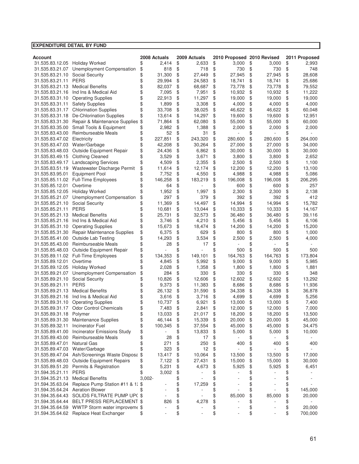| Account                         |                                              |           | 2008 Actuals | 2009 Actuals                   | 2010 Proposed 2010 Revised     |                                | 2011 Proposed |
|---------------------------------|----------------------------------------------|-----------|--------------|--------------------------------|--------------------------------|--------------------------------|---------------|
| 31.535.83.12.05 Holiday Worked  |                                              | \$        | 2,414        | \$<br>2,633                    | \$<br>3,000                    | \$<br>3,000                    | \$<br>2,993   |
| 31.535.83.21.07                 | Unemployment Compensation                    |           | 818          | \$<br>718                      | \$<br>730                      | \$<br>730                      | \$<br>748     |
| 31.535.83.21.10                 | <b>Social Security</b>                       | \$<br>\$  | 31,300       | \$<br>27,449                   | \$<br>27,945                   | \$<br>27,945                   | \$<br>28,608  |
| 31.535.83.21.11                 | <b>PERS</b>                                  | \$        | 29,994       | \$<br>24,583                   | \$<br>18,741                   | \$<br>18,741                   | \$<br>25,686  |
| 31.535.83.21.13                 | <b>Medical Benefits</b>                      | \$        | 82,037       | \$<br>68,687                   | \$<br>73,778                   | \$<br>73,778                   | \$<br>79,552  |
| 31.535.83.21.16                 | Ind Ins & Medical Aid                        | \$        | 7,095        | \$<br>7,951                    | \$<br>10,932                   | \$<br>10,932                   | \$<br>11,222  |
| 31.535.83.31.10                 | <b>Operating Supplies</b>                    | \$        | 22,913       | \$<br>11,297                   | \$<br>19,000                   | \$<br>19,000                   | \$<br>19,000  |
| 31.535.83.31.11                 | <b>Safety Supplies</b>                       | \$        | 1,899        | \$<br>3,308                    | \$<br>4,000                    | \$<br>4,000                    | \$<br>4,000   |
| 31.535.83.31.17                 | <b>Chlorination Supplies</b>                 | \$        | 33,708       | \$<br>38,025                   | \$<br>46,622                   | \$<br>46,622                   | \$<br>60,048  |
| 31.535.83.31.18                 | <b>De-Chlorination Supplies</b>              | \$        | 13,614       | \$<br>14,297                   | \$<br>19,600                   | \$<br>19,600                   | \$<br>12,951  |
| 31.535.83.31.30                 | Repair & Maintenance Supplies                | \$        | 71,864       | \$<br>62,080                   | \$<br>55,000                   | \$<br>55,000                   | \$<br>60,000  |
| 31.535.83.35.00                 | Small Tools & Equipment                      | \$        | 2,982        | \$<br>1,388                    | \$<br>2,000                    | \$<br>2,000                    | \$<br>2,000   |
| 31.535.83.43.00                 | Reimburseable Meals                          | \$        | 52           | \$<br>31                       | \$                             | \$                             |               |
| 31.535.83.47.02                 | Electricity                                  | \$        | 227,851      | \$<br>243,320                  | \$<br>280,600                  | \$<br>280,600                  | \$<br>264,000 |
| 31.535.83.47.03                 | Water/Garbage                                | \$        | 42,208       | \$<br>30,264                   | \$<br>27,000                   | \$<br>27,000                   | \$<br>34,000  |
| 31.535.83.48.03                 | Outside Equipment Repair                     | \$        | 24,436       | \$<br>6,862                    | \$<br>30,000                   | \$<br>30,000                   | \$<br>30,000  |
|                                 | 31.535.83.49.15 Clothing Cleaned             | \$        | 3,529        | \$<br>3,671                    | \$<br>3,800                    | \$<br>3,800                    | \$<br>2,652   |
| 31.535.83.49.17                 | <b>Landscaping Services</b>                  | \$        | 4,509        | \$<br>2,355                    | \$<br>2,500                    | \$<br>2,500                    | \$<br>1,100   |
| 31.535.83.51.19                 | Wastewater Discharge Permit                  | \$        | 11,614       | \$<br>12,174                   | \$<br>12,200                   | \$<br>12,200                   | \$<br>13,100  |
| 31.535.83.95.01                 | <b>Equipment Pool</b>                        | \$        | 7,752        | \$<br>4,550                    | \$<br>4,988                    | \$<br>4,988                    | \$<br>5,086   |
|                                 | 31.535.85.11.02 Full-Time Employees          | \$        | 146,258      | \$<br>183,219                  | \$<br>196,008                  | \$<br>196,008                  | \$<br>206,295 |
| 31.535.85.12.01                 | Overtime                                     | \$        | 64           | \$                             | \$<br>600                      | \$<br>600                      | \$<br>257     |
| 31.535.85.12.05                 | <b>Holiday Worked</b>                        | \$        | 1,952        | \$<br>1,997                    | \$<br>2,300                    | \$<br>2,300                    | \$<br>2,138   |
| 31.535.85.21.07                 | Unemployment Compensation                    | \$        | 297          | \$<br>379                      | \$<br>392                      | \$<br>392                      | \$<br>412     |
| 31.535.85.21.10                 | Social Security                              | \$        | 11,369       | \$<br>14,497                   | \$<br>14,994                   | \$<br>14,994                   | \$<br>15,782  |
| 31.535.85.21.11                 | <b>PERS</b>                                  | \$        | 10,681       | \$<br>13,044                   | \$<br>10,333                   | \$<br>10,333                   | \$<br>14,167  |
| 31.535.85.21.13                 | <b>Medical Benefits</b>                      | \$        | 25,731       | \$<br>32,573                   | \$<br>36,480                   | \$<br>36,480                   | \$<br>39,116  |
| 31.535.85.21.16                 | Ind Ins & Medical Aid                        | \$        | 3,746        | \$<br>4,210                    | \$<br>5,456                    | \$<br>5,456                    | \$<br>6,106   |
| 31.535.85.31.10                 | <b>Operating Supplies</b>                    | \$        | 15,673       | \$<br>18,474                   | \$<br>14,200                   | \$<br>14,200                   | \$<br>15,200  |
| 31.535.85.31.30                 | Repair Maintenance Supplies                  | \$        | 6,375        | \$<br>629                      | \$<br>800                      | \$<br>800                      | \$<br>1,000   |
| 31.535.85.41.00                 | <b>Outside Lab Testing</b>                   | \$        | 14,293       | \$<br>3,534                    | \$<br>2,500                    | \$<br>2,500                    | \$<br>4,000   |
| 31.535.85.43.00                 | Reimburseable Meals                          | \$        | 28           | \$<br>17                       | \$                             | \$                             | \$            |
| 31.535.85.48.03                 | Outside Equipment Repair                     | \$        |              | \$                             | \$<br>500                      | \$<br>500                      | \$<br>500     |
| 31.535.89.11.02                 | <b>Full-Time Employees</b>                   | \$        | 134,353      | \$<br>149,101                  | \$<br>164,763                  | \$<br>164,763                  | \$<br>173,804 |
| 31.535.89.12.01                 | Overtime                                     | \$        | 4,845        | \$<br>5,992                    | \$<br>9,000                    | \$<br>9,000                    | \$<br>5,985   |
| 31.535.89.12.05                 | <b>Holiday Worked</b>                        | \$        | 2,028        | \$<br>1,358                    | \$<br>1,800                    | \$<br>1,800                    | \$<br>1,881   |
| 31.535.89.21.07                 | Unemployment Compensation                    | \$        | 284          | \$<br>330                      | \$<br>330                      | \$<br>330                      | \$<br>348     |
| 31.535.89.21.10                 | <b>Social Security</b>                       | \$        | 10,826       | \$<br>12,606                   | \$<br>12,602                   | \$<br>12,602                   | \$<br>13,292  |
| 31.535.89.21.11                 | <b>PERS</b>                                  | \$        | 9,373        | \$<br>11,383                   | \$<br>8,686                    | \$<br>8,686                    | \$<br>11,936  |
| 31.535.89.21.13                 | <b>Medical Benefits</b>                      | \$        | 26,132       | \$<br>31,590                   | \$<br>34,338                   | \$<br>34,338                   | \$<br>36,878  |
| 31.535.89.21.16                 | Ind Ins & Medical Aid                        | \$        | 3,616        | \$<br>3,716                    | \$<br>4,699                    | \$<br>4,699                    | \$<br>5,256   |
| 31.535.89.31.10                 | <b>Operating Supplies</b>                    | \$        | 10,737       | \$<br>6,921                    | \$<br>13,000                   | \$<br>13,000                   | \$<br>7,400   |
| 31.535.89.31.17                 | <b>Odor Control Chemicals</b>                | \$        | 7,483        | \$<br>2,841                    | \$<br>12,000                   | \$<br>12,000                   | \$<br>7,000   |
| 31.535.89.31.18 Polymer         |                                              | \$        | 13,033       | \$<br>21,017                   | \$<br>18,200                   | \$<br>18,200                   | \$<br>13,500  |
|                                 | 31.535.89.31.30 Maintenance Supplies         | \$        | 46,144       | \$<br>15,339                   | \$<br>20,000                   | \$<br>20,000                   | \$<br>45,000  |
| 31.535.89.32.11                 | Incinerator Fuel                             | \$        | 100,345      | \$<br>37,554                   | \$<br>45,000                   | \$<br>45,000                   | \$<br>34,475  |
| 31.535.89.41.00                 | <b>Incinerator Emissions Study</b>           | \$        |              | \$<br>13,833                   | \$<br>5,000                    | \$<br>5,000                    | \$<br>10,000  |
| 31.535.89.43.00                 | Reimburseable Meals                          | \$        | 28           | \$<br>17                       | \$<br>$\overline{\phantom{a}}$ | \$                             |               |
| 31.535.89.47.01                 | <b>Natural Gas</b>                           | \$        | 271          | \$<br>250                      | \$<br>400                      | \$<br>400                      | \$<br>400     |
| 31.535.89.47.03                 | Water/Garbage                                | \$        | 323          | \$<br>12                       | \$                             | \$<br>$\overline{\phantom{a}}$ | \$            |
| 31.535.89.47.04                 | Ash/Screenings Waste Disposa                 | \$        | 13,417       | \$<br>10,064                   | \$<br>13,500                   | \$<br>13,500                   | \$<br>17,000  |
|                                 | 31.535.89.48.03 Outside Equipment Repairs    | \$        | 7,122        | \$<br>27,431                   | \$<br>15,000                   | \$<br>15,000                   | \$<br>30,000  |
|                                 | 31.535.89.51.20 Permits & Registration       | \$        | 5,231        | \$<br>4,673                    | \$<br>5,925                    | \$<br>5,925                    | \$<br>6,451   |
| 31.594.35.21.11                 | <b>PERS</b>                                  | \$        | 3,002        | \$<br>۰                        | \$                             | \$                             | \$            |
| 31.594.35.21.13                 | <b>Medical Benefits</b>                      | $3,002 -$ |              | \$<br>$\overline{\phantom{a}}$ | \$                             | \$                             | \$            |
| 31.594.35.63.04                 | Replace Pump Station #11 & 1: \$             |           |              | \$<br>17,259                   | \$                             | \$                             | \$            |
| 31.594.35.64.24 Aeration Blower |                                              |           |              | \$                             | \$                             | \$                             | \$<br>145,000 |
|                                 | 31.594.35.64.43 SOLIDS FILTRATE PUMP UP(\$   |           |              | \$<br>$\overline{\phantom{a}}$ | \$<br>85,000                   | \$<br>85,000                   | \$<br>20,000  |
|                                 | 31.594.35.64.44 BELT PRESS REPLACEMENT \$    |           | 826          | \$<br>4,278                    | \$                             | \$                             | \$            |
|                                 | 31.594.35.64.59 WWTP Storm water improvem \$ |           |              | \$                             | \$                             | \$                             | \$<br>20,000  |
|                                 | 31.594.35.64.62 Replace Heat Exchanger       | \$        |              | \$<br>٠                        | \$                             | \$                             | \$<br>700,000 |
|                                 |                                              |           |              |                                |                                |                                |               |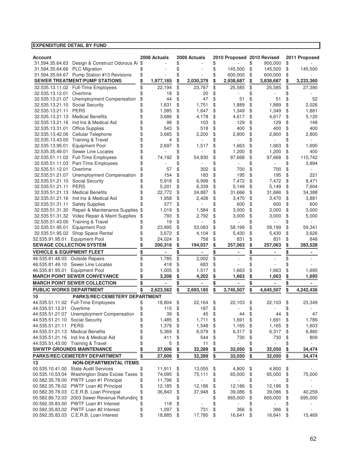| Account                                          |           | 2008 Actuals | 2009 Actuals                   |           | 2010 Proposed 2010 Revised |           |           |           | 2011 Proposed |
|--------------------------------------------------|-----------|--------------|--------------------------------|-----------|----------------------------|-----------|-----------|-----------|---------------|
| 31.594.35.64.63 Design & Construct Odorous Ai \$ |           |              | \$                             | \$        |                            | \$        | 900,000   | \$        |               |
| 31.594.35.64.66 PLC Migration                    | \$        |              | \$                             | \$        | 145,500                    | \$        | 145,500   | \$        | 145,500       |
| 31.594.35.64.67 Pump Station #13 Revisions       | \$        |              | \$                             | \$        | 600,000                    | \$        | 600,000   | \$        |               |
| <b>SEWER TREATMENT/PUMP STATIONS</b>             | \$        | 1,977,185    | \$<br>2,030,379                | \$        | 2,938,687                  | \$        | 3,838,687 | \$        | 3,233,360     |
| 32.535.13.11.02 Full-Time Employees              | \$        | 22,194       | \$<br>23,767                   | \$        | 25,585                     | \$        | 25,585    | \$        | 27,390        |
| 32.535.13.12.01<br>Overtime                      | \$        | 18           | \$<br>20                       | \$        |                            | \$        |           |           |               |
| Unemployment Compensation<br>32.535.13.21.07     | \$        | 44           | \$<br>47                       | \$        | 51                         | \$        | 51        | \$        | 52            |
| Social Security<br>32.535.13.21.10               | \$        | 1,631        | \$<br>1,751                    | \$        | 1,889                      | \$        | 1,889     | \$        | 2,026         |
| 32.535.13.21.11<br><b>PERS</b>                   | \$        | 1,585        | \$<br>1,647                    | \$        | 1,349                      | \$        | 1,349     | \$        | 1,881         |
| 32.535.13.21.13<br><b>Medical Benefits</b>       | \$        | 3,686        | \$<br>4,178                    | \$        | 4,617                      | \$        | 4,617     | \$        | 5,120         |
| 32.535.13.21.16<br>Ind Ins & Medical Aid         | \$        | 98           | \$<br>103                      | \$        | 129                        | \$        | 129       | \$        | 148           |
| Office Supplies<br>32.535.13.31.01               | \$        | 543          | \$<br>518                      | \$        | 400                        | \$        | 400       | \$        | 400           |
| Cellular Telephone<br>32.535.13.42.06            | \$        | 3,665        | \$<br>2,200                    | \$        | 2,800                      | \$        | 2,800     | \$        | 2,800         |
| <b>Training &amp; Travel</b><br>32.535.13.43.00  | \$        | 4            | \$                             | \$        |                            | \$        |           | \$        |               |
| <b>Equipment Pool</b><br>32.535.13.95.01         | \$        | 2,697        | \$<br>1,517                    | \$        | 1,663                      | \$        | 1,663     | \$        | 1,695         |
| Sewer Line Locates<br>32.535.35.49.01            | \$        |              | \$                             | \$        | 1,200                      | \$        | 1,200     | \$        | 400           |
| 32.535.51.11.02 Full-Time Employees              | \$        | 74,192       | \$<br>54,830                   | \$        | 97,668                     | \$        | 97,668    | \$        | 110,742       |
| Part-Time Employees<br>32.535.51.11.03           | \$        |              | \$                             | \$        |                            | \$        |           | \$        | 3,894         |
| 32.535.51.12.01<br>Overtime                      | \$        | 57           | \$<br>302                      | \$        | 700                        | \$        | 700       | \$        |               |
| 32.535.51.21.07<br>Unemployment Compensation     | \$        | 154          | \$<br>183                      | \$        | 195                        | \$        | 195       | \$        | 221           |
| 32.535.51.21.10<br>Social Security               | \$        | 5,918        | \$<br>6,999                    | \$        | 7,472                      | \$        | 7,472     | \$        | 8,471         |
| <b>PERS</b><br>32.535.51.21.11                   | \$        | 5,201        | \$<br>6,339                    | \$        | 5,149                      | \$        | 5,149     | \$        | 7,604         |
| 32.535.51.21.13<br><b>Medical Benefits</b>       | \$        | 22,772       | \$<br>24,887                   | \$        | 31,666                     | \$        | 31,666    | \$        | 34,388        |
| Ind Ins & Medical Aid<br>32.535.51.21.16         | \$        | 1,958        | \$<br>2,428                    | \$        | 3,470                      | \$        | 3,470     | \$        | 3,881         |
| <b>Safety Supplies</b><br>32.535.51.31.11        |           | 377          | \$                             | \$        | 600                        | \$        | 600       | \$        | 600           |
| 32.535.51.31.30<br>Repair & Maintenance Supplies | \$        | 1,019        | \$<br>1,584                    | \$        | 3,000                      | \$        | 3,000     | \$        | 3,000         |
| Video Repair & Maint Supplies<br>32.535.51.31.32 | \$        | 793          | \$<br>2.792                    | \$        | 3,000                      | \$        | 3,000     | \$        | 5,000         |
| Training & Travel<br>32.535.51.43.00             |           | 19           | \$                             | \$        |                            | \$        |           | \$        |               |
| <b>Equipment Pool</b><br>32.535.51.95.01         | \$        | 23,995       | \$<br>53,083                   | \$        | 58,199                     | \$        | 58,199    | \$        | 59,341        |
| Shop Space Rental<br>32.535.51.95.02             | \$        | 3,672        | \$<br>4,104                    | \$        | 5,430                      | \$        | 5,430     | \$        | 3,626         |
| <b>Equipment Pool</b><br>32.535.91.95.01         |           | 24,024       | \$<br>758                      | \$        | 831                        | \$        | 831       | \$        | 848           |
| <b>SEWAGE COLLECTION SYSTEM</b>                  |           | 200,316      | \$<br>194,037                  | \$        | 257,063                    |           | 257,063   |           | 283,528       |
| <b>VEHICLE &amp; EQUIPMENT FLEET</b>             | <u>\$</u> |              | \$                             | <u>\$</u> |                            | <u>\$</u> |           | <u>\$</u> |               |
| 46.535.81.48.03 Outside Repairs                  | \$        | 1,785        | \$<br>2,002                    | \$        |                            | \$        |           | \$        |               |
| 46.535.81.49.10<br>Sewer Line Locates            |           | 418          | \$<br>683                      | \$        |                            | \$        |           |           |               |
| 46.535.81.95.01 Equipment Pool                   | \$        | 1,005        | \$<br>1,517                    | \$        | 1,663                      | \$        | 1,663     | \$        | 1,695         |
| <b>MARCH POINT SEWER CONVEYANCE</b>              |           | 3,208        | \$<br>4,202                    | \$        | 1,663                      | \$        | 1,663     | \$        | 1,695         |
|                                                  |           |              |                                |           |                            |           |           |           |               |
| <b>MARCH POINT SEWER COLLECTION</b>              | \$        |              | \$                             | \$        |                            | \$        |           | \$        |               |
| <b>PUBLIC WORKS DEPARTMENT</b>                   |           | 2,623,562    | \$<br>2,693,185                | \$        | 3,745,507                  | \$        | 4,645,507 | \$        | 4,242,436     |
| <b>PARKS/REC/CEMETERY DEPARTMENT</b><br>10       |           |              |                                |           |                            |           |           |           |               |
| 44.535.51.11.02 Full-Time Employees              | \$        | 18,804       | \$<br>22,164                   | \$        | 22,103                     | \$        | 22,103    | \$        | 23,349        |
| 44.535.51.12.01 Overtime                         | \$        | 115          | \$<br>187                      | \$        |                            | \$        |           |           |               |
| 44.535.51.21.07 Unemployment Compensation        | \$        | 39           | \$<br>45                       | \$        | 44                         | \$        | 44        | \$        | 47            |
| 44.535.51.21.10 Social Security                  | \$        | 1,485        | \$<br>1,711                    | \$        | 1,691                      | \$        | 1,691     | \$        | 1,786         |
| 44.535.51.21.11 PERS                             | \$        | 1,378        | \$<br>1,548                    | \$        | 1,165                      | \$        | 1,165     | \$        | 1,603         |
| 44.535.51.21.13 Medical Benefits                 | \$        | 5,369        | \$<br>6,079                    | \$        | 6,317                      | \$        | 6,317     | \$        | 6,880         |
| 44.535.51.21.16 Ind Ins & Medical Aid            | \$        | 411          | \$<br>544                      | \$        | 730                        | \$        | 730       | \$        | 809           |
| 44.535.51.43.00 Training & Travel                | \$        | 5            | \$<br>11                       | \$        |                            | \$        |           | \$        |               |
| <b>SWWTP GROUNDS MAINTENANCE</b>                 | \$        | 27,606       | \$<br>32,289                   | \$        | 32,050                     | \$        | 32,050    | \$        | 34,474        |
| PARKS/REC/CEMETERY DEPARTMENT                    | \$        | 27,606       | \$<br>32,289                   | \$        | 32,050                     | \$        | 32,050    | \$        | 34,474        |
| 13<br><b>NON-DEPARTMENTAL ITEMS</b>              |           |              |                                |           |                            |           |           |           |               |
| 00.535.10.41.00 State Audit Services             | \$        | 11,911       | \$<br>13,055                   | \$        | 4,800                      | \$        | 4,800     | \$        |               |
| 00.535.10.53.04 Washington State Excise Taxes    | \$        | 74,095       | \$<br>75,111                   | \$        | 65,000                     | \$        | 65,000    | \$        | 75,000        |
| 00.582.35.78.00 PWTF Loan #1 Principal           | \$        | 11,796       | \$<br>÷.                       | \$        |                            | \$        |           | \$        |               |
| 00.582.35.78.02 PWTF Loan #2 Principal           | \$        | 12,185       | \$<br>12,186                   | \$        | 12,186                     | \$        | 12,186    | \$        |               |
| 00.582.35.78.03 C.E.R.B. Loan Principal          | \$        | 36,843       | \$<br>37,948                   | \$        | 39,086                     | \$        | 39,086    | \$        | 40,259        |
| 00.582.89.72.03 2003 Sewer Revenue Refunding     | \$        |              | \$                             | \$        | 665,000                    | \$        | 665,000   | \$        | 695,000       |
| 00.592.35.83.00 PWTF Loan #1 Interest            | \$        | 118          | \$<br>$\overline{\phantom{a}}$ | \$        |                            | \$        |           | \$        |               |
| 00.592.35.83.02 PWTF Loan #2 Interest            | \$        | 1,097        | \$<br>731                      | \$        | 366                        | \$        | 366       | \$        |               |
| 00.592.35.83.03 C.E.R.B. Loan Interest           | \$        | 18,885       | \$<br>17,780                   | \$        | 16,641                     | \$        | 16,641    | \$        | 15,469        |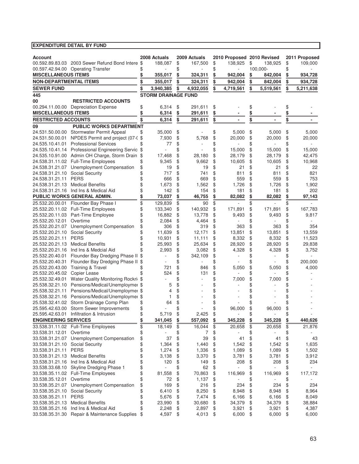|                                                         |                                                                  |               | 2008 Actuals               |          | 2009 Actuals |          | 2010 Proposed 2010 Revised |           |           |          | 2011 Proposed  |
|---------------------------------------------------------|------------------------------------------------------------------|---------------|----------------------------|----------|--------------|----------|----------------------------|-----------|-----------|----------|----------------|
| <b>Account</b>                                          | 00.592.89.83.03 2003 Sewer Refund Bond Intere \$                 |               | 188,087                    | \$       | 167,500      | \$       | 138,925                    | \$        | 138,925   | \$       | 109,000        |
|                                                         | 00.597.42.94.00 Operating Transfer                               | \$            |                            | \$       |              | \$       |                            |           | 100,000-  | \$       |                |
| <b>MISCELLANEOUS ITEMS</b>                              |                                                                  | \$            | 355,017                    | \$       | 324,311      | \$       | 942,004                    | <u>\$</u> | 842,004   | \$       | 934,728        |
| <b>NON-DEPARTMENTAL ITEMS</b>                           |                                                                  | \$            | 355,017                    | \$       | 324,311      | \$       | 942,004                    | \$        | 842,004   | \$       | 934,728        |
| <b>SEWER FUND</b>                                       |                                                                  | \$            | 3,940,385                  | \$       | 4,932,055    | \$       | 4,719,561                  | \$        | 5,519,561 | \$       | 5,211,638      |
| 445                                                     |                                                                  |               | <b>STORM DRAINAGE FUND</b> |          |              |          |                            |           |           |          |                |
| 00                                                      | <b>RESTRICTED ACCOUNTS</b>                                       |               |                            |          |              |          |                            |           |           |          |                |
|                                                         | 00.294.11.00.00 Depreciation Expense                             | \$            | 6,314                      | \$       | 291,611      | \$       |                            | \$        |           | \$       |                |
| <b>MISCELLANEOUS ITEMS</b>                              |                                                                  | \$            | 6,314                      | \$       | 291,611      | \$       |                            | \$        |           | \$       |                |
| <b>RESTRICTED ACCOUNTS</b>                              |                                                                  | \$            | 6,314                      | \$       | 291,611      | \$       |                            | \$        |           | \$       |                |
| 09                                                      | <b>PUBLIC WORKS DEPARTMENT</b>                                   |               |                            |          |              |          |                            |           |           |          |                |
|                                                         | 24.531.50.00.00 Stormwater Permit Appeal                         | \$            | 35,000                     | \$       |              | \$       | 5,000                      | \$        | 5,000     | \$       | 5,000          |
| 24.531.50.00.01                                         | NPDES Permit and project (07-0 \$                                |               | 7,930                      | \$       | 5,768        | \$       | 20,000                     | \$        | 20,000    | \$       | 20,000         |
|                                                         | 24.535.10.41.01 Professional Services                            | \$            | 77                         | \$       |              | \$       |                            | \$        |           | \$       |                |
|                                                         | 24.535.10.41.14 Professional Engineering Servic \$               |               |                            | \$       |              | \$       | 15,000                     | \$        | 15,000    | \$       | 15,000         |
|                                                         | 24.535.10.91.00 Admin OH Charge, Storm Drain                     | \$            | 17,468                     | \$       | 28,180       | \$       | 28,179                     | \$        | 28,179    | \$       | 42,475         |
|                                                         | 24.538.31.11.02 Full-Time Employees                              | \$            | 9,345                      | \$       | 9,662        | \$       | 10,605                     | \$        | 10,605    | \$       | 10,968         |
|                                                         | 24.538.31.21.07 Unemployment Compensation                        | \$            | 19                         | \$       | 19           | \$       | 21                         | \$        | 21        | \$       | 22             |
| 24.538.31.21.10 Social Security                         |                                                                  | \$            | 717                        | \$       | 741          | \$       | 811                        | \$        | 811       | \$       | 821            |
| 24.538.31.21.11                                         | <b>PERS</b>                                                      | \$            | 666                        | \$       | 669          | \$       | 559                        | \$        | 559       | \$       | 753            |
| 24.538.31.21.13                                         | <b>Medical Benefits</b>                                          | \$            | 1,673                      | \$       | 1,562        | \$       | 1,726                      | \$        | 1,726     | \$       | 1,902          |
|                                                         | 24.538.31.21.16 Ind Ins & Medical Aid                            | \$            | 142                        | \$       | 154          | \$       | 181                        | \$        | 181       | \$       | 202            |
|                                                         | PUBLIC WORKS GENERAL ADMIN.                                      | \$            | 73,037                     | \$       | 46,755       | \$       | 82,082                     | \$        | 82,082    | \$       | 97,143         |
| 25.532.20.00.01                                         | Flounder Bay Phase I                                             | \$            | 129,839                    | \$       | 90           | \$       |                            | \$        |           | \$       |                |
|                                                         | 25.532.20.11.02 Full-Time Employees                              | \$            | 133,340                    | \$       | 140,932      | \$       | 171,891                    | \$        | 171,891   | \$       | 167,783        |
| 25.532.20.11.03                                         | Part-Time Employee                                               | \$            | 16,882                     | \$       | 13,778       | \$       | 9,493                      | \$        | 9,493     | \$       | 9,817          |
| 25.532.20.12.01                                         | Overtime                                                         | \$            | 2,084                      | \$       | 4,464        | \$       |                            | \$        |           | \$       |                |
| 25.532.20.21.07                                         | Unemployment Compensation                                        | \$            | 306                        | \$       | 319          | \$       | 363                        | \$        | 363       | \$       | 354            |
| 25.532.20.21.10                                         | Social Security                                                  | \$            | 11,639                     | \$       | 12,171       | \$       | 13,851                     | \$        | 13,851    | \$       | 13,559         |
| 25.532.20.21.11                                         | <b>PERS</b>                                                      | \$            | 10,931                     | \$       | 11,111       | \$       | 8,332                      | \$        | 8,332     | \$       | 11,523         |
| 25.532.20.21.13                                         | <b>Medical Benefits</b>                                          | \$            | 25,993                     | \$       | 25,634       | \$       | 28,920                     | \$        | 28,920    | \$       | 29,838         |
| 25.532.20.21.16                                         | Ind Ins & Medcial Aid                                            | \$            | 2,993                      | \$       | 3,082        | \$       | 4,328                      | \$        | 4,328     | \$       | 3,752          |
| 25.532.20.40.01                                         | Flounder Bay Dredging Phase II \$                                |               |                            | \$       | 342,109      | \$       |                            | \$        |           | \$       |                |
| 25.532.20.40.31                                         | Flounder Bay Dredging Phase II                                   | \$            |                            | \$       |              | \$       |                            | \$        |           | \$       | 200,000        |
| 25.532.20.43.00                                         | <b>Training &amp; Travel</b>                                     | \$            | 721                        | \$       | 846          | \$       | 5,050                      | \$        | 5,050     | \$       | 4,000          |
| 25.532.20.45.02                                         | Copier Lease                                                     |               | 524                        | \$       | 131          | \$       |                            | \$        |           | \$       |                |
| 25.532.32.49.01                                         | Water Quality Monitoring Rockri \$                               |               |                            | \$       |              | \$       | 7,000                      | \$        | 7,000     | \$       |                |
| 25.538.32.21.10                                         | Pensions/Medical/Unemploymer \$                                  |               | 5                          | \$       |              | \$       |                            | \$        |           | \$       |                |
| 25.538.32.21.11                                         | Pensions/Medical/Unemploymer \$                                  |               | 4                          | \$       |              | \$       |                            | \$        |           | \$       |                |
| 25.538.32.21.16                                         | Pensions/Medical/Unemploymer \$                                  |               | 1                          | \$       |              | \$       |                            | \$        |           | \$       |                |
| 25.538.32.41.02                                         | Storm Drainage Comp Plan                                         | \$            | 64                         | \$       |              | \$       |                            | \$        |           | \$       |                |
|                                                         | 25.595.42.63.00 Storm Sewer Improvements                         | \$            |                            | \$       |              | \$       | 96,000                     | \$        | 96,000    | \$       |                |
|                                                         | 25.595.42.63.01 Infiltration & Intrusion                         | \$            | 5,719                      | \$       | 2,425        | \$       |                            | \$        |           | \$       | 440,626        |
| <b>ENGINEERING SERVICES</b>                             |                                                                  | $\frac{3}{2}$ | 341,045                    | \$       | 557,092      | \$       | 345,228                    | \$        | 345,228   | \$       |                |
|                                                         | 33.538.31.11.02 Full-Time Employees                              | \$            | 18,149                     | \$       | 16,044       | \$       | 20,658                     | \$        | 20,658    | \$       | 21,876         |
| 33.538.31.12.01                                         | Overtime                                                         | \$            |                            | \$       | 7            | \$       |                            | \$        |           | \$       |                |
|                                                         | 33.538.31.21.07 Unemployment Compensation                        | \$            | 37                         | \$       | 39           | \$       | 41                         | \$        | 41        | \$       | 43             |
| 33.538.31.21.10 Social Security<br>33.538.31.21.11 PERS |                                                                  | \$            | 1,364                      | \$       | 1,440        | \$       | 1,542                      | \$        | 1,542     | \$       | 1,635<br>1,502 |
|                                                         |                                                                  | \$            | 1,274                      | \$       | 1,336        | \$       | 1,089                      | \$        | 1,089     | \$       |                |
| 33.538.31.21.13                                         | <b>Medical Benefits</b><br>33.538.31.21.16 Ind Ins & Medical Aid | \$<br>\$      | 3,138<br>120               | \$<br>\$ | 3,370        | \$<br>\$ | 3,781                      | \$<br>\$  | 3,781     | \$<br>\$ | 3,912<br>234   |
|                                                         | 33.538.33.68.10 Skyline Dredging Phase 1                         | \$            | L.                         | \$       | 149<br>62    | \$       | 208                        | \$        | 208       | \$       |                |
|                                                         | 33.538.35.11.02 Full-Time Employees                              | \$            | 81,558                     | \$       | 70,863       | \$       | 116,969                    | \$        | 116,969   | \$       | 117,172        |
| 33.538.35.12.01                                         | Overtime                                                         | \$            |                            | \$       |              | \$       |                            | \$        |           | \$       |                |
|                                                         | 33.538.35.21.07 Unemployment Compensation                        | \$            | 72<br>169                  | \$       | 1,137<br>216 | \$       | 234                        |           | 234       | \$       | 234            |
| 33.538.35.21.10 Social Security                         |                                                                  | \$            | 6,410                      | \$       | 8,250        | \$       | 8,948                      | \$<br>\$  | 8,948     | \$       | 8,964          |
| 33.538.35.21.11                                         | <b>PERS</b>                                                      | \$            | 5,676                      | \$       | 7,474        | \$       | 6,166                      | \$        | 6,166     | \$       | 8,049          |
| 33.538.35.21.13                                         | <b>Medical Benefits</b>                                          | \$            | 23,990                     | \$       | 30,680       | \$       | 34,379                     | \$        | 34,379    | \$       | 38,884         |
| 33.538.35.21.16                                         | Ind Ins & Medical Aid                                            | \$            | 2,248                      | \$       | 2,897        | \$       | 3,921                      | \$        | 3,921     | \$       | 4,387          |
|                                                         | 33.538.35.31.30 Repair & Maintenance Supplies                    | \$            | 4,597                      | \$       | 4,013        | \$       | 6,000                      | \$        | 6,000     | \$       | 6,000          |
|                                                         |                                                                  |               |                            |          |              |          |                            |           |           |          |                |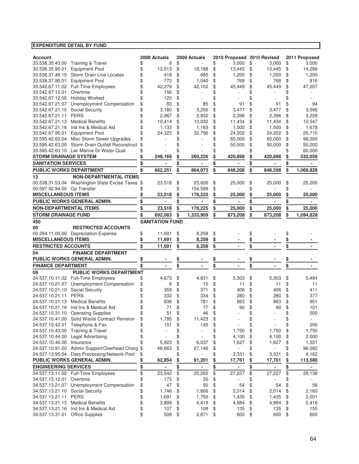| <b>Account</b>                                                                     |           | 2008 Actuals             |           | 2009 Actuals             |           | 2010 Proposed 2010 Revised |          |                |          | 2011 Proposed  |
|------------------------------------------------------------------------------------|-----------|--------------------------|-----------|--------------------------|-----------|----------------------------|----------|----------------|----------|----------------|
| 33.538.35.43.00 Training & Travel                                                  | \$        | 9                        | \$        |                          | \$        | 3,000                      | \$       | 3,000          | \$       | 3,000          |
| <b>Equipment Pool</b><br>33.538.35.95.01                                           | \$        | 13,513                   | \$        | 18.198                   | \$        | 13,445                     | \$       | 13,445         | \$       | 14,286         |
| 33.538.37.49.10<br>Storm Drain Line Locates                                        | \$        | 418                      | \$        | 685                      | \$        | 1,200                      | \$       | 1,200          | \$       | 1,200          |
| <b>Equipment Pool</b><br>33.538.37.95.01                                           | \$        | 772                      | \$        | 1,040                    | \$        | 768                        | \$       | 768            | \$       | 816            |
| 33.542.67.11.02 Full-Time Employees                                                | \$        | 42,279                   | \$        | 42,102                   | \$        | 45,449                     | \$       | 45,449         | \$       | 47,007         |
| 33.542.67.12.01<br>Overtime                                                        | \$        | 156                      | \$        |                          | \$        |                            | \$       |                |          |                |
| <b>Holiday Worked</b><br>33.542.67.12.05                                           | \$        | 120                      | \$        |                          | \$        |                            | \$       |                |          |                |
| Unemployment Compensation<br>33.542.67.21.07                                       | \$        | 83                       | \$        | 85                       | \$        | 91                         | \$       | 91             | \$       | 94             |
| Social Security<br>33.542.67.21.10                                                 |           | 3,180                    | \$        | 3.256                    | \$        | 3,477                      | \$       | 3,477          | \$       | 3,596          |
| 33.542.67.21.11<br><b>PERS</b>                                                     | \$        | 2,967                    | \$        | 2,932                    |           |                            | \$       |                |          | 3,228          |
|                                                                                    |           |                          |           |                          | \$        | 2,396                      |          | 2,396          | \$       |                |
| 33.542.67.21.13<br><b>Medical Benefits</b>                                         | \$        | 10,414                   | \$        | 10,032                   | \$        | 11,434                     | \$       | 11,434         | \$       | 12,547         |
| 33.542.67.21.16 Ind Ins & Medical Aid                                              | \$        | 1,133                    | \$        | 1,163                    | \$        | 1,500                      | \$       | 1,500          | \$       | 1,678          |
| 33.542.67.95.01<br><b>Equipment Pool</b>                                           | \$        | 24,323                   | \$        | 32,756                   | \$        | 24,202                     | \$       | 24,202         | \$       | 25,715         |
| 33.595.42.63.04 Misc Storm Sewer Upgrades                                          | \$        |                          | \$        |                          | \$        | 60,000                     | \$       | 60,000         | \$       | 96,000         |
| 33.595.42.63.05 Storm Drain Outfall Reconstruct                                    | \$        |                          | \$        |                          | \$        | 50,000                     | \$       | 50,000         | \$       | 50,000         |
| 33.595.42.63.10 Lwr Marine Dr Water Qual.                                          | \$        |                          | \$        |                          | \$        |                            | \$       |                | \$       | 60,000         |
| <b>STORM DRAINAGE SYSTEM</b>                                                       |           | 248,169                  | \$        | 260,226                  |           | 420,898                    |          | 420,898        |          | 532,059        |
| <b>SANITATION SERVICES</b>                                                         | \$        |                          | \$        |                          | \$        |                            | \$       |                | \$       |                |
| <b>PUBLIC WORKS DEPARTMENT</b>                                                     | \$        | 662,251                  | \$        | 864,073                  | \$        | 848,208                    | \$       | 848,208        | \$       | 1,069,828      |
| <b>NON-DEPARTMENTAL ITEMS</b>                                                      |           |                          |           |                          |           |                            |          |                |          |                |
| 13                                                                                 |           |                          |           |                          |           |                            |          |                |          |                |
| 00.538.31.53.04 Washington State Excise Taxes \$                                   |           | 23,518                   | \$        | 23,626                   | \$        | 25,000                     | \$       | 25,000         | \$       | 25,000         |
| 00.597.42.94.00 Op Transfer                                                        |           |                          | \$        | 154,599                  | \$        |                            | \$       |                |          |                |
| <b>MISCELLANEOUS ITEMS</b>                                                         |           | 23,518                   | \$        | 178,225                  | \$        | 25,000                     | \$       | 25,000         | \$       | 25,000         |
| PUBLIC WORKS GENERAL ADMIN.                                                        |           |                          |           |                          | \$        |                            |          |                |          |                |
| <b>NON-DEPARTMENTAL ITEMS</b>                                                      |           | 23,518                   |           | 178,225                  | \$        | 25,000                     | \$       | 25,000         | \$       | 25,000         |
| <b>STORM DRAINAGE FUND</b>                                                         | \$        | 692,083                  | \$        | 1,333,909                | \$        | 873,208                    | \$       | 873,208        | \$       | 1,094,828      |
| 450                                                                                |           | <b>SANITATION FUND</b>   |           |                          |           |                            |          |                |          |                |
| <b>RESTRICTED ACCOUNTS</b><br>00                                                   |           |                          |           |                          |           |                            |          |                |          |                |
| 00.294.11.00.00 Depreciation Expense                                               | \$        | 11,691                   | \$        | 8,258                    | \$        |                            | \$       |                | \$       |                |
| <b>MISCELLANEOUS ITEMS</b>                                                         | \$        |                          | \$        |                          | \$        |                            | \$       |                |          |                |
|                                                                                    |           | 11,691                   |           | 8,258                    |           |                            |          |                | \$       |                |
| <b>RESTRICTED ACCOUNTS</b>                                                         | \$        | 11,691                   | \$        | 8,258                    | \$        |                            | \$       |                | \$       |                |
| <b>FINANCE DEPARTMENT</b><br>04                                                    |           |                          |           |                          |           |                            |          |                |          |                |
| PUBLIC WORKS GENERAL ADMIN.                                                        | <u>\$</u> |                          | <u>\$</u> |                          | \$        |                            | \$       |                | \$       |                |
| <b>FINANCE DEPARTMENT</b>                                                          | \$        |                          | \$        |                          | \$        |                            | \$       |                | \$       |                |
|                                                                                    |           |                          |           |                          |           |                            |          |                |          |                |
|                                                                                    |           |                          |           |                          |           |                            |          |                |          |                |
| <b>PUBLIC WORKS DEPARTMENT</b><br>09                                               |           |                          |           |                          |           |                            |          |                |          |                |
| 24.537.10.11.02 Full-Time Employees                                                | \$        | 4,673                    | \$        | 4,831                    | \$        | 5,303                      | \$       | 5,303          | \$       | 5,484          |
| 24.537.10.21.07 Unemployment Compensation                                          | \$        | 9                        | \$        | 10                       | \$        | 11                         | \$       | 11             | \$       | 11             |
| 24.537.10.21.10 Social Security                                                    | \$        | 359                      | \$        | 371                      | \$        | 406                        | \$       | 406            | \$       | 411            |
| 24.537.10.21.11<br><b>PERS</b>                                                     |           | 333                      | \$        | 334                      | \$        | 280                        | \$       | 280            | \$       | 377            |
| 24.537.10.21.13 Medical Benefits                                                   |           | 836                      | \$        | 781                      | \$        | 863                        | \$       | 863            | \$       | 951            |
| 24.537.10.21.16 Ind Ins & Medical Aid                                              | \$        | 71                       | \$        | 77                       | \$        | 90                         | \$       | 90             | \$       | 101            |
| 24.537.10.31.10 Operating Supplies                                                 | ¢         | 51                       | ፍ         | 46                       | ¢         |                            | \$       |                | ¢        | 500            |
| 24.537.10.41.00 Solid Waste Contract Revision                                      | \$        | 1,785                    | \$        | 11,423                   | \$        |                            |          |                |          |                |
| Telephone & Fax<br>24.537.10.42.01                                                 |           | 151                      | \$        |                          | \$        |                            | \$<br>\$ |                | \$       | 200            |
|                                                                                    | \$        |                          |           | 145                      |           |                            |          |                | \$       |                |
| 24.537.10.43.00 Training & Travel                                                  | \$        |                          | \$        |                          | \$        | 1,750                      | \$       | 1,750          | \$       | 1,750          |
| <b>Legal Advertising</b><br>24.537.10.44.00                                        | \$        |                          | \$        |                          | \$        | 4,100                      | \$       | 4,100          | \$       | 2,000          |
| Insurance<br>24.537.10.46.00                                                       | \$        | 5,923                    | \$        | 6,037                    | \$        | 1,627                      | \$       | 1,627          | \$       | 1,551          |
| 24.537.10.91.00 Admin Support/Overhead Charg                                       | \$        | 48,663                   | \$        | 67,146                   | \$        |                            | \$       |                | \$       | 96,082         |
| 24.537.13.95.04 Data Processing/Network Pool                                       | \$        |                          | \$        |                          | \$        | 3,331                      | \$       | 3,331          | \$       | 4,162          |
| PUBLIC WORKS GENERAL ADMIN.                                                        | \$        | 62,854                   | <u>\$</u> | 91,201                   | <u>\$</u> | 17,761                     | \$       | 17,761         | \$       | 113,580        |
| <b>ENGINEERING SERVICES</b>                                                        | \$        | $\overline{\phantom{a}}$ | \$        | $\overline{\phantom{a}}$ | \$        | $\overline{\phantom{a}}$   | \$       | $\blacksquare$ | \$       | $\blacksquare$ |
| 34.537.13.11.02 Full-Time Employees                                                | \$        | 23,542                   | \$        | 25,265                   | \$        | 27,227                     | \$       | 27,227         | \$       | 29,138         |
| Overtime<br>34.537.13.12.01                                                        | \$        | 173                      | \$        | 20                       | \$        |                            | \$       |                | \$       |                |
|                                                                                    |           | 47                       | \$        | 50                       | \$        | 54                         | \$       | 54             | \$       | 56             |
| 34.537.13.21.07 Unemployment Compensation                                          | \$        |                          |           |                          |           |                            |          |                |          |                |
| 34.537.13.21.10 Social Security                                                    | \$        | 1,746                    | \$        | 1,866                    | \$        | 2,014                      | \$       | 2,014          | \$       | 2,160          |
| 34.537.13.21.11 PERS                                                               | \$        | 1,691                    | \$        | 1,750                    | \$        | 1,435                      | \$       | 1,435          | \$       | 2,001          |
| 34.537.13.21.13 Medical Benefits                                                   | \$        | 3,899                    | \$        | 4,419                    | \$        | 4,884                      | \$       | 4,884          | \$       | 5,416          |
| 34.537.13.21.16 Ind Ins & Medical Aid<br>34.537.13.31.01<br><b>Office Supplies</b> | \$<br>\$  | 107<br>508               | \$<br>\$  | 108<br>2,671             | \$<br>\$  | 135<br>600                 | \$<br>\$ | 135<br>600     | \$<br>\$ | 155<br>600     |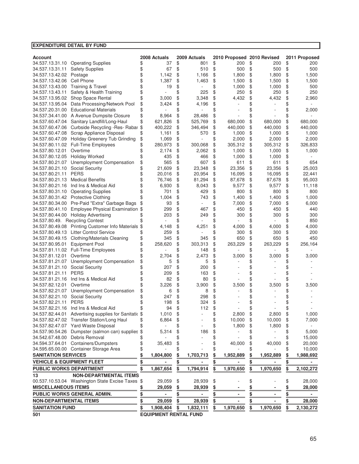| <b>EXPENDITURE DETAIL BY FUND</b>    |                                                                |           |                              |          |                          |          |                            |           |                    |               |                |
|--------------------------------------|----------------------------------------------------------------|-----------|------------------------------|----------|--------------------------|----------|----------------------------|-----------|--------------------|---------------|----------------|
|                                      |                                                                |           |                              |          |                          |          |                            |           |                    |               |                |
| <b>Account</b>                       |                                                                |           | 2008 Actuals                 |          | 2009 Actuals             |          | 2010 Proposed 2010 Revised |           |                    |               | 2011 Proposed  |
| 34.537.13.31.10                      | <b>Operating Supplies</b>                                      | \$        | 37                           | \$       | 801                      | \$       | 200                        | \$        | 200                | \$            | 200            |
| 34.537.13.31.11                      | <b>Safety Supplies</b>                                         | \$        | 67                           | \$       | 510                      | \$       | 500                        | \$        | 500                | \$            | 500            |
| 34.537.13.42.02                      | Postage                                                        | \$        | 1.142                        | \$       | 1,166                    | \$       | 1,800                      | \$        | 1,800              | \$            | 1,500          |
| 34.537.13.42.06                      | Cell Phone                                                     | \$        | 1,387                        | \$       | 1,463                    | \$       | 1,500                      | \$        | 1,500              | \$            | 1,500          |
| 34.537.13.43.00                      | <b>Training &amp; Travel</b>                                   | \$        | 19                           | \$       |                          | \$       | 1,000                      | \$        | 1,000              | \$            | 500            |
| 34.537.13.43.11                      | Safety & Health Training                                       | \$        |                              | \$       | 225                      | \$       | 250                        | \$        | 250                | \$            | 250            |
| 34.537.13.95.02                      | Shop Space Rental                                              | \$        | 3,000                        | \$       | 3,348                    | \$       | 4,432                      | \$        | 4,432              | \$            | 2,960          |
| 34.537.13.95.04                      | Data Processing/Network Pool<br><b>Educational Materials</b>   | \$        | 3,424                        | \$       | 4,196                    | \$       |                            | \$        |                    | \$            |                |
| 34.537.20.31.00                      | A Avenue Dumpsite Closure                                      | \$<br>\$  |                              | \$       |                          | \$       |                            | \$        |                    | \$            | 2,000          |
| 34.537.34.41.00                      |                                                                |           | 8,964                        | \$       | 28,486                   | \$       |                            | \$        |                    | \$            |                |
| 34.537.60.47.04                      | Sanitary Landfill/Long-Haul<br>Curbside Recycling - Res- Rabar | \$<br>\$  | 621,826<br>400,222           | \$       | 525,769<br>346,494       | \$<br>\$ | 680,000<br>440,000         | \$<br>\$  | 680,000<br>440,000 | \$            | 680,000        |
| 34.537.60.47.06<br>34.537.60.47.08   | Scrap Appliance Disposal                                       |           |                              | \$<br>\$ |                          | \$       |                            | \$        |                    | \$            | 440,000        |
|                                      | 34.537.60.47.09 Holiday Greenery Tub Grinding                  | \$        | 1,161<br>1,069               | \$       | 570                      | \$       | 1,000<br>2,000             | \$        | 1,000<br>2,000     | \$<br>\$      | 1,000<br>2,000 |
|                                      | 34.537.80.11.02 Full-Time Employees                            | \$        | 280,973                      | \$       | 300,068                  | \$       | 305,312                    | \$        | 305,312            | \$            | 326,833        |
| 34.537.80.12.01                      | Overtime                                                       | \$        | 2,174                        | \$       | 2,062                    | \$       | 1,000                      | \$        | 1,000              | \$            | 1,000          |
| 34.537.80.12.05 Holiday Worked       |                                                                |           | 435                          | \$       | 466                      | \$       | 1,000                      | \$        | 1,000              | \$            |                |
| 34.537.80.21.07                      | <b>Unemployment Compensation</b>                               | \$        | 565                          | \$       | 607                      | \$       | 611                        | \$        | 611                | \$            | 654            |
| 34.537.80.21.10                      | <b>Social Security</b>                                         | \$        | 21,609                       | \$       | 23,348                   | \$       | 23,356                     | \$        | 23,356             | \$            | 25,003         |
| 34.537.80.21.11                      | <b>PERS</b>                                                    |           | 20,016                       | \$       | 20,954                   | \$       | 16,095                     | \$        | 16,095             | \$            | 22,441         |
| 34.537.80.21.13                      | <b>Medical Benefits</b>                                        | \$        | 76,746                       | \$       | 81,294                   | \$       | 87,678                     | \$        | 87,678             | \$            | 95,003         |
|                                      | 34.537.80.21.16 Ind Ins & Medical Aid                          | \$        | 6,930                        | \$       | 8,043                    | \$       | 9,577                      | \$        | 9,577              | \$            | 11,118         |
|                                      | 34.537.80.31.10 Operating Supplies                             |           | 701                          | \$       | 429                      | \$       | 800                        | \$        | 800                | \$            | 800            |
|                                      | 34.537.80.31.42 Protective Clothing                            |           | 1,004                        | \$       | 743                      | \$       | 1,400                      | \$        | 1,400              | \$            | 1,000          |
|                                      | 34.537.80.34.00 Pre-Paid "Extra" Garbage Bags                  |           | 93                           | \$       | $\overline{\phantom{0}}$ | \$       | 7,000                      | \$        | 7,000              | \$            | 6,000          |
|                                      | 34.537.80.41.10 Employee Physical Examination                  |           | 299                          | \$       | 467                      | \$       | 450                        | \$        | 450                | \$            | 440            |
|                                      | 34.537.80.44.00 Holiday Advertising                            | \$        | 203                          | \$       | 249                      | \$       | 300                        | \$        | 300                | \$            | 300            |
| 34.537.80.49. Recycling Contest      |                                                                |           |                              | \$       |                          | \$       |                            | \$        |                    | \$            | 850            |
|                                      | 34.537.80.49.08 Printing Customer Info Materials               | \$        | 4,148                        | \$       | 4,251                    | \$       | 4,000                      | \$        | 4,000              | \$            | 4,000          |
|                                      | 34.537.80.49.13 Litter Control Service                         |           | 259                          | \$       |                          | \$       | 300                        | \$        | 300                | \$            | 200            |
|                                      | 34.537.80.49.15 Clothing/Materials Cleaning                    | \$        | 345                          | \$       | 345                      | \$       | 650                        | \$        | 650                | \$            | 450            |
| 34.537.80.95.01                      | <b>Equipment Pool</b>                                          | \$        | 258,620                      | \$       | 303,313                  | \$       | 263,229                    | \$        | 263,229            | \$            | 256,164        |
|                                      | 34.537.81.11.02 Full-Time Employees                            | \$        |                              | \$       | 148                      | \$       |                            | \$        |                    | \$            |                |
| 34.537.81.12.01                      | Overtime                                                       | \$        | 2,704                        | \$       | 2,473                    | \$       | 3,000                      | \$        | 3,000              | \$            | 3,000          |
| 34.537.81.21.07                      | Unemployment Compensation                                      | \$        | 5                            | \$       | 5                        | \$       |                            | \$        |                    | \$            |                |
| 34.537.81.21.10                      | Social Security                                                |           | 207                          | \$       | 200                      | \$       |                            | \$        |                    | \$            |                |
| 34.537.81.21.11                      | <b>PERS</b>                                                    | \$        | 209                          | \$       | 163                      | \$       |                            | \$        |                    | \$            |                |
| 34.537.81.21.16                      | Ind Ins & Medical Aid                                          | \$        | 82                           | \$       | 80                       | \$       |                            | \$        |                    | \$            |                |
| 34.537.82.12.01                      | Overtime                                                       |           | 3,226                        | \$       | 3,900                    | \$       | 3,500                      | \$        | 3,500              | \$            | 3,500          |
| 34.537.82.21.07                      | Unemployment Compensation                                      | \$        | 6                            | \$       | 8                        | \$       |                            | \$        |                    | \$            |                |
| 34.537.82.21.10                      | <b>Social Security</b>                                         |           | 247                          | \$       | 298                      | \$       |                            | \$        |                    | \$            |                |
| 34.537.82.21.11                      | <b>PERS</b>                                                    |           | 198                          | \$       | 324                      | \$       |                            | \$        |                    |               |                |
|                                      | 34.537.82.21.16 Ind Ins & Medical Aid                          |           | 94                           | \$       | 112                      | \$       | $\overline{\phantom{0}}$   | \$        |                    | \$            |                |
| 34.537.82.44.01                      | Advertising supplies for Sanitatic \$                          |           | 1,010                        | \$       |                          | \$       | 2,800                      | \$        | 2,800              | \$            | 1,000          |
|                                      | 34.537.82.47.02 Transfer Station/Long Haul                     | \$        | 6,864                        | \$       |                          | \$       | 10,000                     | \$        | 10,000             | \$            | 7,000          |
|                                      | 34.537.82.47.07 Yard Waste Disposal                            | \$        |                              |          |                          | \$       | 1,800                      | \$        | 1,800              | \$            |                |
| 34.537.90.54.26                      | Dumpster (salmon can) supplies \$                              |           | 5,314                        | \$       | 186                      | \$       |                            | \$        |                    | \$            | 5,000          |
| 34.542.67.48.00                      | Debris Removal                                                 |           |                              |          |                          | \$       |                            | \$        |                    | \$            | 15,000         |
| 34.594.37.64.01                      | Containers/Dumpsters                                           | \$        | 35,483                       | \$       |                          | \$       | 40,000                     | \$        | 40,000             | \$            | 20,000         |
| 34.595.65.00.00                      | Container Storage Area                                         |           |                              | \$       |                          | \$       |                            | \$        |                    | \$            | 10,000         |
| <b>SANITATION SERVICES</b>           |                                                                |           | 1,804,800                    | \$       | 1,703,713                | \$       | 1,952,889                  | \$        | 1,952,889          | \$            | 1,988,692      |
| <b>VEHICLE &amp; EQUIPMENT FLEET</b> |                                                                | <u>\$</u> |                              | \$       | -                        | \$       |                            | <u>\$</u> |                    | $\frac{\$}{}$ | ۰              |
| <b>PUBLIC WORKS DEPARTMENT</b>       |                                                                | \$        | 1,867,654                    | \$       | 1,794,914                | \$       | 1,970,650                  | \$        | 1,970,650          | \$            | 2,102,272      |
| 13                                   | <b>NON-DEPARTMENTAL ITEMS</b>                                  |           |                              |          |                          |          |                            |           |                    |               |                |
|                                      | 00.537.10.53.04 Washington State Excise Taxes \$               |           | 29,059                       | \$       | 28,939                   | \$       |                            | \$        |                    | \$            | 28,000         |
| <b>MISCELLANEOUS ITEMS</b>           |                                                                | \$        | 29,059                       | \$       | 28,939                   | \$       |                            |           |                    | \$            | 28,000         |
|                                      | PUBLIC WORKS GENERAL ADMIN.                                    | \$        | $\blacksquare$               | \$       |                          | \$       | $\overline{\phantom{a}}$   | \$<br>\$  | -                  |               |                |
|                                      |                                                                |           |                              |          | $\overline{\phantom{a}}$ |          |                            |           |                    | \$            | $\blacksquare$ |
| <b>NON-DEPARTMENTAL ITEMS</b>        |                                                                | \$        | 29,059                       | \$       | 28,939                   | \$       | ۰                          | \$        | ۰                  | \$            | 28,000         |
| <b>SANITATION FUND</b>               |                                                                | \$        | 1,908,404                    | \$       | 1,832,111                | \$       | 1,970,650                  | \$        | 1,970,650          | \$            | 2,130,272      |
| 501                                  |                                                                |           | <b>EQUIPMENT RENTAL FUND</b> |          |                          |          |                            |           |                    |               |                |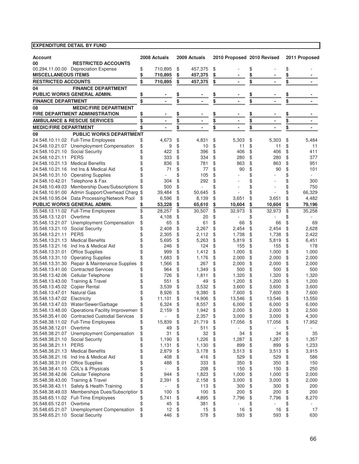|                                 |                                                                                              |          | 2008 Actuals    |           | 2009 Actuals                 |           |                            |           |                          |          | 2011 Proposed   |
|---------------------------------|----------------------------------------------------------------------------------------------|----------|-----------------|-----------|------------------------------|-----------|----------------------------|-----------|--------------------------|----------|-----------------|
| <b>Account</b><br>00            | <b>RESTRICTED ACCOUNTS</b>                                                                   |          |                 |           |                              |           | 2010 Proposed 2010 Revised |           |                          |          |                 |
|                                 | 00.294.11.00.00 Depreciation Expense                                                         | \$       | 710,895         | \$        | 457,375                      | \$        |                            | \$        |                          | \$       |                 |
| <b>MISCELLANEOUS ITEMS</b>      |                                                                                              | \$       | 710,895         | \$        | 457,375                      | \$        |                            | \$        |                          | \$       |                 |
| <b>RESTRICTED ACCOUNTS</b>      |                                                                                              | \$       | 710,895         | \$        | 457,375                      | \$        |                            | \$        |                          | \$       |                 |
| 04                              | <b>FINANCE DEPARTMENT</b>                                                                    |          |                 |           |                              |           |                            |           |                          |          |                 |
|                                 | PUBLIC WORKS GENERAL ADMIN.                                                                  | \$       |                 |           |                              | <u>\$</u> |                            | <u>\$</u> |                          | \$       |                 |
| <b>FINANCE DEPARTMENT</b>       |                                                                                              | \$       |                 | <u>\$</u> |                              |           |                            |           | $\overline{\phantom{a}}$ | \$       |                 |
|                                 |                                                                                              |          |                 | \$        | $\qquad \qquad \blacksquare$ | \$        |                            | \$        |                          |          |                 |
| 08                              | <b>MEDIC/FIRE DEPARTMENT</b>                                                                 |          |                 |           |                              |           |                            |           |                          |          |                 |
|                                 | <b>FIRE DEPARTMENT ADMINISTRATION</b>                                                        | \$       |                 | \$        |                              | \$        | ٠                          | <u>\$</u> |                          | \$       |                 |
|                                 | <b>AMBULANCE &amp; RESCUE SERVICES</b>                                                       | \$       | $\blacksquare$  | \$        | ۰                            | \$        | ۰                          | \$        | $\blacksquare$           | \$       |                 |
| <b>MEDIC/FIRE DEPARTMENT</b>    |                                                                                              | \$       |                 | \$        |                              | \$        |                            | \$        |                          | \$       |                 |
| 09                              | <b>PUBLIC WORKS DEPARTMENT</b>                                                               |          |                 |           |                              |           |                            |           |                          |          |                 |
|                                 | 24.548.10.11.02 Full-Time Employees                                                          | \$       | 4,673           | \$        | 4,831                        | \$        | 5,303                      | \$        | 5,303                    | \$       | 5,484           |
|                                 | 24.548.10.21.07 Unemployment Compensation                                                    | \$       | 9               | \$        | 10                           | \$        | 11                         | \$        | 11                       | \$       | 11              |
| 24.548.10.21.10                 | <b>Social Security</b>                                                                       | \$       | 422             | \$        | 396                          | \$        | 406                        | \$        | 406                      | \$       | 411             |
| 24.548.10.21.11                 | <b>PERS</b>                                                                                  | \$       | 333             | \$        | 334                          | \$        | 280                        | \$        | 280                      | \$       | 377             |
| 24.548.10.21.13                 | <b>Medical Benefits</b>                                                                      | \$       | 836             | \$        | 781                          | \$        | 863                        | \$        | 863                      | \$       | 951             |
|                                 | 24.548.10.21.16 Ind Ins & Medical Aid                                                        | \$       | 71              | \$        | 77                           | \$        | 90                         | \$        | 90                       | \$       | 101             |
|                                 | 24.548.10.31.10 Operating Supplies                                                           | \$       |                 | \$        | 105                          | \$        |                            | \$        |                          | \$       |                 |
|                                 | 24.548.10.42.01 Telephone & Fax                                                              | \$       | 304             | \$        | 292                          | \$        |                            | \$        |                          | \$       | 300             |
|                                 | 24.548.10.49.03 Membership Dues/Subscriptions \$                                             |          | 500             | \$        |                              | \$        |                            | \$        |                          | \$       | 750             |
|                                 | 24.548.10.91.00 Admin Support/Overhead Charg<br>24.548.10.95.04 Data Processing/Network Pool | \$       | 39,484<br>6,596 | \$<br>\$  | 50,645                       | \$<br>\$  | 3,651                      | \$<br>\$  |                          | \$<br>\$ | 66,329<br>4,482 |
|                                 | PUBLIC WORKS GENERAL ADMIN.                                                                  | \$<br>\$ | 53,228          | \$        | 8,139<br>65,610              |           | 10,604                     | \$        | 3,651<br>10,604          | \$       | 79,196          |
|                                 | 35.548.13.11.02 Full-Time Employees                                                          | \$       | 28,257          | \$        | 30,507                       | \$<br>\$  | 32,973                     | \$        | 32,973                   | \$       | 35,258          |
| 35.548.13.12.01                 | Overtime                                                                                     | \$       | 4,108           | \$        | 20                           | \$        |                            | \$        |                          | \$       |                 |
| 35.548.13.21.07                 | Unemployment Compensation                                                                    | \$       | 65              | \$        | 61                           | \$        | 66                         | \$        | 66                       | \$       | 69              |
| 35.548.13.21.10                 | <b>Social Security</b>                                                                       | \$       | 2,408           | \$        | 2,267                        | \$        | 2,454                      | \$        | 2,454                    | \$       | 2,628           |
| 35.548.13.21.11                 | <b>PERS</b>                                                                                  | \$       | 2,305           | \$        | 2,112                        | \$        | 1,738                      | \$        | 1,738                    | \$       | 2,422           |
| 35.548.13.21.13                 | <b>Medical Benefits</b>                                                                      | \$       | 5,695           | \$        | 5,263                        | \$        | 5,819                      | \$        | 5,819                    | \$       | 6,451           |
|                                 | 35.548.13.21.16 Ind Ins & Medical Aid                                                        | \$       | 246             | \$        | 124                          | \$        | 155                        | \$        | 155                      | \$       | 178             |
| 35.548.13.31.01                 | <b>Office Supplies</b>                                                                       | \$       | 999             | \$        | 1,412                        | \$        | 1,000                      | \$        | 1,000                    | \$       | 1,000           |
|                                 | 35.548.13.31.10 Operating Supplies                                                           | \$       | 1,683           | \$        | 1,176                        | \$        | 2,000                      | \$        | 2,000                    | \$       | 2,000           |
|                                 | 35.548.13.31.30 Repair & Maintenance Supplies                                                | \$       | 1,566           | \$        | 267                          | \$        | 2,000                      | \$        | 2,000                    | \$       | 2,000           |
| 35.548.13.41.00                 | <b>Contracted Services</b>                                                                   | \$       | 964             | \$        | 1,349                        | \$        | 500                        | \$        | 500                      | \$       | 500             |
| 35.548.13.42.06                 | Cellular Telephone                                                                           | \$       | 726             | \$        | 1,811                        | \$        | 1,320                      | \$        | 1,320                    | \$       | 1,320           |
| 35.548.13.43.00                 | Training & Travel                                                                            | \$       | 551             | \$        | 49                           | \$        | 1,200                      | \$        | 1,200                    | \$       | 1,200           |
| 35.548.13.45.02                 | <b>Copier Rental</b>                                                                         | \$       | 3,539           | \$        | 3,532                        | \$        | 3,600                      | \$        | 3,600                    | \$       | 3,600           |
| 35.548.13.47.01                 | <b>Natural Gas</b>                                                                           | \$       | 8,926           | \$        | 9,380                        | \$        | 7,600                      | \$        | 7,600                    | \$       | 7,600           |
| 35.548.13.47.02                 | Electricity                                                                                  | \$       | 11,101          | \$        | 14,906                       | \$        | 13,546                     | \$        | 13,546                   | \$       | 13,550          |
| 35.548.13.47.03                 | Water/Sewer/Garbage                                                                          | \$       | 6,324           | \$        | 8,557                        | \$        | 6,000                      | \$        | 6,000                    | \$       | 6,000           |
|                                 | 35.548.13.48.00 Operations Facility Improvemen \$                                            |          | 2,159           | \$        | 1,942                        | \$        | 2,000                      | \$        | 2,000                    | \$       | 2,500           |
|                                 | 35.548.35.41.00 Contracted Custodial Services                                                | \$       |                 | \$        | 2,357                        | \$        | 3,000                      | \$        | 3,000                    | \$       | 4,300           |
|                                 | 35.548.38.11.02 Full-Time Employees                                                          | \$       | 15,839          | \$        | 21,719                       | \$        | 17,056                     | \$        | 17,056                   | \$       | 17,952          |
| 35.548.38.12.01                 | Overtime                                                                                     | \$       | 49              | \$        | 511                          | \$        |                            | \$        |                          | \$       |                 |
|                                 | 35.548.38.21.07 Unemployment Compensation                                                    | \$       | 31              | \$        | 32                           | \$        | 34                         | \$        | 34                       | \$       | 35              |
| 35.548.38.21.10 Social Security |                                                                                              | \$       | 1,190           | \$        | 1,226                        | \$        | 1,287                      | \$        | 1,287                    | \$       | 1,357           |
| 35.548.38.21.11                 | <b>PERS</b>                                                                                  | \$       | 1,131           | \$        | 1,130                        | \$        | 899                        | \$        | 899                      | \$       | 1,233           |
| 35.548.38.21.13                 | <b>Medical Benefits</b>                                                                      | \$       | 2,879           | \$        | 3,178                        | \$        | 3,513                      | \$        | 3,513                    | \$       | 3,915           |
| 35.548.38.21.16                 | Ind Ins & Medical Aid                                                                        | \$       | 408             | \$        | 416                          | \$        | 529                        | \$        | 529                      | \$       | 586             |
| 35.548.38.31.01                 | <b>Office Supplies</b>                                                                       | \$       | 488             | \$        | 333                          | \$        | 350                        | \$        | 350                      | \$       | 150             |
|                                 | 35.548.38.41.10 CDL's & Physicals                                                            | \$       | ÷,              | \$        | 208                          | \$        | 150                        | \$        | 150                      | \$       | 250             |
| 35.548.38.42.06                 | Cellular Telephone                                                                           | \$       | 944             | \$        | 1,823                        | \$        | 1,000                      | \$        | 1,000                    | \$       | 2,000           |
| 35.548.38.43.00                 | Training & Travel                                                                            | \$       | 2,391           | \$        | 2,158                        | \$        | 3,000                      | \$        | 3,000                    | \$       | 2,000           |
| 35.548.38.43.11                 | Safety & Health Training                                                                     | \$       | ä,              | \$        | 113                          | \$        | 300                        | \$        | 300                      | \$       | 200             |
| 35.548.38.49.03                 | Memberships Dues/Subscriptior                                                                | \$       | 100             | \$        | 100                          | \$        | 200                        | \$        | 200                      | \$       | 200             |
|                                 | 35.548.65.11.02 Full-Time Employees                                                          | \$       | 5,741           | \$        | 4,895                        | \$        | 7,796                      | \$        | 7,796                    | \$       | 8,270           |
| 35.548.65.12.01                 | Overtime                                                                                     | \$       | 45              | \$        | 381                          | \$        |                            | \$        | $\overline{\phantom{a}}$ | \$       |                 |
| 35.548.65.21.07                 | Unemployment Compensation                                                                    | \$       | 12              | \$        | 15                           | \$        | 16                         | \$        | 16                       | \$       | 17              |
| 35.548.65.21.10                 | Social Security                                                                              | \$       | 446             | \$        | 578                          | \$        | 593                        | \$        | 593                      | \$       | 630             |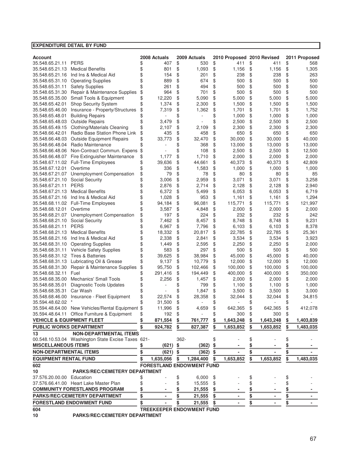|                                      | EXPENDITURE DETAIL BY FUND                                  |          |               |          |                                  |          |                            |          |               |           |               |
|--------------------------------------|-------------------------------------------------------------|----------|---------------|----------|----------------------------------|----------|----------------------------|----------|---------------|-----------|---------------|
|                                      |                                                             |          |               |          |                                  |          |                            |          |               |           |               |
| <b>Account</b>                       |                                                             |          | 2008 Actuals  |          | 2009 Actuals                     |          | 2010 Proposed 2010 Revised |          |               |           | 2011 Proposed |
| 35.548.65.21.11                      | <b>PERS</b>                                                 | \$       | 407           | \$       | 530                              | \$       | 411                        | \$       | 411           | \$        | 568           |
| 35.548.65.21.13                      | <b>Medical Benefits</b>                                     | \$       | 801           | \$       | 1,093                            | \$       | 1,156                      | \$       | 1,156         | \$        | 1,305         |
| 35.548.65.21.16                      | Ind Ins & Medical Aid<br>35.548.65.31.10 Operating Supplies | \$       | 154           | \$       | 201                              | \$       | 238                        | \$       | 238           | \$        | 263           |
| 35.548.65.31.11                      | <b>Safety Supplies</b>                                      | \$<br>\$ | 889<br>261    | \$<br>\$ | 674<br>494                       | \$<br>\$ | 500<br>500                 | \$<br>\$ | 500<br>500    | \$<br>\$  | 500<br>500    |
| 35.548.65.31.30                      | Repair & Maintenance Supplies                               | \$       | 964           | \$       | 701                              | \$       | 500                        | \$       | 500           | \$        | 500           |
| 35.548.65.35.00                      | Small Tools & Equipment                                     | \$       | 12,220        | \$       | 5,090                            | \$       | 5,000                      | \$       | 5,000         | \$        | 5,000         |
| 35.548.65.42.01                      | Shop Security System                                        | \$       | 1,374         | \$       | 2,300                            | \$       | 1,500                      | \$       | 1,500         | \$        | 1,500         |
| 35.548.65.46.00                      | Insurance - Property/Structures                             | \$       | 7,319         | \$       | 1,362                            | \$       | 1,701                      | \$       | 1,701         | \$        | 1,752         |
| 35.548.65.48.01                      | <b>Building Repairs</b>                                     | \$       |               | \$       |                                  | \$       | 1,000                      | \$       | 1,000         | \$        | 1,000         |
| 35.548.65.48.03                      | <b>Outside Repairs</b>                                      | \$       | 3,479         | \$       |                                  | \$       | 2,500                      | \$       | 2,500         | \$        | 2,500         |
| 35.548.65.49.15                      | <b>Clothing/Materials Cleaning</b>                          | \$       | 2,107         | \$       | 2,109                            | \$       | 2,300                      | \$       | 2,300         | \$        | 2,300         |
| 35.548.66.42.01                      | Radio Base Station Phone Link                               | \$       | 435           | \$       | 458                              | \$       | 650                        | \$       | 650           | \$        | 650           |
| 35.548.66.48.03                      | Outside Equipment Repairs                                   | \$       | 33,773        | \$       | 32,470                           | \$       | 30,000                     | \$       | 30,000        | \$        | 40,000        |
| 35.548.66.48.04                      | Radio Maintenance                                           | \$       |               | \$       | 368                              | \$       | 13,000                     | \$       | 13,000        | \$        | 13,000        |
| 35.548.66.48.06                      | Non-Contract Commun. Expens                                 | \$       |               | \$       | 108                              | \$       | 2,500                      | \$       | 2,500         | \$        | 12,500        |
|                                      | 35.548.66.48.07 Fire Extinguisher Maintenance               | \$       | 1,177         | \$       | 1,710                            | \$       | 2,000                      | \$       | 2,000         | \$        | 2,000         |
|                                      | 35.548.67.11.02 Full-Time Employees                         | \$       | 39,636        | \$       | 44,661                           | \$       | 40,373                     | \$       | 40.373        | \$        | 42,809        |
| 35.548.67.12.01                      | Overtime                                                    | \$       | 336           | \$       | 1,583                            | \$       | 1,000                      | \$       | 1,000         | \$        | 1,000         |
| 35.548.67.21.07                      | Unemployment Compensation                                   | \$       | 79            | \$       | 78                               | \$       | 80                         | \$       | 80            | \$        | 85            |
| 35.548.67.21.10                      | <b>Social Security</b>                                      | \$       | 3,006         | \$       | 2,959                            | \$       | 3,071                      | \$       | 3,071         | \$        | 3,258         |
| 35.548.67.21.11                      | <b>PERS</b>                                                 | \$       | 2,876         | \$       | 2,714                            | \$       | 2,128                      | \$       | 2,128         | \$        | 2,940         |
| 35.548.67.21.13                      | <b>Medical Benefits</b>                                     | \$       | 6,372         | \$       | 5,499                            | \$       | 6,053                      | \$       | 6,053         | \$        | 6,719         |
| 35.548.67.21.16                      | Ind Ins & Medical Aid                                       | \$       | 1,028         | \$       | 953                              | \$       | 1,161                      | \$       | 1,161         | \$        | 1,294         |
|                                      | 35.548.68.11.02 Full-Time Employees                         | \$       | 94,184        | \$       | 96,081                           | \$       | 115,771                    | \$       | 115,771       | \$        | 121,997       |
| 35.548.68.12.01                      | Overtime                                                    | \$       | 3,587         | \$       | 4,848                            | \$       | 2,000                      | \$       | 2,000         | \$        | 2,000         |
| 35.548.68.21.07                      | Unemployment Compensation                                   | \$       | 197           | \$       | 224                              | \$       | 232                        | \$       | 232           | \$        | 242           |
| 35.548.68.21.10                      | <b>Social Security</b>                                      | \$       | 7,462         | \$       | 8,457                            | \$       | 8,748                      | \$       | 8,748         | \$        | 9,231         |
| 35.548.68.21.11                      | <b>PERS</b>                                                 | \$       | 6,967         | \$       | 7,796                            | \$       | 6,103                      | \$       | 6,103         | \$        | 8,378         |
| 35.548.68.21.13                      | <b>Medical Benefits</b>                                     | \$       | 18,332        | \$       | 20,817                           | \$       | 22,785                     | \$       | 22,785        | \$        | 25,361        |
| 35.548.68.21.16                      | Ind Ins & Medical Aid                                       | \$       | 2,338         | \$       | 2,841                            | \$       | 3,534                      | \$       | 3,534         | \$        | 3,923         |
| 35.548.68.31.10                      | <b>Operating Supplies</b>                                   | \$       | 1,449         | \$       | 2,595                            | \$       | 2,250                      | \$       | 2,250         | \$        | 2,000         |
| 35.548.68.31.11<br>35.548.68.31.12   | Vehicle Safety Supplies<br><b>Tires &amp; Batteries</b>     | \$<br>\$ | 583<br>39,625 | \$<br>\$ | 297<br>38,984                    | \$<br>\$ | 500<br>45,000              | \$<br>\$ | 500<br>45,000 | \$<br>\$  | 500<br>40,000 |
| 35.548.68.31.13                      | Lubricating Oil & Grease                                    | \$       | 9,137         | \$       | 10,779                           | \$       | 12,000                     | \$       | 12,000        | \$        | 12,000        |
| 35.548.68.31.30                      | Repair & Maintenance Supplies                               | \$       | 95,750        | \$       | 102,466                          | \$       | 100,000                    | \$       | 100,000       | \$        | 100,000       |
| 35.548.68.32.11                      | Fuel                                                        | \$       | 291,416       | \$       | 194,449                          | \$       | 400,000                    | \$       | 400,000       | \$        | 350,000       |
| 35.548.68.35.00                      | <b>Mechanics' Small Tools</b>                               | \$       | 2,256         | \$       | 1,457                            | \$       | 2,000                      | \$       | 2,000         | \$        | 2,000         |
| 35.548.68.35.01                      | <b>Diagnostic Tools Updates</b>                             | \$       |               | \$       | 799                              | \$       | 1,100                      | \$       | 1,100         | \$        | 1,000         |
| 35.548.68.35.31                      | Car Wash                                                    | \$       |               | \$       | 1,847                            | \$       | 3,500                      | \$       | 3,500         | \$        | 3,000         |
| 35.548.68.46.00                      | Insurance - Fleet Equipment                                 | \$       | 22,574        | \$       | 28,358                           | \$       | 32,044                     | \$       | 32,044        | \$        | 34,815        |
| 35.594.48.62.02                      |                                                             | \$       | 31,500        | \$       | $\overline{a}$                   | \$       | ÷,                         | \$       | ÷,            | \$        |               |
|                                      | 35.594.48.64.00 New Vehicles/Rental Equipment \$            |          | 11,996        | \$       | 4,659                            | ρ,       | 642,365                    | \$       | 642,365       | \$        | 412,078       |
|                                      | 35.594.48.64.11 Office Furniture & Equipment                | \$       | 192           | \$       |                                  |          | 300                        |          | 300           | \$        |               |
| <b>VEHICLE &amp; EQUIPMENT FLEET</b> |                                                             | \$       | 871,554       | \$       | 761,777                          | \$       | 1,643,248                  | \$       | 1,643,248     | \$        | 1,403,839     |
| PUBLIC WORKS DEPARTMENT              |                                                             | \$       | 924,782       | \$       | 827,387                          | \$       | 1,653,852                  | \$       | 1,653,852     | \$        | 1,483,035     |
| 13                                   | <b>NON-DEPARTMENTAL ITEMS</b>                               |          |               |          |                                  |          |                            |          |               |           |               |
|                                      | 00.548.10.53.04 Washington State Excise Taxes 621-          |          |               | 362-     |                                  | \$       |                            | \$       |               | \$        |               |
| <b>MISCELLANEOUS ITEMS</b>           |                                                             | \$       | (621)         | \$       | (362)                            |          |                            |          |               |           |               |
| <b>NON-DEPARTMENTAL ITEMS</b>        |                                                             | \$       | (621)         | \$       | (362)                            | \$       |                            | \$       |               | \$        |               |
| <b>EQUIPMENT RENTAL FUND</b>         |                                                             | \$       | 1,635,056     | \$       | 1,284,400                        | \$       | 1,653,852                  | \$       | 1,653,852     | \$        | 1,483,035     |
| 602                                  |                                                             |          |               |          | <b>FORESTLAND ENDOWMENT FUND</b> |          |                            |          |               |           |               |
| 10                                   | <b>PARKS/REC/CEMETERY DEPARTMENT</b>                        |          |               |          |                                  |          |                            |          |               |           |               |
| 37.576.20.00.00 Education            |                                                             | \$       |               | \$       | 6,000                            | \$       |                            |          |               | \$        |               |
|                                      | 37.576.66.41.00 Heart Lake Master Plan                      | \$       |               | \$       | 15,555                           | \$       |                            | \$       |               | \$        |               |
|                                      | <b>COMMUNITY FORESTLANDS PROGRAM</b>                        | \$       |               | \$       | 21,555                           |          |                            |          |               | \$        |               |
|                                      | PARKS/REC/CEMETERY DEPARTMENT                               | \$       |               | \$       | 21,555                           |          |                            | \$       |               | <u>\$</u> |               |
|                                      | <b>FORESTLAND ENDOWMENT FUND</b>                            | \$       |               |          | 21,555                           |          |                            | \$       |               | \$        |               |
| 604                                  |                                                             |          |               |          | TREEKEEPER ENDOWMENT FUND        |          |                            |          |               |           |               |

**10 PARKS/REC/CEMETERY DEPARTMENT**

67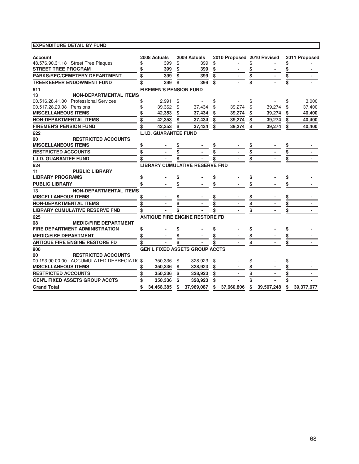| <b>Account</b>                            | 2008 Actuals                  | 2009 Actuals                          | 2010 Proposed 2010 Revised |                  | 2011 Proposed    |
|-------------------------------------------|-------------------------------|---------------------------------------|----------------------------|------------------|------------------|
| 48.576.90.31.18 Street Tree Plaques       | 399                           | \$<br>399                             | \$                         | \$               |                  |
| <b>STREET TREE PROGRAM</b>                | 399                           | \$<br>399                             | \$                         |                  |                  |
| <b>PARKS/REC/CEMETERY DEPARTMENT</b>      | 399                           | \$<br>399                             | \$                         |                  |                  |
| <b>TREEKEEPER ENDOWMENT FUND</b>          | 399                           | \$<br>399                             | \$                         |                  |                  |
| 611                                       | <b>FIREMEN'S PENSION FUND</b> |                                       |                            |                  |                  |
| 13<br><b>NON-DEPARTMENTAL ITEMS</b>       |                               |                                       |                            |                  |                  |
| 00.516.28.41.00 Professional Services     | \$<br>2,991                   | \$                                    | \$                         | \$               | \$<br>3,000      |
| 00.517.28.29.08 Pensions                  | 39,362                        | \$<br>37,434                          | \$<br>39,274               | \$<br>39,274     | \$<br>37,400     |
| <b>MISCELLANEOUS ITEMS</b>                | 42,353                        | \$<br>37,434                          | 39,274                     | 39,274           | 40,400           |
| <b>NON-DEPARTMENTAL ITEMS</b>             | \$<br>42,353                  | \$<br>37,434                          | \$<br>39,274               | \$<br>39,274     | \$<br>40,400     |
| <b>FIREMEN'S PENSION FUND</b>             | \$<br>42,353                  | \$<br>37,434                          | \$<br>39,274               | \$<br>39,274     | \$<br>40,400     |
| 622                                       | <b>L.I.D. GUARANTEE FUND</b>  |                                       |                            |                  |                  |
| 00<br><b>RESTRICTED ACCOUNTS</b>          |                               |                                       |                            |                  |                  |
| <b>MISCELLANEOUS ITEMS</b>                | \$                            |                                       |                            |                  |                  |
| <b>RESTRICTED ACCOUNTS</b>                | \$                            | \$                                    |                            |                  |                  |
| <b>L.I.D. GUARANTEE FUND</b>              |                               |                                       |                            |                  |                  |
| 624                                       |                               | <b>LIBRARY CUMULATIVE RESERVE FND</b> |                            |                  |                  |
| 11<br><b>PUBLIC LIBRARY</b>               |                               |                                       |                            |                  |                  |
| <b>LIBRARY PROGRAMS</b>                   | \$                            |                                       |                            |                  |                  |
| <b>PUBLIC LIBRARY</b>                     | \$                            |                                       |                            |                  |                  |
| <b>NON-DEPARTMENTAL ITEMS</b><br>13       |                               |                                       |                            |                  |                  |
| <b>MISCELLANEOUS ITEMS</b>                | \$                            |                                       |                            |                  |                  |
| <b>NON-DEPARTMENTAL ITEMS</b>             | \$                            |                                       |                            |                  |                  |
| <b>LIBRARY CUMULATIVE RESERVE FND</b>     |                               |                                       |                            |                  |                  |
| 625                                       |                               | <b>ANTIQUE FIRE ENGINE RESTORE FD</b> |                            |                  |                  |
| <b>MEDIC/FIRE DEPARTMENT</b><br>80        |                               |                                       |                            |                  |                  |
| FIRE DEPARTMENT ADMINISTRATION            | \$                            |                                       |                            |                  |                  |
| <b>MEDIC/FIRE DEPARTMENT</b>              | \$                            |                                       | \$                         |                  |                  |
| <b>ANTIQUE FIRE ENGINE RESTORE FD</b>     |                               |                                       |                            |                  |                  |
| 800                                       |                               | <b>GEN'L FIXED ASSETS GROUP ACCTS</b> |                            |                  |                  |
| <b>RESTRICTED ACCOUNTS</b><br>00          |                               |                                       |                            |                  |                  |
| 00.193.90.00.00 ACCUMULATED DEPRECIATI(\$ | 350,336                       | \$<br>328,923                         | \$                         |                  |                  |
| <b>MISCELLANEOUS ITEMS</b>                | \$<br>350,336                 | \$<br>328,923                         | \$                         |                  |                  |
| <b>RESTRICTED ACCOUNTS</b>                | \$<br>350,336                 | \$<br>328,923                         | \$                         |                  |                  |
| <b>GEN'L FIXED ASSETS GROUP ACCTS</b>     | 350,336                       | \$<br>328,923                         | \$                         |                  |                  |
| <b>Grand Total</b>                        | \$<br>34.468.385              | \$<br>37.969.087                      | \$<br>37.660.806           | \$<br>39.507.248 | \$<br>39,377,677 |
|                                           |                               |                                       |                            |                  |                  |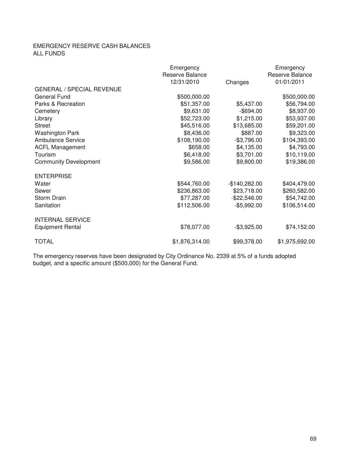## EMERGENCY RESERVE CASH BALANCES ALL FUNDS

|                                  | Emergency<br>Reserve Balance |                 | Emergency<br>Reserve Balance |
|----------------------------------|------------------------------|-----------------|------------------------------|
|                                  | 12/31/2010                   | Changes         | 01/01/2011                   |
| <b>GENERAL / SPECIAL REVENUE</b> |                              |                 |                              |
| General Fund                     | \$500,000.00                 |                 | \$500,000.00                 |
| Parks & Recreation               | \$51,357.00                  | \$5,437.00      | \$56,794.00                  |
| Cemetery                         | \$9,631.00                   | $-$ \$694.00    | \$8,937.00                   |
| Library                          | \$52,723.00                  | \$1,215.00      | \$53,937.00                  |
| <b>Street</b>                    | \$45,516.00                  | \$13,685.00     | \$59,201.00                  |
| <b>Washington Park</b>           | \$8,436.00                   | \$887.00        | \$9,323.00                   |
| <b>Ambulance Service</b>         | \$108,190.00                 | $-$3,796.00$    | \$104,393.00                 |
| <b>ACFL Management</b>           | \$658.00                     | \$4,135.00      | \$4,793.00                   |
| Tourism                          | \$6,418.00                   | \$3,701.00      | \$10,119.00                  |
| <b>Community Development</b>     | \$9,586.00                   | \$9,800.00      | \$19,386.00                  |
| <b>ENTERPRISE</b>                |                              |                 |                              |
| Water                            | \$544,760.00                 | $-$140,282.00$  | \$404,479.00                 |
| Sewer                            | \$236,863.00                 | \$23,718.00     | \$260,582.00                 |
| Storm Drain                      | \$77,287.00                  | $-$ \$22,546.00 | \$54,742.00                  |
| Sanitation                       | \$112,506.00                 | $-$5,992.00$    | \$106,514.00                 |
| <b>INTERNAL SERVICE</b>          |                              |                 |                              |
| <b>Equipment Rental</b>          | \$78,077.00                  | $-$3,925.00$    | \$74,152.00                  |
| <b>TOTAL</b>                     | \$1,876,314.00               | \$99,378.00     | \$1,975,692.00               |

The emergency reserves have been designated by City Ordinance No. 2339 at 5% of a funds adopted budget, and a specific amount (\$500,000) for the General Fund.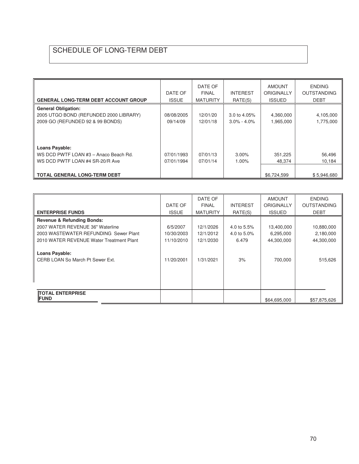# SCHEDULE OF LONG-TERM DEBT

| <b>GENERAL LONG-TERM DEBT ACCOUNT GROUP</b>                                                                                  | DATE OF<br><b>ISSUE</b>  | DATE OF<br><b>FINAL</b><br><b>MATURITY</b> | <b>INTEREST</b><br>RATE(S)         | <b>AMOUNT</b><br><b>ORIGINALLY</b><br><b>ISSUED</b> | <b>ENDING</b><br><b>OUTSTANDING</b><br><b>DEBT</b> |
|------------------------------------------------------------------------------------------------------------------------------|--------------------------|--------------------------------------------|------------------------------------|-----------------------------------------------------|----------------------------------------------------|
| <b>General Obligation:</b><br>2005 UTGO BOND (REFUNDED 2000 LIBRARY)<br>2009 GO (REFUNDED 92 & 99 BONDS)                     | 08/08/2005<br>09/14/09   | 12/01/20<br>12/01/18                       | 3.0 to $4.05\%$<br>$3.0\% - 4.0\%$ | 4,360,000<br>1,965,000                              | 4,105,000<br>1,775,000                             |
| Loans Payable:<br>WS DCD PWTF LOAN #3 - Anaco Beach Rd.<br>WS DCD PWTF LOAN #4 SR-20/R Ave<br>∥ TOTAL GENERAL LONG-TERM DEBT | 07/01/1993<br>07/01/1994 | 07/01/13<br>07/01/14                       | $3.00\%$<br>1.00%                  | 351,225<br>48,374<br>\$6,724,599                    | 56,496<br>10,184<br>\$5,946,680                    |

|                                                           | DATE OF      | DATE OF<br><b>FINAL</b> | <b>INTEREST</b> | <b>AMOUNT</b><br><b>ORIGINALLY</b> | <b>ENDING</b><br><b>OUTSTANDING</b> |
|-----------------------------------------------------------|--------------|-------------------------|-----------------|------------------------------------|-------------------------------------|
| <b>ENTERPRISE FUNDS</b>                                   | <b>ISSUE</b> | <b>MATURITY</b>         | RATE(S)         | <b>ISSUED</b>                      | <b>DEBT</b>                         |
| <b>Revenue &amp; Refunding Bonds:</b>                     |              |                         |                 |                                    |                                     |
| 2007 WATER REVENUE 36" Waterline                          | 6/5/2007     | 12/1/2026               | 4.0 to 5.5%     | 13,400,000                         | 10,880,000                          |
| 2003 WASTEWATER REFUNDING Sewer Plant                     | 10/30/2003   | 12/1/2012               | 4.0 to 5.0%     | 6,295,000                          | 2,180,000                           |
| 2010 WATER REVENUE Water Treatment Plant                  | 11/10/2010   | 12/1/2030               | 6.479           | 44,300,000                         | 44,300,000                          |
| <b>Loans Payable:</b><br>CERB LOAN So March Pt Sewer Ext. | 11/20/2001   | 1/31/2021               | 3%              | 700,000                            | 515,626                             |
| <b>TOTAL ENTERPRISE</b><br><b>IFUND</b>                   |              |                         |                 | \$64,695,000                       | \$57,875,626                        |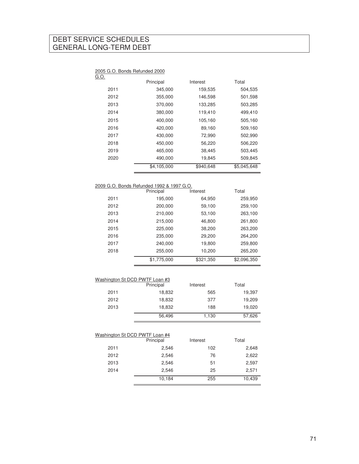## DEBT SERVICE SCHEDULES GENERAL LONG-TERM DEBT

#### 2005 G.O. Bonds Refunded 2000

| G.O. |             |           |             |
|------|-------------|-----------|-------------|
|      | Principal   | Interest  | Total       |
| 2011 | 345,000     | 159,535   | 504,535     |
| 2012 | 355,000     | 146,598   | 501,598     |
| 2013 | 370,000     | 133,285   | 503,285     |
| 2014 | 380,000     | 119,410   | 499,410     |
| 2015 | 400,000     | 105,160   | 505,160     |
| 2016 | 420,000     | 89.160    | 509,160     |
| 2017 | 430.000     | 72,990    | 502,990     |
| 2018 | 450,000     | 56,220    | 506,220     |
| 2019 | 465,000     | 38.445    | 503,445     |
| 2020 | 490,000     | 19,845    | 509,845     |
|      | \$4,105,000 | \$940,648 | \$5,045,648 |
|      |             |           |             |

### 2009 G.O. Bonds Refunded 1992 & 1997 G.O.

|      | Principal   | Interest  | Total       |
|------|-------------|-----------|-------------|
| 2011 | 195,000     | 64,950    | 259,950     |
| 2012 | 200,000     | 59,100    | 259,100     |
| 2013 | 210,000     | 53,100    | 263,100     |
| 2014 | 215,000     | 46,800    | 261,800     |
| 2015 | 225,000     | 38,200    | 263,200     |
| 2016 | 235,000     | 29,200    | 264,200     |
| 2017 | 240,000     | 19,800    | 259,800     |
| 2018 | 255,000     | 10,200    | 265,200     |
|      | \$1,775,000 | \$321,350 | \$2,096,350 |

|      | Washington St DCD PWTF Loan #3 |          |        |
|------|--------------------------------|----------|--------|
|      | Principal                      | Interest | Total  |
| 2011 | 18,832                         | 565      | 19,397 |
| 2012 | 18,832                         | 377      | 19.209 |
| 2013 | 18,832                         | 188      | 19,020 |
|      | 56,496                         | 1,130    | 57,626 |

| Washington St DCD PWTF Loan #4 |           |          |        |
|--------------------------------|-----------|----------|--------|
|                                | Principal | Interest | Total  |
| 2011                           | 2,546     | 102      | 2,648  |
| 2012                           | 2,546     | 76       | 2,622  |
| 2013                           | 2,546     | 51       | 2,597  |
| 2014                           | 2.546     | 25       | 2.571  |
|                                | 10.184    | 255      | 10,439 |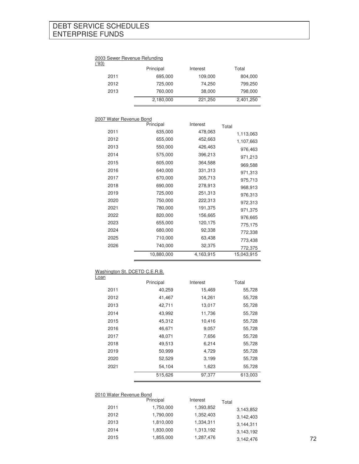## DEBT SERVICE SCHEDULES ENTERPRISE FUNDS

#### 2003 Sewer Revenue Refunding

| ('93) |           |          |           |
|-------|-----------|----------|-----------|
|       | Principal | Interest | Total     |
| 2011  | 695,000   | 109,000  | 804,000   |
| 2012  | 725,000   | 74.250   | 799,250   |
| 2013  | 760,000   | 38,000   | 798,000   |
|       | 2,180,000 | 221,250  | 2,401,250 |

### 2007 Water Revenue Bond

|      | Principal  | Interest  | Total      |
|------|------------|-----------|------------|
| 2011 | 635,000    | 478,063   | 1,113,063  |
| 2012 | 655,000    | 452,663   | 1,107,663  |
| 2013 | 550,000    | 426,463   | 976,463    |
| 2014 | 575,000    | 396,213   | 971,213    |
| 2015 | 605,000    | 364,588   | 969,588    |
| 2016 | 640,000    | 331,313   | 971,313    |
| 2017 | 670,000    | 305,713   | 975,713    |
| 2018 | 690,000    | 278,913   | 968,913    |
| 2019 | 725,000    | 251,313   | 976,313    |
| 2020 | 750,000    | 222,313   | 972,313    |
| 2021 | 780,000    | 191,375   | 971,375    |
| 2022 | 820,000    | 156,665   | 976,665    |
| 2023 | 655,000    | 120,175   | 775,175    |
| 2024 | 680,000    | 92,338    | 772,338    |
| 2025 | 710,000    | 63,438    | 773,438    |
| 2026 | 740,000    | 32,375    | 772,375    |
|      | 10,880,000 | 4,163,915 | 15,043,915 |
|      |            |           |            |

## Washington St. DCETD C.E.R.B.

| <b>Loan</b> |           |          |         |
|-------------|-----------|----------|---------|
|             | Principal | Interest | Total   |
| 2011        | 40,259    | 15,469   | 55,728  |
| 2012        | 41,467    | 14,261   | 55,728  |
| 2013        | 42,711    | 13,017   | 55,728  |
| 2014        | 43,992    | 11,736   | 55,728  |
| 2015        | 45,312    | 10,416   | 55,728  |
| 2016        | 46,671    | 9,057    | 55,728  |
| 2017        | 48,071    | 7,656    | 55,728  |
| 2018        | 49,513    | 6,214    | 55,728  |
| 2019        | 50,999    | 4,729    | 55,728  |
| 2020        | 52,529    | 3,199    | 55,728  |
| 2021        | 54,104    | 1,623    | 55,728  |
|             | 515,626   | 97,377   | 613,003 |

### 2010 Water Revenue Bond

|      | Principal | Interest  | Total     |    |
|------|-----------|-----------|-----------|----|
| 2011 | 1,750,000 | 1,393,852 | 3,143,852 |    |
| 2012 | 1,790,000 | 1,352,403 | 3,142,403 |    |
| 2013 | 1,810,000 | 1,334,311 | 3,144,311 |    |
| 2014 | 1,830,000 | 1,313,192 | 3,143,192 |    |
| 2015 | 1,855,000 | 1,287,476 | 3,142,476 | 72 |
|      |           |           |           |    |